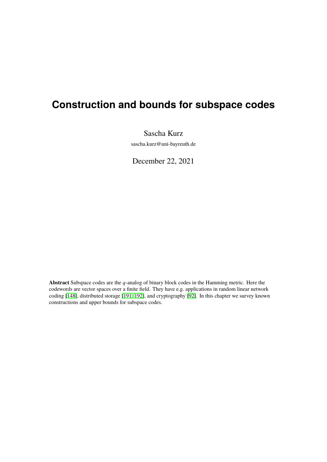# <span id="page-0-0"></span>**Construction and bounds for subspace codes**

Sascha Kurz

sascha.kurz@uni-bayreuth.de

December 22, 2021

Abstract Subspace codes are the q-analog of binary block codes in the Hamming metric. Here the codewords are vector spaces over a finite field. They have e.g. applications in random linear network coding [\[148\]](#page-97-0), distributed storage [\[191,](#page-100-0) [192\]](#page-100-1), and cryptography [\[92\]](#page-93-0). In this chapter we survey known constructions and upper bounds for subspace codes.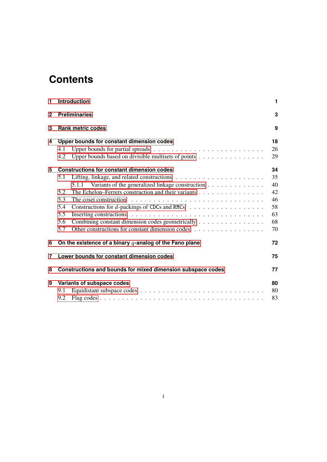# **Contents**

| 1                                                                | Introduction<br><b>Preliminaries</b>                                                                          |    |  |  |  |  |  |  |  |  |  |  |
|------------------------------------------------------------------|---------------------------------------------------------------------------------------------------------------|----|--|--|--|--|--|--|--|--|--|--|
| $\mathbf{2}$                                                     |                                                                                                               |    |  |  |  |  |  |  |  |  |  |  |
| 3                                                                | <b>Rank metric codes</b>                                                                                      | 9  |  |  |  |  |  |  |  |  |  |  |
| 4                                                                | Upper bounds for constant dimension codes                                                                     |    |  |  |  |  |  |  |  |  |  |  |
|                                                                  | 4.1                                                                                                           | 26 |  |  |  |  |  |  |  |  |  |  |
|                                                                  | Upper bounds based on divisible multisets of points<br>4.2                                                    | 29 |  |  |  |  |  |  |  |  |  |  |
| 5                                                                | <b>Constructions for constant dimension codes</b>                                                             |    |  |  |  |  |  |  |  |  |  |  |
|                                                                  | 5.1                                                                                                           | 35 |  |  |  |  |  |  |  |  |  |  |
|                                                                  | 5.1.1 Variants of the generalized linkage construction                                                        | 40 |  |  |  |  |  |  |  |  |  |  |
|                                                                  | The Echelon-Ferrers construction and their variants<br>5.2                                                    | 42 |  |  |  |  |  |  |  |  |  |  |
|                                                                  | 5.3<br>The coset construction $\dots \dots \dots \dots \dots \dots \dots \dots \dots \dots \dots \dots \dots$ | 46 |  |  |  |  |  |  |  |  |  |  |
|                                                                  | Constructions for $d$ -packings of CDCs and RMCs $\ldots \ldots \ldots \ldots \ldots \ldots$<br>5.4           | 58 |  |  |  |  |  |  |  |  |  |  |
|                                                                  | 5.5                                                                                                           | 63 |  |  |  |  |  |  |  |  |  |  |
|                                                                  | Combining constant dimension codes geometrically<br>5.6                                                       | 68 |  |  |  |  |  |  |  |  |  |  |
|                                                                  | Other constructions for constant dimension codes<br>5.7                                                       | 70 |  |  |  |  |  |  |  |  |  |  |
| 6                                                                | On the existence of a binary $q$ -analog of the Fano plane                                                    | 72 |  |  |  |  |  |  |  |  |  |  |
| 7                                                                | Lower bounds for constant dimension codes                                                                     | 75 |  |  |  |  |  |  |  |  |  |  |
| 8<br>Constructions and bounds for mixed dimension subspace codes |                                                                                                               |    |  |  |  |  |  |  |  |  |  |  |
| 9                                                                | Variants of subspace codes                                                                                    | 80 |  |  |  |  |  |  |  |  |  |  |
|                                                                  | 9.1                                                                                                           | 80 |  |  |  |  |  |  |  |  |  |  |
|                                                                  | 9.2                                                                                                           | 83 |  |  |  |  |  |  |  |  |  |  |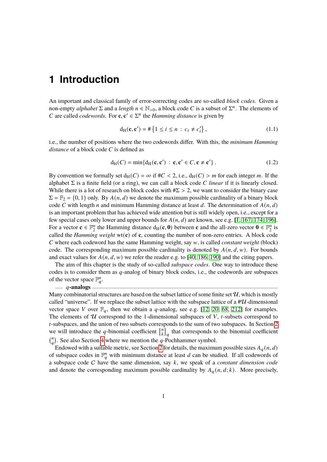# <span id="page-2-0"></span>**1 Introduction**

An important and classical family of error-correcting codes are so-called *block codes*. Given a non-empty *alphabet*  $\Sigma$  and a *length*  $n \in \mathbb{N}_{>0}$ , a block code C is a subset of  $\Sigma^n$ . The elements of C are called *codewords*. For **c**,  $c' \in \Sigma^n$  the *Hamming distance* is given by

$$
d_H(c, c') = # \{ 1 \le i \le n : c_i \ne c'_i \},
$$
\n(1.1)

i.e., the number of positions where the two codewords differ. With this, the *minimum Hamming distance* of a block code C is defined as

$$
d_H(C) = \min\{d_H(\mathbf{c}, \mathbf{c}') : \mathbf{c}, \mathbf{c}' \in C, \mathbf{c} \neq \mathbf{c}'\}.
$$
 (1.2)

By convention we formally set  $d_H(C) = \infty$  if  $\#C < 2$ , i.e.,  $d_H(C) > m$  for each integer m. If the alphabet  $\Sigma$  is a finite field (or a ring), we can call a block code C *linear* if it is linearly closed. While there is a lot of research on block codes with  $#Z > 2$ , we want to consider the binary case  $\Sigma = \mathbb{F}_2 = \{0, 1\}$  only. By  $A(n, d)$  we denote the maximum possible cardinality of a binary block code C with length n and minimum Hamming distance at least d. The determination of  $A(n, d)$ is an important problem that has achieved wide attention but is still widely open, i.e., except for a few special cases only lower and upper bounds for  $A(n, d)$  are known, see e.g. [\[1,](#page-87-0) [167,](#page-98-0) [174,](#page-99-0) [196\]](#page-100-2). For a vector  $\mathbf{c} \in \mathbb{F}_2^n$ <sup>n</sup> the Hamming distance  $d_H(c, 0)$  between **c** and the all-zero vector  $0 \in \mathbb{F}_2^n$  $\frac{n}{2}$  is called the *Hamming weight* wt( $\bf{c}$ ) of  $\bf{c}$ , counting the number of non-zero entries. A block code 𝐶 where each codeword has the same Hamming weight, say 𝑤, is called *constant weight* (block) code. The corresponding maximum possible cardinality is denoted by  $A(n, d, w)$ . For bounds and exact values for  $A(n, d, w)$  we refer the reader e.g. to [\[40,](#page-89-0) [186,](#page-99-1) [190\]](#page-100-3) and the citing papers.

The aim of this chapter is the study of so-called *subspace codes*. One way to introduce these codes is to consider them as  $q$ -analog of binary block codes, i.e., the codewords are subspaces of the vector space  $\mathbb{F}_q^n$ .

#### 𝑞**-analogs**

Many combinatorial structures are based on the subset lattice of some finite set  $\mathcal{U}$ , which is mostly called "universe". If we replace the subset lattice with the subspace lattice of a  $\#U$ -dimensional vector space V over  $\mathbb{F}_q$ , then we obtain a q-analog, see e.g. [\[12,](#page-87-1) [20,](#page-88-0) [68,](#page-91-0) [212\]](#page-101-0) for examples. The elements of  $U$  correspond to the 1-dimensional subspaces of  $V$ , t-subsets correspond to *t*-subspaces, and the union of two subsets corresponds to the sum of two subspaces. In Section [2](#page-4-0) we will introduce the q-binomial coefficient  $\begin{bmatrix} n \\ k \end{bmatrix}$  $\binom{n}{k}_q$  that corresponds to the binomial coefficient  $\binom{n}{a}$  $_{a}^{n}$ ). See also Section [4](#page-19-0) where we mention the q-Pochhammer symbol.

Endowed with a suitable metric, see Section [2](#page-4-0) for details, the maximum possible sizes  $A_q(n, d)$ of subspace codes in  $\mathbb{F}_q^n$  with minimum distance at least d can be studied. If all codewords of a subspace code C have the same dimension, say k, we speak of a *constant dimension code* and denote the corresponding maximum possible cardinality by  $A_q(n, d; k)$ . More precisely,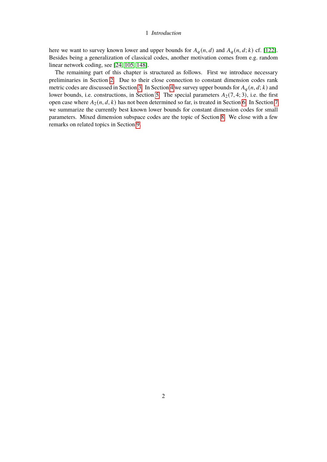## 1 Introduction

here we want to survey known lower and upper bounds for  $A_q(n,d)$  and  $A_q(n,d;k)$  cf. [\[122\]](#page-95-0). Besides being a generalization of classical codes, another motivation comes from e.g. random linear network coding, see [\[24,](#page-88-1) [105,](#page-94-0) [148\]](#page-97-0).

The remaining part of this chapter is structured as follows. First we introduce necessary preliminaries in Section [2.](#page-4-0) Due to their close connection to constant dimension codes rank metric codes are discussed in Section [3.](#page-10-0) In Section [4](#page-19-0) we survey upper bounds for  $A_q(n, d; k)$  and lower bounds, i.e. constructions, in Section [5.](#page-35-0) The special parameters  $A_2(7, 4; 3)$ , i.e. the first open case where  $A_2(n, d, k)$  has not been determined so far, is treated in Section [6.](#page-73-0) In Section [7](#page-76-0) we summarize the currently best known lower bounds for constant dimension codes for small parameters. Mixed dimension subspace codes are the topic of Section [8.](#page-78-0) We close with a few remarks on related topics in Section [9.](#page-81-0)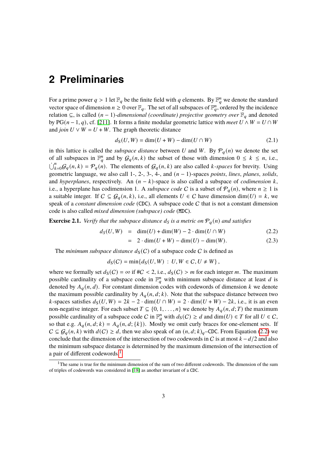<span id="page-4-0"></span>For a prime power  $q > 1$  let  $\mathbb{F}_q$  be the finite field with q elements. By  $\mathbb{F}_q^n$  we denote the standard vector space of dimension  $n \geq 0$  over  $\mathbb{F}_q$ . The set of all subspaces of  $\mathbb{F}_q^n$ , ordered by the incidence relation ⊆, is called  $(n - 1)$ -dimensional (coordinate) projective geometry over  $\mathbb{F}_q$  and denoted by PG( $n-1, q$ ), cf. [\[211\]](#page-101-1). It forms a finite modular geometric lattice with *meet*  $U \wedge W = U \cap W$ and *join*  $U \vee W = U + W$ . The graph theoretic distance

$$
d_{\mathcal{S}}(U, W) = \dim(U + W) - \dim(U \cap W) \tag{2.1}
$$

in this lattice is called the *subspace distance* between U and W. By  $P_q(n)$  we denote the set of all subspaces in  $\mathbb{F}_q^n$  and by  $\mathcal{G}_q(n,k)$  the subset of those with dimension  $0 \leq k \leq n$ , i.e.,  $\bigcup_{k=0}^{n} G_q(n,k) = \mathcal{P}_q(n)$ . The elements of  $\mathcal{G}_q(n,k)$  are also called *k*-spaces for brevity. Using geometric language, we also call 1-, 2-, 3-, 4-, and  $(n - 1)$ -spaces *points*, *lines*, *planes*, *solids*, and *hyperplanes*, respectively. An  $(n - k)$ -space is also called a subspace of *codimension*  $k$ , i.e., a hyperplane has codimension 1. A *subspace code* C is a subset of  $\mathcal{P}_q(n)$ , where  $n \geq 1$  is a suitable integer. If  $C \subseteq \mathcal{G}_q(n,k)$ , i.e., all elements  $U \in C$  have dimension dim $(U) = k$ , we speak of a *constant dimension code* (CDC). A subspace code C that is not a constant dimension code is also called *mixed dimension (subspace) code* (MDC).

**Exercise 2.1.** *Verify that the subspace distance*  $d_S$  *is a metric on*  $\mathcal{P}_q(n)$  *and satisfies* 

<span id="page-4-1"></span>
$$
d_S(U, W) = \dim(U) + \dim(W) - 2 \cdot \dim(U \cap W) \tag{2.2}
$$

$$
= 2 \cdot \dim(U + W) - \dim(U) - \dim(W). \tag{2.3}
$$

The *minimum subspace distance*  $d_S(C)$  of a subspace code C is defined as

$$
d_S(C) = \min\{d_S(U, W) : U, W \in C, U \neq W\},\
$$

where we formally set  $d_S(C) = \infty$  if  $\#C < 2$ , i.e.,  $d_S(C) > m$  for each integer m. The maximum possible cardinality of a subspace code in  $\mathbb{F}_q^n$  with minimum subspace distance at least d is denoted by  $A_q(n, d)$ . For constant dimension codes with codewords of dimension k we denote the maximum possible cardinality by  $A_q(n, d; k)$ . Note that the subspace distance between two *k*-spaces satisfies  $d_S(U, W) = 2k - 2 \cdot \dim(U \cap W) = 2 \cdot \dim(U + W) - 2k$ , i.e., it is an even non-negative integer. For each subset  $T \subseteq \{0, 1, \ldots, n\}$  we denote by  $A_q(n, d; T)$  the maximum possible cardinality of a subspace code C in  $\mathbb{F}_q^n$  with  $d_S(C) \geq d$  and  $\dim(U) \in T$  for all  $U \in C$ , so that e.g.  $A_q(n, d; k) = A_q(n, d; \{k\})$ . Mostly we omit curly braces for one-element sets. If  $C \subseteq \mathcal{G}_q(n,k)$  with  $d(C) \geq d$ , then we also speak of an  $(n, d; k)_q$ –CDC. From Equation [\(2.2\)](#page-4-1) we conclude that the dimension of the intersection of two codewords in C is at most  $k - d/2$  and also the minimum subspace distance is determined by the maximum dimension of the intersection of a pair of different codewords.<sup>[1](#page-0-0)</sup>

<sup>&</sup>lt;sup>1</sup>The same is true for the minimum dimension of the sum of two different codewords. The dimension of the sum of triples of codewords was considered in [\[18\]](#page-88-2) as another invariant of a CDC.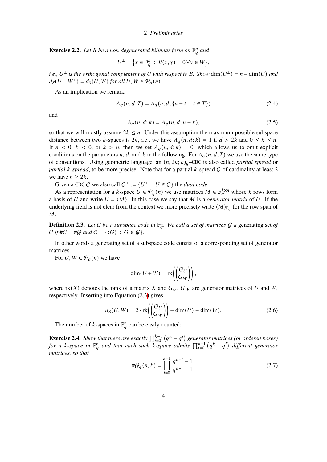**Exercise 2.2.** Let B be a non-degenerated bilinear form on  $\mathbb{F}_q^n$  and

$$
U^{\perp} = \{x \in \mathbb{F}_q^n : B(x, y) = 0 \,\forall y \in W\},\
$$

*i.e.,*  $U^{\perp}$  *is the orthogonal complement of*  $U$  *with respect to*  $B$ *. Show*  $dim(U^{\perp}) = n - dim(U)$  *and*  $d_S(U^{\perp}, W^{\perp}) = d_S(U, W)$  for all  $U, W \in \mathcal{P}_q(n)$ .

As an implication we remark

$$
A_q(n, d; T) = A_q(n, d; \{n - t : t \in T\})
$$
\n(2.4)

<span id="page-5-2"></span>and

$$
A_q(n, d; k) = A_q(n, d; n - k),
$$
\n(2.5)

so that we will mostly assume  $2k \leq n$ . Under this assumption the maximum possible subspace distance between two k-spaces is 2k, i.e., we have  $A_q(n, d; k) = 1$  if  $d > 2k$  and  $0 \le k \le n$ . If  $n < 0$ ,  $k < 0$ , or  $k > n$ , then we set  $A_q(n, d; k) = 0$ , which allows us to omit explicit conditions on the parameters *n*, *d*, and *k* in the following. For  $A_q(n, d; T)$  we use the same type of conventions. Using geometric language, an  $(n, 2k; k)$ <sub>a</sub>–CDC is also called *partial spread* or *partial k*-*spread*, to be more precise. Note that for a partial *k*-spread *C* of cardinality at least 2 we have  $n \geq 2k$ .

Given a CDC C we also call  $C^{\perp} := \{U^{\perp} : U \in C\}$  the *dual code*.

As a representation for a k-space  $U \in \mathcal{P}_q(n)$  we use matrices  $M \in \mathbb{F}_q^{k \times n}$  whose k rows form a basis of U and write  $U = \langle M \rangle$ . In this case we say that M is a *generator matrix* of U. If the underlying field is not clear from the context we more precisely write  $\langle M \rangle_{\mathbb{F}_q}$  for the row span of  $M_{\odot}$ 

**Definition 2.3.** Let C be a subspace code in  $\mathbb{F}_a^n$ . We call a set of matrices G a generating set of  $C$  *if*  $#C = #G$  *and*  $C = \{ \langle G \rangle : G \in G \}.$ 

In other words a generating set of a subspace code consist of a corresponding set of generator matrices.

For  $U, W \in \mathcal{P}_q(n)$  we have

<span id="page-5-1"></span>
$$
\dim(U+W) = \text{rk}\left(\begin{pmatrix} G_U \\ G_W \end{pmatrix}\right),\,
$$

where  $rk(X)$  denotes the rank of a matrix X and  $G_U$ ,  $G_W$  are generator matrices of U and W, respectively. Inserting into Equation [\(2.3\)](#page-4-1) gives

$$
d_{\mathcal{S}}(U, W) = 2 \cdot \text{rk}\left(\begin{pmatrix} G_U \\ G_W \end{pmatrix}\right) - \dim(U) - \dim(W). \tag{2.6}
$$

The number of k-spaces in  $\mathbb{F}_q^n$  can be easily counted:

**Exercise 2.4.** *Show that there are exactly*  $\prod_{i=0}^{k-1} (q^n - q^i)$  generator matrices (or ordered bases) for a k-space in  $\mathbb{F}_q^n$  and that each such k-space admits  $\prod_{i=0}^{k-1} (q^k - q^i)$  different generator *matrices, so that*

<span id="page-5-0"></span>
$$
\#G_q(n,k) = \prod_{i=0}^{k-1} \frac{q^{n-i} - 1}{q^{k-i} - 1}.
$$
\n(2.7)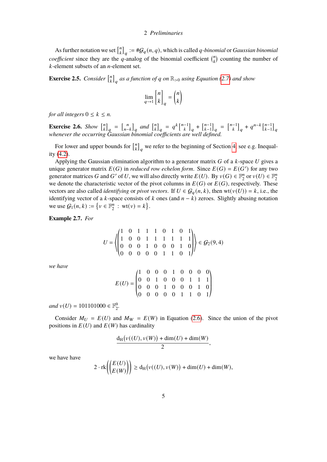As further notation we set  $\binom{n}{k}$  $\binom{n}{k}_q := \#\mathcal{G}_q(n,q)$ , which is called *q*-binomial or *Gaussian binomial coefficient* since they are the q-analog of the binomial coefficient  $\binom{n}{k}$  $\binom{n}{k}$  counting the number of  $k$ -element subsets of an  $n$ -element set.

**Exercise 2.5.** *Consider*  $\begin{bmatrix} n \\ k \end{bmatrix}$  $\binom{n}{k}_q$  as a function of  $q$  on  $\mathbb{R}_{>0}$  using Equation [\(2.7\)](#page-5-0) and show

$$
\lim_{q \to 1} \begin{bmatrix} n \\ k \end{bmatrix}_q = \binom{n}{k}
$$

*for all integers*  $0 \leq k \leq n$ .

**Exercise 2.6.** *Show*  $\begin{bmatrix} n \\ k \end{bmatrix}$  $\begin{bmatrix} n \\ k \end{bmatrix}$  $q = \begin{bmatrix} n \\ n-1 \end{bmatrix}$  $\binom{n}{n-k}_q$  and  $\binom{n}{k}$  $\binom{n}{k}_q = q^k \binom{n-1}{k}_q + \binom{n-1}{k-1}$  $_{k-1}^{n-1}$ <sub>q</sub> =  $_{k-1}^{n-1}$ <sub>q</sub> +  $q^{n-k}$  $_{k-1}^{n-1}$  $_{k-1}^{n-1}$ <sub>q</sub> *whenever the occurring Gaussian binomial coefficients are well defined.*

For lower and upper bounds for  $\int_{k}^{n}$  $\binom{n}{k}_q$  we refer to the beginning of Section [4,](#page-19-0) see e.g. Inequality [\(4.2\)](#page-19-1).

Applying the Gaussian elimination algorithm to a generator matrix  $G$  of a  $k$ -space  $U$  gives a unique generator matrix  $E(G)$  in *reduced row echelon form*. Since  $E(G) = E(G')$  for any two generator matrices G and G' of U, we will also directly write  $E(U)$ . By  $v(G) \in \mathbb{F}_2^n$  $\frac{m}{2}$  or  $v(U) \in \mathbb{F}_2^n$ 2 we denote the characteristic vector of the pivot columns in  $E(G)$  or  $E(G)$ , respectively. These vectors are also called *identifying* or *pivot vectors*. If  $U \in \mathcal{G}_q(n, k)$ , then wt( $v(U)$ ) = k, i.e., the identifying vector of a  $k$ -space consists of  $k$  ones (and  $n - k$ ) zeroes. Slightly abusing notation we use  $G_1(n, k) := \{v \in \mathbb{F}_2^n\}$  $\binom{n}{2}$  : wt(v) = k.

<span id="page-6-0"></span>**Example 2.7.** *For*

$$
U = \left\langle \begin{pmatrix} 1 & 0 & 1 & 1 & 1 & 0 & 1 & 0 & 1 \\ 1 & 0 & 0 & 1 & 1 & 1 & 1 & 1 & 1 \\ 0 & 0 & 0 & 1 & 0 & 0 & 0 & 1 & 0 \\ 0 & 0 & 0 & 0 & 0 & 1 & 1 & 0 & 1 \end{pmatrix} \right\rangle \in \mathcal{G}_2(9, 4)
$$

*we have*

$$
E(U) = \begin{pmatrix} 1 & 0 & 0 & 0 & 1 & 0 & 0 & 0 & 0 \\ 0 & 0 & 1 & 0 & 0 & 0 & 1 & 1 & 1 \\ 0 & 0 & 0 & 1 & 0 & 0 & 0 & 1 & 0 \\ 0 & 0 & 0 & 0 & 0 & 1 & 1 & 0 & 1 \end{pmatrix}
$$

 $and v(U) = 101101000 \in \mathbb{F}_2^9$ .

Consider  $M_U = E(U)$  and  $M_W = E(W)$  in Equation [\(2.6\)](#page-5-1). Since the union of the pivot positions in  $E(U)$  and  $E(W)$  has cardinality

$$
\frac{d_H\big(\nu((U),\nu(W))+\dim(U)+\dim(W)}{2},
$$

we have have

$$
2 \cdot \operatorname{rk}\left(\binom{E(U)}{E(W)}\right) \ge d_H\big(\nu((U), \nu(W)) + \dim(U) + \dim(W),\big)
$$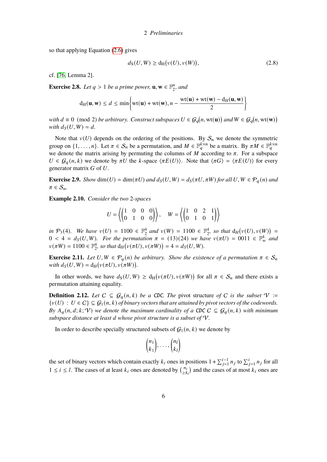so that applying Equation [\(2.6\)](#page-5-1) gives

$$
d_{\mathcal{S}}(U,W) \ge d_{\mathcal{H}}(\nu(U),\nu(W)),\tag{2.8}
$$

cf. [\[76,](#page-92-0) Lemma 2].

**Exercise 2.8.** *Let*  $q > 1$  *be a prime power*,  $\mathbf{u}, \mathbf{w} \in \mathbb{F}_2^n$  $n/2$ , and

$$
d_H(\mathbf{u}, \mathbf{w}) \le d \le \min\left\{\text{wt}(\mathbf{u}) + \text{wt}(\mathbf{w}), n - \frac{\text{wt}(\mathbf{u}) + \text{wt}(\mathbf{w}) - d_H(\mathbf{u}, \mathbf{w})}{2}\right\}
$$

*with*  $d \equiv 0 \pmod{2}$  *be arbitrary. Construct subspaces*  $U \in \mathcal{G}_q(n, \text{wt}(\mathbf{u}))$  *and*  $W \in \mathcal{G}_q(n, \text{wt}(\mathbf{w}))$ *with*  $d_S(U, W) = d$ .

Note that  $v(U)$  depends on the ordering of the positions. By  $S_n$  we denote the symmetric group on  $\{1, \ldots, n\}$ . Let  $\pi \in S_n$  be a permutation, and  $M \in \mathbb{F}_q^{k \times n}$  be a matrix. By  $\pi M \in \mathbb{F}_q^{k \times n}$  we denote the matrix arising by permuting the columns of  $M$  according to  $\pi$ . For a subspace  $U \in \mathcal{G}_a(n, k)$  we denote by  $\pi U$  the k-space  $\langle \pi E(U) \rangle$ . Note that  $\langle \pi G \rangle = \langle \pi E(U) \rangle$  for every generator matrix  $G$  of  $U$ .

**Exercise 2.9.** *Show* dim( $U$ ) = dim( $\pi U$ ) and  $d_S(U, W) = d_S(\pi U, \pi W)$  for all  $U, W \in \mathcal{P}_q(n)$  and  $\pi \in S_n$ .

**Example 2.10.** *Consider the two* 2*-spaces*

$$
U = \left\langle \begin{pmatrix} 1 & 0 & 0 & 0 \\ 0 & 1 & 0 & 0 \end{pmatrix} \right\rangle, \quad W = \left\langle \begin{pmatrix} 1 & 0 & 2 & 1 \\ 0 & 1 & 0 & 1 \end{pmatrix} \right\rangle
$$

*in*  $P_3(4)$ *.* We have  $v(U) = 1100 \in \mathbb{F}_2^4$  and  $v(W) = 1100 \in \mathbb{F}_2^4$ , so that  $d_H(v(U), v(W)) =$  $0 < 4 = d_S(U, W)$ . For the permutation  $\pi = (13)(24)$  we have  $v(\pi U) = 0011 \in \mathbb{F}_w^4$  and  $v(\pi W) = 1100 \in \mathbb{F}_2^4$ , so that  $d_H(v(\pi U), v(\pi W)) = 4 = d_S(U, W)$ .

**Exercise 2.11.** *Let*  $U, W \in \mathcal{P}_q(n)$  *be arbitrary. Show the existence of a permutation*  $\pi \in \mathcal{S}_n$ with  $d_S(U, W) = d_H(v(\pi U), v(\pi W)).$ 

In other words, we have  $d_S(U, W) \ge d_H(v(\pi U), v(\pi W))$  for all  $\pi \in S_n$  and there exists a permutation attaining equality.

**Definition 2.12.** *Let*  $C ⊆ G_q(n, k)$  *be a CDC. The pivot structure of*  $C$  *is the subset*  $V :=$  $\{v(U): U \in C\} \subseteq \mathcal{G}_1(n, k)$  *of binary vectors that are attained by pivot vectors of the codewords. By*  $A_q(n, d; k; \mathcal{V})$  *we denote the maximum cardinality of a CDC C*  $\subseteq$   $G_q(n, k)$  *with minimum subspace distance at least d whose pivot structure is a subset of*  $V$ .

In order to describe specially structured subsets of  $G_1(n, k)$  we denote by

$$
\binom{n_1}{k_1},\ldots,\binom{n_l}{k_l}
$$

the set of binary vectors which contain exactly  $k_i$  ones in positions  $1 + \sum_{j=1}^{i-1} n_j$  to  $\sum_{j=1}^{i} n_j$  for all  $1 \leq i \leq l$ . The cases of at least  $k_i$  ones are denoted by  $\binom{n_i}{\leq k}$  $\binom{n_i}{\geq k_i}$  and the cases of at most  $k_i$  ones are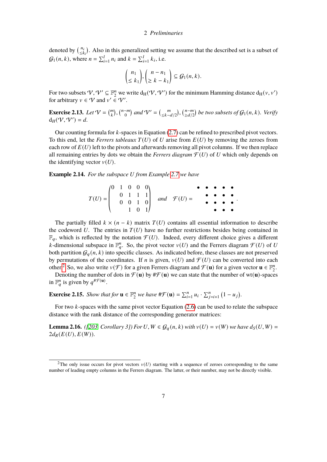denoted by  $\binom{n_i}{\leq k}$  $\frac{n_i}{\leq k_i}$ . Also in this generalized setting we assume that the described set is a subset of  $G_1(n, k)$ , where  $n = \sum_{i=1}^l n_i$  and  $k = \sum_{i=1}^l k_i$ , i.e.

$$
\binom{n_1}{\leq k_1}, \binom{n-n_1}{\geq k-k_1} \subseteq \mathcal{G}_1(n,k).
$$

For two subsets  $\mathcal{V}, \mathcal{V}' \subseteq \mathbb{F}_2^n$  we write  $d_H(\mathcal{V}, \mathcal{V}')$  for the minimum Hamming distance  $d_H(\mathcal{V}, \mathcal{V}')$ for arbitrary  $v \in V$  and  $v' \in V'$ .

**Exercise 2.13.** *Let*  $V = \binom{m}{k}$ ,  $\binom{n-m}{0}$  $\binom{-m}{0}$  and  $V' = \binom{m}{\leq k-d/2}, \binom{n-m}{\leq d/2}$  $\sum_{\substack{\geq d/2}}^{n-m}$  be two subsets of  $\mathcal{G}_1(n,k)$ *. Verify*  $d_H(\mathcal{V}, \mathcal{V}') = d.$ 

Our counting formula for  $k$ -spaces in Equation [\(2.7\)](#page-5-0) can be refined to prescribed pivot vectors. To this end, let the *Ferrers tableaux*  $T(U)$  of U arise from  $E(U)$  by removing the zeroes from each row of  $E(U)$  left to the pivots and afterwards removing all pivot columns. If we then replace all remaining entries by dots we obtain the *Ferrers diagram*  $\mathcal{F}(U)$  of U which only depends on the identifying vector  $v(U)$ .

**Example 2.14.** *For the subspace U* from *Example* [2.7](#page-6-0) *we have* 

|  |  |  |  | $(T) = \begin{pmatrix} 0 & 1 & 0 & 0 & 0 \\ 0 & 1 & 1 & 1 \\ 0 & 0 & 1 & 0 \\ 1 & 0 & 1 \end{pmatrix}$ and $\mathcal{F}(U) = \begin{pmatrix} 0 & 0 & 0 \\ 0 & 0 & 0 \\ 0 & 0 & 0 \\ 0 & 0 & 1 \end{pmatrix}$ |  |  |  |
|--|--|--|--|--------------------------------------------------------------------------------------------------------------------------------------------------------------------------------------------------------------|--|--|--|
|  |  |  |  |                                                                                                                                                                                                              |  |  |  |
|  |  |  |  |                                                                                                                                                                                                              |  |  |  |
|  |  |  |  |                                                                                                                                                                                                              |  |  |  |

The partially filled  $k \times (n - k)$  matrix  $T(U)$  contains all essential information to describe the codeword  $U$ . The entries in  $T(U)$  have no further restrictions besides being contained in  $\mathbb{F}_q$ , which is reflected by the notation  $\mathcal{F}(U)$ . Indeed, every different choice gives a different k-dimensional subspace in  $\mathbb{F}_q^n$ . So, the pivot vector  $v(U)$  and the Ferrers diagram  $\mathcal{F}(U)$  of U both partition  $G_q(n, k)$  into specific classes. As indicated before, these classes are not preserved by permutations of the coordinates. If *n* is given,  $v(U)$  and  $\mathcal{F}(U)$  can be converted into each other.<sup>[2](#page-0-0)</sup> So, we also write  $v(\mathcal{F})$  for a given Ferrers diagram and  $\mathcal{F}(\mathbf{u})$  for a given vector  $\mathbf{u} \in \mathbb{F}_2^n$  $\frac{n}{2}$ .

Denoting the number of dots in  $\mathcal{F}(\mathbf{u})$  by  $\sharp \mathcal{F}(\mathbf{u})$  we can state that the number of wt(**u**)-spaces in  $\mathbb{F}_q^n$  is given by  $q^{\# \mathcal{F}(\mathbf{u})}$ .

**Exercise 2.15.** *Show that for*  $\mathbf{u} \in \mathbb{F}_2^n$  $\sum_{i=1}^{n} u_i \cdot \sum_{j=i+1}^{n} (1 - u_j).$ 

For two  $k$ -spaces with the same pivot vector Equation [\(2.6\)](#page-5-1) can be used to relate the subspace distance with the rank distance of the corresponding generator matrices:

<span id="page-8-0"></span>**Lemma 2.16.** *([\[203,](#page-101-2) Corollary 3]) For*  $U, W \in \mathcal{G}_q(n, k)$  *with*  $v(U) = v(W)$  *we have*  $d_S(U, W) =$  $2d_R(E(U), E(W))$ .

<sup>&</sup>lt;sup>2</sup>The only issue occurs for pivot vectors  $v(U)$  starting with a sequence of zeroes corresponding to the same number of leading empty columns in the Ferrers diagram. The latter, or their number, may not be directly visible.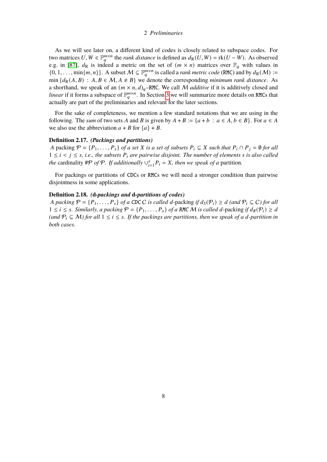As we will see later on, a different kind of codes is closely related to subspace codes. For two matrices  $U, W \in \mathbb{F}_q^{m \times n}$  the *rank distance* is defined as  $d_R(U, W) = \text{rk}(U - W)$ . As observed e.g. in [\[87\]](#page-92-1),  $d_R$  is indeed a metric on the set of  $(m \times n)$  matrices over  $\mathbb{F}_q$  with values in  $\{0, 1, \ldots, \min\{m, n\}\}\$ . A subset  $\mathcal{M} \subseteq \mathbb{F}_q^{m \times n}$  is called a *rank metric code* (RMC) and by  $d_R(\mathcal{M})$  := min  $\{d_R(A, B) : A, B \in \mathcal{M}, A \neq B\}$  we denote the corresponding *minimum rank distance*. As a shorthand, we speak of an  $(m \times n, d)_{q}$ –RMC. We call M *additive* if it is additively closed and *linear* if it forms a subspace of  $\mathbb{F}_q^{m \times n}$ . In Section [3](#page-10-0) we will summarize more details on RMCs that actually are part of the preliminaries and relevant for the later sections.

For the sake of completeness, we mention a few standard notations that we are using in the following. The *sum* of two sets A and B is given by  $A + B := \{a + b : a \in A, b \in B\}$ . For  $a \in A$ we also use the abbreviation  $a + B$  for  $\{a\} + B$ .

## **Definition 2.17.** *(Packings and partitions)*

*A* packing  $\mathcal{P} = \{P_1, \ldots, P_s\}$  *of a set X is a set of subsets*  $P_i \subseteq X$  *such that*  $P_i \cap P_j = \emptyset$  *for all*  $1 \leq i \leq j \leq s$ , *i.e., the subsets*  $P_i$  *are pairwise disjoint. The number of elements s is also called the* cardinality #P *of* P. If additionally  $\bigcup_{i=1}^{s} P_i = X$ , then we speak of a partition.

For packings or partitions of CDCs or RMCs we will need a stronger condition than pairwise disjointness in some applications.

## <span id="page-9-0"></span>**Definition 2.18.** *(***d***-packings and* **d***-partitions of codes)*

*A packing*  $P = \{P_1, \ldots, P_s\}$  *of a CDC C is called d*-packing *if*  $d_S(P_i) \geq d$  (and  $P_i \subseteq C$ ) for all  $1 ≤ i ≤ s$ . Similarly, a packing  $P = {P_1, \ldots, P_s}$  of a RMC M is called d-packing if  $d_R(P_i) ≥ d$  $(and P_i \subseteq M)$  for all  $1 \le i \le s$ . If the packings are partitions, then we speak of a d-partition in *both cases.*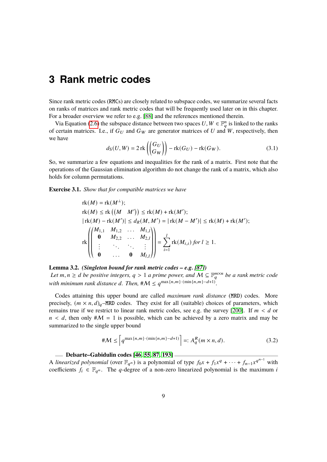<span id="page-10-0"></span>Since rank metric codes (RMCs) are closely related to subspace codes, we summarize several facts on ranks of matrices and rank metric codes that will be frequently used later on in this chapter. For a broader overview we refer to e.g. [\[88\]](#page-92-2) and the references mentioned therein.

Via Equation [\(2.6\)](#page-5-1) the subspace distance between two spaces  $U, W \in \mathbb{F}_q^n$  is linked to the ranks of certain matrices. I.e., if  $G_U$  and  $G_W$  are generator matrices of U and W, respectively, then we have

$$
d_{\mathcal{S}}(U,W) = 2 \operatorname{rk} \left( \begin{pmatrix} G_U \\ G_W \end{pmatrix} \right) - \operatorname{rk}(G_U) - \operatorname{rk}(G_W). \tag{3.1}
$$

So, we summarize a few equations and inequalities for the rank of a matrix. First note that the operations of the Gaussian elimination algorithm do not change the rank of a matrix, which also holds for column permutations.

**Exercise 3.1.** *Show that for compatible matrices we have*

«

«

$$
rk(M) = rk(M^{\perp});
$$
  
\n
$$
rk(M) \le rk((M \ M')) \le rk(M) + rk(M');
$$
  
\n
$$
|rk(M) - rk(M')| \le d_R(M, M') = |rk(M - M')| \le rk(M) + rk(M');
$$
  
\n
$$
rk\left(\begin{pmatrix} M_{1,1} & M_{1,2} & \dots & M_{1,l} \\ 0 & M_{2,2} & \dots & M_{2,l} \\ \vdots & \ddots & \ddots & \vdots \\ 0 & \dots & 0 & M_{l,l}\end{pmatrix}\right) = \sum_{i=1}^{l} rk(M_{i,i}) \text{ for } l \ge 1.
$$

**Lemma 3.2.** *(Singleton bound for rank metric codes – e.g. [\[87\]](#page-92-1)) Let*  $m, n \ge d$  *be positive integers,*  $q > 1$  *a prime power, and*  $M ⊆ \mathbb{F}_q^{m \times n}$  *be a rank metric code with minimum rank distance d. Then,*  $\#M \leq q^{\max\{n,m\}\cdot(\min\{n,m\}-d+1)}$ .

¬

 $\ddot{\phantom{0}}$ 

Codes attaining this upper bound are called *maximum rank distance* (MRD) codes. More precisely,  $(m \times n, d)_{a}$ –MRD codes. They exist for all (suitable) choices of parameters, which remains true if we restrict to linear rank metric codes, see e.g. the survey [\[200\]](#page-100-4). If  $m < d$  or  $n < d$ , then only  $\#\mathcal{M} = 1$  is possible, which can be achieved by a zero matrix and may be summarized to the single upper bound

$$
\# \mathcal{M} \le \left[ q^{\max\{n, m\} \cdot (\min\{n, m\} - d + 1)} \right] =: A_q^R(m \times n, d). \tag{3.2}
$$

#### **Delsarte–Gabidulin codes [\[46,](#page-90-0) [55,](#page-90-1) [87,](#page-92-1) [193\]](#page-100-5)**

A *linearized polynomial* (over  $\mathbb{F}_{q^n}$ ) is a polynomial of type  $f_0x + f_1x^q + \cdots + f_{n-1}x^{q^{n-1}}$  with coefficients  $f_i \in \mathbb{F}_{q^n}$ . The q-degree of a non-zero linearized polynomial is the maximum *i*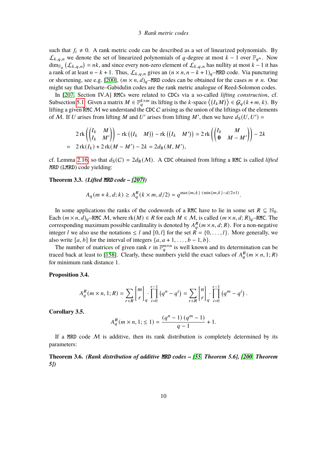such that  $f_i \neq 0$ . A rank metric code can be described as a set of linearized polynomials. By  $\mathcal{L}_{k,q,n}$  we denote the set of linearized polynomials of q-degree at most  $k-1$  over  $\mathbb{F}_{q^n}$ . Now  $\dim_{\mathbb{F}_q} (\mathcal{L}_{k,q,n}) = nk$ , and since every non-zero element of  $\mathcal{L}_{k,q,n}$  has nullity at most  $k-1$  it has a rank of at least  $n - k + 1$ . Thus,  $\mathcal{L}_{k,q,n}$  gives an  $(n \times n, n - k + 1)_q$ –MRD code. Via puncturing or shortening, see e.g. [\[200\]](#page-100-4),  $(m \times n, d)_{q}$ –MRD codes can be obtained for the cases  $m \neq n$ . One might say that Delsarte–Gabidulin codes are the rank metric analogue of Reed-Solomon codes.

In [\[207,](#page-101-3) Section IV.A] RMCs were related to CDCs via a so-called *lifting construction*, cf. Subsection [5.1.](#page-36-0) Given a matrix  $M \in \mathbb{F}_q^{k \times m}$  its lifting is the k-space  $\langle (I_k M) \rangle \in \mathcal{G}_q(k+m, k)$ . By lifting a given RMC  $M$  we understand the CDC  $C$  arising as the union of the liftings of the elements of M. If U arises from lifting M and U' arises from lifting M', then we have  $d_S(U, U') =$ 

$$
2\operatorname{rk}\left(\begin{pmatrix}I_k & M \\ I_k & M'\end{pmatrix}\right) - \operatorname{rk}\left(\begin{pmatrix}I_k & M\end{pmatrix}\right) - \operatorname{rk}\left(\begin{pmatrix}I_k & M'\end{pmatrix}\right) = 2\operatorname{rk}\left(\begin{pmatrix}I_k & M \\ \mathbf{0} & M-M'\end{pmatrix}\right) - 2k
$$
  
= 2\operatorname{rk}(I\_k) + 2\operatorname{rk}(M - M') - 2k = 2d<sub>R</sub>(M, M'),

cf. Lemma [2.16,](#page-8-0) so that  $d_S(C) = 2d_R(M)$ . A CDC obtained from lifting a RMC is called *lifted* MRD (LMRD) code yielding:

#### <span id="page-11-1"></span>**Theorem 3.3.** *(Lifted* MRD *code – [\[207\]](#page-101-3))*

$$
A_q(m+k, d; k) \ge A_q^R(k \times m, d/2) = q^{\max\{m, k\} \cdot (\min\{m, k\} - d/2 + 1)}.
$$

In some applications the ranks of the codewords of a RMC have to lie in some set  $R \subseteq \mathbb{N}_0$ . Each  $(m \times n, d)_q$ –RMC M, where rk $(M) \in R$  for each  $M \in M$ , is called  $(m \times n, d; R)_q$ –RMC. The corresponding maximum possible cardinality is denoted by  $A_{a}^{R}(m \times n, d; R)$ . For a non-negative integer *l* we also use the notations  $\leq l$  and  $[0, l]$  for the set  $\overline{R} = \{0, \ldots, l\}$ . More generally, we also write [ $a, b$ ] for the interval of integers { $a, a + 1, \ldots, b - 1, b$  }.

The number of matrices of given rank r in  $\mathbb{F}_q^{m \times n}$  is well known and its determination can be traced back at least to [\[158\]](#page-97-1). Clearly, these numbers yield the exact values of  $A_{a}^{R}(m \times n, 1; R)$ for minimum rank distance 1.

## **Proposition 3.4.**

$$
A_q^R(m \times n, 1; R) = \sum_{r \in R} \begin{bmatrix} m \\ r \end{bmatrix}_q \cdot \prod_{i=0}^{r-1} (q^n - q^i) = \sum_{r \in R} \begin{bmatrix} n \\ r \end{bmatrix}_q \cdot \prod_{i=0}^{r-1} (q^m - q^i).
$$

**Corollary 3.5.**

$$
A_q^R(m \times n, 1; \le 1) = \frac{(q^n - 1) (q^m - 1)}{q - 1} + 1.
$$

If a MRD code  $M$  is additive, then its rank distribution is completely determined by its parameters:

<span id="page-11-0"></span>**Theorem 3.6.** *(Rank distribution of additive* MRD *codes – [\[55,](#page-90-1) Theorem 5.6], [\[200,](#page-100-4) Theorem 5])*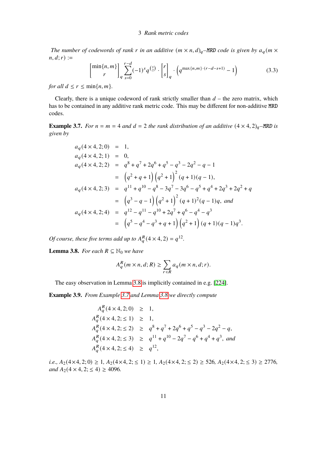*The number of codewords of rank r in an additive*  $(m \times n, d)$ <sub>q</sub>–MRD *code is given by*  $a_q(m \times n)$  $n, d; r$  :=

$$
\begin{bmatrix} \min\{n,m\} \\ r \end{bmatrix}_q \sum_{s=0}^{r-d} (-1)^s q^{s \choose 2} \cdot \begin{bmatrix} r \\ s \end{bmatrix}_q \cdot \left( q^{\max\{n,m\} \cdot (r-d-s+1)} - 1 \right) \tag{3.3}
$$

*for all*  $d \leq r \leq \min\{n, m\}$ *.* 

Clearly, there is a unique codeword of rank strictly smaller than  $d$  – the zero matrix, which has to be contained in any additive rank metric code. This may be different for non-additive MRD codes.

<span id="page-12-1"></span>**Example 3.7.** *For*  $n = m = 4$  *and*  $d = 2$  *the rank distribution of an additive*  $(4 \times 4, 2)<sub>q</sub>$ –MRD *is given by*

$$
a_q(4 \times 4, 2; 0) = 1,
$$
  
\n
$$
a_q(4 \times 4, 2; 1) = 0,
$$
  
\n
$$
a_q(4 \times 4, 2; 2) = q^8 + q^7 + 2q^6 + q^5 - q^3 - 2q^2 - q - 1
$$
  
\n
$$
= (q^2 + q + 1)(q^2 + 1)^2 (q + 1)(q - 1),
$$
  
\n
$$
a_q(4 \times 4, 2; 3) = q^{11} + q^{10} - q^8 - 3q^7 - 3q^6 - q^5 + q^4 + 2q^3 + 2q^2 + q
$$
  
\n
$$
= (q^3 - q - 1)(q^2 + 1)^2 (q + 1)^2 (q - 1)q, and
$$
  
\n
$$
a_q(4 \times 4, 2; 4) = q^{12} - q^{11} - q^{10} + 2q^7 + q^6 - q^4 - q^3
$$
  
\n
$$
= (q^5 - q^4 - q^3 + q + 1)(q^2 + 1)(q + 1)(q - 1)q^3.
$$

*Of course, these five terms add up to*  $A_a^R$  (4 × 4, 2) =  $q^{12}$ .

<span id="page-12-0"></span>**Lemma 3.8.** *For each*  $R \subseteq \mathbb{N}_0$  *we have* 

$$
A_q^R(m \times n, d; R) \ge \sum_{r \in R} a_q(m \times n, d; r).
$$

The easy observation in Lemma [3.8](#page-12-0) is implicitly contained in e.g. [\[224\]](#page-102-0).

**Example 3.9.** *From Example [3.7](#page-12-1) and Lemma [3.8](#page-12-0) we directly compute*

$$
A_q^R(4 \times 4, 2; 0) \ge 1,
$$
  
\n
$$
A_q^R(4 \times 4, 2; \le 1) \ge 1,
$$
  
\n
$$
A_q^R(4 \times 4, 2; \le 2) \ge q^8 + q^7 + 2q^6 + q^5 - q^3 - 2q^2 - q,
$$
  
\n
$$
A_q^R(4 \times 4, 2; \le 3) \ge q^{11} + q^{10} - 2q^7 - q^6 + q^4 + q^3,
$$
 and  
\n
$$
A_q^R(4 \times 4, 2; \le 4) \ge q^{12},
$$

*i.e.,*  $A_2(4\times4, 2; 0) \ge 1$ ,  $A_2(4\times4, 2; \le 1) \ge 1$ ,  $A_2(4\times4, 2; \le 2) \ge 526$ ,  $A_2(4\times4, 2; \le 3) \ge 2776$ , *and*  $A_2$  (4 × 4, 2;  $\leq$  4)  $\geq$  4096*.*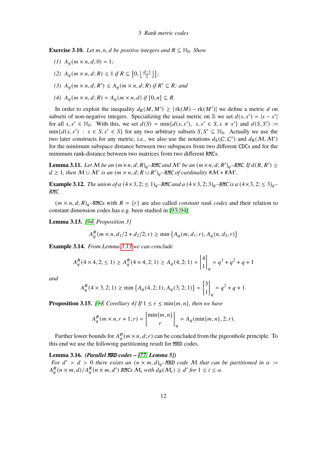**Exercise 3.10.** *Let*  $m, n, d$  *be positive integers and*  $R \subseteq \mathbb{N}_0$ *. Show* 

- *(1)*  $A_q(m \times n, d; 0) = 1$ ;
- (2)  $A_q(m \times n, d; R) \leq 1$  *if*  $R \subseteq [0, \frac{d-1}{2}]$  $\frac{-1}{2}$ ];
- (3)  $A_q(m \times n, d; R') \leq A_q(m \times n, d; R)$  *if*  $R' \subseteq R$ *; and*
- *(4)*  $A_q(m \times n, d; R) = A_q(m \times n, d)$  *if*  $[0, n] \subseteq R$ .

In order to exploit the inequality  $d_R(M, M') \geq |\text{rk}(M) - \text{rk}(M')|$  we define a metric d on subsets of non-negative integers. Specializing the usual metric on  $\mathbb R$  we set  $d(s, s') = |s - s'|$ | for all  $s, s' \in \mathbb{N}_0$ . With this, we set  $d(S) = \min\{d(s, s'), s, s' \in S, s \neq s'\}$  and  $d(S, S') :=$  $\min\{d(s, s') : s \in S, s' \in S\}$  for any two arbitrary subsets  $S, S' \subseteq \mathbb{N}_0$ . Actually we use the two later constructs for any metric, i.e., we also use the notations  $d_S(C, C')$  and  $d_R(M, M')$ for the minimum subspace distance between two subspaces from two different CDCs and for the minimum rank-distance between two matrices from two different RMCs.

**Lemma 3.11.** Let M be an  $(m \times n, d; R)_q$ –RMC and M' be an  $(m \times n, d; R')_q$ –RMC. If  $d(R, R') \ge$  $d \geq 1$ , then  $M \cup M'$  is an  $(m \times n, d; R \cup R')_q$ –RMC of cardinality # $M$  + # $\hat{M}'$ .

**Example 3.12.** *The union of a*  $(4 \times 3, 2; \le 1)_{a}$ –RMC *and a*  $(4 \times 3, 2; 3)_{a}$ –RMC *is a*  $(4 \times 3, 2; \le 3)_{a}$ – RMC*.*

 $(m \times n, d; R)_{q}$ –RMCs with  $R = \{r\}$  are also called *constant rank codes* and their relation to constant dimension codes has e.g. been studied in [\[93,](#page-93-1) [94\]](#page-93-2).

<span id="page-13-0"></span>**Lemma 3.13.** *[\[94,](#page-93-2) Proposition 3]*

$$
A_q^R(m \times n, d_1/2 + d_2/2; r) \ge \min\left\{A_q(m, d_1; r), A_q(n, d_2; r)\right\}
$$

**Example 3.14.** *From Lemma [3.13](#page-13-0) we can conclude*

$$
A_q^R(4 \times 4, 2; \le 1) \ge A_q^R(4 \times 4, 2; 1) \ge A_q(4, 2; 1) = \begin{bmatrix} 4 \\ 1 \end{bmatrix}_q = q^3 + q^2 + q + 1
$$

*and*

$$
A_q^R(4 \times 3, 2; 1) \ge \min\left\{A_q(4, 2; 1), A_q(3, 2; 1)\right\} = \begin{bmatrix} 3 \\ 1 \end{bmatrix}_q = q^2 + q + 1.
$$

<span id="page-13-2"></span>**Proposition 3.15.** *[\[94,](#page-93-2) Corollary 4] If*  $1 \leq r \leq \min\{m, n\}$ *, then we have* 

$$
A_q^R(m \times n, r + 1; r) = \begin{bmatrix} \min\{m, n\} \\ r \end{bmatrix}_q = A_q(\min\{m, n\}, 2; r).
$$

Further lower bounds for  $A_{a}^{R}(m \times n, d; r)$  can be concluded from the pigeonhole principle. To this end we use the following partitioning result for MRD codes.

<span id="page-13-1"></span>**Lemma 3.16.** *(Parallel* MRD *codes – [\[77,](#page-92-3) Lemma 5]) For*  $d' > d > 0$  *there exists an*  $(n \times m, d)_{q}$ –MRD *code* M *that can be partitioned in*  $\alpha$  :=  $A_q^R(n \times m, d) / A_q^R(n \times m, d')$  RMCs  $M_i$  with  $d_R(M_i) \geq d'$  for  $1 \leq i \leq \alpha$ .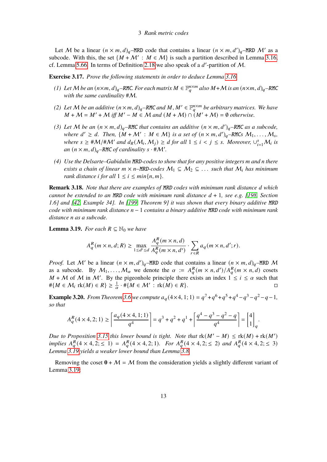Let M be a linear  $(n \times m, d)$ <sub>q</sub>-MRD code that contains a linear  $(n \times m, d')$ <sub>q</sub>-MRD M' as a subcode. With this, the set  $\{M + M' : M \in \mathcal{M}\}\$ is such a partition described in Lemma [3.16,](#page-13-1) cf. Lemma [5.66.](#page-59-1) In terms of Definition [2.18](#page-9-0) we also speak of a  $d'$ -partition of M.

**Exercise 3.17.** *Prove the following statements in order to deduce Lemma [3.16.](#page-13-1)*

- *(1)* Let M be an  $(n \times m, d)_q$ –RMC. For each matrix M ∈  $\mathbb{F}_q^{n \times m}$  also M + M is an  $(n \times m, d)_q$ –RMC *with the same cardinality* #M*.*
- *(2)* Let M be an additive  $(n \times m, d)_q$ –RMC and M, M'  $\in \mathbb{F}_q^{n \times m}$  be arbitrary matrices. We have  $M + \mathcal{M} = M' + \mathcal{M}$  *iff*  $M' - M \in \mathcal{M}$  and  $(M + \mathcal{M}) \cap (M' + \mathcal{M}) = \emptyset$  *otherwise.*
- (3) Let M be an  $(n \times m, d)_q$ –RMC that contains an additive  $(n \times m, d')_q$ –RMC as a subcode, *where*  $d' \geq d$ . Then,  $\{M + M' : M \in \mathcal{M}\}$  *is a set of*  $(n \times m, d')_q$ –RMCs  $M_1, \ldots, M_s$ , *where*  $s \geq \frac{\#M}{\#M'}$  *and*  $d_R(M_i, M_j) \geq d$  *for all*  $1 \leq i < j \leq s$ . Moreover,  $\cup_{i=1}^s M_i$  *is* an  $(n \times m, d)_{q}$ –RMC of cardinality  $s \cdot # \mathcal{M}'$ .
- *(4) Use the Delsarte–Gabidulin* MRD*-codes to show that for any positive integers* 𝑚 *and* 𝑛 *there exists a chain of linear*  $m \times n$ –MRD-codes  $M_1 \subseteq M_2 \subseteq \ldots$  *such that*  $M_i$  *has minimum rank distance i for all*  $1 \leq i \leq \min\{n, m\}$ *.*

**Remark 3.18.** *Note that there are examples of MRD codes with minimum rank distance d which cannot be extended to an MRD code with minimum rank distance*  $d + 1$ *, see e.g. [\[198,](#page-100-6) Section 1.6] and [\[42,](#page-89-1) Example 34]. In [\[199,](#page-100-7) Theorem 9] it was shown that every binary additive* MRD *code with minimum rank distance* 𝑛 − 1 *contains a binary additive* MRD *code with minimum rank distance* 𝑛 *as a subcode.*

<span id="page-14-0"></span>**Lemma 3.19.** *For each*  $R \subseteq \mathbb{N}_0$  *we have* 

$$
A_q^R(m \times n, d; R) \ge \max_{1 \le d' \le d} \frac{A_q^R(m \times n, d)}{A_q^R(m \times n, d')} \cdot \sum_{r \in R} a_q(m \times n, d'; r).
$$

*Proof.* Let M' be a linear  $(n \times m, d')_q$ –MRD code that contains a linear  $(n \times m, d)_q$ –MRD M as a subcode. By  $M_1, \ldots, M_\alpha$  we denote the  $\alpha := A_q^R(m \times n, d') / A_q^R(m \times n, d)$  cosets  $M + M$  of M in M'. By the pigeonhole principle there exists an index  $1 \leq i \leq \alpha$  such that  $\#\{M \in \mathcal{M}_i \text{ rk}(M) \in R\} \geq \frac{1}{\alpha} \cdot \#\{M \in \mathcal{M}' : \text{ rk}(M) \in R\}.$ 

**Example 3.20.** *From Theorem [3.6](#page-11-0)* we compute  $a_q$  (4×4, 1; 1) =  $q^7 + q^6 + q^5 + q^4 - q^3 - q^2 - q - 1$ , *so that*

$$
A_q^R(4 \times 4, 2; 1) \ge \left\lceil \frac{a_q(4 \times 4, 1; 1)}{q^4} \right\rceil = q^3 + q^2 + q^1 + \left\lceil \frac{q^4 - q^3 - q^2 - q}{q^4} \right\rceil = \begin{bmatrix} 4 \\ 1 \end{bmatrix}_q.
$$

*Due to Proposition* [3.15](#page-13-2) this lower bound is tight. Note that  $rk(M'-M) \leq rk(M) + rk(M')$ implies  $A_{a}^{R}(4 \times 4, 2; \leq 1) = A_{a}^{R}(4 \times 4, 2; 1)$ . For  $A_{a}^{R}(4 \times 4, 2; \leq 2)$  and  $A_{a}^{R}(4 \times 4, 2; \leq 3)$ *Lemma [3.19](#page-14-0) yields a weaker lower bound than Lemma [3.8.](#page-12-0)*

Removing the coset  $0 + M = M$  from the consideration yields a slightly different variant of Lemma [3.19:](#page-14-0)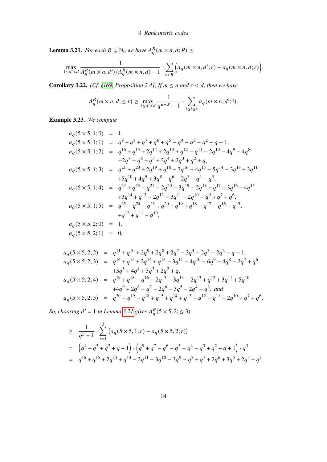<span id="page-15-0"></span>**Lemma 3.21.** *For each*  $R \subseteq \mathbb{N}_0$  *we have*  $A_q^R(m \times n, d; R) \geq$ 

$$
\max_{1\leq d'\leq d}\frac{1}{A_q^R(m\times n, d')/A_q^R(m\times n, d)-1}\cdot\sum_{r\in R}\Big(a_q(m\times n, d';r)-a_q(m\times n, d; r)\Big).
$$

**Corollary 3.22.** *(Cf. [\[169,](#page-98-1) Proposition 2.4]) If*  $m \le n$  *and*  $r < d$ *, then we have* 

$$
A_q^R(m \times n, d; \le r) \ge \max_{1 \le d' < d} \frac{1}{q^{d-d'-1}} \cdot \sum_{1 \le i \le r} a_q(m \times n, d'; i).
$$

**Example 3.23.** *We compute*

$$
a_q(5 \times 5, 1; 0) = 1,
$$
  
\n
$$
a_q(5 \times 5, 1; 1) = q^9 + q^8 + q^7 + q^6 + q^5 - q^4 - q^3 - q^2 - q - 1,
$$
  
\n
$$
a_q(5 \times 5, 1; 2) = q^{16} + q^{15} + 2q^{14} + 2q^{13} + q^{12} - q^{11} - 2q^{10} - 4q^9 - 4q^8
$$
  
\n
$$
-2q^7 - q^6 + q^5 + 2q^4 + 2q^3 + q^2 + q,
$$
  
\n
$$
a_q(5 \times 5, 1; 3) = q^{21} + q^{20} + 2q^{19} + q^{18} - 3q^{16} - 4q^{15} - 5q^{14} - 3q^{13} + 3q^{11}
$$
  
\n
$$
+5q^{10} + 4q^9 + 3q^8 - q^6 - 2q^5 - q^4 - q^3,
$$
  
\n
$$
a_q(5 \times 5, 1; 4) = q^{24} + q^{23} - q^{21} - 2q^{20} - 3q^{19} - 2q^{18} + q^{17} + 3q^{16} + 4q^{15}
$$
  
\n
$$
+3q^{14} + q^{13} - 2q^{12} - 3q^{11} - 2q^{10} - q^9 + q^7 + q^6,
$$
  
\n
$$
a_q(5 \times 5, 1; 5) = q^{25} - q^{24} - q^{23} + q^{20} + q^{19} + q^{18} - q^{17} - q^{16} - q^{15},
$$
  
\n
$$
+q^{12} + q^{11} - q^{10},
$$
  
\n
$$
a_q(5 \times 5, 2; 0) = 1,
$$
  
\n
$$
a_q(5 \times 5, 2; 1) = 0,
$$

$$
a_q(5 \times 5, 2; 2) = q^{11} + q^{10} + 2q^9 + 2q^8 + 2q^7 - 2q^4 - 2q^3 - 2q^2 - q - 1,
$$
  
\n
$$
a_q(5 \times 5, 2; 3) = q^{16} + q^{15} + 2q^{14} + q^{13} - 3q^{11} - 4q^{10} - 6q^9 - 4q^8 - 2q^7 + q^6
$$
  
\n
$$
+3q^5 + 4q^4 + 3q^3 + 2q^2 + q,
$$
  
\n
$$
a_q(5 \times 5, 2; 4) = q^{19} + q^{18} - q^{16} - 2q^{15} - 3q^{14} - 2q^{13} + q^{12} + 3q^{11} + 5q^{10}
$$
  
\n
$$
+4q^9 + 2q^8 - q^7 - 2q^6 - 3q^5 - 2q^4 - q^3,
$$
 and  
\n
$$
a_q(5 \times 5, 2; 5) = q^{20} - q^{19} - q^{18} + q^{15} + q^{14} + q^{13} - q^{12} - q^{11} - 2q^{10} + q^7 + q^6.
$$

So, choosing  $d' = 1$  in Lemma [3.21](#page-15-0) gives  $A_a^R(5 \times 5, 2; \leq 3)$ 

$$
\geq \frac{1}{q^5 - 1} \cdot \sum_{r=1}^{3} (a_q(5 \times 5, 1; r) - a_q(5 \times 5, 2; r))
$$
  
=  $(q^4 + q^3 + q^2 + q + 1) \cdot (q^9 + q^7 - q^6 - q^5 - q^4 - q^3 + q^2 + q + 1) \cdot q^3$   
=  $q^{16} + q^{15} + 2q^{14} + q^{13} - 2q^{11} - 3q^{10} - 3q^9 - q^8 + q^7 + 2q^6 + 3q^5 + 2q^4 + q^3$ .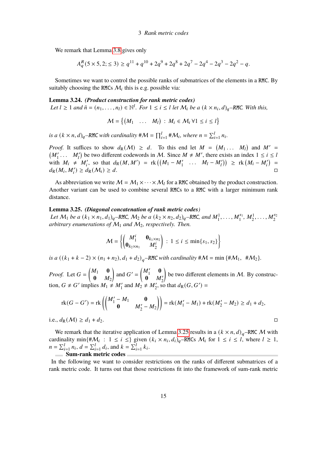We remark that Lemma [3.8](#page-12-0) gives only

$$
A_q^R(5 \times 5, 2; \le 3) \ge q^{11} + q^{10} + 2q^9 + 2q^8 + 2q^7 - 2q^4 - 2q^3 - 2q^2 - q.
$$

Sometimes we want to control the possible ranks of submatrices of the elements in a RMC. By suitably choosing the RMCs  $M_i$  this is e.g. possible via:

**Lemma 3.24.** *(Product construction for rank metric codes) Let*  $l \geq 1$  and  $\bar{n} = (n_1, \ldots, n_l) \in \mathbb{N}^l$ . For  $1 \leq i \leq l$  let  $\mathcal{M}_i$  be a  $(k \times n_i, d)_q$ -RMC. With this,

 $M = \{(M_1 \dots M_l) : M_i \in \mathcal{M}_i \ \forall 1 \leq i \leq l\}$ 

*is a*  $(k \times n, d)_q$ -RMC with cardinality  $\#\mathcal{M} = \prod_{i=1}^l \#\mathcal{M}_i$ , where  $n = \sum_{i=1}^l n_i$ .

*Proof.* It suffices to show  $d_R(M) \geq d$ . To this end let  $M = (M_1 \dots M_l)$  and  $M' =$  $(M'_1 \ldots M'_l)$  be two different codewords in M. Since  $M \neq M'$ , there exists an index  $1 \leq i \leq l$ with  $M_i \neq M'_i$ , so that  $d_R(M, M') = \text{rk} \left( \left( M_1 - M'_1 \right) \dots \left( M_l - M'_l \right) \right) \geq \text{rk} \left( M_i - M'_i \right)$  $d_{\mathbb{R}}(M_i, M'_i) \geq d_{\mathbb{R}}(M_i) \geq d.$ 

As abbreviation we write  $M = M_1 \times \cdots \times M_l$  for a RMC obtained by the product construction. Another variant can be used to combine several RMCs to a RMC with a larger minimum rank distance.

#### <span id="page-16-0"></span>**Lemma 3.25.** *(Diagonal concatenation of rank metric codes)*

*Let*  $M_1$  *be a*  $(k_1 \times n_1, d_1)_{q}$ –RMC,  $M_2$  *be a*  $(k_2 \times n_2, d_2)_{q}$ –RMC, and  $M_1^1, \ldots, M_1^{s_1}, M_2^1, \ldots, M_2^{s_2}$ *arbitrary enumerations of* M<sup>1</sup> *and* M2*, respectively. Then.*

$$
\mathcal{M} = \left\{ \begin{pmatrix} M_1^i & \mathbf{0}_{k_1 \times n_2} \\ \mathbf{0}_{k_2 \times n_1} & M_2^i \end{pmatrix} : 1 \leq i \leq \min\{s_1, s_2\} \right\}
$$

*is a*  $((k_1 + k - 2) \times (n_1 + n_2), d_1 + d_2)_a$ –RMC *with cardinality*  $\# \mathcal{M} = \min \{ \# \mathcal{M}_1, \# \mathcal{M}_2 \}.$ 

*Proof.* Let  $G = \begin{pmatrix} M_1 & 0 \\ 0 & M \end{pmatrix}$  $\mathbf{0}$   $M_2$ and  $G' = \begin{pmatrix} M'_1 & 0 \\ 0 & M'_2 \end{pmatrix}$ **0**  $M'_{2}$ be two different elements in  $M$ . By construction,  $G \neq G'$  implies  $M_1 \neq M'_1$  and  $M_2 \neq M'_2$ , so that  $d_R(G, G') =$ 

$$
rk(G-G') = rk\left(\begin{pmatrix} M'_1 - M_1 & \mathbf{0} \\ \mathbf{0} & M'_2 - M_2 \end{pmatrix}\right) = rk(M'_1 - M_1) + rk(M'_2 - M_2) \ge d_1 + d_2,
$$

i.e.,  $d_{\rm R}(M) \geq d_1 + d_2$ .

We remark that the iterative application of Lemma [3.25](#page-16-0) results in a  $(k \times n, d)_{q}$ –RMC M with cardinality min{# $\mathcal{M}_i$ :  $1 \leq i \leq$ } given  $(k_i \times n_i, d_i)_q$ -RMCs  $\mathcal{M}_i$  for  $1 \leq i \leq l$ , where  $l \geq 1$ ,  $n = \sum_{i=1}^{l} n_i, d = \sum_{i=1}^{l} d_i$ , and  $k = \sum_{i=1}^{l} k_i$ . **Sum-rank metric codes**

In the following we want to consider restrictions on the ranks of different submatrices of a rank metric code. It turns out that those restrictions fit into the framework of sum-rank metric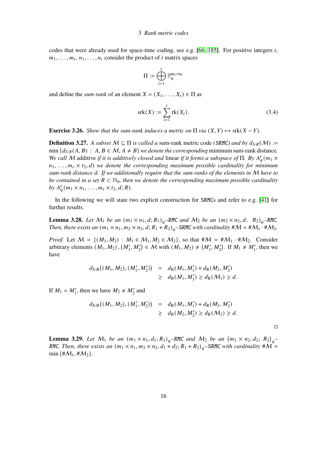codes that were already used for space-time coding, see e.g. [\[66,](#page-91-1) [185\]](#page-99-2). For positive integers  $t$ ,  $m_1, \ldots, m_t, n_1, \ldots, n_t$  consider the product of t matrix spaces

$$
\Pi:=\bigoplus_{i=1}^t\mathbb{F}_q^{m_i\times n_i}
$$

and define the *sum-rank* of an element  $X = (X_1, \ldots, X_t) \in \Pi$  as

$$
srk(X) := \sum_{i=1}^{t} rk(X_i).
$$
 (3.4)

**Exercise 3.26.** *Show that the sum-rank induces a metric on*  $\Pi$  *via*  $(X, Y) \mapsto$  srk $(X - Y)$ *.* 

**Definition 3.27.** *A subset*  $M \subseteq \Pi$  *is called a* sum-rank metric code *(SRMC) and by*  $d_{S-R}(M)$  := min  $\{d_{S-R}(A, B) : A, B \in \mathcal{M}, A \neq B\}$  *we denote the corresponding* minimum sum-rank distance. *We call* M additive *if it is additively closed and linear if it forms a subspace of*  $\Pi$ . By  $A_q^r(m_1 \times$  $n_1, \ldots, m_t \times t_2, d$ ) we denote the corresponding maximum possible cardinality for minimum *sum-rank distance* 𝑑*. If we additionally require that the sum-ranks of the elements in* M *have to be contained in a set*  $R \subset \mathbb{N}_0$ , then we denote the corresponding maximum possible cardinality by  $A_q^r(m_1 \times n_1, \ldots, m_t \times t_2, d; R)$ .

In the following we will state two explicit construction for SRMCs and refer to e.g. [\[41\]](#page-89-2) for further results.

<span id="page-17-1"></span>**Lemma 3.28.** *Let*  $M_1$  *be an*  $(m_1 \times n_1, d; R_1)_q$ *–RMC and*  $M_2$  *be an*  $(m_2 \times n_2, d; R_2)_q$ –RMC. *Then, there exists an*  $(m_1 \times n_1, m_2 \times n_2, d; R_1 + R_2)_{q}$ –*SRMC with cardinality*  $\#M = \#M_1 \cdot \#M_2$ .

*Proof.* Let  $M = \{(M_1, M_2) : M_1 \in M_1, M_2 \in M_2\}$ , so that  $\#M = \#M_1 \cdot \#M_2$ . Consider arbitrary elements  $(M_1, M_2), (M'_1, M'_2) \in \mathcal{M}$  with  $(M_1, M_2) \neq (M'_1, M'_2)$ . If  $M_1 \neq M'_1$ , then we have

$$
d_{S-R}((M_1, M_2), (M'_1, M'_2)) = d_R(M_1, M'_1) + d_R(M_2, M'_2)
$$
  
\n
$$
\geq d_R(M_1, M'_1) \geq d_R(M_1) \geq d.
$$

If  $M_1 = M'_1$ , then we have  $M_2 \neq M'_2$  and

$$
d_{S-R}((M_1, M_2), (M'_1, M'_2)) = d_R(M_1, M'_1) + d_R(M_2, M'_2)
$$
  
\n
$$
\geq d_R(M_2, M'_2) \geq d_R(M_2) \geq d.
$$

 $\Box$ 

<span id="page-17-0"></span>**Lemma 3.29.** Let  $M_1$  be an  $(m_1 \times n_1, d_1; R_1)_{q}$ –RMC and  $M_2$  be an  $(m_2 \times n_2, d_2; R_2)_{q}$ – RMC. Then, there exists an  $(m_1 \times n_1, m_2 \times n_2, d_1 + d_2; R_1 + R_2)_{q}$ –SRMC with cardinality  $\#\mathcal{M} =$ min {# $M_1$ , # $M_2$  }.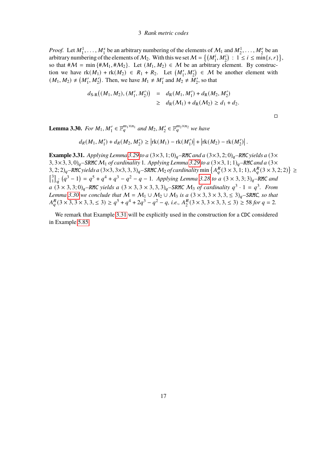*Proof.* Let  $M_1^1, \ldots, M_1^s$  be an arbitrary numbering of the elements of  $M_1$  and  $M_2^1, \ldots, M_2^r$  be an arbitrary numbering of the elements of  $M_2$ . With this we set  $M = \{(M_1^i, M_2^i) : 1 \le i \le \min\{s, r\}\}\,$ so that  $\#\mathcal{M} = \min{\{\#\mathcal{M}_1, \#\mathcal{M}_2\}}$ . Let  $(M_1, M_2) \in \mathcal{M}$  be an arbitrary element. By construction we have  $rk(M_1) + rk(M_2) \in R_1 + R_2$ . Let  $(M'_1, M'_2) \in M$  be another element with  $(M_1, M_2) \neq (M'_1, M'_2)$ . Then, we have  $M_1 \neq M'_1$  and  $M_2 \neq M'_2$ , so that

$$
d_{\text{S-R}}((M_1, M_2), (M'_1, M'_2)) = d_{\text{R}}(M_1, M'_1) + d_{\text{R}}(M_2, M'_2)
$$
  
\n
$$
\geq d_{\text{R}}(M_1) + d_{\text{R}}(M_2) \geq d_1 + d_2.
$$

 $\Box$ 

<span id="page-18-0"></span>**Lemma 3.30.** For  $M_1, M'_1 \in \mathbb{F}_q^{m_1 \times n_1}$  and  $M_2, M'_2 \in \mathbb{F}_q^{m_2 \times n_2}$  we have

$$
d_R(M_1, M_1') + d_R(M_2, M_2') \ge \left| \text{rk}(M_1) - \text{rk}(M_1') \right| + \left| \text{rk}(M_2) - \text{rk}(M_2') \right|.
$$

<span id="page-18-1"></span>**Example 3.31.** *Applying Lemma* [3.29](#page-17-0) *to a*  $(3 \times 3, 1; 0)_q$ *–RMC and a*  $(3 \times 3, 2; 0)_q$ *–RMC yields a*  $(3 \times$ 3,  $3 \times 3$ ,  $3$ ,  $0$ <sub>a</sub> – SRMC  $M_1$  *of cardinality* 1*. Applying Lemma* [3.29](#page-17-0) *to a* ( $3 \times 3$ , 1; 1)<sub>a</sub> – RMC *and a* ( $3 \times$  $(3, 2; 2)_q$  – RMC yields a  $(3 \times 3, 3 \times 3, 3, 3)_q$ – SRMC  $M_2$  of cardinality min  $\{A_q^R(3 \times 3, 1; 1), A_q^R(3 \times 3, 2; 2)\}\geq$  $\int_{1}^{3}$  $\int_{1}^{3}$   $\int_{q}^{3} (q^{3} - 1) = q^{5} + q^{4} + q^{3} - q^{2} - q - 1$ . Applying Lemma [3.28](#page-17-1) to a  $(3 \times 3, 3; 3)$ <sub>q</sub>-RMC and  $a$   $(3 \times 3, 3; 0)_q$  – RMC *yields a*  $(3 \times 3, 3 \times 3, 3, 3)_q$  – SRMC  $M_3$  *of cardinality*  $q^3 \cdot 1 = q^3$ . From *Lemma* [3.30](#page-18-0) we conclude that  $M = M_1 \cup M_2 \cup M_3$  is a  $(3 \times 3, 3 \times 3, 3, \leq 3)_q$ –SRMC, so that  $A_{a}^{R}$  (3 × 3, 3 × 3, 3,  $\leq$  3)  $\geq q^{5} + q^{4} + 2q^{3} - q^{2} - q$ , *i.e.*,  $A_{2}^{R}$  $_{2}^{R}$ (3 × 3, 3 × 3, 3,  $\leq$  3)  $\geq$  58 *for q* = 2*.* 

We remark that Example [3.31](#page-18-1) will be explicitly used in the construction for a CDC considered in Example [5.85.](#page-68-0)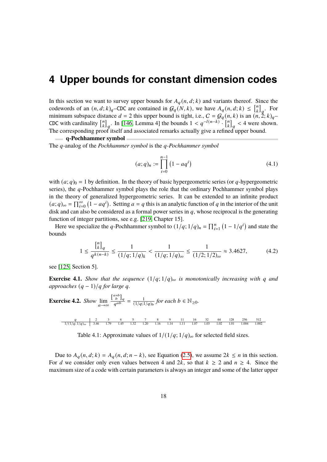<span id="page-19-0"></span>In this section we want to survey upper bounds for  $A_q(n, d; k)$  and variants thereof. Since the codewords of an  $(n, d; k)_{q}$ –CDC are contained in  $\mathcal{G}_q(N, k)$ , we have  $A_q(n, d; k) \leq \begin{bmatrix} n \\ k \end{bmatrix}$  $\binom{n}{k}_q$ . For minimum subspace distance  $d = 2$  this upper bound is tight, i.e.,  $C = \mathcal{G}_q(n, k)$  is an  $(n, 2; k)_q$ CDC with cardinality  $\begin{bmatrix} n \\ k \end{bmatrix}$  $\binom{n}{k}_q$ . In [\[146,](#page-97-2) Lemma 4] the bounds  $1 < q^{-l(n-k)} \cdot \binom{n}{k}$  $\binom{n}{k}_q < 4$  were shown. The corresponding proof itself and associated remarks actually give a refined upper bound.

**q-Pochhammer symbol**

The *q*-analog of the *Pochhammer symbol* is the *q*-*Pochhammer symbol* 

$$
(a;q)_n := \prod_{i=0}^{n-1} (1 - aq^i)
$$
\n(4.1)

with  $(a; q)_0 = 1$  by definition. In the theory of basic hypergeometric series (or q-hypergeometric series), the  $q$ -Pochhammer symbol plays the role that the ordinary Pochhammer symbol plays in the theory of generalized hypergeometric series. It can be extended to an infinite product  $(a;q)_{\infty} = \prod_{i=0}^{\infty} (1 - aq^i)$ . Setting  $a = q$  this is an analytic function of q in the interior of the unit disk and can also be considered as a formal power series in  $q$ , whose reciprocal is the generating function of integer partitions, see e.g. [\[219,](#page-102-1) Chapter 15].

Here we specialize the q-Pochhammer symbol to  $(1/q; 1/q)_n = \prod_{i=1}^n (1 - 1/q^i)$  and state the bounds

<span id="page-19-1"></span>
$$
1 \le \frac{{n \brack k}_q}{q^{k(n-k)}} \le \frac{1}{(1/q; 1/q)_k} < \frac{1}{(1/q; 1/q)_{\infty}} \le \frac{1}{(1/2; 1/2)_{\infty}} \approx 3.4627, \tag{4.2}
$$

see [\[125,](#page-95-1) Section 5].

**Exercise 4.1.** *Show that the sequence*  $(1/q; 1/q)_{\infty}$  *is monotonically increasing with q and approaches*  $(q - 1)/q$  *for large q.* 

**Exercise 4.2.** Show 
$$
\lim_{a \to \infty} \frac{\binom{a+b}{b}}{q^{ab}} = \frac{1}{(1/q;1/q)_b} \text{ for each } b \in \mathbb{N}_{\geq 0}.
$$

Table 4.1: Approximate values of  $1/(1/q; 1/q)_{\infty}$  for selected field sizes.

Due to  $A_q(n, d; k) = A_q(n, d; n - k)$ , see Equation [\(2.5\)](#page-5-2), we assume  $2k \le n$  in this section. For d we consider only even values between 4 and 2k, so that  $k \ge 2$  and  $n \ge 4$ . Since the maximum size of a code with certain parameters is always an integer and some of the latter upper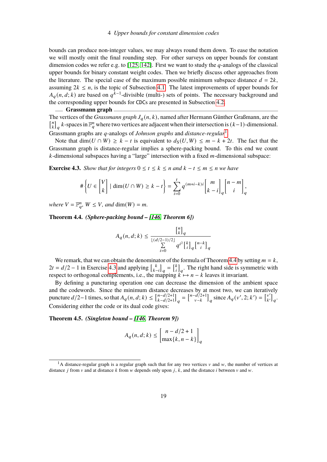bounds can produce non-integer values, we may always round them down. To ease the notation we will mostly omit the final rounding step. For other surveys on upper bounds for constant dimension codes we refer e.g. to [\[125,](#page-95-1) [142\]](#page-96-0). First we want to study the  $q$ -analogs of the classical upper bounds for binary constant weight codes. Then we briefly discuss other approaches from the literature. The special case of the maximum possible minimum subspace distance  $d = 2k$ , assuming  $2k \leq n$ , is the topic of Subsection [4.1.](#page-27-0) The latest improvements of upper bounds for  $A_q(n, d, k)$  are based on  $q^{k-1}$ -divisible (multi-) sets of points. The necessary background and the corresponding upper bounds for CDCs are presented in Subsection [4.2.](#page-30-0)

#### **Grassmann graph**

The vertices of the *Grassmann graph*  $J_q(n, k)$ , named after Hermann Günther Graßmann, are the  $\binom{n}{k}$  $\binom{n}{k}_q$  k-spaces in  $\mathbb{F}_q^n$  where two vertices are adjacent when their intersection is  $(k-1)$ -dimensional. Grassmann graphs are q-analogs of *Johnson graphs* and *distance-regular*<sup>[1](#page-0-0)</sup>.

Note that dim( $U \cap W$ ) ≥  $k - t$  is equivalent to  $d_S(U, W) \le m - k + 2t$ . The fact that the Grassmann graph is distance-regular implies a sphere-packing bound. To this end we count  $k$ -dimensional subspaces having a "large" intersection with a fixed  $m$ -dimensional subspace:

<span id="page-20-1"></span>**Exercise 4.3.** *Show that for integers*  $0 \le t \le k \le n$  *and*  $k - t \le m \le n$  *we have* 

$$
\#\left\{U \in \binom{V}{k} \mid \dim(U \cap W) \ge k - t\right\} = \sum_{i=0}^t q^{(m+i-k)i} \binom{m}{k-i}_q \binom{n-m}{i}_q,
$$

*where*  $V = \mathbb{F}_q^n$ ,  $W \leq V$ *, and* dim( $W$ ) = *m*.

<span id="page-20-0"></span>**Theorem 4.4.** *(Sphere-packing bound – [\[146,](#page-97-2) Theorem 6])*

$$
A_q(n,d;k)\leq \frac{{n\brack k}_q}{{\lfloor (d/2-1)/2\rfloor}q^{i^2}{k\brack i}_q{n-k\brack i}_q}
$$

We remark, that we can obtain the denominator of the formula of Theorem [4.4](#page-20-0) by setting  $m = k$ ,  $2t = d/2 - 1$  in Exercise [4.3](#page-20-1) and applying  $\begin{bmatrix} k \\ k \end{bmatrix}$  $\begin{bmatrix} k \\ k-i \end{bmatrix}_q = \begin{bmatrix} k \\ i \end{bmatrix}$  $\binom{k}{i}_q$ . The right hand side is symmetric with respect to orthogonal complements, i.e., the mapping  $k \mapsto n - k$  leaves it invariant.

By defining a puncturing operation one can decrease the dimension of the ambient space and the codewords. Since the minimum distance decreases by at most two, we can iteratively puncture  $d/2-1$  times, so that  $A_q(n, d; k) \leq \int_{k-d/2+1}^{n-d/2+1}$  $_{k-d/2+1}^{n-d/2+1}$ <sub>a</sub> =  $\binom{n-d/2+1}{v-k}$  $\begin{bmatrix} -d/2+1 \\ v-k \end{bmatrix}_q$  since  $A_q(v', 2; k') = \begin{bmatrix} v' \\ k' \end{bmatrix}$  $\begin{bmatrix} v' \\ k' \end{bmatrix}$ <sub>a</sub>. Considering either the code or its dual code gives:

#### **Theorem 4.5.** *(Singleton bound – [\[146,](#page-97-2) Theorem 9])*

$$
A_q(n, d; k) \le \begin{bmatrix} n - d/2 + 1 \\ \max\{k, n - k\} \end{bmatrix}_q
$$

<sup>&</sup>lt;sup>1</sup>A distance-regular graph is a regular graph such that for any two vertices  $v$  and  $w$ , the number of vertices at distance *j* from  $v$  and at distance  $k$  from  $w$  depends only upon  $j$ ,  $k$ , and the distance  $i$  between  $v$  and  $w$ .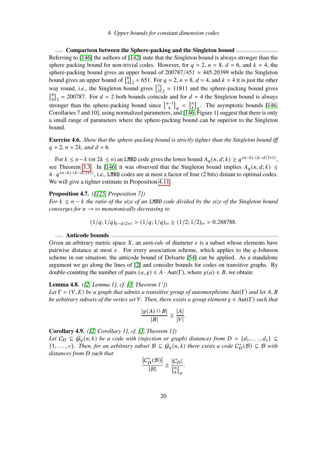#### **Comparison between the Sphere-packing and the Singleton bound**

Referring to [\[146\]](#page-97-2) the authors of [\[142\]](#page-96-0) state that the Singleton bound is always stronger than the sphere packing bound for non-trivial codes. However, for  $q = 2$ ,  $n = 8$ ,  $d = 6$ , and  $k = 4$ , the sphere-packing bound gives an upper bound of  $200787/451 \approx 445.20399$  while the Singleton bound gives an upper bound of  $\begin{bmatrix} 6 \\ 4 \end{bmatrix}$  $\binom{6}{4}_2$  = 651. For  $q = 2$ ,  $n = 8$ ,  $d = 4$ , and  $k = 4$  it is just the other way round, i.e., the Singleton bound gives  $\begin{bmatrix} 7 \\ 3 \end{bmatrix}$  $\binom{7}{3}_2$  = 11811 and the sphere-packing bound gives  $\binom{8}{4}$  $^{8}_{4}$ <sub>2</sub> = 200787. For  $d = 2$  both bounds coincide and for  $d = 4$  the Singleton bound is always stronger than the sphere-packing bound since  $\begin{bmatrix} n-1 \\ k \end{bmatrix}_q < \begin{bmatrix} n \\ k \end{bmatrix}$  $\binom{n}{k}_q$ . The asymptotic bounds [\[146,](#page-97-2) Corollaries 7 and 10], using normalized parameters, and [\[146,](#page-97-2) Figure 1] suggest that there is only a small range of parameters where the sphere-packing bound can be superior to the Singleton bound.

**Exercise 4.6.** *Show that the sphere-packing bound is strictly tighter than the Singleton bound iff*  $q = 2$ ,  $n = 2k$ , and  $d = 6$ .

For  $k \le n - k$  (or  $2k \le n$ ) an LMRD code gives the lower bound  $A_q(n, d; k) \ge q^{(n-k) \cdot (k-d/2+1)}$ , see Theorem [3.3.](#page-11-1) In [\[146\]](#page-97-2) it was observed that the Singleton bound implies  $A_q(n, d; k) \leq$  $4 \cdot q^{(n-k)\cdot (k-d/2+1)}$ , i.e., LMRD codes are at most a factor of four (2 bits) distant to optimal codes. We will give a tighter estimate in Proposition [4.11.](#page-22-0)

#### **Proposition 4.7.** *([\[125,](#page-95-1) Proposition 7])*

*For*  $k \le n - k$  *the ratio of the size of an LMRD code divided by the size of the Singleton bound converges for*  $n \rightarrow \infty$  *monotonically decreasing to* 

$$
(1/q; 1/q)_{k-d/2+1} > (1/q; 1/q)_{\infty} \ge (1/2; 1/2)_{\infty} > 0.288788.
$$

#### **Anticode bounds**

Given an arbitrary metric space  $X$ , an *anticode* of diameter  $e$  is a subset whose elements have pairwise distance at most  $e$ . For every association scheme, which applies to the  $q$ -Johnson scheme in our situation, the anticode bound of Delsarte [\[54\]](#page-90-2) can be applied. As a standalone argument we go along the lines of [\[2\]](#page-87-2) and consider bounds for codes on transitive graphs. By double-counting the number of pairs  $(a, g) \in A \cdot Aut(\Gamma)$ , where  $g(a) \in B$ , we obtain:

#### **Lemma 4.8.** *([\[2,](#page-87-2) Lemma 1], cf. [\[3,](#page-87-3) Theorem 1'])*

*Let*  $\Gamma = (V, E)$  *be a graph that admits a transitive group of automorphisms* Aut(Γ) *and let* A, B *be arbitrary subsets of the vertex set V. Then, there exists a group element g* ∈ Aut(Γ) *such that* 

$$
\frac{|g(A) \cap B|}{|B|} \ge \frac{|A|}{|V|}.
$$

**Corollary 4.9.** *([\[2,](#page-87-2) Corollary 1], cf. [\[3,](#page-87-3) Theorem 1])*

*Let*  $C_D \subseteq G_q(n,k)$  *be a code with (injection or graph) distances from*  $D = \{d_1, \ldots, d_s\} \subseteq$  $\{1,\ldots,\nu\}$ . Then, for an arbitrary subset  $\mathcal{B} \subseteq \mathcal{G}_q(n,k)$  there exists a code  $C_D^*(\mathcal{B}) \subseteq \mathcal{B}$  with *distances from* 𝐷 *such that*  $\sim$   $^{-1}$ 

$$
\frac{|C_D^*(\mathcal{B})|}{|\mathcal{B}|} \ge \frac{|C_D|}{\binom{n}{k}_q}.
$$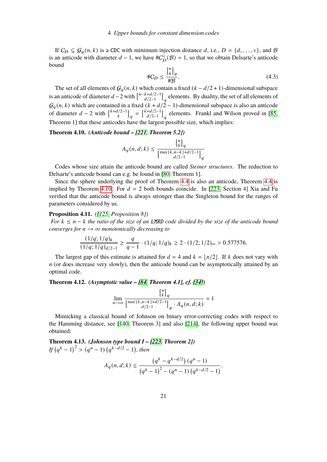If  $C_D \subseteq \mathcal{G}_q(n, k)$  is a CDC with minimum injection distance d, i.e.,  $D = \{d, ..., v\}$ , and  $\mathcal{B}$ is an anticode with diameter  $d-1$ , we have  $\#C_D^*(\mathcal{B}) = 1$ , so that we obtain Delsarte's anticode bound  $\overline{a}$ 

$$
\#C_D \le \frac{{n \brack k}_q}{\#B}.\tag{4.3}
$$

The set of all elements of  $G_a(n, k)$  which contain a fixed  $(k - d/2 + 1)$ -dimensional subspace is an anticode of diameter  $d-2$  with  $\int_{d/2-1}^{n-k+d/2-1}$  $\left[\frac{k+d/2-1}{d/2-1}\right]_q$  elements. By duality, the set of all elements of  $G_q(n, k)$  which are contained in a fixed  $(k + d/2 - 1)$ -dimensional subspace is also an anticode of diameter  $d-2$  with  $\begin{bmatrix} k+d/2-1 \\ k \end{bmatrix}_{q} = \begin{bmatrix} k+d/2-1 \\ d/2-1 \end{bmatrix}$  $\left[\frac{d}{2-1}\right]_q$  elements. Frankl and Wilson proved in [\[85,](#page-92-4) Theorem 1] that these anticodes have the largest possible size, which implies:

#### <span id="page-22-1"></span>**Theorem 4.10.** *(Anticode bound – [\[221,](#page-102-2) Theorem 5.2])*

$$
A_q(n,d;k) \leq \frac{{n \brack k}_q}{\left[\max\{k, n-k\} + d/2 - 1\right]_q}
$$

Codes whose size attain the anticode bound are called *Steiner structures*. The reduction to Delsarte's anticode bound can e.g. be found in [\[80,](#page-92-5) Theorem 1].

Since the sphere underlying the proof of Theorem [4.4](#page-20-0) is also an anticode, Theorem [4.4](#page-20-0) is implied by Theorem [4.10.](#page-22-1) For  $d = 2$  both bounds coincide. In [\[223,](#page-102-3) Section 4] Xia and Fu verified that the anticode bound is always stronger than the Singleton bound for the ranges of parameters considered by us.

## <span id="page-22-0"></span>**Proposition 4.11.** *([\[125,](#page-95-1) Proposition 8])*

*For*  $k \le n - k$  *the ratio of the size of an LMRD code divided by the size of the anticode bound converges for*  $n \rightarrow \infty$  *monotonically decreasing to* 

$$
\frac{(1/q; 1/q)_k}{(1/q; 1/q)_{d/2-1}} \ge \frac{q}{q-1} \cdot (1/q; 1/q)_k \ge 2 \cdot (1/2; 1/2)_{\infty} > 0.577576.
$$

The largest gap of this estimate is attained for  $d = 4$  and  $k = |n/2|$ . If k does not vary with  $n$  (or does increase very slowly), then the anticode bound can be asymptotically attained by an optimal code.

## **Theorem 4.12.** *(Asymptotic value – [\[84,](#page-92-6) Theorem 4.1], cf. [\[34\]](#page-89-3))*

$$
\lim_{n\to\infty}\frac{{n\brack k}_q}{\left[\max\{k,n-k\}+d/2-1\right]_q\cdot A_q(n,d;k)}=1
$$

Mimicking a classical bound of Johnson on binary error-correcting codes with respect to the Hamming distance, see [\[140,](#page-96-1) Theorem 3] and also [\[214\]](#page-101-4), the following upper bound was obtained:

<span id="page-22-2"></span>**Theorem 4.13.** *(Johnson type bound I – [\[223,](#page-102-3) Theorem 2])*  $If (q^k - 1)^2 > (q^n - 1) (q^{k-d/2} - 1), then$ 

$$
A_q(n, d; k) \le \frac{\left(q^k - q^{k - d/2}\right)(q^n - 1)}{\left(q^k - 1\right)^2 - (q^n - 1)\left(q^{k - d/2} - 1\right)}.
$$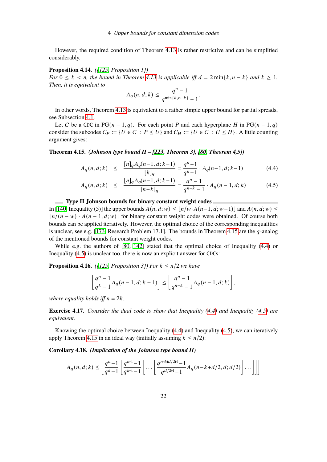However, the required condition of Theorem [4.13](#page-22-2) is rather restrictive and can be simplified considerably.

## **Proposition 4.14.** *([\[125,](#page-95-1) Proposition 1])*

*For*  $0 \leq k \leq n$ , the bound in Theorem [4.13](#page-22-2) is applicable iff  $d = 2 \min\{k, n - k\}$  and  $k \geq 1$ . *Then, it is equivalent to*

$$
A_q(n, d; k) \le \frac{q^n - 1}{q^{\min\{k, n-k\}} - 1}.
$$

In other words, Theorem [4.13](#page-22-2) is equivalent to a rather simple upper bound for partial spreads, see Subsection [4.1.](#page-27-0)

Let C be a CDC in PG $(n-1, q)$ . For each point P and each hyperplane H in PG $(n-1, q)$ consider the subcodes  $C_P := \{U \in C : P \leq U\}$  and  $C_H := \{U \in C : U \leq H\}$ . A little counting argument gives:

<span id="page-23-0"></span>**Theorem 4.15.** *(Johnson type bound II – [\[223,](#page-102-3) Theorem 3], [\[80,](#page-92-5) Theorem 4,5])*

<span id="page-23-1"></span>
$$
A_q(n, d; k) \le \frac{[n]_q A_q(n-1, d; k-1)}{[k]_q} = \frac{q^n - 1}{q^k - 1} \cdot A_q(n-1, d; k-1) \tag{4.4}
$$

$$
A_q(n, d; k) \le \frac{[n]_q A_q(n-1, d; k-1)}{[n-k]_q} = \frac{q^n - 1}{q^{n-k} - 1} \cdot A_q(n-1, d; k) \tag{4.5}
$$

## **Type II Johnson bounds for binary constant weight codes**

In [\[140,](#page-96-1) Inequality (5)] the upper bounds  $A(n, d; w) \leq |n/w \cdot A(n-1, d; w-1)|$  and  $A(n, d; w) \leq$  $\frac{ln((n - w) \cdot A(n - 1, d; w))}{ln(\text{max})}$  constant weight codes were obtained. Of course both bounds can be applied iteratively. However, the optimal choice of the corresponding inequalities is unclear, see e.g. [\[173,](#page-98-2) Research Problem 17.1]. The bounds in Theorem [4.15](#page-23-0) are the  $q$ -analog of the mentioned bounds for constant weight codes.

While e.g. the authors of [\[80,](#page-92-5) [142\]](#page-96-0) stated that the optimal choice of Inequality [\(4.4\)](#page-23-1) or Inequality [\(4.5\)](#page-23-1) is unclear too, there is now an explicit answer for CDCs:

**Proposition 4.16.** *(* $[125,$  *Proposition 3]) For*  $k \leq n/2$  *we have* 

$$
\left\lfloor \frac{q^n-1}{q^k-1}A_q(n-1,d;k-1)\right\rfloor\leq \left\lfloor \frac{q^n-1}{q^{n-k}-1}A_q(n-1,d;k)\right\rfloor,
$$

*where equality holds iff*  $n = 2k$ .

**Exercise 4.17.** *Consider the dual code to show that Inequality [\(4.4\)](#page-23-1) and Inequality [\(4.5\)](#page-23-1) are equivalent.*

Knowing the optimal choice between Inequality [\(4.4\)](#page-23-1) and Inequality [\(4.5\)](#page-23-1), we can iteratively apply Theorem [4.15](#page-23-0) in an ideal way (initially assuming  $k \leq n/2$ ):

<span id="page-23-2"></span>**Corollary 4.18.** *(Implication of the Johnson type bound II)*

$$
A_q(n,d;k)\leq \left\lfloor \frac{q^n-1}{q^k-1}\left\lfloor \frac{q^{n-1}-1}{q^{k-1}-1}\right\rfloor\ldots\left\lfloor \frac{q^{n-k+d/2+1}-1}{q^{d/2+1}-1}A_q(n-k+d/2,d;d/2)\right\rfloor\ldots\right\rfloor\right\rfloor
$$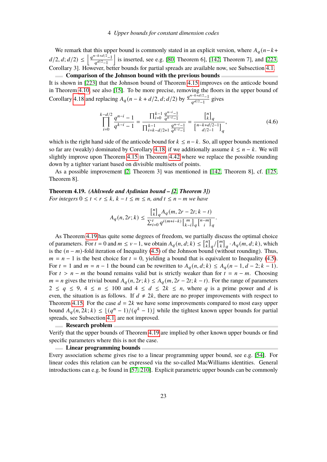We remark that this upper bound is commonly stated in an explicit version, where  $A_q(n-k+1)$  $d/2, d; d/2) \leq \left[ \frac{q^{n-k+d/2}-1}{a^{d/2}-1} \right]$  $q^{d/2}-1$ is inserted, see e.g. [\[80,](#page-92-5) Theorem 6], [\[142,](#page-96-0) Theorem 7], and [\[223,](#page-102-3) Corollary 3]. However, better bounds for partial spreads are available now, see Subsection [4.1.](#page-27-0) **Comparison of the Johnson bound with the previous bounds**

It is shown in [\[223\]](#page-102-3) that the Johnson bound of Theorem [4.15](#page-23-0) improves on the anticode bound in Theorem [4.10,](#page-22-1) see also [\[15\]](#page-88-3). To be more precise, removing the floors in the upper bound of Corollary [4.18](#page-23-2) and replacing  $A_q(n-k+d/2, d; d/2)$  by  $\frac{q^{n-k+d/2}-1}{q^{d/2}-1}$  $\frac{q^{d/2}-1}{q^{d/2}-1}$  gives

$$
\prod_{i=0}^{k-d/2} \frac{q^{n-i}-1}{q^{k-i}-1} = \frac{\prod_{i=0}^{k-1} \frac{q^{n-i}-1}{q^{k-i}-1}}{\prod_{i=k-d/2+1}^{k-1} \frac{q^{n-i}-1}{q^{k-i}-1}} = \frac{\binom{n}{k}_q}{\binom{n-k+d/2-1}{d/2-1}_q},\tag{4.6}
$$

which is the right hand side of the anticode bound for  $k \leq n - k$ . So, all upper bounds mentioned so far are (weakly) dominated by Corollary [4.18,](#page-23-2) if we additionally assume  $k \leq n - k$ . We will slightly improve upon Theorem [4.15](#page-23-0) in Theorem [4.42](#page-32-0) where we replace the possible rounding down by a tighter variant based on divisible multisets of points.

As a possible improvement [\[2,](#page-87-2) Theorem 3] was mentioned in [\[142,](#page-96-0) Theorem 8], cf. [\[125,](#page-95-1) Theorem 8].

<span id="page-24-0"></span>**Theorem 4.19.** *(Ahlswede and Aydinian bound – [\[2,](#page-87-2) Theorem 3]) For integers*  $0 \le t < r \le k$ ,  $k - t \le m \le n$ , and  $t \le n - m$  we have

$$
A_q(n,2r;k) \leq \frac{{n \brack k}_q A_q(m,2r-2t;k-t)}{\sum_{i=0}^t q^{i(m+i-k)} \left[ \begin{smallmatrix} m \\ k-i \end{smallmatrix} \right]_q \left[ \begin{smallmatrix} n-m \\ i \end{smallmatrix} \right]_q}.
$$

As Theorem [4.19](#page-24-0) has quite some degrees of freedom, we partially discuss the optimal choice of parameters. For  $t = 0$  and  $m \le v - 1$ , we obtain  $A_q(n, d; k) \le \begin{bmatrix} n \\ k \end{bmatrix}$  $\binom{n}{k}_q / \binom{m}{k}$  $\binom{m}{k}_q$  ·  $A_q(m, d; k)$ , which is the  $(n - m)$ -fold iteration of Inequality [\(4.5\)](#page-23-1) of the Johnson bound (without rounding). Thus,  $m = n - 1$  is the best choice for  $t = 0$ , yielding a bound that is equivalent to Inequality [\(4.5\)](#page-23-1). For  $t = 1$  and  $m = n - 1$  the bound can be rewritten to  $A_q(n, d; k) \leq A_q(n - 1, d - 2; k - 1)$ . For  $t > n - m$  the bound remains valid but is strictly weaker than for  $t = n - m$ . Choosing  $m = n$  gives the trivial bound  $A_q(n, 2r; k) \leq A_q(m, 2r - 2t; k - t)$ . For the range of parameters  $2 \le q \le 9$ ,  $4 \le n \le 100$  and  $4 \le d \le 2k \le n$ , where q is a prime power and d is even, the situation is as follows. If  $d \neq 2k$ , there are no proper improvements with respect to Theorem [4.15.](#page-23-0) For the case  $d = 2k$  we have some improvements compared to most easy upper bound  $A_q(n, 2k; k) \leq \lfloor (q^n - 1)/(q^k - 1) \rfloor$  while the tightest known upper bounds for partial spreads, see Subsection [4.1,](#page-27-0) are not improved.

#### **Research problem**

Verify that the upper bounds of Theorem [4.19](#page-24-0) are implied by other known upper bounds or find specific parameters where this is not the case.

#### **Linear programming bounds**

Every association scheme gives rise to a linear programming upper bound, see e.g. [\[54\]](#page-90-2). For linear codes this relation can be expressed via the so-called MacWilliams identities. General introductions can e.g. be found in [\[57,](#page-90-3) [210\]](#page-101-5). Explicit parametric upper bounds can be commonly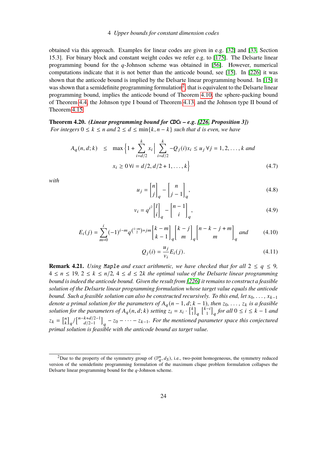obtained via this approach. Examples for linear codes are given in e.g. [\[32\]](#page-89-4) and [\[33,](#page-89-5) Section 15.3]. For binary block and constant weight codes we refer e.g. to [\[175\]](#page-99-3). The Delsarte linear programming bound for the  $q$ -Johnson scheme was obtained in [\[56\]](#page-90-4). However, numerical computations indicate that it is not better than the anticode bound, see [\[15\]](#page-88-3). In [\[226\]](#page-102-4) it was shown that the anticode bound is implied by the Delsarte linear programming bound. In [\[15\]](#page-88-3) it was shown that a semidefinite programming formulation<sup>[2](#page-0-0)</sup>, that is equivalent to the Delsarte linear programming bound, implies the anticode bound of Theorem [4.10,](#page-22-1) the sphere-packing bound of Theorem [4.4,](#page-20-0) the Johnson type I bound of Theorem [4.13,](#page-22-2) and the Johnson type II bound of Theorem [4.15.](#page-23-0)

<span id="page-25-0"></span>**Theorem 4.20.** *(Linear programming bound for* CDC*s – e.g. [\[226,](#page-102-4) Proposition 3]) For integers*  $0 \leq k \leq n$  *and*  $2 \leq d \leq \min\{k, n-k\}$  *such that d is even, we have* 

$$
A_q(n, d; k) \le \max \left\{ 1 + \sum_{i=d/2}^k x_i \, \middle| \, \sum_{i=d/2}^k -Q_j(i)x_i \le u_j \, \forall j = 1, 2, \dots, k \text{ and}
$$
\n
$$
x_i \ge 0 \, \forall i = d/2, d/2 + 1, \dots, k \right\} \tag{4.7}
$$

*with*

$$
u_j = \begin{bmatrix} n \\ j \end{bmatrix}_q - \begin{bmatrix} n \\ j - 1 \end{bmatrix}_q,
$$
\n(4.8)

$$
v_i = q^{i^2} \begin{bmatrix} l \\ i \end{bmatrix}_q - \begin{bmatrix} n-1 \\ i \end{bmatrix}_q,
$$
\n(4.9)

$$
E_i(j) = \sum_{m=0}^{i} (-1)^{i-m} q^{\binom{i-m}{2} + jm} \begin{bmatrix} k-m \\ k-1 \end{bmatrix}_q \begin{bmatrix} k-j \\ m \end{bmatrix}_q \begin{bmatrix} n-k-j+m \\ m \end{bmatrix}_q \text{ and } (4.10)
$$

$$
Q_j(i) = \frac{u_j}{v_i} E_i(j). \tag{4.11}
$$

<span id="page-25-1"></span>**Remark 4.21.** *Using Maple and exact arithmetic, we have checked that for all*  $2 \leq q \leq 9$ ,  $4 \le n \le 19$ ,  $2 \le k \le n/2$ ,  $4 \le d \le 2k$  the optimal value of the Delsarte linear programming *bound is indeed the anticode bound. Given the result from [\[226\]](#page-102-4) it remains to construct a feasible solution of the Delsarte linear programming formulation whose target value equals the anticode bound. Such a feasible solution can also be constructed recursively. To this end, let*  $x_0, \ldots, x_{k-1}$ *denote a primal solution for the parameters of*  $A_q$  ( $n-1, d; k-1$ ), then  $z_0, \ldots, z_k$  is a feasible *solution for the parameters of*  $A_q(n, d; k)$  *setting*  $z_i = x_i \cdot \begin{bmatrix} k \\ 1 \end{bmatrix}$  $\binom{k}{1}_q$   $\binom{\widehat{k}-i}{1}$  $\begin{bmatrix} -i \\ 1 \end{bmatrix}_q$  for all  $0 \leq i \leq k-1$  and  $z_k = \begin{bmatrix} n \\ k \end{bmatrix}$  $\binom{n}{k}_q / \binom{n-k+d/2-1}{d/2-1}$  $\left[\frac{k+d/2-1}{d/2-1}\right]_q$  –  $z_0$  –  $\cdots$  –  $z_{k-1}$ . For the mentioned parameter space this conjectured *primal solution is feasible with the anticode bound as target value.*

<sup>&</sup>lt;sup>2</sup>Due to the property of the symmetry group of  $(\mathbb{F}_q^n, d_S)$ , i.e., two-point homogeneous, the symmetry reduced version of the semidefinite programming formulation of the maximum clique problem formulation collapses the Delsarte linear programming bound for the  $q$ -Johnson scheme.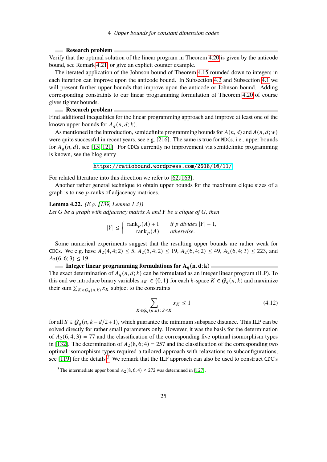## **Research problem**

Verify that the optimal solution of the linear program in Theorem [4.20](#page-25-0) is given by the anticode bound, see Remark [4.21,](#page-25-1) or give an explicit counter example.

The iterated application of the Johnson bound of Theorem [4.15](#page-23-0) rounded down to integers in each iteration can improve upon the anticode bound. In Subsection [4.2](#page-30-0) and Subsection [4.1](#page-27-0) we will present further upper bounds that improve upon the anticode or Johnson bound. Adding corresponding constraints to our linear programming formulation of Theorem [4.20](#page-25-0) of course gives tighter bounds.

#### **Research problem**

Find additional inequalities for the linear programming approach and improve at least one of the known upper bounds for  $A_q(n, d; k)$ .

As mentioned in the introduction, semidefinite programming bounds for  $A(n, d)$  and  $A(n, d; w)$ were quite successful in recent years, see e.g. [\[216\]](#page-102-5). The same is true for MDCs, i.e., upper bounds for  $A_q(n, d)$ , see [\[15,](#page-88-3) [121\]](#page-95-2). For CDCs currently no improvement via semidefinite programming is known, see the blog entry

<https://ratiobound.wordpress.com/2018/10/11/>.

For related literature into this direction we refer to [\[62,](#page-91-2) [163\]](#page-98-3).

Another rather general technique to obtain upper bounds for the maximum clique sizes of a graph is to use  $p$ -ranks of adjacency matrices.

## **Lemma 4.22.** *(E.g. [\[139,](#page-96-2) Lemma 1.3]) Let G be a graph with adjacency matrix A and Y be a clique of G, then*

 $|Y| \leq \begin{cases} \text{rank}_p(A) + 1 & \text{if } p \text{ divides } |Y| - 1, \\ \text{rank}_p(A) & \text{if } p \text{ divides } |Y| - 1, \end{cases}$  $rank_p(A)$  *otherwise.* 

Some numerical experiments suggest that the resulting upper bounds are rather weak for CDCs. We e.g. have  $A_2(4, 4; 2) \le 5$ ,  $A_2(5, 4; 2) \le 19$ ,  $A_2(6, 4; 2) \le 49$ ,  $A_2(6, 4; 3) \le 223$ , and  $A_2(6, 6; 3) \leq 19.$ 

**Integer linear programming formulations for**  $A_q(n, d; k)$ 

The exact determination of  $A_q(n, d; k)$  can be formulated as an integer linear program (ILP). To this end we introduce binary variables  $x_K \in \{0, 1\}$  for each k-space  $K \in \mathcal{G}_a(n, k)$  and maximize their sum  $\sum_{K \in \mathcal{G}_a(n,k)} x_K$  subject to the constraints

$$
\sum_{K \in \mathcal{G}_q(n,k) \,:\, S \le K} x_K \le 1 \tag{4.12}
$$

for all  $S \in \mathcal{G}_q(n, k-d/2+1)$ , which guarantee the minimum subspace distance. This ILP can be solved directly for rather small parameters only. However, it was the basis for the determination of  $A_2(6, 4; 3) = 77$  and the classification of the corresponding five optimal isomorphism types in [\[132\]](#page-96-3). The determination of  $A_2(8, 6; 4) = 257$  and the classification of the corresponding two optimal isomorphism types required a tailored approach with relaxations to subconfigurations, see [\[119\]](#page-95-3) for the details.<sup>[3](#page-0-0)</sup> We remark that the ILP approach can also be used to construct CDC's

<sup>&</sup>lt;sup>3</sup>The intermediate upper bound  $A_2(8, 6; 4) \le 272$  was determined in [\[127\]](#page-95-4).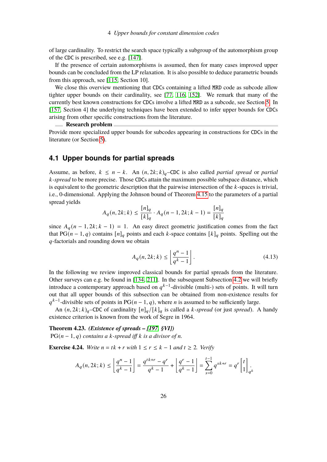of large cardinality. To restrict the search space typically a subgroup of the automorphism group of the CDC is prescribed, see e.g. [\[147\]](#page-97-3).

If the presence of certain automorphisms is assumed, then for many cases improved upper bounds can be concluded from the LP relaxation. It is also possible to deduce parametric bounds from this approach, see [\[115,](#page-94-1) Section 10].

We close this overview mentioning that CDCs containing a lifted MRD code as subcode allow tighter upper bounds on their cardinality, see [\[77,](#page-92-3) [116,](#page-94-2) [152\]](#page-97-4). We remark that many of the currently best known constructions for CDCs involve a lifted MRD as a subcode, see Section [5.](#page-35-0) In [\[157,](#page-97-5) Section 4] the underlying techniques have been extended to infer upper bounds for CDCs arising from other specific constructions from the literature.

## **Research problem**

Provide more specialized upper bounds for subcodes appearing in constructions for CDCs in the literature (or Section [5\)](#page-35-0).

## <span id="page-27-0"></span>**4.1 Upper bounds for partial spreads**

Assume, as before,  $k \leq n - k$ . An  $(n, 2k; k)_{q}$ –CDC is also called *partial spread* or *partial*  $k$ -spread to be more precise. Those CDCs attain the maximum possible subspace distance, which is equivalent to the geometric description that the pairwise intersection of the  $k$ -spaces is trivial, i.e., 0-dimensional. Applying the Johnson bound of Theorem [4.15](#page-23-0) to the parameters of a partial spread yields

$$
A_q(n, 2k; k) \le \frac{[n]_q}{[k]_q} \cdot A_q(n-1, 2k; k-1) = \frac{[n]_q}{[k]_q}
$$

since  $A_q(n-1, 2k; k-1) = 1$ . An easy direct geometric justification comes from the fact that PG( $n - 1$ ,  $q$ ) contains  $[n]_q$  points and each  $k$ -space contains  $[k]_q$  points. Spelling out the  $q$ -factorials and rounding down we obtain

<span id="page-27-1"></span>
$$
A_q(n, 2k; k) \le \left\lfloor \frac{q^n - 1}{q^k - 1} \right\rfloor.
$$
\n(4.13)

In the following we review improved classical bounds for partial spreads from the literature. Other surveys can e.g. be found in [\[134,](#page-96-4) [211\]](#page-101-1). In the subsequent Subsection [4.2](#page-30-0) we will briefly introduce a contemporary approach based on  $q^{k-1}$ -divisible (multi-) sets of points. It will turn out that all upper bounds of this subsection can be obtained from non-existence results for  $q^{k-1}$ -divisible sets of points in PG( $n-1, q$ ), where *n* is assumed to be sufficiently large.

An  $(n, 2k; k)_q$ –CDC of cardinality  $[n]_q/[k]_q$  is called a k-spread (or just *spread*). A handy existence criterion is known from the work of Segre in 1964.

**Theorem 4.23.** *(Existence of spreads – [\[197,](#page-100-8) §VI])*  $PG(n-1, q)$  *contains a k-spread iff k is a divisor of n.* 

**Exercise 4.24.** *Write*  $n = tk + r$  *with*  $1 \leq r \leq k - 1$  *and*  $t \geq 2$ *. Verify* 

$$
A_q(n,2k;k)\leq \left\lfloor \frac{q^n-1}{q^k-1}\right\rfloor=\frac{q^{tk+r}-q^r}{q^k-1}+\left\lfloor \frac{q^r-1}{q^k-1}\right\rfloor=\sum\limits_{s=0}^{t-1}q^{sk+r}=q^r\left[\begin{matrix}t\\1\end{matrix}\right]_q.
$$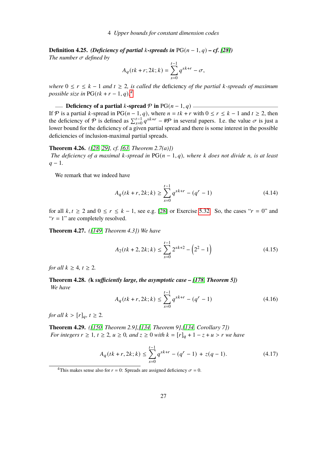**Definition 4.25.** *(Deficiency of partial k-spreads in*  $PG(n-1, q) - cf.$  [\[28\]](#page-89-6)) *The number*  $\sigma$  *defined by* 

$$
A_q(tk+r; 2k; k) = \sum_{s=0}^{t-1} q^{sk+r} - \sigma,
$$

*where*  $0 \le r \le k - 1$  *and*  $t \ge 2$ *, is called the deficiency of the partial k-spreads of maximum possible size in*  $PG(tk + r - 1, q)$ .<sup>[4](#page-0-0)</sup>

**Deficiency of a partial**  $k$ **-spread**  $\mathcal{P}$  **in** PG( $n-1, q$ ) If P is a partial k-spread in PG( $n-1, q$ ), where  $n = tk + r$  with  $0 \le r \le k-1$  and  $t \ge 2$ , then the deficiency of  $\mathcal P$  is defined as  $\sum_{s=0}^{t-1} q^{sk+r} - \mathcal P$  in several papers. I.e. the value  $\sigma$  is just a

## **Theorem 4.26.** *([\[28,](#page-89-6) [29\]](#page-89-7), cf. [\[63,](#page-91-3) Theorem 2.7(a)])*

deficiencies of inclusion-maximal partial spreads.

*The deficiency of a maximal k-spread in*  $PG(n-1,q)$ *, where k does not divide n, is at least*  $q - 1$ .

lower bound for the deficiency of a given partial spread and there is some interest in the possible

We remark that we indeed have

$$
A_q(tk+r, 2k; k) \ge \sum_{s=0}^{t-1} q^{sk+r} - (q^r - 1)
$$
\n(4.14)

for all  $k, t \ge 2$  and  $0 \le r \le k - 1$ , see e.g. [\[28\]](#page-89-6) or Exercise [5.32.](#page-46-0) So, the cases " $r = 0$ " and " $r = 1$ " are completely resolved.

**Theorem 4.27.** *([\[149,](#page-97-6) Theorem 4.3]) We have*

$$
A_2(tk+2, 2k; k) \le \sum_{s=0}^{t-1} 2^{sk+2} - \left(2^2 - 1\right)
$$
 (4.15)

*for all*  $k > 4$ ,  $t > 2$ .

<span id="page-28-1"></span>**Theorem 4.28.** *(***k** *sufficiently large, the asymptotic case – [\[178,](#page-99-4) Theorem 5]) We have*

$$
A_q(tk+r, 2k; k) \le \sum_{s=0}^{t-1} q^{sk+r} - (q^r - 1)
$$
\n(4.16)

*for all*  $k > [r]_q, t \geq 2$ *.* 

<span id="page-28-0"></span>**Theorem 4.29.** *([\[150,](#page-97-7) Theorem 2.9],[\[134,](#page-96-4) Theorem 9],[\[134,](#page-96-4) Corollary 7]) For integers*  $r \geq 1$ ,  $t \geq 2$ ,  $u \geq 0$ , and  $z \geq 0$  *with*  $k = [r]_q + 1 - z + u > r$  *we have* 

$$
A_q(tk+r, 2k; k) \le \sum_{s=0}^{t-1} q^{sk+r} - (q^r - 1) + z(q - 1).
$$
 (4.17)

<sup>4</sup>This makes sense also for  $r = 0$ : Spreads are assigned deficiency  $\sigma = 0$ .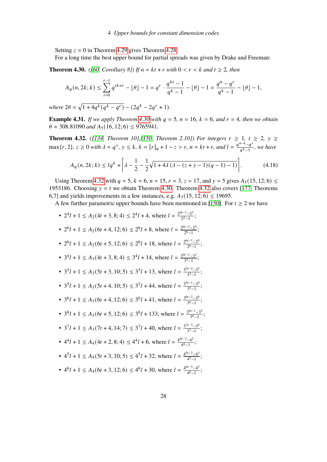Setting  $z = 0$  in Theorem [4.29](#page-28-0) gives Theorem [4.28.](#page-28-1)

For a long time the best upper bound for partial spreads was given by Drake and Freeman:

<span id="page-29-0"></span>**Theorem 4.30.** *([\[60,](#page-91-4) Corollary 8]*) *If*  $n = kt + r$  *with*  $0 < r < k$  *and*  $t \ge 2$ *, then* 

$$
A_q(n, 2k; k) \le \sum_{i=0}^{t-1} q^{ik+r} - \lfloor \theta \rfloor - 1 = q^r \cdot \frac{q^{kt} - 1}{q^k - 1} - \lfloor \theta \rfloor - 1 = \frac{q^n - q^r}{q^k - 1} - \lfloor \theta \rfloor - 1,
$$

 $where 2\theta = \sqrt{1 + 4q^k(q^k - q^r)} - (2q^k - 2q^r + 1).$ 

**Example 4.31.** *If we apply Theorem [4.30](#page-29-0) with*  $q = 5$ ,  $n = 16$ ,  $k = 6$ , and  $r = 4$ , then we obtain  $\theta \approx 308.81090$  *and*  $A_5(16, 12; 6) \le 9765941$ .

<span id="page-29-1"></span>**Theorem 4.32.** ([\[134,](#page-96-4) Theorem 10],[\[150,](#page-97-7) Theorem 2.10]) For integers  $r ≥ 1$ ,  $t ≥ 2$ ,  $y ≥$  $\max\{r, 2\}, z \ge 0$  *with*  $\lambda = q^y$ ,  $y \le k$ ,  $k = [r]_q + 1 - z > r$ ,  $n = kt + r$ , and  $l = \frac{q^{n-k}-q^{n-k}}{q^{k-1}}$  $\frac{a}{q^k-1}$ , we have

$$
A_q(n, 2k; k) \le lq^k + \left[ \lambda - \frac{1}{2} - \frac{1}{2} \sqrt{1 + 4\lambda \left( \lambda - (z + y - 1)(q - 1) - 1 \right)} \right].
$$
 (4.18)

Using Theorem [4.32](#page-29-1) with  $q = 5$ ,  $k = 6$ ,  $n = 15$ ,  $r = 3$ ,  $z = 17$ , and  $y = 5$  gives  $A_5(15, 12; 6) \le$ 1953186. Choosing  $y = t$  we obtain Theorem [4.30.](#page-29-0) Theorem [4.32](#page-29-1) also covers [\[177,](#page-99-5) Theorems 6,7] and yields improvements in a few instances, e.g.  $A_3(15, 12; 6) \le 19695$ .

A few further parametric upper bounds have been mentioned in [\[150\]](#page-97-7). For  $t \geq 2$  we have

•  $2^4l + 1 \leq A_2(4t + 3, 8; 4) \leq 2^4l + 4$ , where  $l = \frac{2^{4t-1}-2^3}{2^4-1}$  $\frac{x^2-2^3}{2^4-1}$ ; •  $2^6 l + 1 \leq A_2 (6t + 4, 12; 6) \leq 2^6 l + 8$ , where  $l = \frac{2^{6t-2}-2^4}{2^6-1}$  $\frac{2^{6}-2^{1}}{2^{6}-1};$ •  $2^6 l + 1 \leq A_2 (6t + 5, 12; 6) \leq 2^6 l + 18$ , where  $l = \frac{2^{6t-1}-2^5}{2^6-1}$  $\frac{x-2^5}{2^6-1}$ ; •  $3^4l + 1 \leq A_3(4t + 3, 8; 4) \leq 3^4l + 14$ , where  $l = \frac{3^{4t-1}-3^3}{3^4-1}$  $\frac{x^2-3^3}{3^4-1}$ ; •  $3^5l + 1 \leq A_3(5t + 3, 10; 5) \leq 3^5l + 13$ , where  $l = \frac{3^{5t-2}-3^5}{3^3-1}$  $\frac{x^2-3^3}{3^3-1}$ ; •  $3^5l + 1 \leq A_3(5t + 4, 10; 5) \leq 3^5l + 44$ , where  $l = \frac{3^{5t-1}-3^4}{3^5-1}$  $\frac{3^{5}-1-3^{7}}{3^{5}-1};$ •  $3^6l + 1 \leq A_3(6t + 4, 12; 6) \leq 3^6l + 41$ , where  $l = \frac{3^{6t-2}-3^4}{3^6-1}$  $\frac{x^2-5}{3^6-1}$ ; •  $3^6l + 1 \leq A_3(6t + 5, 12; 6) \leq 3^6l + 133$ , where  $l = \frac{3^{6t-1}-3^5}{3^6-1}$  $\frac{\frac{n-1}{3} - 3^n}{3^6 - 1};$ •  $3^7l + 1 \leq A_3(7t + 4, 14; 7) \leq 3^7l + 40$ , where  $l = \frac{3^{7t-3}-3^4}{3^7-1}$  $\frac{1}{3^7-1}$ ; •  $4^4l + 1 \leq A_4(4t + 2, 8; 4) \leq 4^4l + 6$ , where  $l = \frac{4^{4t-2}-4^2}{4^4-1}$  $\frac{a^{2}-4^{2}}{4^{4}-1}$ ; •  $4^5l + 1 \leq A_4(5t + 3, 10; 5) \leq 4^5l + 32$ , where  $l = \frac{4^{5t-2}-4^3}{4^5-1}$  $\frac{1}{4^5-1}$ ; •  $4^6l + 1 \leq A_4(6t + 3, 12; 6) \leq 4^6l + 30$ , where  $l = \frac{4^{6t-3} - 4^3}{4^6 - 1}$  $\frac{5-4^5}{4^6-1}$ ;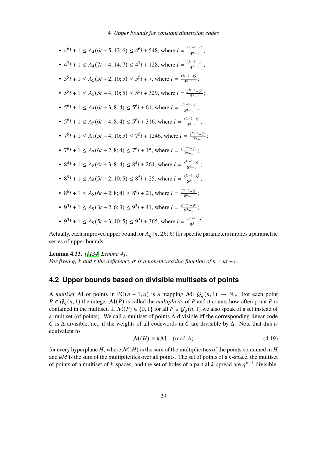• 
$$
4^6l + 1 \le A_4(6t + 5, 12; 6) \le 4^6l + 548
$$
, where  $l = \frac{4^{6t-1}-4^5}{4^6-1}$ ;  
\n•  $4^7l + 1 \le A_4(7t + 4, 14; 7) \le 4^7l + 128$ , where  $l = \frac{4^{7t-3}-4^4}{4^7-1}$ ;  
\n•  $5^5l + 1 \le A_5(5t + 2, 10; 5) \le 5^5l + 7$ , where  $l = \frac{5^{5t-3}-5^2}{5^5-1}$ ;  
\n•  $5^5l + 1 \le A_5(6t + 4, 10; 5) \le 5^5l + 329$ , where  $l = \frac{5^{5t-1}-5^4}{5^5-1}$ ;  
\n•  $5^6l + 1 \le A_5(6t + 3, 8; 4) \le 5^6l + 61$ , where  $l = \frac{5^{6t-3}-5^3}{5^6-1}$ ;  
\n•  $5^6l + 1 \le A_5(6t + 4, 8; 4) \le 5^6l + 316$ , where  $l = \frac{5^{6t-2}-5^4}{5^6-1}$ ;  
\n•  $7^5l + 1 \le A_7(5t + 4, 10; 5) \le 7^5l + 1246$ , where  $l = \frac{7^{5t-1}-7^2}{7^5-1}$ ;  
\n•  $7^6l + 1 \le A_7(6t + 2, 8; 4) \le 7^6l + 15$ , where  $l = \frac{7^{6t-4}-7^3}{7^6-1}$ ;  
\n•  $8^4l + 1 \le A_8(4t + 3, 8; 4) \le 8^4l + 264$ , where  $l = \frac{8^{4t-1}-8^3}{8^5-1}$ ;  
\n•  $8^5l + 1 \le A_8(6t + 2, 8; 4) \le 8^5l + 25$ , where  $l = \frac{8^{5t-3}-8^2}{8^5-1}$ ;  
\n• 

Actually, each improved upper bound for  $A_q(n, 2k; k)$  for specific parameters implies a parametric series of upper bounds.

## **Lemma 4.33.** *([\[134,](#page-96-4) Lemma 4])*

*For fixed q, k and r the deficiency*  $\sigma$  *is a non-increasing function of*  $n = kt + r$ .

## <span id="page-30-0"></span>**4.2 Upper bounds based on divisible multisets of points**

A *multiset* M of points in PG( $n-1, q$ ) is a mapping  $M: \mathcal{G}_q(n, 1) \to \mathbb{N}_0$ . For each point  $P \in \mathcal{G}_q(n, 1)$  the integer  $\mathcal{M}(P)$  is called the *multiplicity* of P and it counts how often point P is contained in the multiset. If  $M(P) \in \{0, 1\}$  for all  $P \in \mathcal{G}_q(n, 1)$  we also speak of a set instead of a multiset (of points). We call a multiset of points Δ-divisible iff the corresponding linear code C is  $\Delta$ -divisible, i.e., if the weights of all codewords in C are divisible by  $\Delta$ . Note that this is equivalent to

$$
\mathcal{M}(H) \equiv \# \mathcal{M} \pmod{\Delta} \tag{4.19}
$$

for every hyperplane  $H$ , where  $\mathcal{M}(H)$  is the sum of the multiplicities of the points contained in  $H$ and  $#M$  is the sum of the multiplicities over all points. The set of points of a  $k$ -space, the multiset of points of a multiset of k-spaces, and the set of holes of a partial k-spread are  $q^{k-1}$ -divisible.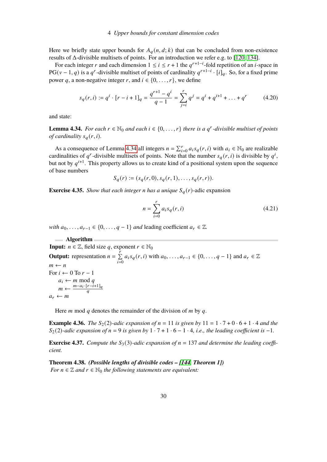Here we briefly state upper bounds for  $A_q(n, d; k)$  that can be concluded from non-existence results of Δ-divisible multisets of points. For an introduction we refer e.g. to [\[120,](#page-95-5) [134\]](#page-96-4).

For each integer r and each dimension  $1 \le i \le r + 1$  the  $q^{r+1-i}$ -fold repetition of an *i*-space in PG( $v - 1$ , q) is a q<sup>r</sup>-divisible multiset of points of cardinality  $q^{r+1-i} \cdot [i]_q$ . So, for a fixed prime power q, a non-negative integer r, and  $i \in \{0, \ldots, r\}$ , we define

$$
s_q(r, i) := q^i \cdot [r - i + 1]_q = \frac{q^{r+1} - q^i}{q - 1} = \sum_{j=i}^r q^j = q^i + q^{i+1} + \dots + q^r \tag{4.20}
$$

and state:

<span id="page-31-0"></span>**Lemma 4.34.** *For each*  $r \in \mathbb{N}_0$  *and each*  $i \in \{0, \ldots, r\}$  *there is a q<sup>r</sup>-divisible multiset of points of cardinality*  $s_a(r, i)$ .

As a consequence of Lemma [4.34](#page-31-0) all integers  $n = \sum_{i=0}^{r} a_i s_q(r, i)$  with  $a_i \in \mathbb{N}_0$  are realizable cardinalities of q<sup>r</sup>-divisible multisets of points. Note that the number  $s_q(r, i)$  is divisible by  $q^i$ , but not by  $q^{i+1}$ . This property allows us to create kind of a positional system upon the sequence of base numbers

$$
S_q(r) := (s_q(r, 0), s_q(r, 1), \dots, s_q(r, r)).
$$

**Exercise 4.35.** *Show that each integer n has a unique*  $S_q(r)$ -adic expansion

$$
n = \sum_{i=0}^{r} a_i s_q(r, i)
$$
 (4.21)

*with*  $a_0, \ldots, a_{r-1} \in \{0, \ldots, q-1\}$  *and* leading coefficient  $a_r \in \mathbb{Z}$ .

**Algorithm Input:**  $n \in \mathbb{Z}$ , field size q, exponent  $r \in \mathbb{N}_0$ **Output:** representation  $n = \sum_{r=1}^{n}$  $\sum_{i=0}^{7} a_i s_q(r, i)$  with  $a_0, \ldots, a_{r-1} \in \{0, \ldots, q-1\}$  and  $a_r \in \mathbb{Z}$  $m \leftarrow n$ For  $i \leftarrow 0$  To  $r - 1$  $a_i \leftarrow m \mod q$  $m \leftarrow \frac{m - a_i \cdot [r - i + 1]_q}{a}$  $\overline{a}$  $a_r \leftarrow m$ 

Here  $m \mod q$  denotes the remainder of the division of  $m$  by  $q$ .

**Example 4.36.** *The*  $S_2(2)$ *-adic expansion of*  $n = 11$  *is given by*  $11 = 1 \cdot 7 + 0 \cdot 6 + 1 \cdot 4$  *and the*  $S_2(2)$ -adic expansion of  $n = 9$  is given by  $1 \cdot 7 + 1 \cdot 6 - 1 \cdot 4$ , i.e., the leading coefficient is -1.

<span id="page-31-1"></span>**Exercise 4.37.** *Compute the*  $S_3(3)$ -adic expansion of  $n = 137$  and determine the leading coeffi*cient.*

<span id="page-31-2"></span>**Theorem 4.38.** *(Possible lengths of divisible codes – [\[144,](#page-96-5) Theorem 1]) For*  $n \in \mathbb{Z}$  *and*  $r \in \mathbb{N}_0$  *the following statements are equivalent:*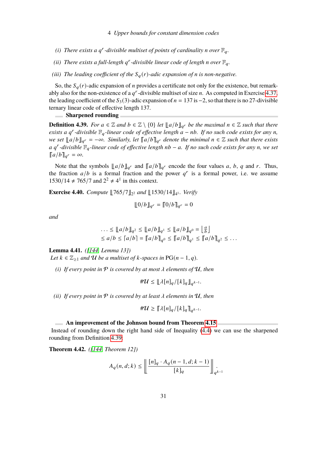- (*i*) There exists a  $q^r$ -divisible multiset of points of cardinality n over  $\mathbb{F}_q$ .
- (*ii*) There exists a full-length  $q^r$ -divisible linear code of length n over  $\mathbb{F}_q$ .
- *(iii) The leading coefficient of the*  $S_q(r)$ *-adic expansion of n is non-negative.*

So, the  $S_q(r)$ -adic expansion of *n* provides a certificate not only for the existence, but remarkably also for the non-existence of a  $q^r$ -divisible multiset of size *n*. As computed in Exercise [4.37,](#page-31-1) the leading coefficient of the  $S_3(3)$ -adic expansion of  $n = 137$  is  $-2$ , so that there is no 27-divisible ternary linear code of effective length 137.

#### **Sharpened rounding**

<span id="page-32-1"></span>**Definition 4.39.** *For*  $a \in \mathbb{Z}$  and  $b \in \mathbb{Z} \setminus \{0\}$  *let*  $\mathbb{L}[a/b]_{q^r}$  *be the maximal*  $n \in \mathbb{Z}$  *such that there exists a q<sup>r</sup>-divisible*  $\mathbb{F}_q$ -linear code of effective length  $a - nb$ . If no such code exists for any n, *we set*  $\llbracket a/b \rrbracket_{q^r} = -\infty$ . Similarly, let  $\llbracket a/b \rrbracket_{q^r}$  denote the minimal  $n \in \mathbb{Z}$  such that there exists *a* 𝑞 𝑟 *-divisible* F𝑞*-linear code of effective length* 𝑛𝑏 − 𝑎*. If no such code exists for any* 𝑛*, we set*  $\llbracket a/b \rrbracket_{q^r} = \infty$ .

Note that the symbols  $\llbracket a/b \rrbracket_{q^r}$  and  $\llbracket a/b \rrbracket_{q^r}$  encode the four values a, b, q and r. Thus, the fraction  $a/b$  is a formal fraction and the power  $q<sup>r</sup>$  is a formal power, i.e. we assume 1530/14 ≠ 765/7 and  $2^2 \neq 4^1$  in this context.

**Exercise 4.40.** *Compute*  $\llbracket 765/7 \rrbracket_{2^2}$  *and*  $\llbracket 1530/14 \rrbracket_{4^1}$ *. Verify* 

$$
[10/b]_{q^r} = [10/b]_{q^r} = 0
$$

*and*

$$
\dots \le ||a/b||_{q^2} \le ||a/b||_{q^1} \le ||a/b||_{q^0} = \left[\frac{a}{b}\right]_{q^2}
$$
  

$$
\le a/b \le |a/b| = ||a/b||_{q^0} \le ||a/b||_{q^1} \le ||a/b||_{q^2} \le \dots
$$

**Lemma 4.41.** *([\[144,](#page-96-5) Lemma 13])*

*Let*  $k \in \mathbb{Z}_{\geq 1}$  *and*  $U$  *be a multiset of*  $k$ *-spaces in* PG( $n-1, q$ )*.* 

*(i)* If every point in  $P$  is covered by at most  $\lambda$  elements of  $U$ , then

$$
\#\mathcal{U} \leq {\lfloor \lambda [n]_q / [k]_q} \rfloor_{q^{k-1}}.
$$

*(ii)* If every point in  $P$  is covered by at least  $\lambda$  elements in  $U$ , then

$$
\#\mathcal{U} \geq \big[\!\!\big[\lambda[n]_q/[k]_q\big]\!\!\big]_{q^{k-1}}.
$$

#### **An improvement of the Johnson bound from Theorem [4.15](#page-23-0)**

Instead of rounding down the right hand side of Inequality [\(4.4\)](#page-23-1) we can use the sharpened rounding from Definition [4.39:](#page-32-1)

<span id="page-32-0"></span>**Theorem 4.42.** *([\[144,](#page-96-5) Theorem 12])*

$$
A_q(n, d; k) \le \left\lfloor \frac{[n]_q \cdot A_q(n-1, d; k-1)}{[k]_q} \right\rfloor_{q^{k-1}}
$$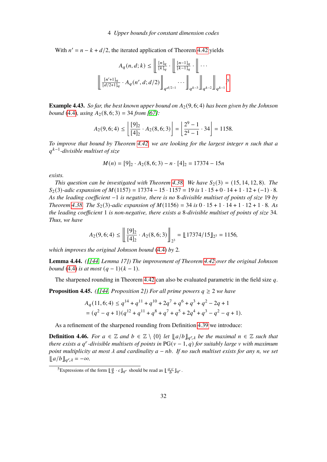With  $n' = n - k + d/2$ , the iterated application of Theorem [4.42](#page-32-0) yields

$$
A_q(n,d;k)\leq \left\Vert \frac{[n]_q}{[k]_q}\cdot \left\Vert \frac{[n-1]_q}{[k-1]_q}\cdot \right\Vert \cdots \right\Vert
$$

$$
\left\Vert \frac{[n'+1]_q}{[d/2+1]_q}\cdot A_q(n',d;d/2)\right\Vert_{q^{d/2-1}}\cdots \left\Vert \left\Vert_{q^{k-3}}\right\Vert_{q^{k-2}}\right\Vert_{q^{k-1}}.
$$
<sup>5</sup>

**Example 4.43.** *So far, the best known upper bound on*  $A_2(9, 6; 4)$  *has been given by the Johnson bound* [\(4.4\)](#page-23-1)*, using*  $A_2(8, 6; 3) = 34$  *from* [\[67\]](#page-91-5)*:* 

$$
A_2(9, 6; 4) \le \left\lfloor \frac{[9]_2}{[4]_2} \cdot A_2(8, 6; 3) \right\rfloor = \left\lfloor \frac{2^9 - 1}{2^4 - 1} \cdot 34 \right\rfloor = 1158.
$$

*To improve that bound by Theorem [4.42,](#page-32-0) we are looking for the largest integer n such that a* 𝑞 𝑘−1 *-divisible multiset of size*

$$
M(n) = [9]_2 \cdot A_2(8, 6; 3) - n \cdot [4]_2 = 17374 - 15n
$$

*exists.*

*This question can be investigated with Theorem [4.38.](#page-31-2)* We have  $S_2(3) = (15, 14, 12, 8)$ . The  $S_2(3)$ -adic expansion of  $M(1157) = 17374 - 15 \cdot 1157 = 19$  is  $1 \cdot 15 + 0 \cdot 14 + 1 \cdot 12 + (-1) \cdot 8$ . *As the leading coefficient* −1 *is negative, there is no* 8*-divisible multiset of points of size* 19 *by Theorem* [4.38.](#page-31-2) *The*  $S_2(3)$ *-adic expansion of*  $M(1156) = 34$  *is*  $0 \cdot 15 + 1 \cdot 14 + 1 \cdot 12 + 1 \cdot 8$ *. As the leading coefficient* 1 *is non-negative, there exists a* 8*-divisible multiset of points of size* 34*. Thus, we have*

$$
A_2(9,6;4) \le \left\lfloor \frac{[9]_2}{[4]_2} \cdot A_2(8,6;3) \right\rfloor_{2^3} = \left\lfloor \frac{17374}{15} \right\rfloor_{2^3} = 1156,
$$

*which improves the original Johnson bound* [\(4.4\)](#page-23-1) *by* 2*.*

**Lemma 4.44.** *([\[144,](#page-96-5) Lemma 17]) The improvement of Theorem [4.42](#page-32-0) over the original Johnson bound* [\(4.4\)](#page-23-1) *is at most*  $(q - 1)(k - 1)$ *.* 

The sharpened rounding in Theorem [4.42](#page-32-0) can also be evaluated parametric in the field size  $q$ .

**Proposition 4.45.** *([\[144,](#page-96-5) Proposition 2]) For all prime powers*  $q \geq 2$  *we have* 

$$
A_q(11,6;4) \le q^{14} + q^{11} + q^{10} + 2q^7 + q^6 + q^3 + q^2 - 2q + 1
$$
  
=  $(q^2 - q + 1)(q^{12} + q^{11} + q^8 + q^7 + q^5 + 2q^4 + q^3 - q^2 - q + 1).$ 

As a refinement of the sharpened rounding from Definition [4.39](#page-32-1) we introduce:

**Definition 4.46.** *For*  $a \in \mathbb{Z}$  and  $b \in \mathbb{Z} \setminus \{0\}$  *let*  $\|a/b\|_{q^r, \lambda}$  *be the maximal*  $n \in \mathbb{Z}$  *such that there exists a q<sup>r</sup>*-divisible multisets of points in  $PG(v-1,q)$  for suitably large v with maximum *point multiplicity at most*  $\lambda$  *and cardinality*  $a - nb$ *. If no such multiset exists for any n, we set*  $\llbracket a/b \rrbracket_{q^r,\lambda} = -\infty.$ 

<sup>&</sup>lt;sup>5</sup>Expressions of the form  $\left[\frac{a}{b} \cdot c\right]_{q}$  should be read as  $\left[\frac{a}{b} \cdot c\right]_{q}$ .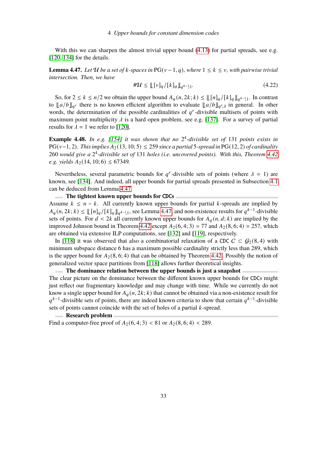With this we can sharpen the almost trivial upper bound  $(4.13)$  for partial spreads, see e.g. [\[120,](#page-95-5) [134\]](#page-96-4) for the details.

<span id="page-34-0"></span>**Lemma 4.47.** Let U be a set of k-spaces in  $PG(v-1, q)$ , where  $1 \leq k \leq v$ , with pairwise trivial *intersection. Then, we have*

$$
\# \mathcal{U} \le ||[v]_q / [k]_q ||_{q^{k-1}1}.
$$
\n(4.22)

So, for  $2 \le k \le n/2$  we obtain the upper bound  $A_q(n, 2k; k) \le \lfloor \lfloor n \rfloor_q / \lfloor k \rfloor_q \rfloor_{q^{k-1}}$ . In contrast to  $\|a/b\|_{q^r}$  there is no known efficient algorithm to evaluate  $\|a/b\|_{q^r,\lambda}$  in general. In other words, the determination of the possible cardinalities of  $q^r$ -divisible multisets of points with maximum point multiplicity  $\lambda$  is a hard open problem, see e.g. [\[137\]](#page-96-6). For a survey of partial results for  $\lambda = 1$  we refer to [\[120\]](#page-95-5).

**Example 4.48.** *In e.g. [\[154\]](#page-97-8) it was shown that no* 2 4 *-divisible set of* 131 *points exists in* PG( $v-1, 2$ ). This implies  $A_2(13, 10; 5) ≤ 259$  since a partial 5-spread in PG(12, 2) of cardinality 260 *would give a* 2 4 *-divisible set of* 131 *holes (i.e. uncovered points). With this, Theorem [4.42](#page-32-0) e.g. yields*  $A_2(14, 10; 6) \leq 67349$ .

Nevertheless, several parametric bounds for  $q^r$ -divisible sets of points (where  $\lambda = 1$ ) are known, see [\[134\]](#page-96-4). And indeed, all upper bounds for partial spreads presented in Subsection [4.1](#page-27-0) can be deduced from Lemma [4.47.](#page-34-0)

**The tightest known upper bounds for** CDC**s**

Assume  $k \leq n - k$ . All currently known upper bounds for partial k-spreads are implied by  $A_q(n, 2k; k) \leq \lfloor \lfloor n \rfloor_q / \lfloor k \rfloor_q \rfloor_{q^{k-1}}$ , see Lemma [4.47,](#page-34-0) and non-existence results for  $q^{k-1}$ -divisible sets of points. For  $d < 2k$  all currently known upper bounds for  $A_q(n, d; k)$  are implied by the improved Johnson bound in Theorem [4.42](#page-32-0) except  $A_2(6, 4; 3) = 77$  and  $A_2(8, 6; 4) = 257$ , which are obtained via extensive ILP computations, see [\[132\]](#page-96-3) and [\[119\]](#page-95-3), respectively.

In [\[118\]](#page-94-3) it was observed that also a combinatorial relaxation of a CDC  $C \subset G_2(8, 4)$  with minimum subspace distance 6 has a maximum possible cardinality strictly less than 289, which is the upper bound for  $A_2(8, 6; 4)$  that can be obtained by Theorem [4.42.](#page-32-0) Possibly the notion of generalized vector space partitions from [\[118\]](#page-94-3) allows further theoretical insights.

**The dominance relation between the upper bounds is just a snapshot** The clear picture on the dominance between the different known upper bounds for CDCs might just reflect our fragmentary knowledge and may change with time. While we currently do not know a single upper bound for  $A_a(n, 2k; k)$  that cannot be obtained via a non-existence result for  $q^{k-1}$ -divisible sets of points, there are indeed known criteria to show that certain  $q^{k-1}$ -divisible sets of points cannot coincide with the set of holes of a partial  $k$ -spread.

#### **Research problem**

Find a computer-free proof of  $A_2(6, 4; 3) < 81$  or  $A_2(8, 6; 4) < 289$ .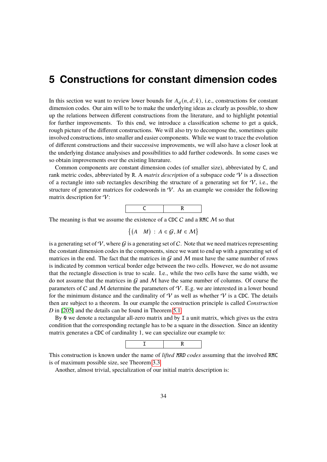# <span id="page-35-0"></span>**5 Constructions for constant dimension codes**

In this section we want to review lower bounds for  $A_q(n, d; k)$ , i.e., constructions for constant dimension codes. Our aim will to be to make the underlying ideas as clearly as possible, to show up the relations between different constructions from the literature, and to highlight potential for further improvements. To this end, we introduce a classification scheme to get a quick, rough picture of the different constructions. We will also try to decompose the, sometimes quite involved constructions, into smaller and easier components. While we want to trace the evolution of different constructions and their successive improvements, we will also have a closer look at the underlying distance analysises and possibilities to add further codewords. In some cases we so obtain improvements over the existing literature.

Common components are constant dimension codes (of smaller size), abbreviated by C, and rank metric codes, abbreviated by R. A *matrix description* of a subspace code V is a dissection of a rectangle into sub rectangles describing the structure of a generating set for  $\mathcal{V}$ , i.e., the structure of generator matrices for codewords in  $\mathcal V$ . As an example we consider the following matrix description for  $V$ :



The meaning is that we assume the existence of a CDC  $C$  and a RMC  $M$  so that

$$
\{(A \mid M) : A \in \mathcal{G}, M \in \mathcal{M}\}\
$$

is a generating set of  $\mathcal{V}$ , where  $\mathcal{G}$  is a generating set of C. Note that we need matrices representing the constant dimension codes in the components, since we want to end up with a generating set of matrices in the end. The fact that the matrices in  $G$  and  $M$  must have the same number of rows is indicated by common vertical border edge between the two cells. However, we do not assume that the rectangle dissection is true to scale. I.e., while the two cells have the same width, we do not assume that the matrices in  $G$  and  $M$  have the same number of columns. Of course the parameters of C and M determine the parameters of  $V$ . E.g. we are interested in a lower bound for the minimum distance and the cardinality of  $\mathcal V$  as well as whether  $\mathcal V$  is a CDC. The details then are subject to a theorem. In our example the construction principle is called *Construction D* in [\[205\]](#page-101-6) and the details can be found in Theorem [5.1.](#page-36-1)

By 0 we denote a rectangular all-zero matrix and by I a unit matrix, which gives us the extra condition that the corresponding rectangle has to be a square in the dissection. Since an identity matrix generates a CDC of cardinality 1, we can specialize our example to:



This construction is known under the name of *lifted* MRD *codes* assuming that the involved RMC is of maximum possible size, see Theorem [3.3.](#page-11-1)

Another, almost trivial, specialization of our initial matrix description is: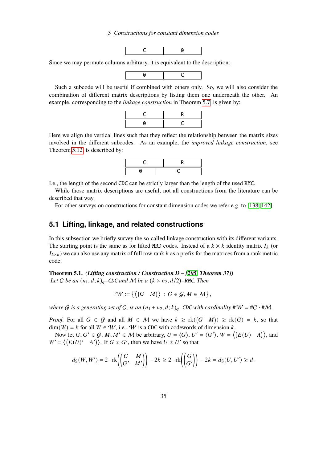### 5 Constructions for constant dimension codes



Since we may permute columns arbitrary, it is equivalent to the description:



Such a subcode will be useful if combined with others only. So, we will also consider the combination of different matrix descriptions by listing them one underneath the other. An example, corresponding to the *linkage construction* in Theorem [5.7,](#page-38-0) is given by:



Here we align the vertical lines such that they reflect the relationship between the matrix sizes involved in the different subcodes. As an example, the *improved linkage construction*, see Theorem [5.12,](#page-39-0) is described by:



I.e., the length of the second CDC can be strictly larger than the length of the used RMC.

While those matrix descriptions are useful, not all constructions from the literature can be described that way.

For other surveys on constructions for constant dimension codes we refer e.g. to [\[138,](#page-96-0) [142\]](#page-96-1).

## <span id="page-36-1"></span>**5.1 Lifting, linkage, and related constructions**

In this subsection we briefly survey the so-called linkage construction with its different variants. The starting point is the same as for lifted MRD codes. Instead of a  $k \times k$  identity matrix  $I_k$  (or  $I_{k \times k}$ ) we can also use any matrix of full row rank k as a prefix for the matrices from a rank metric code.

<span id="page-36-0"></span>**Theorem 5.1.** *(Lifting construction / Construction D – [\[205,](#page-101-0) Theorem 37]) Let C be an*  $(n_1, d; k)_q$ –*CDC and M be a*  $(k \times n_2, d/2)$ –*RMC. Then* 

 $W := \{ \langle (G \mid M) \rangle : G \in \mathcal{G}, M \in \mathcal{M} \},\$ 

*where* G is a generating set of C, is an  $(n_1 + n_2, d; k)_q$ –CDC with cardinality  $\#W = \#C \cdot \#M$ .

*Proof.* For all  $G \in \mathcal{G}$  and all  $M \in \mathcal{M}$  we have  $k \geq \text{rk}((G \mid M)) \geq \text{rk}(G) = k$ , so that  $\dim(W) = k$  for all  $W \in W$ , i.e., W is a CDC with codewords of dimension k.

Now let  $G, G' \in \mathcal{G}, M, M' \in \mathcal{M}$  be arbitrary,  $U = \langle G \rangle$ ,  $U' = \langle G' \rangle$ ,  $W = \langle (E(U) \cap A) \rangle$ , and  $W' = \langle (E(U)' \mid A') \rangle$ . If  $G \neq G'$ , then we have  $U \neq U'$  so that

$$
d_{\mathcal{S}}(W, W') = 2 \cdot \text{rk}\left(\begin{pmatrix} G & M \\ G' & M' \end{pmatrix}\right) - 2k \ge 2 \cdot \text{rk}\left(\begin{pmatrix} G \\ G' \end{pmatrix}\right) - 2k = d_{\mathcal{S}}(U, U') \ge d.
$$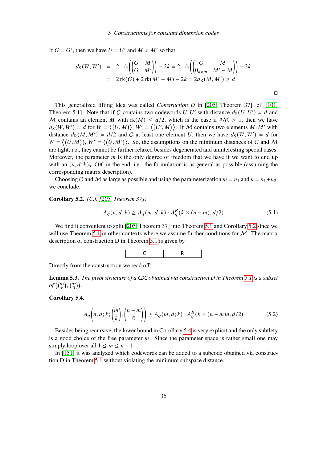If  $G = G'$ , then we have  $U = U'$  and  $M \neq M'$  so that

$$
d_S(W, W') = 2 \cdot \operatorname{rk} \left( \begin{pmatrix} G & M \\ G & M' \end{pmatrix} \right) - 2k = 2 \cdot \operatorname{rk} \left( \begin{pmatrix} G & M \\ \mathbf{0}_{k \times m} & M' - M \end{pmatrix} \right) - 2k
$$
  
= 2 \operatorname{rk}(G) + 2 \operatorname{rk}(M' - M) - 2k = 2d\_R(M, M') \ge d.

 $\Box$ 

This generalized lifting idea was called *Construction D* in [\[205,](#page-101-0) Theorem 37], cf. [\[101,](#page-93-0) Theorem 5.1]. Note that if C contains two codewords  $U, U'$  with distance  $d_S(U, U') = d$  and M contains an element M with rk(M)  $\leq d/2$ , which is the case if  $\#\mathcal{M} > 1$ , then we have  $d_S(W, W') = d$  for  $W = \langle (U, M) \rangle$ ,  $W' = \langle (U', M) \rangle$ . If M contains two elements M, M' with distance  $d_R(M, M') = d/2$  and C at least one element U, then we have  $d_S(W, W') = d$  for  $W = \langle (U, M) \rangle$ ,  $W' = \langle (U, M') \rangle$ . So, the assumptions on the minimum distances of C and M are tight, i.e., they cannot be further relaxed besides degenerated and uninteresting special cases. Moreover, the parameter  $m$  is the only degree of freedom that we have if we want to end up with an  $(n, d; k)$ <sub>q</sub>-CDC in the end, i.e., the formulation is as general as possible (assuming the corresponding matrix description).

Choosing C and M as large as possible and using the parameterization  $m = n_1$  and  $n = n_1 + n_2$ , we conclude:

<span id="page-37-0"></span>**Corollary 5.2.** *(C.f. [\[205,](#page-101-0) Theorem 37])*

$$
A_q(n, d; k) \ge A_q(m, d; k) \cdot A_q^R(k \times (n - m), d/2)
$$
 (5.1)

We find it convenient to split [\[205,](#page-101-0) Theorem 37] into Theorem [5.1](#page-36-0) and Corollary [5.2](#page-37-0) since we will use Theorem [5.1](#page-36-0) in other contexts where we assume further conditions for  $M$ . The matrix description of construction D in Theorem [5.1](#page-36-0) is given by



Directly from the construction we read off:

<span id="page-37-2"></span>**Lemma 5.3.** *The pivot structure of a* CDC *obtained via construction D in Theorem [5.1](#page-36-0) is a subset of*  $({n_1 \choose k}, {n_2 \choose 0})$ .

## <span id="page-37-1"></span>**Corollary 5.4.**

$$
A_q\left(n,d;k;\binom{m}{k},\binom{n-m}{0}\right) \ge A_q(m,d;k) \cdot A_q^R(k \times (n-m)n,d/2) \tag{5.2}
$$

Besides being recursive, the lower bound in Corollary [5.4](#page-37-1) is very explicit and the only subtlety is a good choice of the free parameter  $m$ . Since the parameter space is rather small one may simply loop over all  $1 \leq m \leq n - 1$ .

In [\[151\]](#page-97-0) it was analyzed which codewords can be added to a subcode obtained via construction D in Theorem [5.1](#page-36-0) without violating the minimum subspace distance.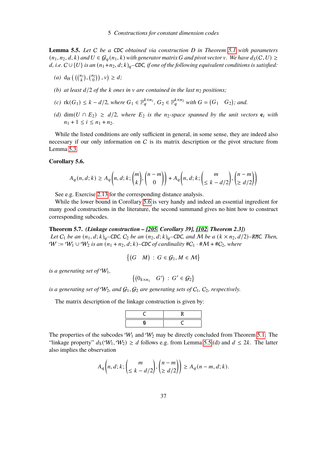<span id="page-38-2"></span>**Lemma 5.5.** *Let* C *be a* CDC *obtained via construction D in Theorem [5.1](#page-36-0) with parameters*  $(n_1, n_2, d, k)$  and  $U \in \mathcal{G}_a(n_1, k)$  with generator matrix G and pivot vector v. We have  $d_S(C, U) \geq$  $d, i.e. C \cup \{U\}$  *is an*  $(n_1+n_2, d; k)_q$ –CDC, if one of the following equivalent conditions is satisfied:

- (*a*)  $d_H\left(\binom{n_1}{k}, \binom{n_2}{0}\right), v \geq d;$
- *(b) at least*  $d/2$  *of the k ones in*  $\nu$  *are contained in the last*  $n_2$  *positions;*
- *(c)*  $rk(G_1) \leq k d/2$ , where  $G_1 \in \mathbb{F}_q^{k \times n_1}$ ,  $G_2 \in \mathbb{F}_q^{k \times n_2}$  with  $G = (G_1 \ G_2)$ ; and.
- *(d)* dim( $U$  ∩  $E_2$ ) ≥  $d/2$ , where  $E_2$  is the n<sub>2</sub>-space spanned by the unit vectors  $e_i$  with  $n_1 + 1 \leq i \leq n_1 + n_2$ .

While the listed conditions are only sufficient in general, in some sense, they are indeed also necessary if our only information on  $C$  is its matrix description or the pivot structure from Lemma [5.3.](#page-37-2)

### <span id="page-38-1"></span>**Corollary 5.6.**

$$
A_q(n, d; k) \ge A_q\left(n, d; k; \binom{m}{k}, \binom{n-m}{0}\right) + A_q\left(n, d; k; \binom{m}{\le k - d/2}, \binom{n-m}{\ge d/2}\right)
$$

See e.g. Exercise [2.13](#page-8-0) for the corresponding distance analysis.

While the lower bound in Corollary [5.6](#page-38-1) is very handy and indeed an essential ingredient for many good constructions in the literature, the second summand gives no hint how to construct corresponding subcodes.

#### <span id="page-38-0"></span>**Theorem 5.7.** *(Linkage construction – [\[205,](#page-101-0) Corollary 39], [\[102,](#page-93-1) Theorem 2.3])*

*Let*  $C_1$  *be an*  $(n_1, d; k)_q$ –CDC,  $C_2$  *be an*  $(n_2, d; k)_q$ –CDC, and M *be a*  $(k \times n_2, d/2)$ –RMC. Then,  $W := W_1 \cup W_2$  *is an*  $(n_1 + n_2, d; k)$ –CDC of cardinality #C<sub>1</sub> · #M + #C<sub>2</sub>*, where* 

$$
\{(G \mid M) : G \in \mathcal{G}_1, M \in \mathcal{M}\}\
$$

*is a generating set of*  $W_1$ ,

$$
\left\{ \begin{pmatrix} 0_{k\times n_1} & G' \end{pmatrix} : G' \in \mathcal{G}_2 \right\}
$$

is a generating set of  $W_2$ , and  $G_1, G_2$  are generating sets of  $C_1, C_2$ , respectively.

The matrix description of the linkage construction is given by:

The properties of the subcodes  $W_1$  and  $W_2$  may be directly concluded from Theorem [5.1.](#page-36-0) The "linkage property"  $d_S(\mathcal{W}_1, \mathcal{W}_2) \geq d$  follows e.g. from Lemma [5.5.](#page-38-2)(d) and  $d \leq 2k$ . The latter also implies the observation

$$
A_q\bigg(n,d;k;\binom{m}{\leq k-d/2},\binom{n-m}{\geq d/2}\bigg)\geq A_q(n-m,d;k).
$$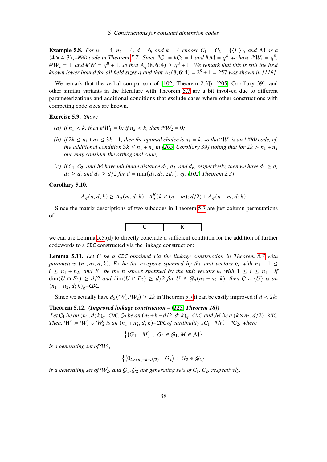**Example 5.8.** *For*  $n_1 = 4$ *,*  $n_2 = 4$ *,*  $d = 6$ *,* and  $k = 4$  *choose*  $C_1 = C_2 = \{\langle I_4 \rangle\}$ *, and* M *as a*  $(4 \times 4, 3)_q$ <sup>*–*</sup>MRD *code in Theorem [5.7.](#page-38-0)* Since  $\#C_1 = \#C_2 = 1$  *and*  $\#M = q^8$  *we have*  $\#W_1 = q^8$ *,*  $\#W_2 = 1$ , and  $\#W = q^8 + 1$ , so that  $A_q(8, 6; 4) \ge q^8 + 1$ . We remark that this is still the best known lower bound for all field sizes q and that  $A_2(8, 6; 4) = 2^8 + 1 = 257$  was shown in [\[119\]](#page-95-0).

We remark that the verbal comparison of [\[102,](#page-93-1) Theorem 2.3]), [\[205,](#page-101-0) Corollary 39], and other similar variants in the literature with Theorem [5.7](#page-38-0) are a bit involved due to different parameterizations and additional conditions that exclude cases where other constructions with competing code sizes are known.

**Exercise 5.9.** *Show:*

- (a) *if*  $n_1 < k$ *, then*  $\#W_1 = 0$ *; if*  $n_2 < k$ *, then*  $\#W_2 = 0$ *;*
- *(b)* if  $2k \leq n_1 + n_2 \leq 3k 1$ , then the optimal choice is  $n_1 = k$ , so that  $W_1$  *is an* LMRD code, cf. *the additional condition*  $3k \leq n_1 + n_2$  *in [\[205,](#page-101-0) Corollary 39] noting that for*  $2k > n_1 + n_2$ *one may consider the orthogonal code;*
- *(c) if*  $C_1$ ,  $C_2$ , and M have minimum distance  $d_1$ ,  $d_2$ , and  $d_r$ , respectively, then we have  $d_1 \geq d$ ,  $d_2 \geq d$ , and  $d_r \geq d/2$  for  $d = \min\{d_1, d_2, 2d_r\}$ , cf. [\[102,](#page-93-1) Theorem 2.3].

## **Corollary 5.10.**

$$
A_q(n, d; k) \ge A_q(m, d; k) \cdot A_q^R(k \times (n-m); d/2) + A_q(n-m, d; k)
$$

Since the matrix descriptions of two subcodes in Theorem [5.7](#page-38-0) are just column permutations of



we can use Lemma [5.5.](#page-38-2)(d) to directly conclude a sufficient condition for the addition of further codewords to a CDC constructed via the linkage construction:

<span id="page-39-1"></span>**Lemma 5.11.** *Let* C *be a* CDC *obtained via the linkage construction in Theorem [5.7](#page-38-0) with parameters*  $(n_1, n_2, d, k)$ ,  $E_2$  *be the*  $n_2$ *-space spanned by the unit vectors*  $e_i$  *with*  $n_1 + 1 \leq$  $i \leq n_1 + n_2$ , and  $E_1$  be the  $n_1$ -space spanned by the unit vectors  $e_i$  with  $1 \leq i \leq n_1$ . If dim( $U \cap E_1$ ) ≥  $d/2$  *and* dim( $U \cap E_2$ ) ≥  $d/2$  *for*  $U \in \mathcal{G}_q(n_1 + n_2, k)$ *, then*  $C \cup \{U\}$  *is an*  $(n_1 + n_2, d; k)_a$ –CDC.

Since we actually have  $d_S(\mathcal{W}_1, \mathcal{W}_2) \geq 2k$  in Theorem [5.7](#page-38-0) it can be easily improved if  $d < 2k$ :

#### <span id="page-39-0"></span>**Theorem 5.12.** *(Improved linkage construction – [\[125,](#page-95-1) Theorem 18])*

*Let*  $C_1$  *be an*  $(n_1, d; k)_a$ –CDC,  $C_2$  *be an*  $(n_2 + k - d/2, d; k)_a$ –CDC, and M *be a*  $(k \times n_2, d/2)$ –RMC. *Then,*  $W := W_1 \cup W_2$  *is an*  $(n_1 + n_2, d; k)$ –CDC of cardinality  $\#C_1 \cdot \#M + \#C_2$ , where

$$
\{(G_1 \mid M) : G_1 \in \mathcal{G}_1, M \in \mathcal{M}\}\
$$

*is a generating set of*  $W_1$ ,

$$
\{(0_{k\times(n_1-k+d/2)} \quad G_2) : G_2 \in \mathcal{G}_2\}
$$

*is a generating set of*  $W_2$ *, and*  $G_1$ *,*  $G_2$  *are generating sets of*  $C_1$ *,*  $C_2$ *, respectively.*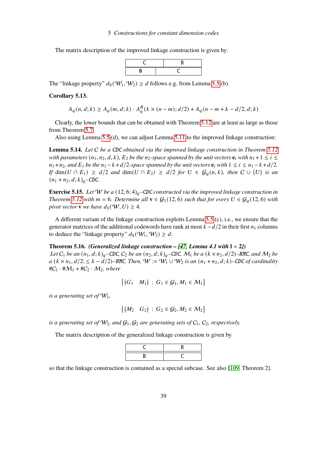### 5 Constructions for constant dimension codes

The matrix description of the improved linkage construction is given by:



The "linkage property"  $d_S(\mathcal{W}_1, \mathcal{W}_2) \ge d$  follows e.g. from Lemma [5.5.](#page-38-2)(b).

### **Corollary 5.13.**

$$
A_q(n, d; k) \ge A_q(m, d; k) \cdot A_q^R(k \times (n-m); d/2) + A_q(n-m+k-d/2, d; k)
$$

Clearly, the lower bounds that can be obtained with Theorem [5.12](#page-39-0) are at least as large as those from Theorem [5.7.](#page-38-0)

Also using Lemma [5.5.](#page-38-2)(d), we can adjust Lemma [5.11](#page-39-1) to the improved linkage construction:

**Lemma 5.14.** *Let* C *be a* CDC *obtained via the improved linkage construction in Theorem [5.12](#page-39-0) with parameters*  $(n_1, n_2, d, k)$ *,*  $E_2$  *be the n<sub>2</sub>-space spanned by the unit vectors*  $\mathbf{e}_i$  *with*  $n_1 + 1 \le i \le n$  $n_1 + n_2$ *, and*  $E_1$  *be the*  $n_1 - k + d/2$ *-space spanned by the unit vectors*  $e_i$  *with*  $1 \le i \le n_1 - k + d/2$ *. If* dim( $U \cap E_1$ ) ≥  $d/2$  *and* dim( $U \cap E_2$ ) ≥  $d/2$  *for*  $U \in \mathcal{G}_a(n,k)$ *, then*  $C \cup \{U\}$  *is an*  $(n_1 + n_2, d; k)_q$ –CDC.

**Exercise 5.15.** Let W be a  $(12, 6; 4)_q$ –CDC constructed via the improved linkage construction in *Theorem* [5.12](#page-39-0) *with*  $m = 6$ *. Determine all*  $\mathbf{v} \in \mathcal{G}_1(12, 6)$  *such that for every*  $U \in \mathcal{G}_q(12, 6)$  *with pivot vector* **v** *we have*  $d_S(\mathcal{W}, U) \geq 4$ *.* 

A different variant of the linkage construction exploits Lemma [5.5.](#page-38-2)(c), i.e., we ensure that the generator matrices of the additional codewords have rank at most  $k - d/2$  in their first  $n_1$  columns to deduce the "linkage property"  $d_S(\mathcal{W}_1, \mathcal{W}_2) \geq d$ :

### <span id="page-40-0"></span>**Theorem 5.16.** *(Generalized linkage construction – [\[47,](#page-90-0) Lemma 4.1 with*  $l = 2j$ *)*

*Let*  $C_1$  *be an*  $(n_1, d; k)_q$ –CDC,  $C_2$  *be an*  $(n_2, d; k)_q$ –CDC,  $M_1$  *be a*  $(k \times n_2, d/2)$ –RMC, and  $M_2$  *be a* ( $k \times n_1$ ,  $d/2$ ; ≤  $k - d/2$ )–RMC. Then,  $W := W_1 \cup W_2$  *is an* ( $n_1 + n_2$ ,  $d$ ;  $k$ )–CDC of cardinality  $\#C_1 \cdot \#M_1 + \#C_2 \cdot M_2$ , where

$$
\{(G_1 \quad M_1) \,:\, G_1 \in \mathcal{G}_1, M_1 \in \mathcal{M}_1\}
$$

*is a generating set of*  $W_1$ ,

$$
\{(M_2 \quad G_2) \,:\, G_2 \in \mathcal{G}_2, M_2 \in \mathcal{M}_2\}
$$

*is a generating set of*  $W_2$ *, and*  $G_1$ *,*  $G_2$  *are generating sets of*  $C_1$ *,*  $C_2$ *, respectively.* 

The matrix description of the generalized linkage construction is given by



so that the linkage construction is contained as a special subcase. See also [\[109,](#page-94-0) Theorem 2].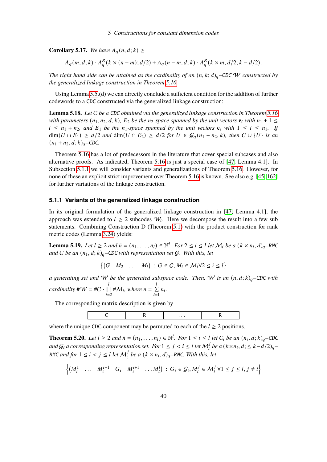**Corollary 5.17.** *We have*  $A_q(n, d; k) \geq$ 

$$
A_q(m, d; k) \cdot A_q^R(k \times (n-m); d/2) + A_q(n-m, d; k) \cdot A_q^R(k \times m; d/2; k - d/2).
$$

*The right hand side can be attained as the cardinality of an*  $(n, k; d)_q$ –CDC *W constructed by the generalized linkage construction in Theorem [5.16.](#page-40-0)*

Using Lemma [5.5.](#page-38-2)(d) we can directly conclude a sufficient condition for the addition of further codewords to a CDC constructed via the generalized linkage construction:

<span id="page-41-3"></span>**Lemma 5.18.** *Let* C *be a* CDC *obtained via the generalized linkage construction in Theorem [5.16](#page-40-0) with parameters*  $(n_1, n_2, d, k)$ ,  $E_2$  *be the*  $n_2$ -space spanned by the unit vectors  $e_i$  with  $n_1 + 1 \leq$  $i \leq n_1 + n_2$ , and  $E_1$  be the  $n_1$ -space spanned by the unit vectors  $e_i$  with  $1 \leq i \leq n_1$ . If dim( $U \cap E_1$ ) ≥  $d/2$  *and* dim( $U \cap E_2$ ) ≥  $d/2$  *for*  $U \in \mathcal{G}_q(n_1 + n_2, k)$ *, then*  $C \cup \{U\}$  *is an*  $(n_1 + n_2, d; k)_a$ –CDC.

Theorem [5.16](#page-40-0) has a lot of predecessors in the literature that cover special subcases and also alternative proofs. As indicated, Theorem [5.16](#page-40-0) is just a special case of [\[47,](#page-90-0) Lemma 4.1]. In Subsection [5.1.1](#page-41-0) we will consider variants and generalizations of Theorem [5.16.](#page-40-0) However, for none of these an explicit strict improvement over Theorem [5.16](#page-40-0) is known. See also e.g. [\[45,](#page-90-1) [162\]](#page-98-0) for further variations of the linkage construction.

## <span id="page-41-0"></span>**5.1.1 Variants of the generalized linkage construction**

In its original formulation of the generalized linkage construction in [\[47,](#page-90-0) Lemma 4.1], the approach was extended to  $l \geq 2$  subcodes  $W_l$ . Here we decompose the result into a few sub statements. Combining Construction D (Theorem [5.1\)](#page-36-0) with the product construction for rank metric codes (Lemma [3.24\)](#page-16-0) yields:

<span id="page-41-1"></span>**Lemma 5.19.** Let  $l \geq 2$  and  $\bar{n} = (n_1, \ldots, n_l) \in \mathbb{N}^l$ . For  $2 \leq i \leq l$  let  $M_i$  be a  $(k \times n_i, d)_q$ -RMC *and C be an*  $(n_1, d; k)_q$ –CDC *with representation set G. With this, let* 

$$
\{(G \quad M_2 \quad \dots \quad M_l) \,:\, G \in \mathcal{C}, M_i \in \mathcal{M}_i \, \forall 2 \leq i \leq l\}
$$

*a* generating set and W be the generated subspace code. Then, W is an  $(n, d; k)$ <sub>q</sub>-CDC with *cardinality*  $\#W = \#C \cdot \prod$  $\iota$  $\overline{i}$ =2 # $M_i$ , where  $n = \sum_{i=1}^{n}$  $\iota$  $\sum_{i=1}$  $n_i$ .

The corresponding matrix description is given by

C R . . . R

where the unique CDC-component may be permuted to each of the  $l \geq 2$  positions.

<span id="page-41-2"></span>**Theorem 5.20.** Let  $l \geq 2$  and  $\bar{n} = (n_1, \ldots, n_l) \in \mathbb{N}^l$ . For  $1 \leq i \leq l$  let  $C_i$  be an  $(n_i, d; k)_q$ -CDC and  $G_i$  a corresponding representation set. For  $1 \leq j \leq i \leq l$  let  $\mathcal{M}_i^j$  be a  $(k \times n_i, d; \leq k - d/2)_q$ RMC and for  $1 \leq i < j \leq l$  let  $\mathcal{M}_i^j$  be a  $(k \times n_i, d)_q$ -RMC. With this, let

$$
\left\{ \begin{pmatrix} M_i^1 & \dots & M_i^{i-1} & G_i & M_i^{i+1} & \dots & M_i^l \end{pmatrix} \, : \, G_i \in \mathcal{G}_i, M_i^j \in \mathcal{M}_i^j \, \forall 1 \leq j \leq l, j \neq i \right\}
$$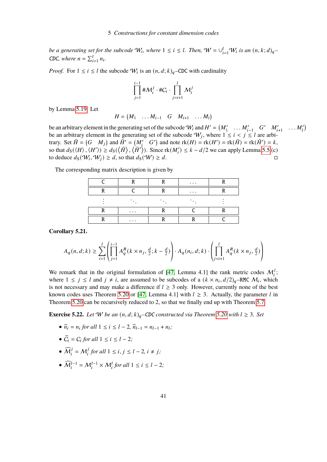*be a generating set for the subcode*  $W_i$ , where  $1 \leq i \leq l$ . Then,  $W = \bigcup_{i=1}^{l} W_i$  is an  $(n, k; d)_q$ CDC, where  $n = \sum_{i=1}^{l} n_i$ .

*Proof.* For  $1 \le i \le l$  the subcode  $W_i$  is an  $(n, d; k)_q$ –CDC with cardinality

$$
\prod_{j=1}^{i-1} \# \mathcal{M}_i^j \cdot \# C_i \cdot \prod_{j=i+1}^l \mathcal{M}_i^j
$$

by Lemma [5.19.](#page-41-1) Let

$$
H = \begin{pmatrix} M_1 & \dots & M_{i-1} & G & M_{i+1} & \dots & M_l \end{pmatrix}
$$

be an arbitrary element in the generating set of the subcode  $W_i$  and  $H' = (M'_1 \dots M'_{i-1} \dots M'_{i+1} \dots M'_l)$ be an arbitrary element in the generating set of the subcode  $W_j$ , where  $1 \le i \le j \le l$  are arbitrary. Set  $\overline{H} = (G \ M_j)$  and  $\overline{H}' = (M'_i \ G')$  and note  $rk(H) = rk(H') = rk(\overline{H}) = rk(\overline{H}') = k$ , so that  $d_S(\langle H \rangle, \langle H' \rangle) \geq d_S(\langle \bar{H} \rangle, \langle \bar{H'} \rangle)$ . Since  $\text{rk}(M_i') \leq k - d/2$  we can apply Lemma [5.5.](#page-38-2)(c) to deduce  $d_S(\mathcal{W}_i, \mathcal{W}_j) \geq d$ , so that  $d_S(\mathcal{W}) \geq d$ .

|          | $\cdots$ |  |
|----------|----------|--|
|          | $\cdots$ |  |
|          |          |  |
| $\cdots$ |          |  |
| $\cdots$ |          |  |

The corresponding matrix description is given by

**Corollary 5.21.**

$$
A_q(n, d; k) \ge \sum_{i=1}^l \left( \prod_{j=1}^{i-1} A_q^R(k \times n_j, \frac{d}{2}; k - \frac{d}{2}) \right) \cdot A_q(n_i, d; k) \cdot \left( \prod_{j=i+1}^l A_q^R(k \times n_j, \frac{d}{2}) \right)
$$

We remark that in the original formulation of [\[47,](#page-90-0) Lemma 4.1] the rank metric codes  $M_i^j$ ; where  $1 \leq j \leq l$  and  $j \neq i$ , are assumed to be subcodes of a  $(k \times n_i, d/2)_q$ -RMC  $M_i$ , which is not necessary and may make a difference if  $l \geq 3$  only. However, currently none of the best known codes uses Theorem [5.20](#page-41-2) or [\[47,](#page-90-0) Lemma 4.1] with  $l \geq 3$ . Actually, the parameter l in Theorem [5.20](#page-41-2) can be recursively reduced to 2, so that we finally end up with Theorem [5.7:](#page-38-0)

**Exercise 5.22.** *Let* W *be an*  $(n, d; k)_{q}$ –CDC *constructed via Theorem* [5.20](#page-41-2) *with*  $l \geq 3$ *. Set* 

- $\hat{n}_i = n_i$  *for all*  $1 \le i \le l 2$ ,  $\hat{n}_{l-1} = n_{l-1} + n_l$ ;
- $\widehat{C}_i = C_i$  for all  $1 \leq i \leq l-2$ ;
- $\widehat{M}_i^j = M_i^j$  for all  $1 \le i, j \le l-2, i \ne j$ ;
- $\widehat{\mathcal{M}}_i^{l-1} = \mathcal{M}_i^{l-1} \times \mathcal{M}_i^l$  for all  $1 \le i \le l-2$ ;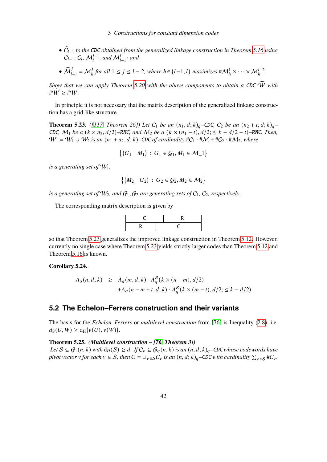- *•* <sup>C</sup>b𝑙−<sup>1</sup> *to the* CDC *obtained from the generalized linkage construction in Theorem [5.16](#page-40-0) using*  $C_{l-1}$ *,*  $C_l$ *,*  $M_l^{l-1}$ *, and*  $M_{l-1}^l$ *; and*
- $\widehat{\mathcal{M}}_{l-1}^j = \mathcal{M}_h^j$  for all  $1 \leq j \leq l-2$ , where  $h \in \{l-1, l\}$  maximizes  $\#\mathcal{M}_h^1 \times \cdots \times \mathcal{M}_h^{l-2}$ .

*Show that we can apply Theorem [5.20](#page-41-2) with the above components to obtain a CDC*  $\widehat{W}$  *with* # $\widehat{W} \geq \#W$ .

In principle it is not necessary that the matrix description of the generalized linkage construction has a grid-like structure.

<span id="page-43-0"></span>**Theorem 5.23.** *(*[\[117,](#page-94-1) *Theorem 26])* Let  $C_1$  be an  $(n_1, d; k)_q$ –CDC,  $C_2$  be an  $(n_2 + t, d; k)_q$ – CDC,  $M_1$  *be a* ( $k \times n_2$ ,  $d/2$ )–RMC, and  $M_2$  *be a* ( $k \times (n_1 - t)$ ,  $d/2$ ; ≤  $k - d/2 - t$ )–RMC. Then,  $W := W_1 \cup W_2$  *is an*  $(n_1 + n_2, d; k)$ –CDC of cardinality  $\#C_1 \cdot \#M + \#C_2 \cdot \#M_2$ , where

$$
\{(G_1 \quad M_1) \,:\, G_1 \in \mathcal{G}_1, M_1 \in \mathcal{M}_-1\}
$$

*is a generating set of*  $W_1$ ,

$$
\{(M_2 \quad G_2) \,:\, G_2 \in \mathcal{G}_2, M_2 \in \mathcal{M}_2\}
$$

*is a generating set of*  $W_2$ *, and*  $G_1$ *,*  $G_2$  *are generating sets of*  $C_1$ *,*  $C_2$ *, respectively.* 

The corresponding matrix description is given by



so that Theorem [5.23](#page-43-0) generalizes the improved linkage construction in Theorem [5.12.](#page-39-0) However, currently no single case where Theorem [5.23](#page-43-0) yields strictly larger codes than Theorem [5.12](#page-39-0) and Theorem [5.16](#page-40-0) is known.

## **Corollary 5.24.**

$$
A_q(n, d; k) \geq A_q(m, d; k) \cdot A_q^R(k \times (n - m), d/2)
$$
  
+
$$
A_q(n - m + t, d; k) \cdot A_q^R(k \times (m - t), d/2; \leq k - d/2)
$$

# **5.2 The Echelon–Ferrers construction and their variants**

The basis for the *Echelon–Ferrers* or *multilevel construction* from [\[76\]](#page-92-0) is Inequality [\(2.8\)](#page-7-0), i.e.  $d_S(U, W) \geq d_H(\nu(U), \nu(W)).$ 

## <span id="page-43-1"></span>**Theorem 5.25.** *(Multilevel construction – [\[76,](#page-92-0) Theorem 3])*

*Let*  $S \subseteq G_1(n,k)$  *with*  $d_H(S) \ge d$ *. If*  $C_v ⊆ G_q(n,k)$  *is an*  $(n, d; k)_q$ –CDC *whose codewords have pivot vector v for each*  $v \in S$ , then  $C = \cup_{v \in S} \hat{C_v}$  *is an*  $(n, d; k)_q$ –CDC with cardinality  $\sum_{v \in S} \#C_v$ .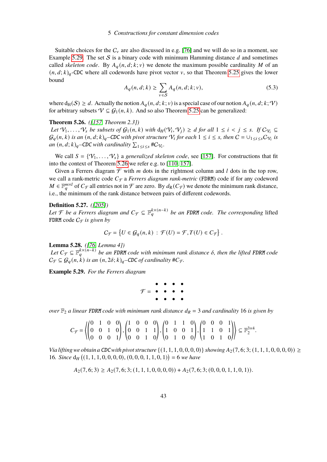## 5 Constructions for constant dimension codes

Suitable choices for the  $C_v$  are also discussed in e.g. [\[76\]](#page-92-0) and we will do so in a moment, see Example [5.29.](#page-44-0) The set S is a binary code with minimum Hamming distance  $d$  and sometimes called *skeleton code*. By  $A_q(n, d; k; v)$  we denote the maximum possible cardinality M of an  $(n, d, k)_q$ -CDC where all codewords have pivot vector v, so that Theorem [5.25](#page-43-1) gives the lower bound

$$
A_q(n, d; k) \ge \sum_{v \in S} A_q(n, d; k; v), \tag{5.3}
$$

where  $d_H(S) \geq d$ . Actually the notion  $A_q(n, d; k; v)$  is a special case of our notion  $A_q(n, d; k; V)$ for arbitrary subsets  $V \subseteq G_1(n, k)$ . And so also Theorem [5.25](#page-43-1) can be generalized:

<span id="page-44-1"></span>**Theorem 5.26.** *([\[157,](#page-97-1) Theorem 2.3])*

*Let*  $\mathcal{V}_1, \ldots, \mathcal{V}_s$  *be subsets of*  $\mathcal{G}_1(n, k)$  *with*  $d_H(\mathcal{V}_i, \mathcal{V}_j) \geq d$  *for all*  $1 \leq i \leq j \leq s$ . If  $C_{\mathcal{V}_i} \subseteq$  $\mathcal{G}_q(n,k)$  is an  $(n,d;k)_q$ –CDC with pivot structure  $\mathcal{V}_i$  for each  $1 \leq i \leq s$ , then  $C = \cup_{1 \leq i \leq s} C_{\mathcal{V}_i}$  is  $an (n, d; k)$ <sub>q</sub>–CDC with cardinality  $\sum_{1 \leq i \leq s}$ #C<sub>Vi</sub>.

We call  $S = \{V_1, \ldots, V_s\}$  a *generalized skeleton code*, see [\[157\]](#page-97-1). For constructions that fit into the context of Theorem [5.26](#page-44-1) we refer e.g. to [\[110,](#page-94-2) [157\]](#page-97-1).

Given a Ferrers diagram  $\mathcal F$  with m dots in the rightmost column and l dots in the top row, we call a rank-metric code  $C_f$  a *Ferrers diagram rank-metric* (FDRM) code if for any codeword  $M \in \mathbb{F}_q^{m \times l}$  of  $C_{\mathcal{F}}$  all entries not in  $\mathcal{F}$  are zero. By  $d_R(C_{\mathcal{F}})$  we denote the minimum rank distance, i.e., the minimum of the rank distance between pairs of different codewords.

#### **Definition 5.27.** *([\[205\]](#page-101-0))*

*Let*  $\mathcal F$  *be a Ferrers diagram and*  $C_{\mathcal F} \subseteq \mathbb F_q^{k \times (n-k)}$  *be an FDRM code. The corresponding* lifted FDRM code  $C_{\mathcal{F}}$  *is given by* 

$$
C_{\mathcal{F}} = \{ U \in \mathcal{G}_q(n,k) : \mathcal{F}(U) = \mathcal{F}, T(U) \in C_{\mathcal{F}} \}.
$$

<span id="page-44-2"></span>**Lemma 5.28.** *([\[76,](#page-92-0) Lemma 4])*

Let  $C_{\mathcal{F}} \subseteq \mathbb{F}_q^{k \times (n-k)}$  be an FDRM code with minimum rank distance  $\delta$ , then the lifted FDRM code  $C_{\mathcal{F}} \subseteq \mathcal{G}_q(n,k)$  is an  $(n,2\delta;k)_q$ –CDC of cardinality # $C_{\mathcal{F}}$ .

<span id="page-44-0"></span>**Example 5.29.** *For the Ferrers diagram*

$$
\mathcal{F} = \begin{array}{cccccc} \bullet & \bullet & \bullet & \bullet & \bullet \\ \bullet & \bullet & \bullet & \bullet & \bullet \\ \bullet & \bullet & \bullet & \bullet & \bullet \end{array}
$$

*over*  $\mathbb{F}_2$  *a linear* FDRM *code with minimum rank distance*  $d_R = 3$  *and cardinality* 16 *is given by* 

$$
C_{\mathcal{F}} = \left\langle \begin{pmatrix} 0 & 1 & 0 & 0 \\ 0 & 0 & 1 & 0 \\ 0 & 0 & 0 & 1 \end{pmatrix}, \begin{pmatrix} 1 & 0 & 0 & 0 \\ 0 & 0 & 1 & 1 \\ 0 & 0 & 1 & 0 \end{pmatrix}, \begin{pmatrix} 0 & 1 & 1 & 0 \\ 1 & 0 & 0 & 1 \\ 0 & 1 & 0 & 0 \end{pmatrix}, \begin{pmatrix} 0 & 0 & 0 & 1 \\ 1 & 1 & 0 & 1 \\ 1 & 0 & 1 & 0 \end{pmatrix} \right\rangle \subseteq \mathbb{F}_2^{3 \times 4}.
$$

*Via lifting we obtain a* CDC with pivot structure  $\{(1, 1, 1, 0, 0, 0, 0)\}$  *showing*  $A_2(7, 6; 3; (1, 1, 1, 0, 0, 0, 0)) \ge$ 16*. Since*  $d_H$   $((1, 1, 1, 0, 0, 0, 0), (0, 0, 0, 1, 1, 0, 1)) = 6$  *we have* 

$$
A_2(7,6;3) \ge A_2(7,6;3;(1,1,1,0,0,0,0)) + A_2(7,6;3;(0,0,0,1,1,0,1)).
$$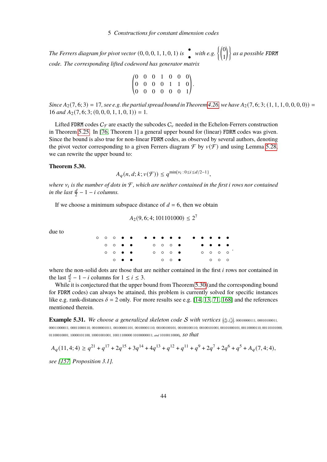The Ferrers diagram for pivot vector  $(0, 0, 0, 1, 1, 0, 1)$  is  $\bullet$  with e.g.  $\left\{\begin{pmatrix} 0 \ 1 \end{pmatrix}\right\}$  as a possible FDRM *code. The corresponding lifted codeword has generator matrix*

$$
\begin{pmatrix} 0 & 0 & 0 & 1 & 0 & 0 & 0 \\ 0 & 0 & 0 & 0 & 1 & 1 & 0 \\ 0 & 0 & 0 & 0 & 0 & 0 & 1 \end{pmatrix}.
$$

*Since*  $A_2(7, 6; 3) = 17$ , see e.g. the partial spread bound in Theorem [4.26,](#page-28-0) we have  $A_2(7, 6; 3; (1, 1, 1, 0, 0, 0, 0)) =$  $16$  *and*  $A_2$  (7, 6; 3; (0, 0, 0, 1, 1, 0, 1)) = 1.

 $^{\prime}$ 

Lifted FDRM codes  $C_f$  are exactly the subcodes  $C_v$  needed in the Echelon-Ferrers construction in Theorem [5.25.](#page-43-1) In [\[76,](#page-92-0) Theorem 1] a general upper bound for (linear) FDRM codes was given. Since the bound is also true for non-linear FDRM codes, as observed by several authors, denoting the pivot vector corresponding to a given Ferrers diagram  $\mathcal F$  by  $v(\mathcal F)$  and using Lemma [5.28,](#page-44-2) we can rewrite the upper bound to:

### <span id="page-45-0"></span>**Theorem 5.30.**

$$
A_q(n, d; k; v(\mathcal{F})) \le q^{\min\{\nu_i : 0 \le i \le d/2 - 1\}},
$$

*where* 𝜈<sup>𝑖</sup> *is the number of dots in* F*, which are neither contained in the first* 𝑖 *rows nor contained in the last*  $\frac{d}{2} - 1 - i$  *columns.* 

If we choose a minimum subspace distance of  $d = 6$ , then we obtain

«

$$
A_2(9, 6; 4; 101101000) \le 2^7
$$

due to

|  |                                     |  |  |                                   |  | 。。。。 <b>。。。。。。。。。</b> 。。。。。。       |                                                                                       |  |  |
|--|-------------------------------------|--|--|-----------------------------------|--|------------------------------------|---------------------------------------------------------------------------------------|--|--|
|  |                                     |  |  |                                   |  | ○ ○ ● ●     ○ ○ ○ ● <b>● ● ● ●</b> |                                                                                       |  |  |
|  | $\circ$ $\circ$ $\bullet$ $\bullet$ |  |  | $\circ$ $\circ$ $\circ$ $\bullet$ |  |                                    | $\circ$ $\circ$ $\circ$ $\circ$                                                       |  |  |
|  | $\circ\bullet\bullet$               |  |  | $\circ$ $\circ$ $\bullet$         |  |                                    | $\begin{array}{cccccccc}\n\bullet & \bullet & \bullet & \bullet & \bullet\end{array}$ |  |  |

where the non-solid dots are those that are neither contained in the first  $i$  rows nor contained in the last  $\frac{d}{2} - 1 - i$  columns for  $1 \le i \le 3$ .

While it is conjectured that the upper bound from Theorem [5.30](#page-45-0) (and the corresponding bound for FDRM codes) can always be attained, this problem is currently solved for specific instances like e.g. rank-distances  $\delta = 2$  only. For more results see e.g. [\[14,](#page-88-0) [13,](#page-88-1) [71,](#page-91-0) [168\]](#page-98-1) and the references mentioned therein.

**Example 5.31.** We choose a generalized skeleton code S with vertices  $\binom{4}{0}, \binom{7}{4}$ , 00010000111, 00010100011, 00011000011*,* 00011000110*,* 00100001011*,* 00100001101*,* 00100001110*,* 00100100101*,* 00100100110*,* 00100101001*,* 00101000101*,* 00110000110*,* 00110101000*,* <sup>01100010001</sup>*,* <sup>10000101100</sup>*,* <sup>10001001001</sup>*,* 10011100000 10100000011*, and* <sup>10100110000</sup>*, so that*

 $A_q(11, 4; 4) \ge q^{21} + q^{17} + 2q^{15} + 3q^{14} + 4q^{13} + q^{12} + q^{11} + q^9 + 2q^7 + 2q^6 + q^5 + A_q(7, 4; 4),$ 

*see [\[157,](#page-97-1) Proposition 3.1].*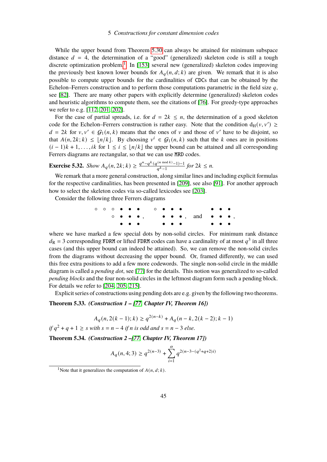## 5 Constructions for constant dimension codes

While the upper bound from Theorem [5.30](#page-45-0) can always be attained for minimum subspace distance  $d = 4$ , the determination of a "good" (generalized) skeleton code is still a tough discrete optimization problem.<sup>[1](#page-0-0)</sup> In [\[153\]](#page-97-2) several new (generalized) skeleton codes improving the previously best known lower bounds for  $A_q(n, d; k)$  are given. We remark that it is also possible to compute upper bounds for the cardinalities of CDCs that can be obtained by the Echelon–Ferrers construction and to perform those computations parametric in the field size  $q$ , see [\[82\]](#page-92-1). There are many other papers with explicitly determine (generalized) skeleton codes and heuristic algorithms to compute them, see the citations of [\[76\]](#page-92-0). For greedy-type approaches we refer to e.g. [\[112,](#page-94-3) [201,](#page-100-0) [202\]](#page-101-1).

For the case of partial spreads, i.e. for  $d = 2k \le n$ , the determination of a good skeleton code for the Echelon–Ferrers construction is rather easy. Note that the condition  $d_H(v, v') \ge$  $d = 2k$  for  $v, v' \in G_1(n, k)$  means that the ones of v and those of v' have to be disjoint, so that  $A(n, 2k; k) \leq \lfloor n/k \rfloor$ . By choosing  $v^i \in G_1(n, k)$  such that the k ones are in positions  $(i-1)k + 1, \ldots, ik$  for  $1 \le i \le |n/k|$  the upper bound can be attained and all corresponding Ferrers diagrams are rectangular, so that we can use MRD codes.

**Exercise 5.32.** Show 
$$
A_q(n, 2k; k) \ge \frac{q^n - q^k (q^{(n \mod k)} - 1) - 1}{q^{k} - 1}
$$
 for  $2k \le n$ .

We remark that a more general construction, along similar lines and including explicit formulas for the respective cardinalities, has been presented in [\[209\]](#page-101-2), see also [\[91\]](#page-93-2). For another approach how to select the skeleton codes via so-called lexicodes see [\[203\]](#page-101-3).

Consider the following three Ferrers diagrams

◦ ◦ ◦ • • • ◦ • • • • • • , ◦ • • • • • • • • • , and • • • • • • • • • ,

where we have marked a few special dots by non-solid circles. For minimum rank distance  $d_{\rm R}$  = 3 corresponding FDRM or lifted FDRM codes can have a cardinality of at most  $q^3$  in all three cases (and this upper bound can indeed be attained). So, we can remove the non-solid circles from the diagrams without decreasing the upper bound. Or, framed differently, we can used this free extra positions to add a few more codewords. The single non-solid circle in the middle diagram is called a *pending dot*, see [\[77\]](#page-92-2) for the details. This notion was generalized to so-called *pending blocks* and the four non-solid circles in the leftmost diagram form such a pending block. For details we refer to [\[204,](#page-101-4) [205,](#page-101-0) [215\]](#page-101-5).

Explicit series of constructions using pending dots are e.g. given by the following two theorems.

## <span id="page-46-0"></span>**Theorem 5.33.** *(Construction 1 – [\[77,](#page-92-2) Chapter IV, Theorem 16])*

$$
A_q(n, 2(k-1); k) \ge q^{2(n-k)} + A_q(n-k, 2(k-2); k-1)
$$

*if*  $q^2 + q + 1 \geq s$  *with*  $s = n - 4$  *if*  $n$  *is odd and*  $s = n - 3$  *else.* 

**Theorem 5.34.** *(Construction 2 –[\[77,](#page-92-2) Chapter IV, Theorem 17])*

$$
A_q(n,4;3) \geq q^{2(n-3)} + \sum_{i=1}^{\alpha} q^{2(n-3-(q^2+q+2)i)}
$$

<sup>&</sup>lt;sup>1</sup>Note that it generalizes the computation of  $A(n, d; k)$ .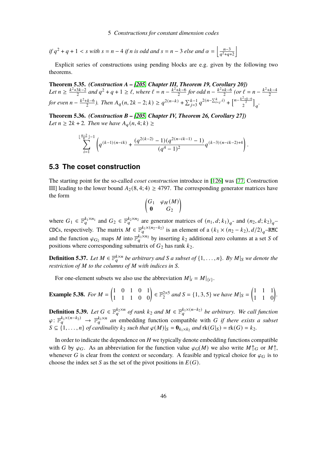$$
if q2 + q + 1 < s with s = n - 4 if n is odd and s = n - 3 else and \alpha = \left\lfloor \frac{n-3}{q2+q+2} \right\rfloor
$$

Explicit series of constructions using pending blocks are e.g. given by the following two theorems.

**Theorem 5.35.** *(Construction A – [\[205,](#page-101-0) Chapter III, Theorem 19, Corollary 20])* Let  $n \geq \frac{k^2+3k-2}{2}$  $\frac{3k-2}{2}$  and  $q^2 + q + 1 \ge \ell$ , where  $\ell = n - \frac{k^2 + k - 6}{2}$  $\frac{k+k-6}{2}$  for odd  $n - \frac{k^2+k-6}{2}$  $\frac{k-6}{2}$  (or  $\ell = n - \frac{k^2 + k - 4}{2}$ 2 *for even*  $n - \frac{k^2 + k - 6}{2}$  $\frac{1}{2}(k-6)$ . Then  $A_q(n, 2k-2; k) \geq q^{2(n-k)} + \sum_{j=3}^{k-1} q^{2(n-\sum_{i=j}^{k} i)} + \left[\frac{n-\frac{k^2+k-6}{2}}{2}\right]_q$ .

**Theorem 5.36.** *(Construction B – [\[205,](#page-101-0) Chapter IV, Theorem 26, Corollary 27]) Let*  $n \geq 2k + 2$ *. Then we have*  $A_q(n, 4; k) \geq$ 

$$
\sum_{i=1}^{\lfloor\frac{n-2}{k}\rfloor-1}\left(q^{(k-1)(n-ik)}+\frac{(q^{2(k-2)}-1)(q^{2(n-ik-1)}-1)}{(q^4-1)^2}q^{(k-3)(n-ik-2)+4}\right).
$$

# **5.3 The coset construction**

The starting point for the so-called *coset construction* introduce in [\[126\]](#page-95-2) was [\[77,](#page-92-2) Construction III] leading to the lower bound  $A_2(8, 4; 4) \ge 4797$ . The corresponding generator matrices have the form

$$
\begin{pmatrix} G_1 & \varphi_H(M) \\ \mathbf{0} & G_2 \end{pmatrix}
$$

where  $G_1 \in \mathbb{F}_q^{k_1 \times n_1}$  and  $G_2 \in \mathbb{F}_q^{k_2 \times n_2}$  are generator matrices of  $(n_1, d; k_1)_q$ - and  $(n_2, d; k_2)_q$ -CDCs, respectively. The matrix  $\hat{M} \in \mathbb{F}_q^{k_1 \times (n_2 - k_2)}$  is an element of a  $(k_1 \times (n_2 - k_2), d/2)_q$ -RMC and the function  $\varphi_{G_2}$  maps M into  $\mathbb{F}_q^{k_1 \times n_2}$  by inserting  $k_2$  additional zero columns at a set S of positions where corresponding submatrix of  $G_2$  has rank  $k_2$ .

**Definition 5.37.** Let  $M \in \mathbb{F}_q^{k \times n}$  be arbitrary and S a subset of  $\{1, \ldots, n\}$ . By  $M|_S$  we denote the *restriction of*  $M$  *to the columns of*  $M$  *with indices in*  $S$ *.* 

For one-element subsets we also use the abbreviation  $M|_i = M|_{\{i\}}$ .

**Example 5.38.** For 
$$
M = \begin{pmatrix} 1 & 0 & 1 & 0 & 1 \\ 1 & 1 & 1 & 0 & 0 \end{pmatrix} \in \mathbb{F}_2^{2 \times 5}
$$
 and  $S = \{1, 3, 5\}$  we have  $M|_S = \begin{pmatrix} 1 & 1 & 1 \\ 1 & 1 & 0 \end{pmatrix}$ .

<span id="page-47-0"></span>**Definition 5.39.** Let  $G \in \mathbb{F}_q^{k_2 \times n}$  of rank  $k_2$  and  $M \in \mathbb{F}_q^{k_1 \times (n-k_2)}$  be arbitrary. We call function  $\varphi: \mathbb{F}_q^{k_1 \times (n-k_2)} \to \mathbb{F}_q^{k_1 \times n}$  an embedding function compatible with G if there exists a subset  $S \subseteq \{1, \ldots, n\}$  of cardinality  $k_2$  such that  $\varphi(M)|_S = \mathbf{0}_{k_1 \times k_2}$  and  $\text{rk}(G|_S) = \text{rk}(G) = k_2$ .

In order to indicate the dependence on  $H$  we typically denote embedding functions compatible with G by  $\varphi_G$ . As an abbreviation for the function value  $\varphi_G(M)$  we also write  $M \uparrow_G$  or  $M \uparrow$ , whenever G is clear from the context or secondary. A feasible and typical choice for  $\varphi_G$  is to choose the index set S as the set of the pivot positions in  $E(G)$ .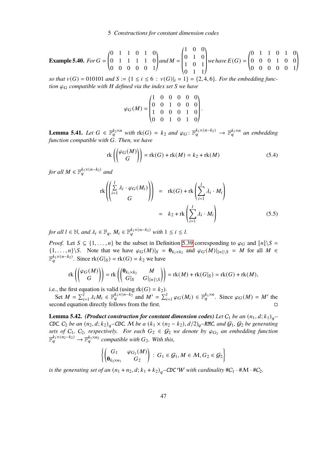**Example 5.40.** For 
$$
G = \begin{pmatrix} 0 & 1 & 1 & 0 & 1 & 0 \ 0 & 1 & 1 & 1 & 1 & 0 \ 0 & 0 & 0 & 0 & 1 \end{pmatrix}
$$
 and  $M = \begin{pmatrix} 1 & 0 & 0 \ 0 & 1 & 0 \ 1 & 0 & 1 \ 0 & 1 & 1 \end{pmatrix}$  we have  $E(G) = \begin{pmatrix} 0 & 1 & 1 & 0 & 1 & 0 \ 0 & 0 & 0 & 1 & 0 & 0 \ 0 & 0 & 0 & 0 & 1 \end{pmatrix}$ 

 $\begin{array}{lll} (0 & 1 & 1) \\ (2, 4, 6) & (3, 1) \end{array}$  so that  $v(G) = 010101$  and  $S := \{1 \le i \le 6 : v(G)|_i = 1\} = \{2, 4, 6\}$ *. For the embedding function*  $\varphi_G$  *compatible* with *H* defined via the index set *S* we have

$$
\varphi_G(M) = \begin{pmatrix} 1 & 0 & 0 & 0 & 0 & 0 \\ 0 & 0 & 1 & 0 & 0 & 0 \\ 1 & 0 & 0 & 0 & 1 & 0 \\ 0 & 0 & 1 & 0 & 1 & 0 \end{pmatrix}.
$$

**Lemma 5.41.** Let  $G \in \mathbb{F}_q^{k_2 \times n}$  with  $\text{rk}(G) = k_2$  and  $\varphi_G: \mathbb{F}_q^{k_1 \times (n-k_2)} \to \mathbb{F}_q^{k_1 \times n}$  an embedding *function compatible with* 𝐺*. Then, we have*

$$
\operatorname{rk}\left(\binom{\varphi_G(M)}{G}\right) = \operatorname{rk}(G) + \operatorname{rk}(M) = k_2 + \operatorname{rk}(M) \tag{5.4}
$$

*for all*  $M \in \mathbb{F}_q^{k_1 \times (n-k_2)}$  and

$$
\operatorname{rk}\left(\left(\sum_{i=1}^{l} \lambda_{i} \cdot \varphi_{G}(M_{i})\right)\right) = \operatorname{rk}(G) + \operatorname{rk}\left(\sum_{i=1}^{l} \lambda_{i} \cdot M_{i}\right)
$$

$$
= k_{2} + \operatorname{rk}\left(\sum_{i=1}^{l} \lambda_{i} \cdot M_{i}\right) \tag{5.5}
$$

*for all*  $l \in \mathbb{N}$ *, and*  $\lambda_i \in \mathbb{F}_q$ *,*  $M_i \in \mathbb{F}_q^{k_1 \times (n-k_2)}$  with  $1 \leq i \leq l$ *.* 

*Proof.* Let  $S \subseteq \{1, ..., n\}$  be the subset in Definition [5.39](#page-47-0) corresponding to  $\varphi_G$  and  $[n]\setminus S =$  $\{1,\ldots,n\}\backslash S$ . Note that we have  $\varphi_G(M)|_S = \mathbf{0}_{k_1\times k_2}$  and  $\varphi_G(M)|_{[n]\backslash S} = M$  for all  $M \in$  $\mathbb{F}_q^{k_1 \times (n-k_2)}$ . Since  $\text{rk}(G|_S) = \text{rk}(G) = k_2$  we have

$$
\mathrm{rk}\left(\begin{pmatrix} \varphi_G(M) \\ G \end{pmatrix} \right) = \mathrm{rk}\left(\begin{pmatrix} \mathbf{0}_{k_1 \times k_2} & M \\ G|_{S} & G|_{[n] \setminus S} \end{pmatrix} \right) = \mathrm{rk}(M) + \mathrm{rk}(G|_{S}) = \mathrm{rk}(G) + \mathrm{rk}(M),
$$

i.e., the first equation is valid (using  $rk(G) = k_2$ ).

Set  $M = \sum_{i=1}^{l} \lambda_i M_i \in \mathbb{F}_q^{k_1 \times (n-k_2)}$  and  $M' = \sum_{i=1}^{l} \varphi_G(M_i) \in \mathbb{F}_q^{k_1 \times n}$ . Since  $\varphi_G(M) = M'$  the second equation directly follows from the first.

<span id="page-48-0"></span>**Lemma 5.42.** *(Product construction for constant dimension codes) Let*  $C_1$  *be an*  $(n_1, d; k_1)_{a}$ CDC,  $C_2$  *be an*  $(n_2, d; k_2)_q$ –CDC, M *be a*  $(k_1 \times (n_2 - k_2), d/2)_q$ –RMC, and  $G_1$ ,  $G_2$  *be generating sets of*  $C_1$ ,  $C_2$ , *respectively.* For each  $G_2 \in G_2$  *we denote by*  $\varphi_{G_2}$  *an embedding function*  $\mathbb{F}_q^{k_1 \times (n_2 - k_2)} \to \mathbb{F}_q^{k_1 \times n_2}$  *compatible with*  $G_2$ *. With this,* 

$$
\left\{\begin{pmatrix} G_1 & \varphi_{G_2}(M) \\ \mathbf{0}_{k_2\times n_1} & G_2 \end{pmatrix} \colon G_1 \in \mathcal{G}_1, M \in \mathcal{M}, G_2 \in \mathcal{G}_2\right\}
$$

*is the generating set of an*  $(n_1 + n_2, d; k_1 + k_2)_q$ –CDC W with cardinality  $\#C_1 \cdot \#M \cdot \#C_2$ *.*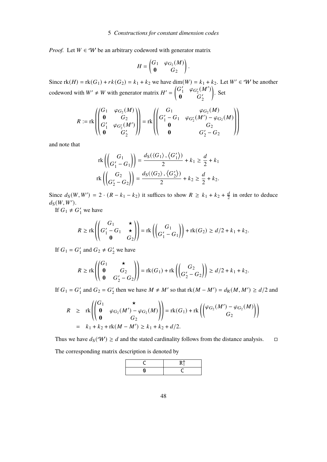*Proof.* Let  $W \in W$  be an arbitrary codeword with generator matrix

$$
H = \begin{pmatrix} G_1 & \varphi_{G_2}(M) \\ \mathbf{0} & G_2 \end{pmatrix}.
$$

Since  $rk(H) = rk(G_1) + rk(G_2) = k_1 + k_2$  we have dim $(W) = k_1 + k_2$ . Let  $W' \in W$  be another codeword with  $W' \neq W$  with generator matrix  $H' = \begin{pmatrix} G' \\ O \end{pmatrix}$  $\int_1^{\prime} \phi_{G_2'}(M')$  $\mathbf{0}$   $G'_{2}$ 2  $\backslash$ . Set

$$
R := \text{rk}\left(\begin{pmatrix} G_1 & \varphi_{G_2}(M) \\ \mathbf{0} & G_2 \\ G'_1 & \varphi_{G'_2}(M') \\ \mathbf{0} & G'_2 \end{pmatrix}\right) = \text{rk}\left(\begin{pmatrix} G_1 & \varphi_{G_2}(M) \\ G'_1 - G_1 & \varphi_{G'_2}(M') - \varphi_{G_2}(M) \\ \mathbf{0} & G_2 \\ \mathbf{0} & G'_2 - G_2 \end{pmatrix}\right)
$$

and note that

$$
\operatorname{rk}\left(\begin{pmatrix} G_1 \\ G'_1 - G_1 \end{pmatrix}\right) = \frac{d_S(\langle G_1 \rangle, \langle G'_1 \rangle)}{2} + k_1 \ge \frac{d}{2} + k_1
$$
  

$$
\operatorname{rk}\left(\begin{pmatrix} G_2 \\ G'_2 - G_2 \end{pmatrix}\right) = \frac{d_S(\langle G_2 \rangle, \langle G'_2 \rangle)}{2} + k_2 \ge \frac{d}{2} + k_2.
$$

Since  $d_S(W, W') = 2 \cdot (R - k_1 - k_2)$  it suffices to show  $R \ge k_1 + k_2 + \frac{d}{2}$  $\frac{d}{2}$  in order to deduce  $d_S(W, W')$ .

If  $G_1 \neq G'_1$  we have

$$
R \geq \mathrm{rk}\left(\begin{pmatrix} G_1 & \star \\ G_1' - G_1 & \star \\ \mathbf{0} & G_2 \end{pmatrix}\right) = \mathrm{rk}\left(\begin{pmatrix} G_1 \\ G_1' - G_1 \end{pmatrix}\right) + \mathrm{rk}(G_2) \geq d/2 + k_1 + k_2.
$$

If  $G_1 = G'_1$  $\frac{1}{1}$  and  $G_2 \neq G_2'$  we have

$$
R \ge \text{rk}\left(\begin{pmatrix} G_1 & \star \\ \mathbf{0} & G_2 \\ \mathbf{0} & G_2' - G_2 \end{pmatrix}\right) = \text{rk}(G_1) + \text{rk}\left(\begin{pmatrix} G_2 \\ G_2' - G_2 \end{pmatrix}\right) \ge \frac{d}{2} + k_1 + k_2.
$$

If  $G_1 = G'_1$  $'_1$  and  $G_2 = G'_2$  $\frac{1}{2}$  then we have  $M \neq M'$  so that rk( $M - M'$ ) =  $d_R(M, M') \geq d/2$  and

$$
R \geq \operatorname{rk}\left(\begin{pmatrix} G_1 & \star \\ \mathbf{0} & \varphi_{G_2}(M') - \varphi_{G_2}(M) \\ \mathbf{0} & G_2 \end{pmatrix}\right) = \operatorname{rk}(G_1) + \operatorname{rk}\left(\begin{pmatrix} \varphi_{G_2}(M') - \varphi_{G_2}(M) \\ G_2 \end{pmatrix}\right)
$$
\n
$$
= k_1 + k_2 + \operatorname{rk}(M - M') \geq k_1 + k_2 + d/2.
$$

Thus we have  $d_S(\mathcal{W}) \ge d$  and the stated cardinality follows from the distance analysis.  $\Box$ 

The corresponding matrix description is denoted by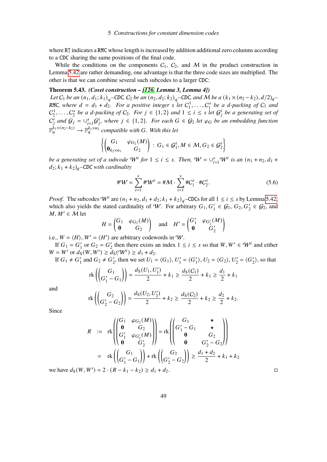where R↑ indicates a RMC whose length is increased by addition additional zero columns according to a CDC sharing the same positions of the final code.

While the conditions on the components  $C_1$ ,  $C_2$ , and M in the product construction in Lemma [5.42](#page-48-0) are rather demanding, one advantage is that the three code sizes are multiplied. The other is that we can combine several such subcodes to a larger CDC:

#### <span id="page-50-1"></span>**Theorem 5.43.** *(Coset construction – [\[126,](#page-95-2) Lemma 3, Lemma 4])*

*Let*  $C_1$  *be an*  $(n_1, d_1; k_1)_{q}$ –CDC,  $C_2$  *be an*  $(n_2, d_2; k_2)_{q}$ –CDC, and M *be a*  $(k_1 \times (n_2 - k_2), d/2)_{q}$ RMC, where  $d = d_1 + d_2$ . For a positive integer s let  $C_1^1, \ldots, C_1^s$  $\int_1^s$  be a d-packing of  $C_1$  and  $C_2^1, \ldots, C_2^s$  $\frac{a_2}{b_2}$  *be a d-packing of*  $C_2$ *. For*  $j \in \{1,2\}$  *and*  $1 \leq i \leq s$  *let*  $G_j^i$  *be a generating set of*  $C_j^i$  and  $G_j = \cup_{i=1}^s G_j^i$ , where  $j \in \{1,2\}$ . For each  $G \in \mathcal{G}_2$  let  $\varphi_G$  be an embedding function  $\mathbb{F}_q^{\tilde{k}_1 \times (n_2 - k_2)} \to \mathbb{F}_q^{k_1 \times n_2}$  compatible with G. With this let

$$
\left\{\begin{pmatrix} G_1 & \varphi_{G_2}(M) \\ \mathbf{0}_{k_2\times n_1} & G_2 \end{pmatrix} \colon G_1 \in \mathcal{G}_1^i, M \in \mathcal{M}, G_2 \in \mathcal{G}_2^i \right\}
$$

*be a generating set of a subcode*  $W^i$  *for*  $1 \le i \le s$ *. Then,*  $W = \bigcup_{i=1}^s W^i$  *is an*  $(n_1 + n_2, d_1 +$  $d_2$ ;  $k_1 + k_2$ <sub> $q$ </sub>–CDC with cardinality

<span id="page-50-0"></span>
$$
\#W = \sum_{i=1}^{s} \#W^{i} = \#M \cdot \sum_{i=1}^{s} \#C_{1}^{i} \cdot \#C_{2}^{i}.
$$
 (5.6)

*Proof.* The subcodes  $W^i$  are  $(n_1 + n_2, d_1 + d_2; k_1 + k_2)_q$ –CDCs for all  $1 \le i \le s$  by Lemma [5.42,](#page-48-0) which also yields the stated cardinality of W. For arbitrary  $G_1, G'_1 \in \mathcal{G}_1$ ,  $G_2, G'_2 \in \mathcal{G}_2$ , and  $M, M' \in \mathcal{M}$  let

$$
H = \begin{pmatrix} G_1 & \varphi_{G_2}(M) \\ \mathbf{0} & G_2 \end{pmatrix} \quad \text{and} \quad H' = \begin{pmatrix} G'_1 & \varphi_{G'_2}(M) \\ \mathbf{0} & G'_2 \end{pmatrix}
$$

i.e.,  $W = \langle H \rangle$ ,  $W' = \langle H' \rangle$  are arbitrary codewords in W.

If  $G_1 = G'_1$  $'_{1}$  or  $G_{2} = G'_{2}$ '<sub>2</sub> then there exists an index  $1 \le i \le s$  so that  $W, W' \in W^i$  and either  $W = W'$  or  $d_S(W, W') \geq d_S(W^i) \geq d_1 + d_2$ .

If  $G_1 \neq G'_1$  $'_{1}$  and  $G_{2} \neq G'_{2}$ '<sub>2</sub>, then we set  $U_1 = \langle G_1 \rangle$ ,  $U_1'$  $I_1' = \langle G_1' \rangle$  $\langle 1 \rangle$ ,  $U_2 = \langle G_2 \rangle$ ,  $U_2$  $\binom{7}{2} = \langle G'_2 \rangle$  $\langle \rangle$ , so that

$$
\mathrm{rk}\left(\begin{pmatrix} G_1 \\ G_1' - G_1 \end{pmatrix}\right) = \frac{d_S(U_1, U_1')}{2} + k_1 \ge \frac{d_S(C_1)}{2} + k_1 \ge \frac{d_1}{2} + k_1
$$

and

$$
\mathrm{rk}\left(\begin{pmatrix} G_2 \\ G_2' - G_2 \end{pmatrix}\right) = \frac{d_S(U_2, U_2')}{2} + k_2 \ge \frac{d_S(C_2)}{2} + k_2 \ge \frac{d_2}{2} + k_2.
$$

Since

$$
R := \operatorname{rk}\n\left(\n\begin{pmatrix}\nG_1 & \varphi_{G_2}(M) \\
0 & G_2 \\
G'_1 & \varphi_{G'_2}(M) \\
0 & G'_2\n\end{pmatrix}\n\right) = \operatorname{rk}\n\left(\n\begin{pmatrix}\nG_1 & \star \\
G'_1 - G_1 & \star \\
0 & G_2 \\
0 & G'_2 - G_2\n\end{pmatrix}\n\right)
$$
\n
$$
= \operatorname{rk}\n\left(\n\begin{pmatrix}\nG_1 \\
G'_1 - G_1\n\end{pmatrix}\n\right) + \operatorname{rk}\n\left(\n\begin{pmatrix}\nG_2 \\
G'_2 - G_2\n\end{pmatrix}\n\right) \ge \frac{d_1 + d_2}{2} + k_1 + k_2
$$

we have  $d_S(W, W') = 2 \cdot (R - k_1 - k_2) \ge d_1 + d_2$ . □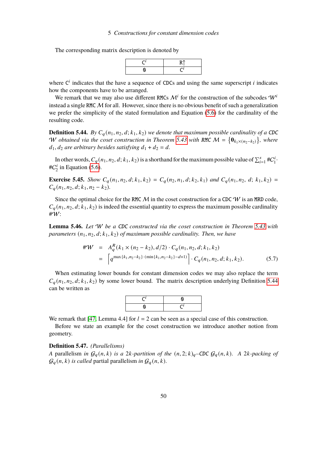### 5 Constructions for constant dimension codes

The corresponding matrix description is denoted by



where  $C^i$  indicates that the have a sequence of CDCs and using the same superscript *i* indicates how the components have to be arranged.

We remark that we may also use different RMCs  $\mathcal{M}^i$  for the construction of the subcodes  $\mathcal{W}^i$ instead a single RMC  $M$  for all. However, since there is no obvious benefit of such a generalization we prefer the simplicity of the stated formulation and Equation [\(5.6\)](#page-50-0) for the cardinality of the resulting code.

<span id="page-51-0"></span>**Definition 5.44.** *By*  $C_q(n_1, n_2, d; k_1, k_2)$  *we denote that maximum possible cardinality of a CDC* W obtained via the coset construction in Theorem [5.43](#page-50-1) with RMC  $M = \{ \mathbf{0}_{k_1 \times (n_2 - k_2)} \}$ , where  $d_1, d_2$  are arbitrary besides satisfying  $d_1 + d_2 = d$ .

In other words,  $C_q(n_1, n_2, d; k_1, k_2)$  is a shorthand for the maximum possible value of  $\sum_{i=1}^s \#C_1^i$  $\frac{i}{1}$ . # $C_2^i$  $\frac{a_i}{2}$  in Equation [\(5.6\)](#page-50-0).

<span id="page-51-1"></span>**Exercise 5.45.** *Show*  $C_a(n_1, n_2, d; k_1, k_2) = C_a(n_2, n_1, d; k_2, k_1)$  and  $C_a(n_1, n_2, d; k_1, k_2) =$  $C_a(n_1, n_2, d; k_1, n_2 - k_2).$ 

Since the optimal choice for the RMC  $M$  in the coset construction for a CDC  $W$  is an MRD code,  $C_a(n_1, n_2, d; k_1, k_2)$  is indeed the essential quantity to express the maximum possible cardinality #W:

**Lemma 5.46.** *Let* W *be a* CDC *constructed via the coset construction in Theorem [5.43](#page-50-1) with parameters*  $(n_1, n_2, d; k_1, k_2)$  *of maximum possible cardinality. Then, we have* 

$$
\begin{split} \#W &= A_q^R(k_1 \times (n_2 - k_2), d/2) \cdot C_q(n_1, n_2, d; k_1, k_2) \\ &= \left[ q^{\max\{k_1, n_2 - k_2\} \cdot (\min\{k_1, n_2 - k_2\} - d + 1)} \right] \cdot C_q(n_1, n_2, d; k_1, k_2). \end{split} \tag{5.7}
$$

When estimating lower bounds for constant dimension codes we may also replace the term  $C_a(n_1, n_2, d; k_1, k_2)$  by some lower bound. The matrix description underlying Definition [5.44](#page-51-0) can be written as



We remark that [\[47,](#page-90-0) Lemma 4.4] for  $l = 2$  can be seen as a special case of this construction.

Before we state an example for the coset construction we introduce another notion from geometry.

**Definition 5.47.** *(Parallelisms)*

*A* parallelism *in*  $G_q(n, k)$  *is a* 2*k-partition of the*  $(n, 2; k)_q$ *–CDC*  $G_q(n, k)$ *. A* 2*k-packing of*  $\mathcal{G}_q(n, k)$  *is called* partial parallelism *in*  $\mathcal{G}_q(n, k)$ *.*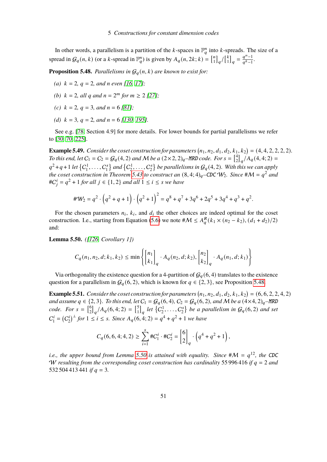In other words, a parallelism is a partition of the k-spaces in  $\mathbb{F}_q^n$  into k-spreads. The size of a spread in  $G_q(n, k)$  (or a k-spread in  $\mathbb{F}_q^n$ ) is given by  $A_q(n, 2k; k) = \begin{bmatrix} n \\ 1 \end{bmatrix}$  $\binom{n}{1}$ <sub>q</sub> $/\binom{k}{1}$  $\begin{bmatrix} k \\ 1 \end{bmatrix}_q = \frac{q^n - 1}{q^k - 1}$  $\frac{q-1}{q^k-1}$ .

<span id="page-52-0"></span>**Proposition 5.48.** *Parallelisms in*  $G_q(n, k)$  *are known to exist for:* 

- *(a)*  $k = 2$ ,  $q = 2$ , and n even [\[16,](#page-88-2) [17\]](#page-88-3);
- (*b*)  $k = 2$ , all q and  $n = 2^m$  for  $m \geq 2$  [\[27\]](#page-89-0);
- *(c)*  $k = 2$ ,  $q = 3$ , and  $n = 6$  [\[81\]](#page-92-3);
- *(d)*  $k = 3$ ,  $q = 2$ , and  $n = 6$  [\[130,](#page-95-3) [195\]](#page-100-1).

See e.g. [\[78,](#page-92-4) Section 4.9] for more details. For lower bounds for partial parallelisms we refer to [\[30,](#page-89-1) [70,](#page-91-1) [225\]](#page-102-0).

<span id="page-52-2"></span>**Example 5.49.** Consider the coset construction for parameters  $(n_1, n_2, d_1, d_2, k_1, k_2) = (4, 4, 2, 2, 2, 2)$ . *To this end, let*  $C_1 = C_2 = G_q(4, 2)$  *and M be* a  $(2 \times 2, 2)_q$ –*MRD code. For*  $s = \begin{bmatrix} 4 \\ 2 \end{bmatrix}$  $\binom{4}{2}$ <sub>q</sub> $\big/A_q(4,4;2) =$  $q^2+q+1$  *let*  $\{C_1^1, \ldots, C_1^s\}$  $\{C_1^1, \ldots, C_2^s\}$  $\binom{2s}{2}$  be parallelisms in  $\mathcal{G}_q(4,2)$ . With this we can apply *the coset construction in Theorem* [5.43](#page-50-1) *to construct an*  $(8, 4; 4)_q$ -CDC  $W_2$ . Since  $\#M = q^2$  and  $\#C_i^i = q^2 + 1$  *for all*  $j \in \{1, 2\}$  *and all*  $1 \le i \le s$  *we have* 

$$
\#W_2 = q^2 \cdot \left(q^2 + q + 1\right) \cdot \left(q^2 + 1\right)^2 = q^8 + q^7 + 3q^6 + 2q^5 + 3q^4 + q^3 + q^2.
$$

For the chosen parameters  $n_i$ ,  $k_i$ , and  $d_i$  the other choices are indeed optimal for the coset construction. I.e., starting from Equation [\(5.6\)](#page-50-0) we note  $\#\mathcal{M} \leq A_q^R(k_1 \times (n_2 - k_2), (d_1 + d_2)/2)$ and:

<span id="page-52-1"></span>**Lemma 5.50.** *([\[126,](#page-95-2) Corollary 1])*

$$
C_q(n_1, n_2, d; k_1, k_2) \le \min\left\{ \begin{bmatrix} n_1 \\ k_1 \end{bmatrix}_q \cdot A_q(n_2, d; k_2), \begin{bmatrix} n_2 \\ k_2 \end{bmatrix}_q \cdot A_q(n_1, d; k_1) \right\}
$$

Via orthogonality the existence question for a 4-partition of  $\mathcal{G}_q(6,4)$  translates to the existence question for a parallelism in  $G_q(6, 2)$ , which is known for  $q \in \{2, 3\}$ , see Proposition [5.48.](#page-52-0)

<span id="page-52-3"></span>**Example 5.51.** *Consider the coset construction for parameters*  $(n_1, n_2, d_1, d_2, k_1, k_2) = (6, 6, 2, 2, 4, 2)$ *and assume*  $q \in \{2, 3\}$ *. To this end, let*  $C_1 = G_q(6, 4)$ *,*  $C_2 = G_q(6, 2)$ *, and* M *be a*  $(4 \times 4, 2)_q$ *–MRD code.* For  $s = \begin{bmatrix} 6 \\ 2 \end{bmatrix}$  $\binom{6}{2}_q/A_q(6,4;2) = \binom{5}{1}$  $\begin{bmatrix} 5 \\ 1 \end{bmatrix}$  *let*  $\{C_2^1, \ldots, C_2^s\}$  $\mathcal{E}_2^s$  be a parallelism in  $\mathcal{G}_q(6, 2)$  and set  $C_1^i$  $I_1^i = (C_2^i)$  $\int_{2}^{i} f(r) \, dr \leq i \leq s$ . Since  $A_q(6, 4; 2) = q^4 + q^2 + 1$  we have

$$
C_q(6, 6, 4; 4, 2) \ge \sum_{i=1}^s \#C_1^i \cdot \#C_2^i = \begin{bmatrix} 6 \\ 2 \end{bmatrix}_q \cdot \left( q^4 + q^2 + 1 \right),
$$

*i.e., the upper bound from Lemma* [5.50](#page-52-1) *is attained with equality. Since*  $#M = q^{12}$ , *the CDC* W resulting from the corresponding coset construction has cardinality 55 996 416 *if*  $q = 2$  and 532 504 413 441 *if*  $q = 3$ .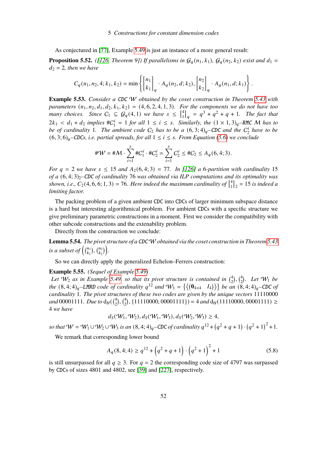As conjectured in [\[77\]](#page-92-2), Example [5.49](#page-52-2) is just an instance of a more general result:

**Proposition 5.52.** *([\[126,](#page-95-2) Theorem 9])* If parallelisms in  $G_q(n_1, k_1)$ ,  $G_q(n_2, k_2)$  *exist and*  $d_1 =$  $d_2 = 2$ , then we have

$$
C_q(n_1, n_2, 4; k_1, k_2) = \min \left\{ \begin{bmatrix} n_1 \\ k_1 \end{bmatrix}_q \cdot A_q(n_2, d; k_2), \begin{bmatrix} n_2 \\ k_2 \end{bmatrix}_q \cdot A_q(n_1, d; k_1) \right\}.
$$

<span id="page-53-2"></span>**Example 5.53.** *Consider a* CDC W *obtained by the coset construction in Theorem [5.43](#page-50-1) with parameters*  $(n_1, n_2, d_1, d_2, k_1, k_2) = (4, 6, 2, 4, 1, 3)$ *. For the components we do not have too many choices.* Since  $C_1 \subseteq G_q(4,1)$  we have  $s \leq \begin{bmatrix} 4 \\ 1 \end{bmatrix}$  $\binom{4}{1}_q = q^3 + q^2 + q + 1$ . The fact that  $2k_1 < d_1 + d_2$  implies # $C_1^i$  $I_1^{i} = 1$  *for all*  $1 \leq i \leq s$ *. Similarly, the*  $(1 \times 1, 3)_q$ *–RMC M has to be of cardinality* 1. The ambient code  $C_2$  has to be a  $(6, 3; 4)_q$ –CDC and the  $C_2^1$  $n_2^i$  have to be  $(6, 3; 6)_q$ <sup>*–CDCs, i.e. partial spreads, for all*  $1 \le i \le s$ *. From Equation [\(5.6\)](#page-50-0)* we conclude</sup>

$$
\#W = \#M \cdot \sum_{i=1}^{s} \#C_1^i \cdot \#C_2^i = \sum_{i=1}^{s} C_2^i \le \#C_2 \le A_q(6, 4; 3).
$$

*For*  $q = 2$  *we have*  $s \le 15$  *and*  $A_2(6, 4; 3) = 77$ *. In [\[126\]](#page-95-2) a* 6*-partition with cardinality* 15 *of a*  $(6, 4; 3)$ <sub>2</sub>–CDC *of cardinality* 76 *was obtained via ILP computations and its optimality was* shown, i.e.,  $C_2(4, 6, 6; 1, 3) = 76$ . Here indeed the maximum cardinality of  $\begin{bmatrix} 4 \\ 1 \end{bmatrix}$  $\binom{4}{1}_2 = 15$  *is indeed a limiting factor.*

The packing problem of a given ambient CDC into CDCs of larger minimum subspace distance is a hard but interesting algorithmical problem. For ambient CDCs with a specific structure we give preliminary parametric constructions in a moment. First we consider the compatibility with other subcode constructions and the extenability problem.

Directly from the construction we conclude:

<span id="page-53-1"></span>**Lemma 5.54.** *The pivot structure of a* CDCW *obtained via the coset construction in Theorem [5.43](#page-50-1) is a subset of*  $\binom{n_1}{k_1}$  $\binom{n_1}{k_1}, \binom{n_2}{k_2}$  $\binom{n_2}{k_2}$ .

So we can directly apply the generalized Echelon–Ferrers construction:

#### <span id="page-53-0"></span>**Example 5.55.** *(Sequel of Example [5.49\)](#page-52-2)*

Let  $W_2$  as in Example [5.49,](#page-52-2) so that its pivot structure is contained in  $\binom{4}{2}$  $\binom{4}{2}$ ,  $\binom{4}{2}$  $2^{\{4\}}$ . Let  $W_1$  be *the*  $(8, 4; 4)_q$ –LMRD *code of cardinality*  $q^{12}$  *and*  $W_3 = \{((0_{4 \times 4} \ I_4))\}$  *be an*  $(\overline{8}, 4; 4)_q$ –CDC *of cardinality* 1*. The pivot structures of these two codes are given by the unique vectors* 11110000 and 00001111. Due to  $d_H$ ( $\binom{4}{2}$  $\binom{4}{2}$ ,  $\binom{4}{2}$ <sup>4</sup> $\binom{4}{2}$ , {11110000, 00001111}) = 4 *and* d<sub>H</sub>(11110000, 00001111) ≥ 4 *we have*

$$
d_S(W_1, W_2), d_S(W_1, W_3), d_S(W_2, W_3) \ge 4,
$$

*so that*  $W = W_1 ∪ W_2 ∪ W_3$  *is an*  $(8, 4; 4)_q$ –CDC of cardinality  $q^{12} + (q^2 + q + 1) \cdot (q^2 + 1)^2 + 1$ .

We remark that corresponding lower bound

$$
A_q(8,4;4) \ge q^{12} + \left(q^2 + q + 1\right) \cdot \left(q^2 + 1\right)^2 + 1\tag{5.8}
$$

is still unsurpassed for all  $q \geq 3$ . For  $q = 2$  the corresponding code size of 4797 was surpassed by CDCs of sizes 4801 and 4802, see [\[39\]](#page-89-2) and [\[227\]](#page-102-1), respectively.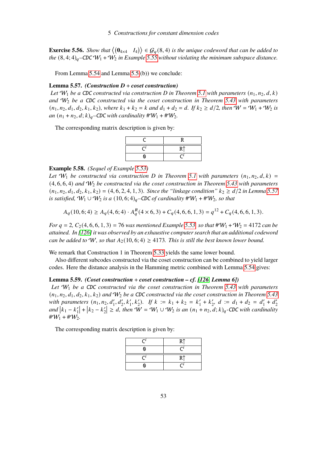**Exercise 5.56.** *Show that*  $\langle (\mathbf{0}_{4\times4} \quad I_4) \rangle \in \mathcal{G}_q(8,4)$  *is the unique codeword that can be added to the*  $(8, 4; 4)_q$ –CDC  $W_1 + W_2$  *in Example* [5.55](#page-53-0) *without violating the minimum subspace distance.* 

From Lemma [5.54](#page-53-1) and Lemma [5.5.](#page-38-2)(b)) we conclude:

### <span id="page-54-0"></span>**Lemma 5.57.** *(Construction D* + *coset construction)*

*Let*  $W_1$  *be a CDC constructed via construction D in Theorem [5.1](#page-36-0) with parameters*  $(n_1, n_2, d, k)$ *and* W<sup>2</sup> *be a* CDC *constructed via the coset construction in Theorem [5.43](#page-50-1) with parameters*  $(n_1, n_2, d_1, d_2, k_1, k_2)$ , where  $k_1 + k_2 = k$  and  $d_1 + d_2 = d$ . If  $k_2 \ge d/2$ , then  $W = W_1 + W_2$  is *an*  $(n_1 + n_2, d; k)_q$ –CDC *with cardinality*  $\#W_1 + \#W_2$ .

The corresponding matrix description is given by:

### **Example 5.58.** *(Sequel of Example [5.53\)](#page-53-2)*

Let  $W_1$  be constructed via construction D in Theorem [5.1](#page-36-0) with parameters  $(n_1, n_2, d, k)$  = (4, 6, 6, 4) *and* W<sup>2</sup> *be constructed via the coset construction in Theorem [5.43](#page-50-1) with parameters*  $(n_1, n_2, d_1, d_2, k_1, k_2) = (4, 6, 2, 4, 1, 3)$ *. Since the "linkage condition"*  $k_2 \geq d/2$  *in Lemma* [5.57](#page-54-0) *is satisfied,*  $W_1 \cup W_2$  *is a*  $(10, 6; 4)_q$ *–CDC of cardinality*  $\#W_1 + \#W_2$ *, so that* 

$$
A_q(10,6;4) \ge A_q(4,6;4) \cdot A_q^R(4 \times 6,3) + C_q(4,6,6,1,3) = q^{12} + C_q(4,6,6,1,3).
$$

*For*  $q = 2$ ,  $C_2(4, 6, 6, 1, 3) = 76$  *was mentioned Example* [5.53,](#page-53-2) *so that*  $\#W_1 + W_2 = 4172$  *can be attained. In [\[126\]](#page-95-2) it was observed by an exhaustive computer search that an additional codeword can be added to* W, so that  $A_2(10, 6; 4) \ge 4173$ *. This is still the best known lower bound.* 

We remark that Construction 1 in Theorem [5.33](#page-46-0) yields the same lower bound.

Also different subcodes constructed via the coset construction can be combined to yield larger codes. Here the distance analysis in the Hamming metric combined with Lemma [5.54](#page-53-1) gives:

## <span id="page-54-1"></span>**Lemma 5.59.** *(Coset construction* + *coset construction – cf. [\[126,](#page-95-2) Lemma 6])*

*Let* W<sup>1</sup> *be a* CDC *constructed via the coset construction in Theorem [5.43](#page-50-1) with parameters*  $(n_1, n_2, d_1, d_2, k_1, k_2)$  and  $W_2$  be a CDC constructed via the coset construction in Theorem [5.43](#page-50-1) with parameters  $(n_1, n_2, d'_1, d'_2, k'_1, k'_2)$ . If  $k := k_1 + k_2 = k'_1$  $i_1' + k_2'$  $'_{2}$ ,  $d := d_1 + d_2 = d'_1$  $l'_1 + d'_2$ 2  $and$   $|k_1 - k'_1|$  $\binom{1}{1} + k_2 - k'_2$  $\mathcal{L}'_2$   $\geq$  d, then  $\tilde{W} = W_1 \cup W_2$  is an  $(n_1 + n_2, d; k)_q$ -CDC with cardinality  $\#W_1 + \#W_2$ .

The corresponding matrix description is given by:

| $\mathbf{C}$        | R <sup>†</sup> |
|---------------------|----------------|
| 0                   | €              |
| $\mathcal{C}^{\mu}$ | R <sup>†</sup> |
| 0                   |                |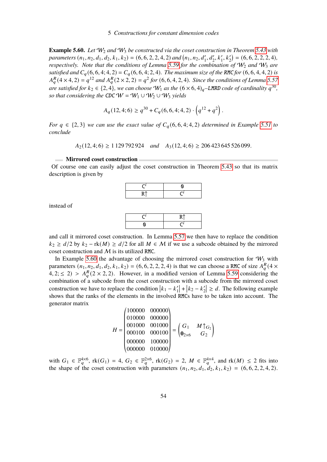<span id="page-55-0"></span>**Example 5.60.** *Let* W<sup>2</sup> *and* W<sup>3</sup> *be constructed via the coset construction in Theorem [5.43](#page-50-1) with* parameters  $(n_1, n_2, d_1, d_2, k_1, k_2) = (6, 6, 2, 2, 4, 2)$  and  $(n_1, n_2, d'_1, d'_2, k'_1, k'_2) = (6, 6, 2, 2, 2, 4)$ , *respectively. Note that the conditions of Lemma* [5.59](#page-54-1) *for the combination of*  $W_2$  *and*  $W_3$  *are satisfied and*  $C_q$  (6, 6, 4; 4, 2) =  $C_q$  (6, 6, 4; 2, 4). The maximum size of the RMC for (6, 6, 4, 4, 2) *is*  $A_{a}^{R}(4 \times 4, 2) = q^{12}$  and  $A_{a}^{R}(2 \times 2, 2) = q^{2}$  for  $(6, 6, 4, 2, 4)$ . Since the conditions of Lemma [5.57](#page-54-0) *are satisfied for*  $k_2 \in \{2, 4\}$ , we can choose  $W_1$  as the  $(6 \times 6, 4)_q$ –LMRD code of cardinality  $q^{30}$ , *so that considering the CDC W = W*<sub>1</sub>  $\cup$  W<sub>2</sub>  $\cup$  W<sub>3</sub> *yields* 

$$
A_q(12,4;6) \ge q^{30} + C_q(6,6,4;4,2) \cdot \left( q^{12} + q^2 \right).
$$

*For*  $q \in \{2, 3\}$  *we can use the exact value of*  $C_q(6, 6, 4; 4, 2)$  *determined in Example* [5.51](#page-52-3) *to conclude*

 $A_2(12, 4; 6) \ge 1129792924$  *and*  $A_3(12, 4; 6) \ge 206423645526099$ .

#### **Mirrored coset construction**

Of course one can easily adjust the coset construction in Theorem [5.43](#page-50-1) so that its matrix description is given by



instead of



and call it mirrored coset construction. In Lemma [5.57](#page-54-0) we then have to replace the condition  $k_2 \ge d/2$  by  $k_2 - \text{rk}(M) \ge d/2$  for all  $M \in \mathcal{M}$  if we use a subcode obtained by the mirrored coset construction and M is its utilized RMC.

In Example [5.60](#page-55-0) the advantage of choosing the mirrored coset construction for  $W_3$  with parameters  $(n_1, n_2, d_1, d_2, k_1, k_2) = (6, 6, 2, 2, 2, 4)$  is that we can choose a RMC of size  $A_q^R(4 \times$  $4, 2, \leq 2$ ) >  $A_{q}^{R}$ (2 × 2, 2). However, in a modified version of Lemma [5.59](#page-54-1) considering the combination of a subcode from the coset construction with a subcode from the mirrored coset construction we have to replace the condition  $|k_1 - k'_1|$  $\binom{1}{1} + k_2 - k'_2$  $|z| \geq d$ . The following example shows that the ranks of the elements in the involved RMCs have to be taken into account. The generator matrix

$$
H = \begin{pmatrix} 100000 & 000000 \\ 010000 & 000000 \\ 001000 & 001000 \\ 000000 & 100000 \\ 000000 & 100000 \end{pmatrix} = \begin{pmatrix} G_1 & M \uparrow_{G_2} \\ \mathbf{0}_{2 \times 6} & G_2 \end{pmatrix}
$$

with  $G_1 \in \mathbb{F}_q^{4\times 6}$ ,  $\text{rk}(G_1) = 4$ ,  $G_2 \in \mathbb{F}_q^{2\times 6}$ ,  $\text{rk}(G_2) = 2$ ,  $M \in \mathbb{F}_q^{4\times 4}$ , and  $\text{rk}(M) \leq 2$  fits into the shape of the coset construction with parameters  $(n_1, n_2, d_1, d_2, k_1, k_2) = (6, 6, 2, 2, 4, 2)$ .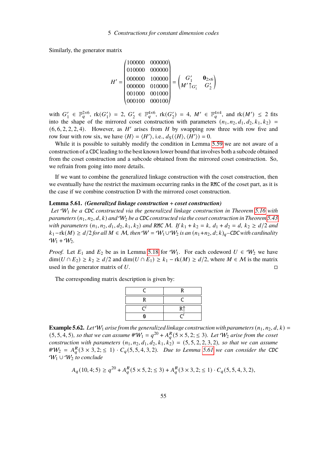Similarly, the generator matrix

$$
H' = \begin{pmatrix} 100000 & 000000 \\ 010000 & 000000 \\ 000000 & 100000 \\ 000000 & 010000 \\ 000100 & 0001000 \\ 000100 & 000100 \end{pmatrix} = \begin{pmatrix} G'_1 & \mathbf{0}_{2\times6} \\ M'\uparrow_{G'_1} & G'_2 \end{pmatrix}
$$

with  $G_1'$  $\zeta_1' \in \mathbb{F}_q^{2 \times 6}$ ,  $\text{rk}(G_1')$  $'_{1}$ ) = 2,  $G'_{2}$  $\zeta_2 \in \mathbb{F}_q^{4 \times 6}$ , rk $(G_2')$  $\chi'_{2}$  = 4,  $M' \in \mathbb{F}_{q}^{4\times4}$ , and  $\text{rk}(M') \leq 2$  fits into the shape of the mirrored coset construction with parameters  $(n_1, n_2, d_1, d_2, k_1, k_2)$  $(6, 6, 2, 2, 2, 4)$ . However, as  $H'$  arises from  $H$  by swapping row three with row five and row four with row six, we have  $\langle H \rangle = \langle H' \rangle$ , i.e.,  $d_S(\langle H \rangle, \langle H' \rangle) = 0$ .

 $^{\prime}$ 

While it is possible to suitably modify the condition in Lemma [5.59](#page-54-1) we are not aware of a construction of a CDC leading to the best known lower bound that involves both a subcode obtained from the coset construction and a subcode obtained from the mirrored coset construction. So, we refrain from going into more details.

If we want to combine the generalized linkage construction with the coset construction, then we eventually have the restrict the maximum occurring ranks in the RMC of the coset part, as it is the case if we combine construction D with the mirrored coset construction.

## <span id="page-56-0"></span>**Lemma 5.61.** *(Generalized linkage construction* + *coset construction)*

«

*Let* W<sup>1</sup> *be a* CDC *constructed via the generalized linkage construction in Theorem [5.16](#page-40-0) with parameters*  $(n_1, n_2, d, k)$  *and*  $W_2$  *be a CDC constructed via the coset construction in Theorem* [5.43](#page-50-1) *with parameters*  $(n_1, n_2, d_1, d_2, k_1, k_2)$  *and RMC M. If*  $k_1 + k_2 = k$ ,  $d_1 + d_2 = d$ ,  $k_2 \ge d/2$  *and*  $k_1$ −rk(*M*) ≥  $d/2$  *for all*  $M \in \mathcal{M}$ , then  $W = W_1 \cup W_2$  *is an*  $(n_1+n_2, d; k)_q$ –CDC with cardinality  $W_1 + W_2$ .

*Proof.* Let  $E_1$  and  $E_2$  be as in Lemma [5.18](#page-41-3) for  $W_1$ . For each codeword  $U \in W_2$  we have  $\dim(U \cap E_2) \ge k_2 \ge d/2$  and  $\dim(U \cap E_1) \ge k_1 - \text{rk}(M) \ge d/2$ , where  $M \in \mathcal{M}$  is the matrix used in the generator matrix of  $U$ .

The corresponding matrix description is given by:

|   | ĸ              |
|---|----------------|
| R |                |
|   | R <sup>†</sup> |
|   |                |

<span id="page-56-1"></span>**Example 5.62.** Let  $W_1$  arise from the generalized linkage construction with parameters  $(n_1, n_2, d, k)$  =  $(5, 5, 4, 5)$ , so that we can assume  $\#W_1 = q^{20} + A_q^R(5 \times 5, 2; \leq 3)$ . Let  $W_2$  arise from the coset *construction with parameters*  $(n_1, n_2, d_1, d_2, k_1, k_2) = (5, 5, 2, 2, 3, 2)$ *, so that we can assume*  $\#W_2 = A_q^R(3 \times 3, 2; \leq 1) \cdot C_q(5, 5, 4, 3, 2)$ . Due to Lemma [5.61](#page-56-0) we can consider the CDC W<sup>1</sup> ∪ W<sup>2</sup> *to conclude*

$$
A_q(10,4;5) \ge q^{20} + A_q^R(5 \times 5, 2; \le 3) + A_q^R(3 \times 3, 2; \le 1) \cdot C_q(5, 5, 4, 3, 2),
$$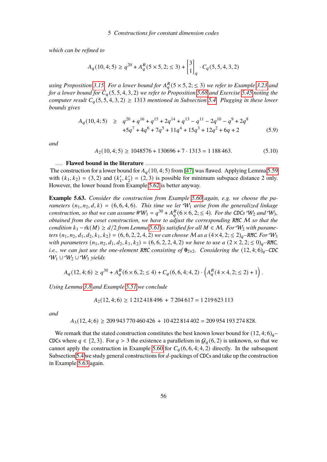*which can be refined to*

$$
A_q(10,4;5) \ge q^{20} + A_q^R(5 \times 5, 2; \le 3) + \begin{bmatrix} 3 \\ 1 \end{bmatrix}_q \cdot C_q(5,5,4,3,2)
$$

using Proposition [3.15.](#page-13-0) For a lower bound for  $A_{a}^{R}$  (5  $\times$  5, 2;  $\leq$  3) we refer to Example [3.23](#page-15-0) and *for a lower bound for*  $C_q(5, 5, 4, 3, 2)$  *we refer to Proposition* [5.68](#page-61-0) *and Exercise* [5.45](#page-51-1) *noting the computer result*  $C_q(5, 5, 4, 3, 2) \ge 1313$  *mentioned in Subsection* [5.4.](#page-59-0) *Plugging in these lower bounds gives*

$$
A_q(10,4;5) \ge q^{20} + q^{16} + q^{15} + 2q^{14} + q^{13} - q^{11} - 2q^{10} - q^9 + 2q^8
$$
  
+5q<sup>7</sup> + 4q<sup>6</sup> + 7q<sup>5</sup> + 11q<sup>4</sup> + 15q<sup>3</sup> + 12q<sup>2</sup> + 6q + 2 (5.9)

*and*

$$
A_2(10,4;5) \ge 1048576 + 130696 + 7 \cdot 1313 = 1188463. \tag{5.10}
$$

#### **Flawed bound in the literature**

The construction for a lower bound for  $A_q(10, 4; 5)$  from [\[47\]](#page-90-0) was flawed. Applying Lemma [5.59](#page-54-1) with  $(k_1, k_2) = (3, 2)$  and  $(k'_1)$  $\chi'_1, k'_2$  = (2, 3) is possible for minimum subspace distance 2 only. However, the lower bound from Example [5.62](#page-56-1) is better anyway.

<span id="page-57-0"></span>**Example 5.63.** *Consider the construction from Example [5.60](#page-55-0) again, e.g. we choose the parameters*  $(n_1, n_2, d, k) = (6, 6, 4, 6)$ *. This time we let*  $W_1$  *arise from the generalized linkage construction, so that we can assume*  $\#W_1 = q^{30} + A_q^R(6 \times 6, 2; \leq 4)$ *. For the CDCs*  $W_2$  *and*  $W_3$ *, obtained from the coset construction, we have to adjust the corresponding* RMC M *so that the condition*  $k_1 - r k(M) \ge d/2$  *from Lemma* [5.61](#page-56-0) *is satisfied for all*  $M \in \mathcal{M}$ *. For*  $W_2$  *with parameters*  $(n_1, n_2, d_1, d_2, k_1, k_2) = (6, 6, 2, 2, 4, 2)$  *we can choose* M *as a*  $(4 \times 4, 2; \leq 2)_q$ –RMC*. For*  $W_3$ *with parameters*  $(n_1, n_2, d_1, d_2, k_1, k_2) = (6, 6, 2, 2, 4, 2)$  *we have to use a*  $(2 \times 2, 2, \le 0)_q$ –RMC, *i.e., we can just use the one-element RMC consisting of*  $\mathbf{0}_{2\times2}$ *. Considering the*  $(12, 4; 6)_q$ –CDC W<sup>1</sup> ∪ W<sup>2</sup> ∪ W<sup>3</sup> *yields*

$$
A_q(12,4;6) \ge q^{30} + A_q^R(6 \times 6, 2; \le 4) + C_q(6,6,4;4,2) \cdot \left(A_q^R(4 \times 4, 2; \le 2) + 1\right).
$$

*Using Lemma [3.8](#page-12-0) and Example [5.51](#page-52-3) we conclude*

$$
A_2(12, 4; 6) \ge 1212418496 + 7204617 = 1219623113
$$

*and*

$$
A_3(12,4;6) \ge 209\,943\,770\,460\,426 + 10\,422\,814\,402 = 209\,954\,193\,274\,828.
$$

We remark that the stated construction constitutes the best known lower bound for  $(12, 4; 6)_a$ CDCs where  $q \in \{2, 3\}$ . For  $q > 3$  the existence a parallelism in  $\mathcal{G}_q(6, 2)$  is unknown, so that we cannot apply the construction in Example [5.60](#page-55-0) for  $C_q(6, 6, 4; 4, 2)$  directly. In the subsequent Subsection [5.4](#page-59-0) we study general constructions for  $d$ -packings of CDCs and take up the construction in Example [5.63](#page-57-0) again.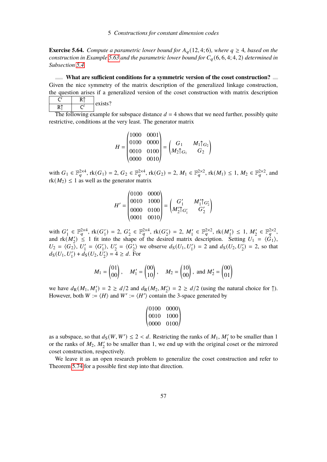## 5 Constructions for constant dimension codes

**Exercise 5.64.** *Compute a parametric lower bound for*  $A_q(12, 4; 6)$ *, where*  $q \geq 4$ *, based on the construction in Example* [5.63](#page-57-0) *and the parametric lower bound for*  $C_a(6, 6, 4; 4, 2)$  *determined in Subsection [5.4.](#page-59-0)*

**What are sufficient conditions for a symmetric version of the coset construction?** Given the nice symmetry of the matrix description of the generalized linkage construction, the question arises if a generalized version of the coset construction with matrix description

|  | exists |
|--|--------|
|  |        |

 $\overline{?}$ 

The following example for subspace distance  $d = 4$  shows that we need further, possibly quite restrictive, conditions at the very least. The generator matrix

$$
H = \begin{pmatrix} 1000 & 0001 \\ 0100 & 0000 \\ 0010 & 0100 \\ 0000 & 0010 \end{pmatrix} = \begin{pmatrix} G_1 & M_1 \uparrow_{G_2} \\ M_2 \uparrow_{G_1} & G_2 \end{pmatrix}
$$

with  $G_1 \in \mathbb{F}_q^{2\times 4}$ ,  $rk(G_1) = 2$ ,  $G_2 \in \mathbb{F}_q^{2\times 4}$ ,  $rk(G_2) = 2$ ,  $M_1 \in \mathbb{F}_q^{2\times 2}$ ,  $rk(M_1) \leq 1$ ,  $M_2 \in \mathbb{F}_q^{2\times 2}$ , and  $rk(M_2) \leq 1$  as well as the generator matrix

« ¬

$$
H' = \begin{pmatrix} 0100 & 0000 \\ 0010 & 1000 \\ 0000 & 0100 \\ 0001 & 0010 \end{pmatrix} = \begin{pmatrix} G'_1 & M'_1 \uparrow G'_2 \\ M'_2 \uparrow G'_1 & G'_2 \end{pmatrix}
$$

with  $G_1'$  $\zeta_1 \in \mathbb{F}_q^{2\times 4}$ , rk $(G_1')$  $'_{1}$ ) = 2,  $G'_{2}$  $\zeta_2 \in \mathbb{F}_q^{2\times 4}$ , rk $(G_2')$  $Z'_{2}$ ) = 2,  $M'_{1} \in \mathbb{F}_{q}^{2\times 2}$ ,  $\text{rk}(M'_{1}) \leq 1$ ,  $M'_{2} \in \mathbb{F}_{q}^{2\times 2}$ , and  $rk(M'_2) \le 1$  fit into the shape of the desired matrix description. Setting  $U_1 = \langle \hat{G}_1 \rangle$ ,  $U_2 = \langle G_2 \rangle, U'_1$  $I_1' = \langle G_1' \rangle$  $\langle \cdot \rangle, U_2'$  $V_2' = \langle G_2' \rangle$  $Z'_2$  we observe  $d_S(U_1, U'_1) = 2$  and  $d_S(U_2, U'_2) = 2$ , so that  $d_S(U_1, U'_1) + d_S(U_2, U'_2) = 4 \ge d$ . For

$$
M_1 = \begin{pmatrix} 01 \\ 00 \end{pmatrix}
$$
,  $M'_1 = \begin{pmatrix} 00 \\ 10 \end{pmatrix}$ ,  $M_2 = \begin{pmatrix} 10 \\ 00 \end{pmatrix}$ , and  $M'_2 = \begin{pmatrix} 00 \\ 01 \end{pmatrix}$ 

we have  $d_R(M_1, M'_1) = 2 \ge d/2$  and  $d_R(M_2, M'_2) = 2 \ge d/2$  (using the natural choice for  $\uparrow$ ). However, both  $W := \langle H \rangle$  and  $W' := \langle H' \rangle$  contain the 3-space generated by

$$
\begin{pmatrix} 0100 & 0000 \\ 0010 & 1000 \\ 0000 & 0100 \end{pmatrix}
$$

as a subspace, so that  $d_S(W, W') \le 2 < d$ . Restricting the ranks of  $M_1, M'_1$  to be smaller than 1 or the ranks of  $M_2$ ,  $M'_2$  to be smaller than 1, we end up with the original coset or the mirrored coset construction, respectively.

We leave it as an open research problem to generalize the coset construction and refer to Theorem [5.74](#page-64-0) for a possible first step into that direction.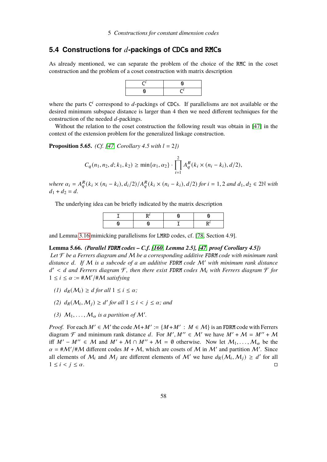# <span id="page-59-0"></span>**5.4 Constructions for** 𝑑**-packings of** CDC**s and** RMC**s**

As already mentioned, we can separate the problem of the choice of the RMC in the coset construction and the problem of a coset construction with matrix description



where the parts  $C^i$  correspond to d-packings of CDCs. If parallelisms are not available or the desired minimum subspace distance is larger than 4 then we need different techniques for the construction of the needed  $d$ -packings.

Without the relation to the coset construction the following result was obtain in [\[47\]](#page-90-0) in the context of the extension problem for the generalized linkage construction.

<span id="page-59-2"></span>**Proposition 5.65.** *(Cf. [\[47,](#page-90-0) Corollary 4.5 with*  $l = 2j$ )

$$
C_q(n_1, n_2, d; k_1, k_2) \ge \min\{\alpha_1, \alpha_2\} \cdot \prod_{i=1}^2 A_q^R(k_i \times (n_i - k_i), d/2),
$$

 $where \ \alpha_i = A_q^R(k_i \times (n_i - k_i), d_i/2) / A_q^R(k_i \times (n_i - k_i), d/2) \ \text{for} \ i = 1, 2 \ \text{and} \ d_1, d_2 \in 2\mathbb{N} \ \text{with} \ \alpha_i \neq 1, 2, 3, \ldots$  $d_1 + d_2 = d$ .

The underlying idea can be briefly indicated by the matrix description

and Lemma [3.16](#page-13-1) mimicking parallelisms for LMRD codes, cf. [\[78,](#page-92-4) Section 4.9].

# <span id="page-59-1"></span>**Lemma 5.66.** *(Parallel* FDRM *codes – C.f. [\[160,](#page-98-2) Lemma 2.5], [\[47,](#page-90-0) proof Corollary 4.5])*

*Let* F *be a Ferrers diagram and* M *be a corresponding additive* FDRM *code with minimum rank* distance d. If M is a subcode of a an additive FDRM code M' with minimum rank distance 𝑑 <sup>0</sup> < 𝑑 *and Ferrers diagram* F*, then there exist* FDRM *codes* M<sup>𝑖</sup> *with Ferrers diagram* F *for*  $1 \leq i \leq \alpha := \# \mathcal{M}' / \# \mathcal{M}$  satisfying

- *(1)*  $d_R(\mathcal{M}_i) \geq d$  *for all*  $1 \leq i \leq \alpha$ *;*
- (2)  $d_R(M_i, M_j) \geq d'$  for all  $1 \leq i < j \leq \alpha$ ; and
- (3)  $M_1, \ldots, M_\alpha$  is a partition of M'.

*Proof.* For each  $M' \in \mathcal{M}'$  the code  $\mathcal{M} + M' := \{M + M' : M \in \mathcal{M}\}\$  is an FDRM code with Ferrers diagram  $\mathcal F$  and minimum rank distance d. For  $M', M'' \in \mathcal M'$  we have  $M' + \mathcal M = M'' + \mathcal M$ iff  $M' - M'' \in \mathcal{M}$  and  $M' + \mathcal{M} \cap M'' + \mathcal{M} = \emptyset$  otherwise. Now let  $M_1, \ldots, M_\alpha$  be the  $\alpha = \frac{\mu}{M'}/\mu M$  different codes  $M + M$ , which are cosets of M in M' and partition M'. Since all elements of  $M_i$  and  $M_j$  are different elements of M' we have  $d_R(M_i, M_j) \ge d'$  for all  $1 \leq i < j \leq \alpha$ .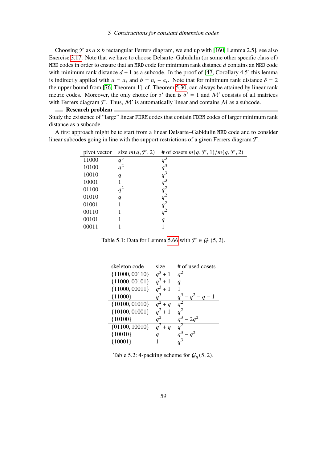Choosing  $\mathcal F$  as  $a \times b$  rectangular Ferrers diagram, we end up with [\[160,](#page-98-2) Lemma 2.5], see also Exercise [3.17.](#page-14-0) Note that we have to choose Delsarte–Gabidulin (or some other specific class of) MRD codes in order to ensure that an MRD code for minimum rank distance  $d$  contains an MRD code with minimum rank distance  $d + 1$  as a subcode. In the proof of [\[47,](#page-90-0) Corollary 4.5] this lemma is indirectly applied with  $a = a_i$  and  $b = n_i - a_i$ . Note that for minimum rank distance  $\delta = 2$ the upper bound from [\[76,](#page-92-0) Theorem 1], cf. Theorem [5.30,](#page-45-0) can always be attained by linear rank metric codes. Moreover, the only choice for  $\delta'$  then is  $\delta' = 1$  and M' consists of all matrices with Ferrers diagram  $\mathcal{F}$ . Thus, M' is automatically linear and contains M as a subcode.

**Research problem** Study the existence of "large" linear FDRM codes that contain FDRM codes of larger minimum rank distance as a subcode.

A first approach might be to start from a linear Delsarte–Gabidulin MRD code and to consider linear subcodes going in line with the support restrictions of a given Ferrers diagram  $\mathcal{F}$ .

| pivot vector | size $m(q, \mathcal{F}, 2)$ | # of cosets $m(q, \mathcal{F}, 1)/m(q, \mathcal{F}, 2)$ |
|--------------|-----------------------------|---------------------------------------------------------|
| 11000        | $q^3$                       | $q^3$                                                   |
| 10100        | $q^2$                       | $q^3$                                                   |
| 10010        | q                           | $q^3$                                                   |
| 10001        |                             | $q^3$                                                   |
| 01100        | $q^2$                       | $q^2$                                                   |
| 01010        | q                           | $q^2$                                                   |
| 01001        |                             | $q^2$                                                   |
| 00110        |                             | $q^2$                                                   |
| 00101        |                             | q                                                       |
| 00011        |                             |                                                         |

Table 5.1: Data for Lemma [5.66](#page-59-1) with  $\mathcal{F} \in \mathcal{G}_1(5, 2)$ .

| skeleton code      | size           | # of used cosets    |
|--------------------|----------------|---------------------|
| ${11000, 00110}$   | $\sqrt{a^3+1}$ | $q^2$               |
| ${11000, 00101}$   | $q^3 + 1$      | $\boldsymbol{q}$    |
| ${11000,00011}$    | $q^3 + 1$      |                     |
| ${11000}$          | $a^3$          | $q^3 - q^2 - q - 1$ |
| $\{10100, 01010\}$ | $q^2 + q$      | a <sup>2</sup>      |
| ${10100, 01001}$   | $q^2 + 1$      | $q^2$               |
| ${10100}$          |                | $q^3 - 2q^2$        |
| $\{01100, 10010\}$ | $a^2 + q$      |                     |
| ${10010}$          |                |                     |
| ${10001}$          |                |                     |

Table 5.2: 4-packing scheme for  $G_q(5, 2)$ .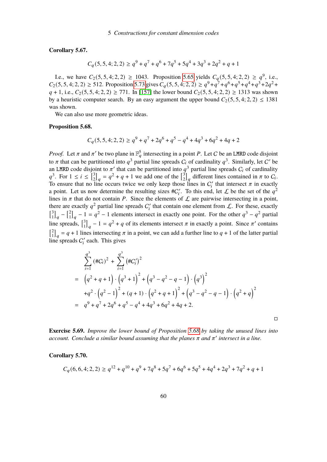**Corollary 5.67.**

$$
C_q(5,5,4;2,2) \ge q^9 + q^7 + q^6 + 7q^5 + 5q^4 + 3q^3 + 2q^2 + q + 1
$$

I.e., we have  $C_2(5, 5, 4; 2, 2) \ge 1043$ . Proposition [5.65](#page-59-2) yields  $C_q(5, 5, 4; 2, 2) \ge q^9$ , i.e.,  $C_2(5, 5, 4; 2, 2) \ge 512$ . Proposition [5.73](#page-63-0) gives  $C_q(5, 5, 4; 2, 2) \ge q^9 + q^7 + q^6 + q^5 + q^4 + q^3 + 2q^2 +$  $q + 1$ , i.e.,  $C_2(5, 5, 4; 2, 2) \ge 771$ . In [\[157\]](#page-97-1) the lower bound  $C_2(5, 5, 4; 2, 2) \ge 1313$  was shown by a heuristic computer search. By an easy argument the upper bound  $C_2(5, 5, 4; 2, 2) \le 1381$ was shown.

We can also use more geometric ideas.

#### <span id="page-61-0"></span>**Proposition 5.68.**

$$
C_q(5,5,4;2,2) \ge q^9 + q^7 + 2q^6 + q^5 - q^4 + 4q^3 + 6q^2 + 4q + 2
$$

*Proof.* Let  $\pi$  and  $\pi'$  be two plane in  $\mathbb{F}_q^5$  intersecting in a point P. Let C be an LMRD code disjoint to  $\pi$  that can be partitioned into  $q^3$  partial line spreads  $C_i$  of cardinality  $q^3$ . Similarly, let C' be an LMRD code disjoint to  $\pi'$  that can be partitioned into  $q^3$  partial line spreads  $C_i$  of cardinality  $q^3$ . For  $1 \leq i \leq \lceil \frac{3}{2} \rceil$  $\begin{bmatrix} 3 \\ 2 \end{bmatrix}_q = q^2 + q + 1$  we add one of the  $\begin{bmatrix} 3 \\ 2 \end{bmatrix}$  $\binom{3}{2}_q$  different lines contained in  $\pi$  to  $C_i$ . To ensure that no line occurs twice we only keep those lines in  $C_i'$  that intersect  $\pi$  in exactly a point. Let us now determine the resulting sizes  $\#C_i'$ . To this end, let  $\mathcal L$  be the set of the  $q^2$ lines in  $\pi$  that do not contain P. Since the elements of  $\mathcal L$  are pairwise intersecting in a point, there are exactly  $q^2$  partial line spreads  $C_i'$  that contain one element from  $\mathcal{L}$ . For these, exactly  $\int_{1}^{3}$  $\begin{bmatrix} 3 \\ 1 \end{bmatrix}_q - \begin{bmatrix} 2 \\ 1 \end{bmatrix}$  $\begin{bmatrix} 2 \\ 1 \end{bmatrix}_q - 1 = q^2 - 1$  elements intersect in exactly one point. For the other  $q^3 - q^2$  partial line spreads,  $\begin{bmatrix} 3 \\ 1 \end{bmatrix}$  $\begin{bmatrix} 3 \\ 1 \end{bmatrix}_q - 1 = q^2 + q$  of its elements intersect  $\pi$  in exactly a point. Since  $\pi'$  contains  $\int_1^2$  $\begin{bmatrix} 2 \\ 1 \end{bmatrix}_q = q + 1$  lines intersecting  $\pi$  in a point, we can add a further line to  $q + 1$  of the latter partial line spreads  $C_i'$  each. This gives

$$
\sum_{i=1}^{q^3} (\#C_i)^2 + \sum_{i=1}^{q^3} (\#C'_i)^2
$$
\n
$$
= (q^2 + q + 1) \cdot (q^3 + 1)^2 + (q^3 - q^2 - q - 1) \cdot (q^3)^2
$$
\n
$$
+ q^2 \cdot (q^2 - 1)^2 + (q + 1) \cdot (q^2 + q + 1)^2 + (q^3 - q^2 - q - 1) \cdot (q^2 + q)^2
$$
\n
$$
= q^9 + q^7 + 2q^6 + q^5 - q^4 + 4q^3 + 6q^2 + 4q + 2.
$$

 $\Box$ 

**Exercise 5.69.** *Improve the lower bound of Proposition [5.68](#page-61-0) by taking the unused lines into*  $account.$  Conclude a similar bound assuming that the planes  $\pi$  and  $\pi'$  intersect in a line.

**Corollary 5.70.**

$$
C_q(6, 6, 4; 2, 2) \ge q^{12} + q^{10} + q^9 + 7q^8 + 5q^7 + 6q^6 + 5q^5 + 4q^4 + 2q^3 + 7q^2 + q + 1
$$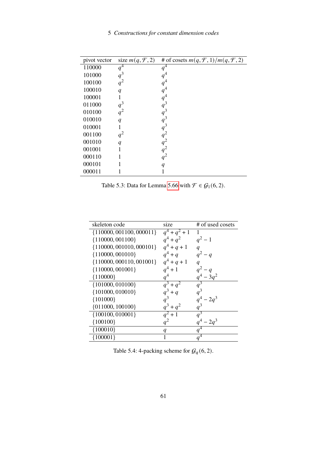| pivot vector | size $m(q, \mathcal{F}, 2)$ | # of cosets $m(q, \mathcal{F}, 1)/m(q, \mathcal{F}, 2)$ |
|--------------|-----------------------------|---------------------------------------------------------|
| 110000       | $q^4$                       | $q^4$                                                   |
| 101000       | $q^3$                       | $q^4$                                                   |
| 100100       | $q^2$                       | $q^4$                                                   |
| 100010       | q                           | $q^4$                                                   |
| 100001       | 1                           | $q^4$                                                   |
| 011000       | $q^3$                       | $q^3$                                                   |
| 010100       | $q^2$                       | $q^3$                                                   |
| 010010       | $\boldsymbol{q}$            | $q^3$                                                   |
| 010001       | 1                           | $q^3$                                                   |
| 001100       | $q^2$                       | $q^2$                                                   |
| 001010       | $\overline{q}$              | $q^2$                                                   |
| 001001       | 1                           | $q^2$                                                   |
| 000110       |                             | $q^2$                                                   |
| 000101       |                             | $\boldsymbol{q}$                                        |
| 000011       |                             |                                                         |

Table 5.3: Data for Lemma [5.66](#page-59-1) with  $\mathcal{F} \in \mathcal{G}_1(6, 2)$ .

| skeleton code                | size             | # of used cosets |
|------------------------------|------------------|------------------|
| ${110000, 001100, 000011}$   | $q^4 + q^2 + 1$  |                  |
| ${110000, 001100}$           | $q^4 + q^2$      | $q^2 - 1$        |
| $\{110000, 001010, 000101\}$ | $q^4 + q + 1$    |                  |
| ${110000, 001010}$           | $q^4 + q$        | $q^2-q$          |
| ${110000, 000110, 001001}$   | $q^4 + q + 1$    | $\boldsymbol{q}$ |
| ${110000, 001001}$           | $q^4 + 1$        | $q^2-q$          |
| ${110000}$                   | $q^4$            | $q^4 - 3q^2$     |
| $\{101000, 010100\}$         | $q^3 + q^2$      | $q^3$            |
| ${101000, 010010}$           | $q^3 + q$        | $q^3$            |
| ${101000}$                   | $q^3$            | $q^4 - 2q^3$     |
| $\{011000, 100100\}$         | $q^3 + q^2$      | $q^3$            |
| ${100100, 010001}$           | $q^2 + 1$        | $q^3$            |
| ${100100}$                   |                  | $q^4 - 2q^3$     |
| ${100010}$                   | $\boldsymbol{q}$ | $q^4$            |
| ${100001}$                   | 1                | $q^4$            |

Table 5.4: 4-packing scheme for  $\mathcal{G}_q(6, 2)$ .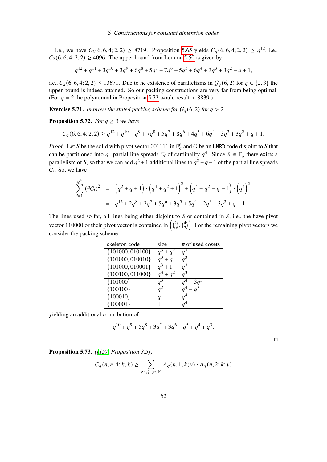I.e., we have  $C_2(6, 6, 4; 2, 2) \ge 8719$ . Proposition [5.65](#page-59-2) yields  $C_q(6, 6, 4; 2, 2) \ge q^{12}$ , i.e.,  $C_2(6, 6, 4; 2, 2) \ge 4096$ . The upper bound from Lemma [5.50](#page-52-1) is given by

$$
q^{12} + q^{11} + 3q^{10} + 3q^{9} + 6q^{8} + 5q^{7} + 7q^{6} + 5q^{5} + 6q^{4} + 3q^{3} + 3q^{2} + q + 1,
$$

i.e.,  $C_2(6, 6, 4; 2, 2) \le 13671$ . Due to he existence of parallelisms in  $\mathcal{G}_q(6, 2)$  for  $q \in \{2, 3\}$  the upper bound is indeed attained. So our packing constructions are very far from being optimal. (For  $q = 2$  the polynomial in Proposition [5.72](#page-63-1) would result in 8839.)

**Exercise 5.71.** *Improve the stated packing scheme for*  $G_q(6, 2)$  *for*  $q > 2$ *.* 

<span id="page-63-1"></span>**Proposition 5.72.** *For*  $q \geq 3$  *we have* 

$$
C_q(6, 6, 4; 2, 2) \ge q^{12} + q^{10} + q^9 + 7q^8 + 5q^7 + 8q^6 + 4q^5 + 6q^4 + 3q^3 + 3q^2 + q + 1.
$$

*Proof.* Let S be the solid with pivot vector 001111 in  $\mathbb{F}_a^6$  and C be an LMRD code disjoint to S that can be partitioned into  $q^4$  partial line spreads  $C_i$  of cardinality  $q^4$ . Since  $S \cong \mathbb{F}_q^4$  there exists a parallelism of S, so that we can add  $q^2 + 1$  additional lines to  $q^2 + q + 1$  of the partial line spreads  $C_i$ . So, we have

$$
\sum_{i=1}^{q^4} (\#C_i)^2 = (q^2 + q + 1) \cdot (q^4 + q^2 + 1)^2 + (q^4 - q^2 - q - 1) \cdot (q^4)^2
$$
  
=  $q^{12} + 2q^8 + 2q^7 + 5q^6 + 3q^5 + 5q^4 + 2q^3 + 3q^2 + q + 1.$ 

The lines used so far, all lines being either disjoint to  $S$  or contained in  $S$ , i.e., the have pivot vector 110000 or their pivot vector is contained in  $\left(\begin{smallmatrix}2\ 0\end{smallmatrix}\right)$  $\binom{2}{0}$ ,  $\binom{4}{2}$  $\binom{4}{2}$ . For the remaining pivot vectors we consider the packing scheme

| skeleton code        | size        | # of used cosets |
|----------------------|-------------|------------------|
| $\{101000, 010100\}$ | $+ a2$      | $q^3$            |
| ${101000, 010010}$   | $+q$        | $a^3$            |
| $\{101000, 010001\}$ | $+1$        |                  |
| ${100100, 011000}$   | $q^3 + q^2$ | $q^3$            |
| ${101000}$           |             |                  |
| ${100100}$           |             |                  |
| ${100010}$           | q           |                  |
| ${100001}$           |             |                  |

yielding an additional contribution of

$$
q^{10} + q^9 + 5q^8 + 3q^7 + 3q^6 + q^5 + q^4 + q^3.
$$

 $\Box$ 

<span id="page-63-0"></span>**Proposition 5.73.** *([\[157,](#page-97-1) Proposition 3.5])*

$$
C_q(n, n, 4; k, k) \ge \sum_{v \in \mathcal{G}_1(n, k)} A_q(n, 1; k; v) \cdot A_q(n, 2; k; v)
$$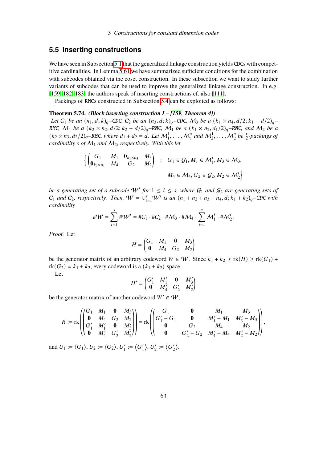# **5.5 Inserting constructions**

We have seen in Subsection [5.1](#page-36-1) that the generalized linkage construction yields CDCs with competitive cardinalities. In Lemma [5.61](#page-56-0) we have summarized sufficient conditions for the combination with subcodes obtained via the coset construction. In these subsection we want to study further variants of subcodes that can be used to improve the generalized linkage construction. In e.g. [\[159,](#page-97-3) [182,](#page-99-0) [183\]](#page-99-1) the authors speak of inserting constructions cf. also [\[111\]](#page-94-4).

Packings of RMCs constructed in Subsection [5.4](#page-59-0) can be exploited as follows:

### <span id="page-64-0"></span>**Theorem 5.74.** *(Block inserting construction I – [\[159,](#page-97-3) Theorem 4])*

*Let*  $C_1$  *be an*  $(n_1, d; k)_q$ –CDC,  $C_2$  *be an*  $(n_3, d; k)_q$ –CDC,  $M_3$  *be a*  $(k_1 \times n_4, d/2; k_1 - d/2)_q$ – RMC,  $M_4$  *be a*  $(k_2 \times n_2, d/2; k_2 - d/2)_q$ –RMC,  $M_1$  *be a*  $(k_1 \times n_2, d_1/2)_q$ –RMC, and  $M_2$  *be a*  $(k_2 \times n_3, d_2/2)_q$ –RMC, where  $d_1 + d_2 = d$ . Let  $M_1^1, \ldots, M_1^s$  and  $M_2^1, \ldots, M_2^s$  be  $\frac{t}{2}$ -packings of *cardinality s* of  $M_1$  *and*  $M_2$ *, respectively. With this let* 

$$
\left\{ \begin{pmatrix} G_1 & M_1 & \mathbf{0}_{k_1 \times n_3} & M_3 \\ \mathbf{0}_{k_2 \times n_1} & M_4 & G_2 & M_2 \end{pmatrix} \ : \ G_1 \in \mathcal{G}_1, M_1 \in \mathcal{M}_1^i, M_3 \in \mathcal{M}_3, \right. \\ M_4 \in \mathcal{M}_4, G_2 \in \mathcal{G}_2, M_2 \in \mathcal{M}_2^i \right\}
$$

*be a generating set of a subcode*  $W^i$  *for*  $1 \leq i \leq s$ *, where*  $G_1$  *and*  $G_2$  *are generating sets of*  $C_1$  and  $C_2$ , respectively. Then,  $W = \bigcup_{i=1}^s W^i$  is an  $(n_1 + n_2 + n_3 + n_4, d; k_1 + k_2)_q$ –CDC with *cardinality*

$$
\#\mathcal{W}=\sum_{i=1}^s\#\mathcal{W}^i=\#C_1\cdot\#C_2\cdot\#\mathcal{M}_3\cdot\#\mathcal{M}_4\cdot\sum_{i=1}^s\mathcal{M}_1^i\cdot\#\mathcal{M}_2^i.
$$

*Proof.* Let

$$
H = \begin{pmatrix} G_1 & M_1 & \mathbf{0} & M_3 \\ \mathbf{0} & M_4 & G_2 & M_2 \end{pmatrix}
$$

be the generator matrix of an arbitrary codeword  $W \in W$ . Since  $k_1 + k_2 \geq \text{rk}(H) \geq \text{rk}(G_1) +$  $rk(G_2) = k_1 + k_2$ , every codeword is a  $(k_1 + k_2)$ -space.

Let

$$
H' = \begin{pmatrix} G_1' & M_1' & \mathbf{0} & M_3' \\ \mathbf{0} & M_4' & G_2' & M_2' \end{pmatrix}
$$

be the generator matrix of another codeword  $W' \in W$ .

$$
R := \operatorname{rk}\n\left(\n\begin{pmatrix}\nG_1 & M_1 & \mathbf{0} & M_3 \\
\mathbf{0} & M_4 & G_2 & M_2 \\
G'_1 & M'_1 & \mathbf{0} & M'_3 \\
\mathbf{0} & M'_4 & G'_2 & M'_2\n\end{pmatrix}\n\right) = \operatorname{rk}\n\left(\n\begin{pmatrix}\nG_1 & \mathbf{0} & M_1 & M_3 \\
G'_1 - G_1 & \mathbf{0} & M'_1 - M_1 & M'_3 - M_3 \\
\mathbf{0} & G_2 & M_4 & M_2 \\
\mathbf{0} & G'_2 - G_2 & M'_4 - M_4 & M'_2 - M_2\n\end{pmatrix}\n\right),
$$

and  $U_1 := \langle G_1 \rangle$ ,  $U_2 := \langle G_2 \rangle$ ,  $U_1'$  $I_1' := \left\langle G_1' \right\rangle$  $\langle \rangle, U_2'$  $v'_2 := \langle G'_2$  $\langle \rangle$ .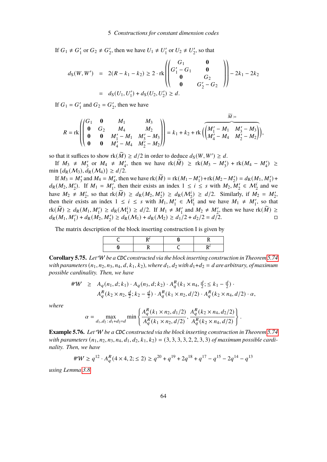If  $G_1 \neq G'_1$  $'_{1}$  or  $G_{2} \neq G'_{2}$ '<sub>2</sub>, then we have  $U_1 \neq U_1'$  $U_1'$  or  $U_2 \neq U_2'$  $v_2'$ , so that

$$
d_{S}(W, W') = 2(R - k_{1} - k_{2}) \ge 2 \cdot \text{rk} \left( \begin{pmatrix} G_{1} & \mathbf{0} \\ G_{1}' - G_{1} & \mathbf{0} \\ \mathbf{0} & G_{2} \\ \mathbf{0} & G_{2}' - G_{2} \end{pmatrix} \right) - 2k_{1} - 2k_{2}
$$

$$
= d_{S}(U_{1}, U_{1}') + d_{S}(U_{2}, U_{2}') \ge d.
$$

If  $G_1 = G'_1$  $'_1$  and  $G_2 = G'_2$  $\frac{1}{2}$ , then we have

$$
R = \text{rk}\begin{pmatrix} G_1 & \mathbf{0} & M_1 & M_3 \\ \mathbf{0} & G_2 & M_4 & M_2 \\ \mathbf{0} & \mathbf{0} & M_1' - M_1 & M_3' - M_3 \\ \mathbf{0} & \mathbf{0} & M_4' - M_4 & M_2' - M_2 \end{pmatrix} = k_1 + k_2 + \text{rk}\begin{pmatrix} \overline{M_1' - M_1} & \overline{M_3' - M_3} \\ \overline{M_4' - M_4} & \overline{M_2' - M_2} \end{pmatrix},
$$

so that it suffices to show  $rk(\widetilde{M}) \ge d/2$  in order to deduce  $d_S(W, W') \ge d$ .

If  $M_3 \neq M'_3$  or  $M_4 \neq M'_4$ , then we have  $rk(\tilde{M}) \geq rk(M_3 - M'_3) + rk(M_4 - M'_4) \geq$ min  $\{d_R(\mathcal{M}_3), d_R(\mathcal{M}_4)\} \ge d/2$ .

If  $M_3 = M'_3$  and  $M_4 = M'_4$ , then we have  $rk(\widetilde{M}) = rk(M_1 - M'_1) + rk(M_2 - M'_2) = d_R(M_1, M'_1) +$  $d_R(M_2, M'_2)$ . If  $M_1 = M'_1$ , then their exists an index  $1 \le i \le s$  with  $M_2, M'_2 \in M'_2$  and we have  $M_2 \neq M'_2$ , so that  $\text{rk}(\widetilde{M}) \geq d_{\text{R}}(M_2, M'_2) \geq d_{\text{R}}(M'_2) \geq d/2$ . Similarly, if  $M_2 = M'_2$ , then their exists an index  $1 \le i \le s$  with  $M_1, M'_1 \in M_1^i$  and we have  $M_1 \ne M'_1$ , so that  $r k(\widetilde{M}) \geq d_R(M_1, M_1') \geq d_R(M_1') \geq d/2$ . If  $M_1 \neq M_1'$  and  $M_2 \neq M_2'$ , then we have  $r k(\widetilde{M}) \geq$  $d_{\rm R}(M_1, M_1') + d_{\rm R}(M_2, M_2') \geq d_{\rm R}(M_1) + d_{\rm R}(M_2) \geq d_1/2 + d_2/2 = d/2.$ 

The matrix description of the block inserting construction I is given by

**Corollary 5.75.** *Let*W *be a* CDC *constructed via the block inserting construction in Theorem [5.74](#page-64-0) with parameters*  $(n_1, n_2, n_3, n_4, d, k_1, k_2)$ , where  $d_1, d_2$  with  $d_1+d_2 = d$  are arbitrary, of maximum *possible cardinality. Then, we have*

$$
\begin{array}{lll} \# \mathcal{W} & \geq & A_q(n_1, d; k_1) \cdot A_q(n_3, d; k_2) \cdot A_q^R(k_1 \times n_4, \frac{d}{2}; \leq k_1 - \frac{d}{2}) \cdot \\ & & A_q^R(k_2 \times n_2, \frac{d}{2}; k_2 - \frac{d}{2}) \cdot A_q^R(k_1 \times n_2, d/2) \cdot A_q^R(k_2 \times n_4, d/2) \cdot \alpha, \end{array}
$$

*where*

$$
\alpha = \max_{d_1, d_2 \,:\, d_1 + d_2 = d} \min \left\{ \frac{A_q^R(k_1 \times n_2, d_1/2)}{A_q^R(k_1 \times n_2, d/2)}, \frac{A_q^R(k_2 \times n_4, d_2/2)}{A_q^R(k_2 \times n_4, d/2)} \right\}
$$

.

<span id="page-65-0"></span>**Example 5.76.** *Let*W *be a* CDC *constructed via the block inserting construction in Theorem [5.74](#page-64-0) with parameters*  $(n_1, n_2, n_3, n_4, d_1, d_2, k_1, k_2) = (3, 3, 3, 3, 2, 2, 3, 3)$  *of maximum possible cardinality. Then, we have*

$$
\#W \ge q^{12} \cdot A_q^R(4 \times 4, 2; \le 2) \ge q^{20} + q^{19} + 2q^{18} + q^{17} - q^{15} - 2q^{14} - q^{13}
$$

*using Lemma [3.8.](#page-12-0)*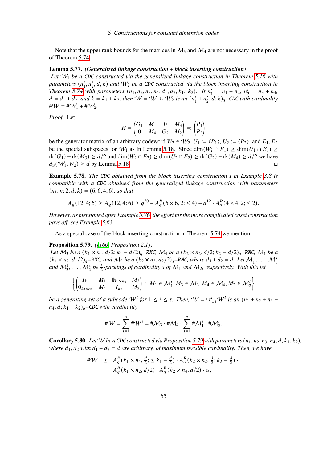Note that the upper rank bounds for the matrices in  $\mathcal{M}_3$  and  $\mathcal{M}_4$  are not necessary in the proof of Theorem [5.74](#page-64-0)

## <span id="page-66-1"></span>**Lemma 5.77.** *(Generalized linkage construction* + *block inserting construction)*

*Let* W<sup>1</sup> *be a* CDC *constructed via the generalized linkage construction in Theorem [5.16](#page-40-0) with* parameters (n'<sub>1</sub>  $\mathcal{L}_1', n_2', d, k$  and  $\mathcal{W}_2$  be a CDC constructed via the block inserting construction in *Theorem* [5.74](#page-64-0) with parameters  $(n_1, n_2, n_3, n_4, d_1, d_2, k_1, k_2)$ . If  $n'_1$  $n'_1 = n_1 + n_2, n'_2$  $n'_2 = n_3 + n_4,$  $d = d_1 + d_2$ , and  $k = k_1 + k_2$ , then  $W = W_1 \cup W_2$  is an  $(n'_1)$  $n'_1 + n'_2$  $\int_2$ ,  $d$ ;  $k$ )<sub>q</sub>–CDC with cardinality  $\#W = \#W_1 + \#W_2$ .

*Proof.* Let

$$
H = \begin{pmatrix} G_1 & M_1 & \mathbf{0} & M_3 \\ \mathbf{0} & M_4 & G_2 & M_2 \end{pmatrix} =: \begin{pmatrix} P_1 \\ P_2 \end{pmatrix}
$$

be the generator matrix of an arbitrary codeword  $W_2 \in W_2$ ,  $U_1 := \langle P_1 \rangle$ ,  $U_2 := \langle P_2 \rangle$ , and  $E_1, E_2$ be the special subspaces for  $W_1$  as in Lemma [5.18.](#page-41-3) Since dim( $W_2 \cap E_1$ ) ≥ dim( $U_1 \cap E_1$ ) ≥  $rk(G_1) - rk(M_3) \ge d/2$  and  $dim(W_2 \cap E_2) \ge dim(U_2 \cap E_2) \ge rk(G_2) - rk(M_4) \ge d/2$  we have  $d_S(\mathcal{W}_1, \mathcal{W}_2) \geq d$  by Lemma [5.18.](#page-41-3)

**Example 5.78.** *The* CDC *obtained from the block inserting construction I in Example [3.8](#page-12-0) is compatible with a* CDC *obtained from the generalized linkage construction with parameters*  $(n_1, n; 2, d, k) = (6, 6, 4, 6)$ *, so that* 

$$
A_q(12,4;6) \ge A_q(12,4;6) \ge q^{30} + A_q^R(6 \times 6, 2; \le 4) + q^{12} \cdot A_q^R(4 \times 4, 2; \le 2).
$$

*However, as mentioned after Example [5.76,](#page-65-0) the effort for the more complicated coset construction pays off, see Example [5.63.](#page-57-0)*

As a special case of the block inserting construction in Theorem [5.74](#page-64-0) we mention:

## <span id="page-66-0"></span>**Proposition 5.79.** *([\[160,](#page-98-2) Proposition 2.1])*

*Let*  $M_3$  *be a*  $(k_1 \times n_4, d/2; k_1 - d/2)_q$ –RMC,  $M_4$  *be a*  $(k_2 \times n_2, d/2; k_2 - d/2)_q$ –RMC,  $M_1$  *be a*  $(k_1 \times n_2, d_1/2)_q$ –RMC, and  $M_2$  be a  $(k_2 \times n_3, d_2/2)_q$ –RMC, where  $d_1 + d_2 = d$ . Let  $M_1^1, \ldots, M_1^s$ and  $M_2^1, \ldots, M_2^s$  be  $\frac{t}{2}$ -packings of cardinality s of  $M_1$  and  $M_2$ , respectively. With this let

$$
\left\{ \begin{pmatrix} I_{k_1} & M_1 & \mathbf{0}_{k_1 \times n_3} & M_3 \\ \mathbf{0}_{k_2 \times n_1} & M_4 & I_{k_2} & M_2 \end{pmatrix} : M_1 \in \mathcal{M}_1^i, M_3 \in \mathcal{M}_3, M_4 \in \mathcal{M}_4, M_2 \in \mathcal{M}_2^i \right\}
$$

*be a generating set of a subcode*  $W^i$  *for*  $1 \le i \le s$ . Then,  $W = \bigcup_{i=1}^s W^i$  *is an*  $(n_1 + n_2 + n_3 + \dots + n_s)$  $n_4$ ,  $d$ ;  $k_1 + k_2$ <sub> $q$ </sub>–CDC with cardinality

$$
\#\mathcal{W} = \sum_{i=1}^s \#\mathcal{W}^i = \#\mathcal{M}_3 \cdot \#\mathcal{M}_4 \cdot \sum_{i=1}^s \#\mathcal{M}_1^i \cdot \#\mathcal{M}_2^i.
$$

**Corollary 5.80.** Let W be a CDC constructed via Proposition [5.79](#page-66-0) with parameters  $(n_1, n_2, n_3, n_4, d, k_1, k_2)$ , *where*  $d_1$ ,  $d_2$  *with*  $d_1 + d_2 = d$  *are arbitrary, of maximum possible cardinality. Then, we have* 

$$
\#W \geq A_q^R(k_1 \times n_4, \frac{d}{2}; \leq k_1 - \frac{d}{2}) \cdot A_q^R(k_2 \times n_2, \frac{d}{2}; k_2 - \frac{d}{2}) \cdot A_q^R(k_1 \times n_2, d/2) \cdot A_q^R(k_2 \times n_4, d/2) \cdot \alpha,
$$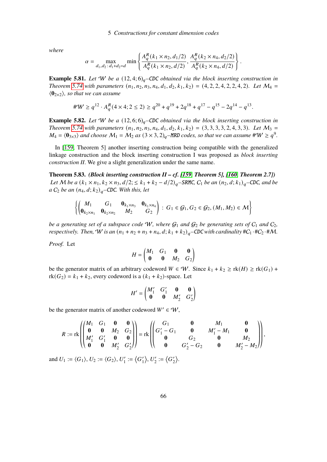*where*

$$
\alpha = \max_{d_1, d_2 \,:\, d_1 + d_2 = d} \min \left\{ \frac{A_q^R(k_1 \times n_2, d_1/2)}{A_q^R(k_1 \times n_2, d/2)}, \frac{A_q^R(k_2 \times n_4, d_2/2)}{A_q^R(k_2 \times n_4, d/2)} \right\}.
$$

**Example 5.81.** Let W be a  $(12, 4; 6)_q$ –CDC *obtained via the block inserting construction in Theorem* [5.74](#page-64-0) with parameters  $(n_1, n_2, n_3, n_4, d_1, d_2, k_1, k_2) = (4, 2, 2, 4, 2, 2, 4, 2)$ *. Let*  $M_4 =$  $\langle 0_{2\times2} \rangle$ *, so that we can assume* 

$$
\#W \ge q^{12} \cdot A_q^R(4 \times 4; 2 \le 2) \ge q^{20} + q^{19} + 2q^{18} + q^{17} - q^{15} - 2q^{14} - q^{13}.
$$

**Example 5.82.** Let W be a  $(12, 6, 6)_q$ –CDC *obtained via the block inserting construction in Theorem* [5.74](#page-64-0) *with parameters*  $(n_1, n_2, n_3, n_4, d_1, d_2, k_1, k_2) = (3, 3, 3, 3, 2, 4, 3, 3)$ *. Let*  $M_3 =$  $M_4 = \langle 0_{3\times3}\rangle$  *and choose*  $M_1 = M_2$  *as*  $(3 \times 3, 2)_q$ –MRD *codes, so that we can assume* #W  $\geq q^9$ .

In [\[159,](#page-97-3) Theorem 5] another inserting construction being compatible with the generalized linkage construction and the block inserting construction I was proposed as *block inserting construction II*. We give a slight generalization under the same name.

<span id="page-67-0"></span>**Theorem 5.83.** *(Block inserting construction II – cf. [\[159,](#page-97-3) Theorem 5], [\[160,](#page-98-2) Theorem 2.7]) Let* M *be a*  $(k_1 \times n_1, k_2 \times n_3, d/2; \leq k_1 + k_2 - d/2)_q$ –SRMC,  $C_1$  *be an*  $(n_2, d; k_1)_q$ –CDC, and be *a*  $C_2$  *be an*  $(n_4, d; k_2)_q$ *–CDC. With this, let* 

$$
\left\{ \begin{pmatrix} M_1 & G_1 & \mathbf{0}_{k_1 \times n_3} & \mathbf{0}_{k_1 \times n_4} \\ \mathbf{0}_{k_2 \times n_1} & \mathbf{0}_{k_2 \times n_2} & M_2 & G_2 \end{pmatrix} : G_1 \in \mathcal{G}_1, G_2 \in \mathcal{G}_2, (M_1, M_2) \in \mathcal{M} \right\}
$$

*be a generating set of a subspace code* W, where  $G_1$  *and*  $G_2$  *be generating sets of*  $C_1$  *and*  $C_2$ *, respectively. Then,* W *is an*  $(n_1 + n_2 + n_3 + n_4, d$ ;  $k_1 + k_2$ <sub>*q*</sub>–CDC *with cardinality*  $\#C_1 \cdot \#C_2 \cdot \#M$ .

*Proof.* Let

$$
H = \begin{pmatrix} M_1 & G_1 & \mathbf{0} & \mathbf{0} \\ \mathbf{0} & \mathbf{0} & M_2 & G_2 \end{pmatrix}
$$

be the generator matrix of an arbitrary codeword  $W \in W$ . Since  $k_1 + k_2 \geq \text{rk}(H) \geq \text{rk}(G_1) +$  $rk(G_2) = k_1 + k_2$ , every codeword is a  $(k_1 + k_2)$ -space. Let

$$
H' = \begin{pmatrix} M'_1 & G'_1 & \mathbf{0} & \mathbf{0} \\ \mathbf{0} & \mathbf{0} & M'_2 & G'_2 \end{pmatrix}
$$

be the generator matrix of another codeword  $W' \in W$ ,

$$
R := \text{rk}\left(\begin{pmatrix} M_1 & G_1 & \mathbf{0} & \mathbf{0} \\ \mathbf{0} & \mathbf{0} & M_2 & G_2 \\ M'_1 & G'_1 & \mathbf{0} & \mathbf{0} \\ \mathbf{0} & \mathbf{0} & M'_2 & G'_2 \end{pmatrix}\right) = \text{rk}\left(\begin{pmatrix} G_1 & \mathbf{0} & M_1 & \mathbf{0} \\ G'_1 - G_1 & \mathbf{0} & M'_1 - M_1 & \mathbf{0} \\ \mathbf{0} & G_2 & \mathbf{0} & M'_2 - M_2 \end{pmatrix}\right),
$$

and  $U_1 := \langle G_1 \rangle$ ,  $U_2 := \langle G_2 \rangle$ ,  $U'_1$  $i_1' := \langle G_1' \rangle$  $\langle \rangle, U_2'$  $v'_2 := \langle G'_2$  $\langle \rangle$ .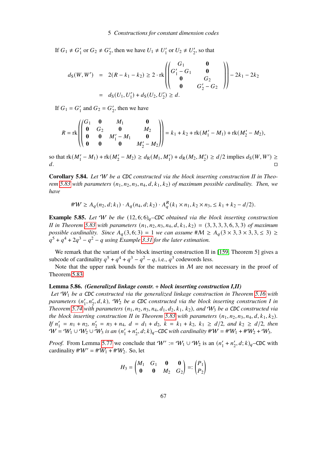If  $G_1 \neq G'_1$  $'_{1}$  or  $G_{2} \neq G'_{2}$ '<sub>2</sub>, then we have  $U_1 \neq U_1'$  $U_1'$  or  $U_2 \neq U_2'$  $v_2'$ , so that

$$
d_{S}(W, W') = 2(R - k_{1} - k_{2}) \ge 2 \cdot \text{rk} \left( \begin{pmatrix} G_{1} & \mathbf{0} \\ G_{1}^{\prime} - G_{1} & \mathbf{0} \\ \mathbf{0} & G_{2} \\ \mathbf{0} & G_{2}^{\prime} - G_{2} \end{pmatrix} \right) - 2k_{1} - 2k_{2}
$$

$$
= d_{S}(U_{1}, U_{1}') + d_{S}(U_{2}, U_{2}') \ge d.
$$

If  $G_1 = G'_1$  $'_1$  and  $G_2 = G'_2$  $\frac{1}{2}$ , then we have

$$
R = \text{rk}\begin{pmatrix} G_1 & \mathbf{0} & M_1 & \mathbf{0} \\ \mathbf{0} & G_2 & \mathbf{0} & M_2 \\ \mathbf{0} & \mathbf{0} & M_1' - M_1 & \mathbf{0} \\ \mathbf{0} & \mathbf{0} & \mathbf{0} & M_2' - M_2 \end{pmatrix} = k_1 + k_2 + \text{rk}(M_1' - M_1) + \text{rk}(M_2' - M_2),
$$

so that  $rk(M'_1 - M_1) + rk(M'_2 - M_2) \ge d_R(M_1, M'_1) + d_R(M_2, M'_2) \ge d/2$  implies  $d_S(W, W') \ge d/2$ d.

**Corollary 5.84.** *Let* W *be a* CDC *constructed via the block inserting construction II in Theorem* [5.83](#page-67-0) with parameters  $(n_1, n_2, n_3, n_4, d, k_1, k_2)$  *of maximum possible cardinality. Then, we have*

$$
\#W \ge A_q(n_2, d; k_1) \cdot A_q(n_4, d; k_2) \cdot A_q^R(k_1 \times n_1, k_2 \times n_3) \le k_1 + k_2 - d/2).
$$

**Example 5.85.** Let W be the  $(12, 6, 6)_q$ –CDC *obtained via the block inserting construction II* in Theorem [5.83](#page-67-0) with parameters  $(n_1, n_2, n_3, n_4, d, k_1, k_2) = (3, 3, 3, 3, 6, 3, 3)$  *of maximum possible cardinality. Since*  $A_q(3, 6; 3) = 1$  *we can assume*  $\#M \ge A_q(3 \times 3, 3 \times 3, 3 \times 3) \ge$  $q^5 + q^4 + 2q^3 - q^2 - q$  using Example [3.31](#page-18-0) for the later estimation.

We remark that the variant of the block inserting construction II in [\[159,](#page-97-3) Theorem 5] gives a subcode of cardinality  $q^5 + q^4 + q^3 - q^2 - q$ , i.e.,  $q^3$  codewords less.

Note that the upper rank bounds for the matrices in  $M$  are not necessary in the proof of Theorem [5.83](#page-67-0)

### **Lemma 5.86.** *(Generalized linkage constr.* + *block inserting construction I,II)*

*Let* W<sup>1</sup> *be a* CDC *constructed via the generalized linkage construction in Theorem [5.16](#page-40-0) with* parameters (n'  $\mathcal{L}_1', n_2', d, k$ ),  $\mathcal{W}_2$  *be a CDC constructed via the block inserting construction I in Theorem* [5.74](#page-64-0) with parameters  $(n_1, n_2, n_3, n_4, d_1, d_2, k_1, k_2)$ , and  $W_3$  be a CDC constructed via *the block inserting construction II in Theorem* [5.83](#page-67-0) with parameters  $(n_1, n_2, n_3, n_4, d, k_1, k_2)$ . *If*  $n'_1$  $n'_1 = n_1 + n_2, n'_2$  $y'_2 = n_3 + n_4$ ,  $d = d_1 + d_2$ ,  $k = k_1 + k_2$ ,  $k_1 \ge d/2$ , and  $k_2 \ge d/2$ , then  $W = W_1 \cup W_2 \cup W_3$  is an  $(n_1)$  $n'_1 + n'_2$  $Z'_{2}$ ,  $d$ ;  $k)_{q}$ –CDC with cardinality  $\#W = \#W_{1} + \#W_{2} + W_{3}$ .

*Proof.* From Lemma [5.77](#page-66-1) we conclude that  $W' := W_1 \cup W_2$  is an  $(n'_1)$  $n'_1 + n'_2$  $\chi'_{2}$ ,  $d; k$ )<sub>q</sub>-CDC with cardinality  $\#W' = \#W_1 + \#W_2$ . So, let

$$
H_3 = \begin{pmatrix} M_1 & G_1 & \mathbf{0} & \mathbf{0} \\ \mathbf{0} & \mathbf{0} & M_2 & G_2 \end{pmatrix} =: \begin{pmatrix} P_1 \\ P_2 \end{pmatrix}
$$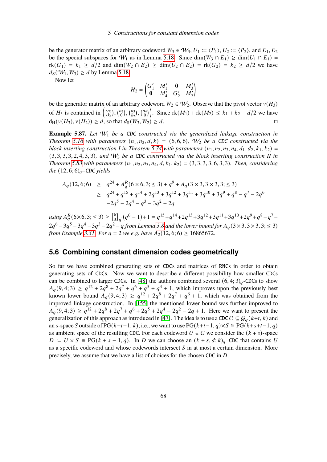be the generator matrix of an arbitrary codeword  $W_3 \in W_3$ ,  $U_1 := \langle P_1 \rangle$ ,  $U_2 := \langle P_2 \rangle$ , and  $E_1, E_2$ be the special subspaces for  $W_1$  as in Lemma [5.18.](#page-41-3) Since dim( $W_3 \cap E_1$ ) ≥ dim( $U_1 \cap E_1$ ) =  $rk(G_1) = k_1 \ge d/2$  and  $dim(W_2 \cap E_2) \ge dim(U_2 \cap E_2) = rk(G_2) = k_2 \ge d/2$  we have  $d_S(\mathcal{W}_1, W_3) \geq d$  by Lemma [5.18.](#page-41-3)

Now let

$$
H_2 = \begin{pmatrix} G'_1 & M'_1 & \mathbf{0} & M'_3 \\ \mathbf{0} & M'_4 & G'_2 & M'_2 \end{pmatrix}
$$

be the generator matrix of an arbitrary codeword  $W_2 \in W_2$ . Observe that the pivot vector  $v(H_3)$ of  $H_3$  is contained in  $\left(\begin{matrix} n_1 \\ k_2 \end{matrix}\right)$  $\binom{n_1}{k_1}, \binom{n_2}{0}, \binom{n_3}{k_2}$  $\binom{n_3}{k_2}$ ,  $\binom{n_4}{0}$ . Since  $rk(M_1) + rk(M_2) \leq k_1 + k_2 - d/2$  we have  $d_H(v(H_3), v(H_2)) \geq d$ , so that  $d_S(W_3, W_2) \geq d$ .

**Example 5.87.** Let  $W_1$  be a CDC constructed via the generalized linkage construction in *Theorem* [5.16](#page-40-0) with parameters  $(n_1, n_2, d, k) = (6, 6, 6)$ ,  $W_2$  be a CDC constructed via the *block inserting construction I in Theorem [5.74](#page-64-0) with parameters*  $(n_1, n_2, n_3, n_4, d_1, d_2, k_1, k_2)$ (3, 3, 3, 3, 2, 4, 3, 3)*, and* W<sup>3</sup> *be a* CDC *constructed via the block inserting construction II in Theorem* [5.83](#page-67-0) with parameters  $(n_1, n_2, n_3, n_4, d, k_1, k_2) = (3, 3, 3, 3, 6, 3, 3)$ *. Then, considering the*  $(12, 6; 6)<sub>q</sub>$ *–CDC yields* 

$$
A_q(12,6;6) \ge q^{24} + A_q^R(6 \times 6, 3; \le 3) + q^9 + A_q(3 \times 3, 3 \times 3, 3; \le 3)
$$
  
\n
$$
\ge q^{24} + q^{15} + q^{14} + 2q^{13} + 3q^{12} + 3q^{11} + 3q^{10} + 3q^9 + q^8 - q^7 - 2q^6
$$
  
\n
$$
-2q^5 - 2q^4 - q^3 - 3q^2 - 2q
$$

*using*  $A_{a}^{R}$  (6×6, 3; ≤ 3) ≥  $\begin{bmatrix} 6 \\ 3 \end{bmatrix}$  ${}_{3}^{6}$ <sub>3</sub> $_{q}$  $(q^{6} - 1) + 1 = q^{15} + q^{14} + 2q^{13} + 3q^{12} + 3q^{11} + 3q^{10} + 2q^{9} + q^{8} - q^{7} 2q^6 - 3q^5 - 3q^4 - 3q^3 - 2q^2 - q$  from Lemma [3.8](#page-12-0) and the lower bound for  $A_q(3 \times 3, 3 \times 3, 3; \leq 3)$ *from Example* [3.31.](#page-18-0) *For*  $q = 2$  *we e.g. have*  $A_2(12, 6; 6) \ge 16865672$ .

# **5.6 Combining constant dimension codes geometrically**

So far we have combined generating sets of CDCs and matrices of RMCs in order to obtain generating sets of CDCs. Now we want to describe a different possibility how smaller CDCs can be combined to larger CDCs. In [\[48\]](#page-90-2) the authors combined several  $(6, 4; 3)<sub>q</sub>$ -CDCs to show  $A_q(9, 4; 3) \ge q^{12} + 2q^8 + 2q^7 + q^6 + q^5 + q^4 + 1$ , which improves upon the previously best known lower bound  $A_q(9, 4; 3) \ge q^{12} + 2q^8 + 2q^7 + q^6 + 1$ , which was obtained from the improved linkage construction. In [\[155\]](#page-97-4) the mentioned lower bound was further improved to  $A_q(9, 4; 3) \ge q^{12} + 2q^8 + 2q^7 + q^6 + 2q^5 + 2q^4 - 2q^2 - 2q + 1$ . Here we want to present the generalization of this approach as introduced in [\[47\]](#page-90-0). The idea is to use a CDC  $C \subseteq \mathcal{G}_a(k+t, k)$  and an s-space S outside of PG( $k+t-1, k$ ), i.e., we want to use PG( $k+t-1, q$ )×S  $\cong$  PG( $k+s+t-1, q$ ) as ambient space of the resulting CDC. For each codeword  $U \in \mathcal{C}$  we consider the  $(k + s)$ -space  $D := U \times S \cong PG(k + s - 1, q)$ . In D we can choose an  $(k + s, d; k)_q$ –CDC that contains U as a specific codeword and whose codewords intersect  $S$  in at most a certain dimension. More precisely, we assume that we have a list of choices for the chosen CDC in  $D$ .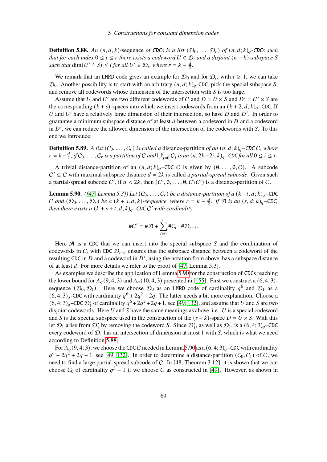<span id="page-70-1"></span>**Definition 5.88.** An  $(n, d, k)$ -sequence of CDCs is a list  $(\mathcal{D}_0, \ldots, \mathcal{D}_r)$  of  $(n, d; k)_q$ -CDCs such *that for each index*  $0 \le i \le r$  *there exists a codeword*  $U \in \mathcal{D}_i$  *and a disjoint*  $(n - k)$ *-subspace* S *such that*  $\dim(U' \cap S) \leq i$  *for all*  $U' \in \mathcal{D}_i$ *, where*  $r = k - \frac{d}{2}$  $\frac{a}{2}$ .

We remark that an LMRD code gives an example for  $\mathcal{D}_0$  and for  $\mathcal{D}_i$ , with  $i \geq 1$ , we can take  $\mathcal{D}_0$ . Another possibility is to start with an arbitrary  $(n, d; k)_q$ -CDC, pick the special subspace S, and remove all codewords whose dimension of the intersection with  $S$  is too large.

Assume that U and U' are two different codewords of C and  $D = U \times S$  and  $D' = U' \times S$  are the corresponding  $(k + s)$ -spaces into which we insert codewords from an  $(k + 2, d; k)_{q}$ –CDC. If U and U' have a relatively large dimension of their intersection, so have  $D$  and  $D'$ . In order to guarantee a minimum subspace distance of at least  $d$  between a codeword in  $D$  and a codeword in  $D'$ , we can reduce the allowed dimension of the intersection of the codewords with  $S$ . To this end we introduce:

**Definition 5.89.** *A list*  $(C_0, \ldots, C_r)$  *is called a distance-partition of an*  $(n, d; k)_q$ –CDC C, where  $r = k - \frac{d}{2}$  $\frac{d}{2}$ , if  $C_0, \ldots, C_r$  is a partition of C and  $\bigcup_{j=0}^{i} C_j$  is an  $(n, 2k-2i; k)_q$ –CDC for all  $0 \le i \le r$ .

A trivial distance-partition of an  $(n, d; k)_{q}$ –CDC C is given by  $(\emptyset, \ldots, \emptyset, C)$ . A subcode  $C' ⊆ C$  with maximal subspace distance  $d = 2k$  is called a *partial-spread subcode*. Given such a partial-spread subcode C', if  $d < 2k$ , then  $(C', \emptyset, \ldots, \emptyset, C\setminus C')$  is a distance-partition of C.

<span id="page-70-0"></span>**Lemma 5.90.** *(*[\[47,](#page-90-0) *Lemma 5.3]) Let*  $(C_0, \ldots, C_r)$  *be a distance-partition of a*  $(k+t, d; k)_q$ –CDC C and  $(D_0, \ldots, D_r)$  be a  $(k + s, d, k)$ -sequence, where  $r = k - \frac{d}{2}$  $\frac{d}{2}$ *. If*  $\mathcal{A}$  *is an*  $(s, d; k)q$ <sup>*-CDC*,</sup> *then there exists a*  $(k + s + t, d; k)_q$ –CDC C' with cardinality

$$
\#C' = \#\mathcal{A} + \sum_{i=0}^r \#C_i \cdot \#\mathcal{D}_{r-i}.
$$

Here  $A$  is a CDC that we can insert into the special subspace  $S$  and the combination of codewords in  $C_i$  with CDC  $\mathcal{D}_{r-i}$  ensures that the subspace distance between a codeword of the resulting CDC in  $D$  and a codeword in  $D'$ , using the notation from above, has a subspace distance of at least  $d$ . For more details we refer to the proof of [\[47,](#page-90-0) Lemma 5.3].

As examples we describe the application of Lemma [5.90](#page-70-0) for the construction of CDCs reaching the lower bound for  $A_q(9, 4; 3)$  and  $A_q(10, 4; 3)$  presented in [\[155\]](#page-97-4). First we construct a  $(6, 4, 3)$ sequence  $(\mathcal{D}_0, \mathcal{D}_1)$ . Here we choose  $\mathcal{D}_0$  as an LMRD code of cardinality  $q^6$  and  $\mathcal{D}_1$  as a  $(6, 4; 3)_q$ -CDC with cardinality  $q^6 + 2q^2 + 2q$ . The latter needs a bit more explanation. Choose a  $(6, 4; 3)_q$ –CDC  $\mathcal{D}'_1$  of cardinality  $q^6 + 2q^2 + 2q + 1$ , see [\[49,](#page-90-3) [132\]](#page-96-2), and assume that U and S are two disjoint codewords. Here U and S have the same meanings as above, i.e., U is a special codeword and S is the special subspace used in the construction of the  $(s + k)$ -space  $D = U \times S$ . With this let  $\mathcal{D}_1$  arise from  $\mathcal{D}'_1$  by removing the codeword S. Since  $\mathcal{D}'_1$ , as well as  $\mathcal{D}_1$ , is a  $(6, 4; 3)_q$ -CDC every codeword of  $\mathcal{D}_1$  has an intersection of dimension at most 1 with S, which is what we need according to Definition [5.88.](#page-70-1)

For  $A_q(9, 4; 3)$ , we choose the CDC C needed in Lemma [5.90](#page-70-0) as a  $(6, 4; 3)_q$ –CDC with cardinality  $q^6 + 2q^2 + 2q + 1$ , see [\[49,](#page-90-3) [132\]](#page-96-2). In order to determine a distance-partition  $(C_0, C_1)$  of C, we need to find a large partial-spread subcode of C. In [\[48,](#page-90-2) Theorem 3.12], it is shown that we can choose  $C_0$  of cardinality  $q^3 - 1$  if we choose C as constructed in [\[49\]](#page-90-3). However, as shown in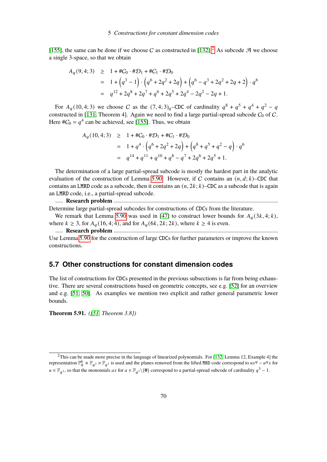[\[155\]](#page-97-4), the same can be done if we choose C as constructed in [\[132\]](#page-96-2).<sup>[2](#page-0-0)</sup> As subcode A we choose a single 3-space, so that we obtain

$$
A_q(9,4;3) \ge 1 + \#C_0 \cdot \#D_1 + \#C_1 \cdot \#D_0
$$
  
=  $1 + (q^3 - 1) \cdot (q^6 + 2q^2 + 2q) + (q^6 - q^3 + 2q^2 + 2q + 2) \cdot q^6$   
=  $q^{12} + 2q^8 + 2q^7 + q^6 + 2q^5 + 2q^4 - 2q^2 - 2q + 1$ .

For  $A_q(10, 4; 3)$  we choose C as the  $(7, 4; 3)_q$ -CDC of cardinality  $q^8 + q^5 + q^4 + q^2 - q^4$ constructed in [\[131,](#page-95-4) Theorem 4]. Again we need to find a large partial-spread subcode  $C_0$  of  $C$ . Here  $\#C_0 = q^4$  can be achieved, see [\[155\]](#page-97-4). Thus, we obtain

$$
A_q(10,4;3) \ge 1 + \#C_0 \cdot \#D_1 + \#C_1 \cdot \#D_0
$$
  
= 1 + q<sup>4</sup> \cdot (q<sup>6</sup> + 2q<sup>2</sup> + 2q) + (q<sup>8</sup> + q<sup>5</sup> + q<sup>2</sup> - q) \cdot q<sup>6</sup>  
= q<sup>14</sup> + q<sup>11</sup> + q<sup>10</sup> + q<sup>8</sup> - q<sup>7</sup> + 2q<sup>6</sup> + 2q<sup>5</sup> + 1.

The determination of a large partial-spread subcode is mostly the hardest part in the analytic evaluation of the construction of Lemma [5.90.](#page-70-0) However, if C contains an  $(n, d; k)$ –CDC that contains an LMRD code as a subcode, then it contains an  $(n, 2k; k)$ –CDC as a subcode that is again an LMRD code, i.e., a partial-spread subcode.

## **Research problem**

Determine large partial-spread subcodes for constructions of CDCs from the literature.

We remark that Lemma [5.90](#page-70-0) was used in [\[47\]](#page-90-0) to construct lower bounds for  $A_q(3k,4;k)$ , where  $k \geq 3$ , for  $A_q(16, 4; 4)$ , and for  $A_q(6k, 2k; 2k)$ , where  $k \geq 4$  is even.

### **Research problem**

Use Lemma [5.90](#page-70-0) for the construction of large CDCs for further parameters or improve the known constructions.

# **5.7 Other constructions for constant dimension codes**

The list of constructions for CDCs presented in the previous subsections is far from being exhaustive. There are several constructions based on geometric concepts, see e.g. [\[52\]](#page-90-4) for an overview and e.g. [\[51,](#page-90-5) [50\]](#page-90-6). As examples we mention two explicit and rather general parametric lower bounds.

**Theorem 5.91.** *([\[51,](#page-90-5) Theorem 3.8])*

 $2$ This can be made more precise in the language of linearized polynomials. For [\[132,](#page-96-2) Lemma 12, Example 4] the representation  $\mathbb{F}_q^6 \cong \mathbb{F}_{q^3} \times \mathbb{F}_{q^3}$  is used and the planes removed from the lifted MRD code correspond to  $ux^q - u^q$  for  $u \in \mathbb{F}_{q^3}$ , so that the monomials  $ax$  for  $a \in \mathbb{F}_{q^3} \setminus \{0\}$  correspond to a partial-spread subcode of cardinality  $q^3 - 1$ .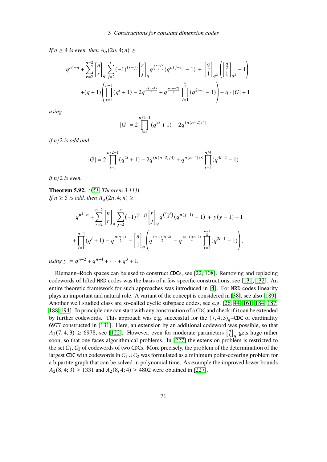*If*  $n \geq 4$  *is even, then*  $A_q(2n, 4; n) \geq$ 

$$
q^{n^{2}-n} + \sum_{r=2}^{n-2} {n \brack r}_q \sum_{j=2}^r (-1)^{(r-j)} {r \brack j}_q q^{r-j \choose 2} (q^{n(j-1)} - 1) + \left[ \frac{n}{2} \right]_{q^2} \left( \left[ \frac{n}{2} \right]_{q^2} - 1 \right)
$$
  
+
$$
(q+1) \left( \prod_{i=1}^{n-1} (q^i + 1) - 2q^{\frac{n(n-1)}{2}} + q^{\frac{n(n-2)}{4}} \prod_{i=1}^{\frac{n}{2}} (q^{2i-1} - 1) \right) - q \cdot |G| + 1
$$

*using*

$$
|G| = 2\prod_{i=1}^{n/2-1} (q^{2i} + 1) - 2q^{(n(n-2)/4)}
$$

*if*  $n/2$  *is odd and* 

$$
|G| = 2\prod_{i=1}^{n/2-1} (q^{2i} + 1) - 2q^{(n(n-2)/4)} + q^{n(n-4)/8} \prod_{i=1}^{n/4} (q^{4i-2} - 1)
$$

 $if n/2 is even.$ 

**Theorem 5.92.** *([\[51,](#page-90-0) Theorem 3.11]) If*  $n \geq 5$  *is odd, then*  $A_q(2n, 4; n) \geq$ 

$$
q^{n^{2}-n} + \sum_{r=2}^{n-2} {n \choose r}_q \sum_{j=2}^r (-1)^{(r-j)} {r \choose j}_q q^{r-j} (q^{n(j-1)} - 1) + y(y-1) + 1
$$
  
+ 
$$
\prod_{i=1}^{n-1} (q^{i} + 1) - q^{\frac{n(n-1)}{2}} - {n \choose 1}_q \left( q^{\frac{(n-1)(n-2)}{2}} - q^{\frac{(n-1)(n-3)}{4}} \prod_{i=1}^{\frac{n-1}{2}} (q^{2i-1} - 1) \right),
$$

 $using y := q^{n-2} + q^{n-4} + \cdots + q^3 + 1.$ 

Riemann–Roch spaces can be used to construct CDCs, see [\[22,](#page-88-0) [108\]](#page-94-0). Removing and replacing codewords of lifted MRD codes was the basis of a few specific constructions, see [\[131,](#page-95-0) [132\]](#page-96-0). An entire theoretic framework for such approaches was introduced in [\[4\]](#page-87-0). For MRD codes linearity plays an important and natural role. A variant of the concept is considered in [\[38\]](#page-89-0), see also [\[189\]](#page-100-0). Another well studied class are so-called cyclic subspace codes, see e.g. [\[26,](#page-88-1) [44,](#page-90-1) [161,](#page-98-0) [184,](#page-99-0) [187,](#page-99-1) [188,](#page-100-1) [194\]](#page-100-2). In principle one can start with any construction of a CDC and check if it can be extended by further codewords. This approach was e.g. successful for the  $(7, 4; 3)<sub>q</sub>$ –CDC of cardinality 6977 constructed in [\[131\]](#page-95-0). Here, an extension by an additional codeword was possible, so that  $A_3(7, 4; 3) \ge 6978$ , see [\[122\]](#page-95-1). However, even for moderate parameters  $\begin{bmatrix} n \\ k \end{bmatrix}$  $\binom{n}{k}_q$  gets huge rather soon, so that one faces algorithmical problems. In [\[227\]](#page-102-0) the extension problem is restricted to the set  $C_1$ ,  $C_2$  of codewords of two CDCs. More precisely, the problem of the determination of the largest CDC with codewords in  $C_1 \cup C_2$  was formulated as a minimum point-covering problem for a bipartite graph that can be solved in polynomial time. As example the improved lower bounds  $A_2(8, 4; 3) \ge 1331$  and  $A_2(8, 4; 4) \ge 4802$  were obtained in [\[227\]](#page-102-0).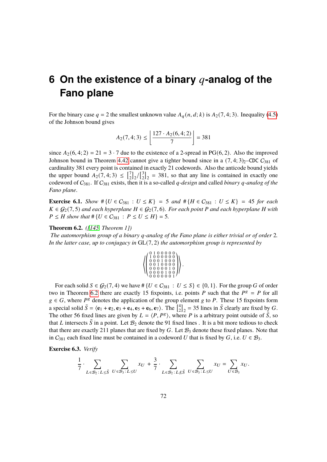# **6 On the existence of a binary q-analog of the Fano plane**

For the binary case  $q = 2$  the smallest unknown value  $A_q(n, d; k)$  is  $A_2(7, 4; 3)$ . Inequality [\(4.5\)](#page-23-0) of the Johnson bound gives

$$
A_2(7,4;3) \le \left\lfloor \frac{127 \cdot A_2(6,4;2)}{7} \right\rfloor = 381
$$

since  $A_2(6, 4; 2) = 21 = 3 \cdot 7$  due to the existence of a 2-spread in PG(6, 2). Also the improved Johnson bound in Theorem [4.42](#page-32-0) cannot give a tighter bound since in a  $(7, 4; 3)_2$ –CDC  $C_{381}$  of cardinality 381 every point is contained in exactly 21 codewords. Also the anticode bound yields the upper bound  $A_2(7, 4; 3) \leq \begin{bmatrix} 7 \\ 2 \end{bmatrix}$  $\binom{7}{2}$ <sub>2</sub>/ $\binom{3}{2}$  $2_{22}^{3}$  = 381, so that any line is contained in exactly one codeword of  $C_{381}$ . If  $C_{381}$  exists, then it is a so-called *q*-design and called *binary q*-analog of the *Fano plane*.

**Exercise 6.1.** *Show*  $\# \{ U \in C_{381} : U \leq K \} = 5$  *and*  $\# \{ H \in C_{381} : U \leq K \} = 45$  *for each*  $K ∈ G<sub>2</sub>(7, 5)$  *and each hyperplane*  $H ∈ G<sub>2</sub>(7, 6)$ *. For each point* P *and each hyperplane* H *with*  $P \leq H$  show that # { $U \in C_{381}$  :  $P \leq U \leq H$ } = 5.

### <span id="page-73-0"></span>**Theorem 6.2.** *([\[145,](#page-97-0) Theorem 1])*

*The automorphism group of a binary q-analog of the Fano plane is either trivial or of order* 2*. In the latter case, up to conjugacy in* GL(7, 2) *the automorphism group is represented by*

|  |  |  | $\left(\begin{array}{ccc} 0 & 1 & 0 & 0 & 0 & 0 & 0 \\ 1 & 0 & 0 & 0 & 0 & 0 & 0 \\ 0 & 0 & 0 & 1 & 0 & 0 & 0 \\ 0 & 0 & 1 & 0 & 0 & 0 & 0 \\ 0 & 0 & 0 & 1 & 0 & 0 & 0 \\ 0 & 0 & 0 & 0 & 0 & 0 & 0 \\ 0 & 0 & 0 & 0 & 0 & 0 & 0 \\ 0 & 0 & 0 & 0 & 0 & 0 & 0 \\ 0 & 0 & 0 & 0 & 0 & 0 & 0 \\ 0 & 0 & 0 & 0 & 0 & 0 & 0 \\ $ |  |  |
|--|--|--|-------------------------------------------------------------------------------------------------------------------------------------------------------------------------------------------------------------------------------------------------------------------------------------------------------------------------------|--|--|
|  |  |  | $\left( \begin{smallmatrix} 0&0&1&0&0&0&0\ 0&0&0&0&0&1&0\ 0&0&0&0&1&0&0\ 0&0&0&0&0&0&1 \end{smallmatrix} \right)$                                                                                                                                                                                                             |  |  |
|  |  |  |                                                                                                                                                                                                                                                                                                                               |  |  |
|  |  |  |                                                                                                                                                                                                                                                                                                                               |  |  |
|  |  |  |                                                                                                                                                                                                                                                                                                                               |  |  |
|  |  |  |                                                                                                                                                                                                                                                                                                                               |  |  |

For each solid  $S \in \mathcal{G}_2(7, 4)$  we have #  $\{U \in C_{381} : U \leq S\} \in \{0, 1\}$ . For the group G of order two in Theorem [6.2](#page-73-0) there are exactly 15 fixpoints, i.e. points P such that the  $P^g = P$  for all  $g \in G$ , where  $P^g$  denotes the application of the group element g to P. These 15 fixpoints form a special solid  $\bar{S} = \langle \mathbf{e}_1 + \mathbf{e}_2, \mathbf{e}_3 + \mathbf{e}_4, \mathbf{e}_5 + \mathbf{e}_6, \mathbf{e}_7 \rangle$ . The  $\begin{bmatrix} 4 \\ 2 \end{bmatrix}$  $2\binom{4}{2}$  = 35 lines in  $\overline{S}$  clearly are fixed by G. The other 56 fixed lines are given by  $L = \langle P, P^g \rangle$ , where P is a arbitrary point outside of  $\overline{S}$ , so that L intersects  $\bar{S}$  in a point. Let  $\mathcal{B}_2$  denote the 91 fixed lines. It is a bit more tedious to check that there are exactly 211 planes that are fixed by  $G$ . Let  $B_3$  denote these fixed planes. Note that in  $C_{381}$  each fixed line must be contained in a codeword U that is fixed by G, i.e.  $U \in \mathcal{B}_3$ .

**Exercise 6.3.** *Verify*

$$
\frac{1}{7} \cdot \sum_{L \in \mathcal{B}_2 \colon L \leq \bar{S}} \sum_{U \in \mathcal{B}_3 \colon L \leq U} x_U + \frac{3}{7} \cdot \sum_{L \in \mathcal{B}_2 \colon L \not\leq \bar{S}} \sum_{U \in \mathcal{B}_3 \colon L \leq U} x_U = \sum_{U \in \mathcal{B}_3} x_U.
$$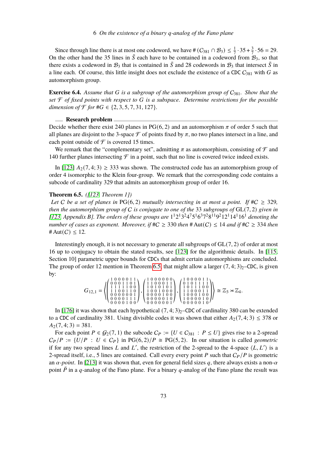Since through line there is at most one codeword, we have #  $(C_{381} \cap B_3) \leq \frac{1}{7}$  $\frac{1}{7} \cdot 35 + \frac{3}{7}$  $\frac{3}{7} \cdot 56 = 29.$ On the other hand the 35 lines in  $\bar{S}$  each have to be contained in a codeword from  $\mathcal{B}_3$ , so that there exists a codeword in  $\mathcal{B}_3$  that is contained in  $\bar{S}$  and 28 codewords in  $\mathcal{B}_3$  that intersect  $\bar{S}$  in a line each. Of course, this little insight does not exclude the existence of a CDC  $C_{381}$  with G as automorphism group.

**Exercise 6.4.** Assume that G is a subgroup of the automorphism group of  $C_{381}$ . Show that the  $set$   $\mathcal F$  *of fixed points with respect to G is a subspace. Determine restrictions for the possible dimension of*  $\mathcal{F}$  *for*  $\#G \in \{2, 3, 5, 7, 31, 127\}$ *.* 

### **Research problem**

Decide whether there exist 240 planes in PG(6, 2) and an automorphism  $\pi$  of order 5 such that all planes are disjoint to the 3-space  $\mathcal F$  of points fixed by  $\pi$ , no two planes intersect in a line, and each point outside of  $\mathcal F$  is covered 15 times.

We remark that the "complementary set", admitting  $\pi$  as automorphism, consisting of  $\mathcal F$  and 140 further planes intersecting  $\mathcal F$  in a point, such that no line is covered twice indeed exists.

In [\[123\]](#page-95-2)  $A_2(7, 4; 3) \geq 333$  was shown. The constructed code has an automorphism group of order 4 isomorphic to the Klein four-group. We remark that the corresponding code contains a subcode of cardinality 329 that admits an automorphism group of order 16.

### <span id="page-74-0"></span>**Theorem 6.5.** *([\[123,](#page-95-2) Theorem 1])*

*Let C be a set of planes in* PG(6, 2) *mutually intersecting in at most a point. If*  $#C \geq 329$ , *then the automorphism group of* C *is conjugate to one of the* 33 *subgroups of* GL(7, 2) *given in* [\[123,](#page-95-2) Appendix B]. The orders of these groups are  $1^{1}2^{1}3^{2}4^{7}5^{1}6^{3}7^{2}8^{11}9^{2}12^{1}14^{1}16^{1}$  denoting the *number of cases as exponent. Moreover, if*  $#C \geq 330$  *then*  $#Aut(C) \leq 14$  *and if*  $#C \geq 334$  *then* # Aut( $C$ )  $\leq$  12.

Interestingly enough, it is not necessary to generate all subgroups of GL(7, 2) of order at most 16 up to conjugacy to obtain the stated results, see [\[123\]](#page-95-2) for the algorithmic details. In [\[115,](#page-94-1) Section 10] parametric upper bounds for CDCs that admit certain automorphisms are concluded. The group of order 12 mention in Theorem [6.5,](#page-74-0) that might allow a larger  $(7, 4; 3)_2$ –CDC, is given by:

$$
G_{12,1} = \left\langle \left(\begin{smallmatrix} 1&0&0&0&0&1&1 \\ 0&0&0&1&1&0&1 \\ 1&1&1&1&0&1&0 \\ 1&1&1&0&0&1&1 \\ 0&0&0&0&0&0&1 \\ 0&0&0&0&0&1&0 \\ 0&0&0&0&1&0&0 \end{smallmatrix} \right), \left(\begin{smallmatrix} 1&0&0&0&0&0&0 \\ 1&0&0&0&1&1 \\ 1&0&0&1&0&1 \\ 1&0&1&0&1&1 \\ 1&0&1&0&0&0 \\ 0&0&0&0&1&0&0 \\ 0&0&0&0&0&1&0 \end{smallmatrix} \right), \left(\begin{smallmatrix} 1&0&0&0&0&1&1 \\ 1&0&0&0&1&1&1 \\ 1&1&0&1&1&1&0 \\ 1&1&0&0&0&1&1 \\ 1&1&0&0&0&1&0 \\ 1&0&0&0&1&0&0 \\ 0&0&0&0&0&1&0 \end{smallmatrix} \right) \cong \mathbb{Z}_3 \rtimes \mathbb{Z}_4.
$$

In [\[176\]](#page-99-2) it was shown that each hypothetical  $(7, 4; 3)_2$ –CDC of cardinality 380 can be extended to a CDC of cardinality 381. Using divisible codes it was shown that either  $A_2(7, 4; 3) \leq 378$  or  $A_2(7, 4; 3) = 381.$ 

For each point  $P \in \mathcal{G}_2(7, 1)$  the subcode  $C_P := \{U \in C_{381} : P \leq U\}$  gives rise to a 2-spread  $C_P/P := \{U/P : U \in C_P\}$  in PG(6, 2)/P  $\cong$  PG(5, 2). In our situation is called *geometric* if for any two spread lines L and L', the restriction of the 2-spread to the 4-space  $\langle L, L' \rangle$  is a 2-spread itself, i.e., 5 lines are contained. Call every every point P such that  $C_P/P$  is geometric an  $\alpha$ -point. In [\[213\]](#page-101-0) it was shown that, even for general field sizes q, there always exists a non- $\alpha$ point  $\overline{P}$  in a q-analog of the Fano plane. For a binary q-analog of the Fano plane the result was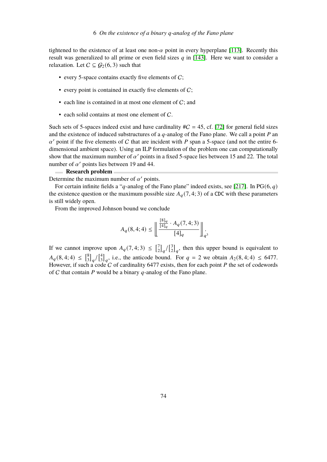tightened to the existence of at least one non- $\alpha$  point in every hyperplane [\[113\]](#page-94-2). Recently this result was generalized to all prime or even field sizes  $q$  in [\[143\]](#page-96-1). Here we want to consider a relaxation. Let  $C \subseteq G_2(6, 3)$  such that

- every 5-space contains exactly five elements of  $C$ ;
- every point is contained in exactly five elements of  $C$ ;
- $\bullet$  each line is contained in at most one element of  $C$ ; and
- each solid contains at most one element of C.

Such sets of 5-spaces indeed exist and have cardinality  $\#C = 45$ , cf. [\[72\]](#page-91-0) for general field sizes and the existence of induced substructures of a  $q$ -analog of the Fano plane. We call a point  $P$  an  $\alpha'$  point if the five elements of C that are incident with P span a 5-space (and not the entire 6dimensional ambient space). Using an ILP formulation of the problem one can computationally show that the maximum number of  $\alpha'$  points in a fixed 5-space lies between 15 and 22. The total number of  $\alpha'$  points lies between 19 and 44.

## **Research problem**

Determine the maximum number of  $\alpha'$  points.

For certain infinite fields a "q-analog of the Fano plane" indeed exists, see [\[217\]](#page-102-1). In PG(6,  $q$ ) the existence question or the maximum possible size  $A_q(7, 4; 3)$  of a CDC with these parameters is still widely open.

From the improved Johnson bound we conclude

$$
A_q(8,4;4) \le \left\lfloor \frac{\frac{[8]_q}{[4]_q} \cdot A_q(7,4;3)}{[4]_q} \right\rfloor_q.
$$

If we cannot improve upon  $A_q(7, 4; 3) \leq \begin{bmatrix} 7 \\ 2 \end{bmatrix}$  $\binom{7}{2}$ <sub>q</sub> $/\binom{3}{2}$  $\binom{3}{2}_q$ , then this upper bound is equivalent to  $A_q(8, 4; 4) \leq \begin{bmatrix} 8 \\ 3 \end{bmatrix}$  $_{3}^{8}\left]_{q}/\left[_{3}^{4}\right]$  $^{4}_{3}]_{q}$ , i.e., the anticode bound. For  $q = 2$  we obtain  $A_2(8, 4; 4) \le 6477$ . However, if such a code  $\hat{C}$  of cardinality 6477 exists, then for each point  $P$  the set of codewords of C that contain P would be a binary  $q$ -analog of the Fano plane.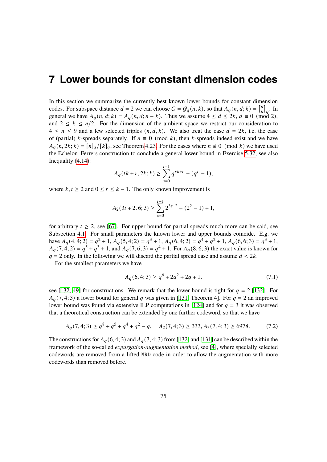# **7 Lower bounds for constant dimension codes**

In this section we summarize the currently best known lower bounds for constant dimension codes. For subspace distance  $d = 2$  we can choose  $C = G_q(n, k)$ , so that  $A_q(n, d; k) = \begin{bmatrix} n \\ k \end{bmatrix}$  $\binom{n}{k}_q$ . In general we have  $A_q(n, d; k) = A_q(n, d; n - k)$ . Thus we assume  $4 \leq d \leq 2k$ ,  $d \equiv 0 \pmod{2}$ , and  $2 \le k \le n/2$ . For the dimension of the ambient space we restrict our consideration to  $4 \le n \le 9$  and a few selected triples  $(n, d, k)$ . We also treat the case  $d = 2k$ , i.e. the case of (partial) k-spreads separately. If  $n \equiv 0 \pmod{k}$ , then k-spreads indeed exist and we have  $A_q(n, 2k; k) = [n]_q/[k]_q$ , see Theorem [4.23.](#page-27-0) For the cases where  $n \neq 0 \pmod{k}$  we have used the Echelon–Ferrers construction to conclude a general lower bound in Exercise [5.32,](#page-46-0) see also Inequality [\(4.14\)](#page-28-0):

$$
A_q(tk+r, 2k; k) \ge \sum_{s=0}^{t-1} q^{sk+r} - (q^r - 1),
$$

where  $k, t \ge 2$  and  $0 \le r \le k - 1$ . The only known improvement is

$$
A_2(3t + 2, 6; 3) \ge \sum_{s=0}^{t-1} 2^{3s+2} - (2^2 - 1) + 1,
$$

for arbitrary  $t \geq 2$ , see [\[67\]](#page-91-1). For upper bound for partial spreads much more can be said, see Subsection [4.1.](#page-27-1) For small parameters the known lower and upper bounds coincide. E.g. we have  $A_q(4, 4; 2) = q^2 + 1$ ,  $A_q(5, 4; 2) = q^3 + 1$ ,  $A_q(6, 4; 2) = q^4 + q^2 + 1$ ,  $A_q(6, 6; 3) = q^3 + 1$ ,  $A_q(7, 4, 2) = q^5 + q^3 + 1$ , and  $A_q(7, 6, 3) = q^4 + 1$ . For  $A_q(8, 6, 3)$  the exact value is known for  $q = 2$  only. In the following we will discard the partial spread case and assume  $d < 2k$ .

For the smallest parameters we have

$$
A_q(6,4;3) \ge q^6 + 2q^2 + 2q + 1,\tag{7.1}
$$

see [\[132,](#page-96-0) [49\]](#page-90-2) for constructions. We remark that the lower bound is tight for  $q = 2$  [\[132\]](#page-96-0). For  $A_q(7, 4; 3)$  a lower bound for general q was given in [\[131,](#page-95-0) Theorem 4]. For  $q = 2$  an improved lower bound was found via extensive ILP computations in [\[124\]](#page-95-3) and for  $q = 3$  it was observed that a theoretical construction can be extended by one further codeword, so that we have

$$
A_q(7,4;3) \ge q^8 + q^5 + q^4 + q^2 - q, \quad A_2(7,4;3) \ge 333, A_3(7,4;3) \ge 6978. \tag{7.2}
$$

The constructions for  $A_{q}(6, 4; 3)$  and  $A_{q}(7, 4; 3)$  from [\[132\]](#page-96-0) and [\[131\]](#page-95-0) can be described within the framework of the so-called *expurgation-augmentation method*, see [\[4\]](#page-87-0), where specially selected codewords are removed from a lifted MRD code in order to allow the augmentation with more codewords than removed before.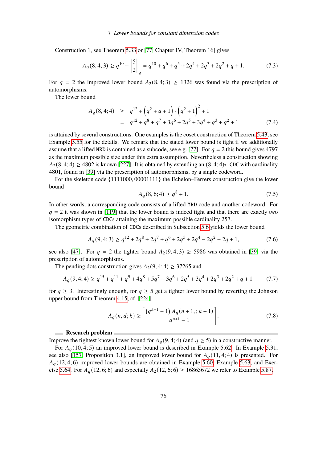Construction 1, see Theorem [5.33](#page-46-1) or [\[77,](#page-92-0) Chapter IV, Theorem 16] gives

$$
A_q(8,4;3) \ge q^{10} + \begin{bmatrix} 5 \\ 2 \end{bmatrix}_q = q^{10} + q^6 + q^5 + 2q^4 + 2q^3 + 2q^2 + q + 1. \tag{7.3}
$$

For  $q = 2$  the improved lower bound  $A_2(8, 4; 3) \ge 1326$  was found via the prescription of automorphisms.

The lower bound

$$
A_q(8,4;4) \ge q^{12} + (q^2 + q + 1) \cdot (q^2 + 1)^2 + 1
$$
  
=  $q^{12} + q^8 + q^7 + 3q^6 + 2q^5 + 3q^4 + q^3 + q^2 + 1$  (7.4)

is attained by several constructions. One examples is the coset construction of Theorem [5.43,](#page-50-0) see Example [5.55](#page-53-0) for the details. We remark that the stated lower bound is tight if we additionally assume that a lifted MRD is contained as a subcode, see e.g. [\[77\]](#page-92-0). For  $q = 2$  this bound gives 4797 as the maximum possible size under this extra assumption. Nevertheless a construction showing  $A_2(8, 4; 4) \ge 4802$  is known [\[227\]](#page-102-0). It is obtained by extending an  $(8, 4; 4)_2$ –CDC with cardinality 4801, found in [\[39\]](#page-89-1) via the prescription of automorphisms, by a single codeword.

For the skeleton code {1111000, 00001111} the Echelon–Ferrers construction give the lower bound

$$
A_q(8,6;4) \ge q^8 + 1. \tag{7.5}
$$

In other words, a corresponding code consists of a lifted MRD code and another codeword. For  $q = 2$  it was shown in [\[119\]](#page-95-4) that the lower bound is indeed tight and that there are exactly two isomorphism types of CDCs attaining the maximum possible cardinality 257.

The geometric combination of CDCs described in Subsection [5.6](#page-69-0) yields the lower bound

$$
A_q(9,4;3) \ge q^{12} + 2q^8 + 2q^7 + q^6 + 2q^5 + 2q^4 - 2q^2 - 2q + 1,\tag{7.6}
$$

see also [\[47\]](#page-90-3). For  $q = 2$  the tighter bound  $A_2(9, 4; 3) \ge 5986$  was obtained in [\[39\]](#page-89-1) via the prescription of automorphisms.

The pending dots construction gives  $A_2(9, 4; 4) \geq 37265$  and

$$
A_q(9,4;4) \ge q^{15} + q^{11} + q^9 + 4q^8 + 5q^7 + 3q^6 + 2q^5 + 3q^4 + 2q^3 + 2q^2 + q + 1 \tag{7.7}
$$

for  $q \ge 3$ . Interestingly enough, for  $q \ge 5$  get a tighter lower bound by reverting the Johnson upper bound from Theorem [4.15,](#page-23-1) cf. [\[224\]](#page-102-2),

$$
A_q(n, d; k) \ge \left\lceil \frac{\left(q^{k+1} - 1\right) A_q(n+1, k+1)}{q^{n+1} - 1} \right\rceil. \tag{7.8}
$$

### **Research problem**

Improve the tightest known lower bound for  $A_q(9, 4; 4)$  (and  $q \ge 5$ ) in a constructive manner.

For  $A_q(10, 4; 5)$  an improved lower bound is described in Example [5.62.](#page-56-0) In Example [5.31,](#page-45-0) see also [\[157,](#page-97-1) Proposition 3.1], an improved lower bound for  $A_q(11, 4; 4)$  is presented. For  $A_q(12, 4; 6)$  improved lower bounds are obtained in Example [5.60,](#page-55-0) Example [5.63,](#page-57-0) and Exer-cise [5.64.](#page-58-0) For  $A_{q}(12, 6; 6)$  and especially  $A_{2}(12, 6; 6) \ge 16865672$  we refer to Example [5.87.](#page-69-1)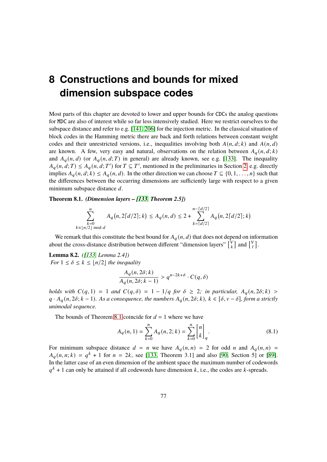# **8 Constructions and bounds for mixed dimension subspace codes**

Most parts of this chapter are devoted to lower and upper bounds for CDCs the analog questions for MDC are also of interest while so far less intensively studied. Here we restrict ourselves to the subspace distance and refer to e.g. [\[141,](#page-96-2) [206\]](#page-101-1) for the injection metric. In the classical situation of block codes in the Hamming metric there are back and forth relations between constant weight codes and their unrestricted versions, i.e., inequalities involving both  $A(n, d; k)$  and  $A(n, d)$ are known. A few, very easy and natural, observations on the relation between  $A_q(n, d; k)$ and  $A_q(n, d)$  (or  $A_q(n, d; T)$  in general) are already known, see e.g. [\[133\]](#page-96-3). The inequality  $A_q(n, d; T) \leq A_q(n, d; T')$  for  $T \subseteq T'$ , mentioned in the preliminaries in Section [2,](#page-4-0) e.g. directly implies  $A_q(n, d; k) \leq A_q(n, d)$ . In the other direction we can choose  $T \subseteq \{0, 1, \ldots, n\}$  such that the differences between the occurring dimensions are sufficiently large with respect to a given minimum subspace distance  $d$ .

<span id="page-78-0"></span>**Theorem 8.1.** *(Dimension layers – [\[133,](#page-96-3) Theorem 2.5])*

$$
\sum_{\substack{k=0 \ k \equiv \lfloor n/2 \rfloor \bmod d}}^n A_q(n, 2\lceil d/2 \rceil; k) \le A_q(n, d) \le 2 + \sum_{\substack{k= \lceil d/2 \rceil}}^{n - \lceil d/2 \rceil} A_q(n, 2\lceil d/2 \rceil; k)
$$

We remark that this constitute the best bound for  $A_q(n, d)$  that does not depend on information about the cross-distance distribution between different "dimension layers"  $\begin{bmatrix} V_k \\ V_l \end{bmatrix}$  $\begin{bmatrix} V \\ k \end{bmatrix}$  and  $\begin{bmatrix} V \\ l \end{bmatrix}$  $_{l}^{\nu}$ ].

**Lemma 8.2.** *([\[133,](#page-96-3) Lemma 2.4]) For*  $1 \leq \delta \leq k \leq \lfloor n/2 \rfloor$  *the inequality* 

$$
\frac{A_q(n,2\delta;k)}{A_q(n,2\delta;k-1)} > q^{n-2k+\delta} \cdot C(q,\delta)
$$

*holds with*  $C(q, 1) = 1$  *and*  $C(q, \delta) = 1 - 1/q$  *for*  $\delta \geq 2$ *; in particular,*  $A_q(n, 2\delta; k) >$  $q \cdot A_q(n, 2\delta; k-1)$ . As a consequence, the numbers  $A_q(n, 2\delta; k)$ ,  $k \in [\delta, v - \delta]$ , form a strictly *unimodal sequence.*

The bounds of Theorem [8.1](#page-78-0) coincide for  $d = 1$  where we have

$$
A_q(n,1) = \sum_{k=0}^{n} A_q(n,2;k) = \sum_{k=0}^{n} \begin{bmatrix} n \\ k \end{bmatrix}_q.
$$
 (8.1)

For minimum subspace distance  $d = n$  we have  $A_q(n,n) = 2$  for odd n and  $A_q(n,n) =$  $A_q(n,n;k) = q^k + 1$  for  $n = 2k$ , see [\[133,](#page-96-3) Theorem 3.1] and also [\[90,](#page-93-0) Section 5] or [\[89\]](#page-93-1). In the latter case of an even dimension of the ambient space the maximum number of codewords  $q^k + 1$  can only be attained if all codewords have dimension k, i.e., the codes are k-spreads.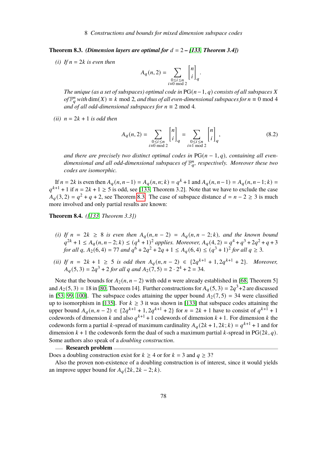<span id="page-79-0"></span>**Theorem 8.3.** *(Dimension layers are optimal for*  $d = 2 - [133,$  $d = 2 - [133,$  Theorem 3.4])

*(i) If*  $n = 2k$  *is even then* 

$$
A_q(n,2) = \sum_{\substack{0 \le i \le n \\ i \equiv 0 \bmod 2}} \begin{bmatrix} n \\ i \end{bmatrix}_q.
$$

*The unique (as a set of subspaces) optimal code in*  $PG(n-1, q)$  *consists of all subspaces* X *of*  $\mathbb{F}_q^n$  with dim(*X*) ≡ *k* mod 2*, and thus of all even-dimensional subspaces for*  $n \equiv 0$  mod 4 *and of all odd-dimensional subspaces for*  $n \equiv 2 \text{ mod } 4$ .

*(ii)*  $n = 2k + 1$  *is odd then* 

$$
A_q(n,2) = \sum_{\substack{0 \le i \le n \\ i \equiv 0 \bmod 2}} {n \choose i}_q = \sum_{\substack{0 \le i \le n \\ i \equiv 1 \bmod 2}} {n \choose i}_q,
$$
(8.2)

 $\sim$ 

*and there are precisely two distinct optimal codes in*  $PG(n-1, q)$ *, containing all even*dimensional and all odd-dimensional subspaces of  $\mathbb{F}_q^n$ , respectively. Moreover these two *codes are isomorphic.*

If  $n = 2k$  is even then  $A_q(n, n-1) = A_q(n, n; k) = q^k + 1$  and  $A_q(n, n-1) = A_q(n, n-1; k) =$  $q^{k+1}$  + 1 if  $n = 2k + 1 \ge 5$  is odd, see [\[133,](#page-96-3) Theorem 3.2]. Note that we have to exclude the case  $A_q(3, 2) = q^2 + q + 2$ , see Theorem [8.3.](#page-79-0) The case of subspace distance  $d = n - 2 \ge 3$  is much more involved and only partial results are known:

**Theorem 8.4.** *([\[133,](#page-96-3) Theorem 3.3])*

- (*i)* If  $n = 2k \ge 8$  *is even then*  $A_q(n, n-2) = A_q(n, n-2; k)$ *, and the known bound*  $q^{2k} + 1 \leq A_q(n, n-2; k) \leq (q^k + 1)^2$  applies. Moreover,  $A_q(4, 2) = q^4 + q^3 + 2q^2 + q + 3$ *for all q,*  $A_2(6, 4) = 77$  *and*  $q^6 + 2q^2 + 2q + 1 \le A_q(6, 4) \le (q^3 + 1)^2$  *for all*  $q \ge 3$ *.*
- *(ii) If*  $n = 2k + 1 \ge 5$  *is odd then*  $A_q(n, n-2) \in \{2q^{k+1} + 1, 2q^{k+1} + 2\}$ *. Moreover,*  $A_q(5,3) = 2q^3 + 2$  for all q and  $A_2(7,5) = 2 \cdot 2^4 + 2 = 34$ .

Note that the bounds for  $A_2(n, n-2)$  with odd *n* were already established in [\[68,](#page-91-2) Theorem 5] and  $A_2(5, 3) = 18$  in [\[80,](#page-92-1) Theorem 14]. Further constructions for  $A_q(5, 3) = 2q^3 + 2$  are discussed in [\[53,](#page-90-4) [99,](#page-93-2) [100\]](#page-93-3). The subspace codes attaining the upper bound  $A_2(7, 5) = 34$  were classified up to isomorphism in [\[135\]](#page-96-4). For  $k \geq 3$  it was shown in [\[133\]](#page-96-3) that subspace codes attaining the upper bound  $A_q(n, n-2) \in \{2q^{k+1} + 1, 2q^{k+1} + 2\}$  for  $n = 2k + 1$  have to consist of  $q^{k+1} + 1$ codewords of dimension k and also  $q^{k+1}$  + 1 codewords of dimension k + 1. For dimension k the codewords form a partial k-spread of maximum cardinality  $A_q(2k+1, 2k; k) = q^{k+1} + 1$  and for dimension  $k + 1$  the codewords form the dual of such a maximum partial k-spread in PG(2 $k$ ,  $q$ ). Some authors also speak of a *doubling construction*.

### **Research problem**

Does a doubling construction exist for  $k \geq 4$  or for  $k = 3$  and  $q \geq 3$ ?

Also the proven non-existence of a doubling construction is of interest, since it would yields an improve upper bound for  $A_{a}(2k, 2k - 2; k)$ .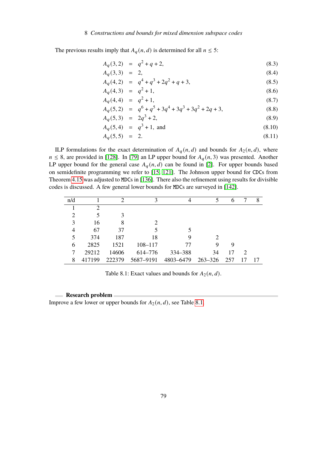### 8 Constructions and bounds for mixed dimension subspace codes

The previous results imply that  $A_q(n, d)$  is determined for all  $n \leq 5$ :

$$
A_q(3,2) = q^2 + q + 2,\tag{8.3}
$$

$$
A_q(3,3) = 2, \t(8.4)
$$

$$
A_q(4,2) = q^4 + q^3 + 2q^2 + q + 3,\tag{8.5}
$$

$$
A_q(4,3) = q^2 + 1,\tag{8.6}
$$

$$
A_q(4,4) = q^2 + 1,\tag{8.7}
$$

$$
A_q(5,2) = q^6 + q^5 + 3q^4 + 3q^3 + 3q^2 + 2q + 3,\tag{8.8}
$$

$$
A_q(5,3) = 2q^3 + 2,\tag{8.9}
$$

$$
A_q(5,4) = q^3 + 1, \text{ and } (8.10)
$$

$$
A_q(5,5) = 2. \t(8.11)
$$

ILP formulations for the exact determination of  $A_q(n, d)$  and bounds for  $A_2(n, d)$ , where  $n \leq 8$ , are provided in [\[128\]](#page-95-5). In [\[79\]](#page-92-2) an LP upper bound for  $A_q(n, 3)$  was presented. Another LP upper bound for the general case  $A_q(n, d)$  can be found in [\[2\]](#page-87-1). For upper bounds based on semidefinite programming we refer to [\[15,](#page-88-2) [121\]](#page-95-6). The Johnson upper bound for CDCs from Theorem [4.15](#page-23-1) was adjusted to MDCs in [\[136\]](#page-96-5). There also the refinement using results for divisible codes is discussed. A few general lower bounds for MDCs are surveyed in [\[142\]](#page-96-6).

| n/d |        | 2      | 3                           |           | 5           | 6  |    | 8   |
|-----|--------|--------|-----------------------------|-----------|-------------|----|----|-----|
|     | 2      |        |                             |           |             |    |    |     |
| 2   |        | 3      |                             |           |             |    |    |     |
| 3   | 16     | 8      | $\mathcal{D}_{\mathcal{L}}$ |           |             |    |    |     |
| 4   | 67     | 37     |                             |           |             |    |    |     |
| 5   | 374    | 187    | 18                          |           |             |    |    |     |
| 6   | 2825   | 1521   | $108 - 117$                 | 77        | 9           | 9  |    |     |
|     | 29212  | 14606  | 614–776                     | 334 - 388 | 34          | 17 | 2  |     |
| 8   | 417199 | 222379 | 5687-9191                   | 4803-6479 | 263–326 257 |    | 17 | -17 |

<span id="page-80-0"></span>Table 8.1: Exact values and bounds for  $A_2(n, d)$ .

### **Research problem**

Improve a few lower or upper bounds for  $A_2(n, d)$ , see Table [8.1.](#page-80-0)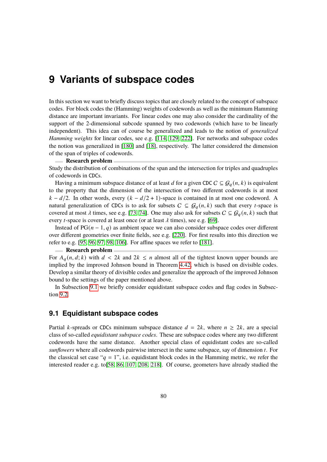# **9 Variants of subspace codes**

In this section we want to briefly discuss topics that are closely related to the concept of subspace codes. For block codes the (Hamming) weights of codewords as well as the minimum Hamming distance are important invariants. For linear codes one may also consider the cardinality of the support of the 2-dimensional subcode spanned by two codewords (which have to be linearly independent). This idea can of course be generalized and leads to the notion of *generalized Hamming weights* for linear codes, see e.g. [\[114,](#page-94-3) [129,](#page-95-7) [222\]](#page-102-3). For networks and subspace codes the notion was generalized in [\[180\]](#page-99-3) and [\[18\]](#page-88-3), respectively. The latter considered the dimension of the span of triples of codewords.

### **Research problem**

Study the distribution of combinations of the span and the intersection for triples and quadruples of codewords in CDCs.

Having a minimum subspace distance of at least d for a given CDC  $C \subseteq \mathcal{G}_q(n, k)$  is equivalent to the property that the dimension of the intersection of two different codewords is at most  $k - d/2$ . In other words, every  $(k - d/2 + 1)$ -space is contained in at most one codeword. A natural generalization of CDCs is to ask for subsets  $C \subseteq \mathcal{G}_q(n, k)$  such that every *t*-space is covered at most  $\lambda$  times, see e.g. [\[73,](#page-92-3) [74\]](#page-92-4). One may also ask for subsets  $C \subseteq \mathcal{G}_q(n, k)$  such that every *t*-space is covered at least once (or at least  $\lambda$  times), see e.g. [\[69\]](#page-91-3).

Instead of  $PG(n-1, q)$  as ambient space we can also consider subspace codes over different over different geometries over finite fields, see e.g. [\[220\]](#page-102-4). For first results into this direction we refer to e.g. [\[95,](#page-93-4) [96,](#page-93-5) [97,](#page-93-6) [98,](#page-93-7) [106\]](#page-94-4). For affine spaces we refer to [\[181\]](#page-99-4).

### **Research problem**

For  $A_q(n, d; k)$  with  $d < 2k$  and  $2k \leq n$  almost all of the tightest known upper bounds are implied by the improved Johnson bound in Theorem [4.42,](#page-32-0) which is based on divisible codes. Develop a similar theory of divisible codes and generalize the approach of the improved Johnson bound to the settings of the paper mentioned above.

In Subsection [9.1](#page-81-0) we briefly consider equidistant subspace codes and flag codes in Subsection [9.2.](#page-84-0)

### <span id="page-81-0"></span>**9.1 Equidistant subspace codes**

Partial *k*-spreads or CDCs minimum subspace distance  $d = 2k$ , where  $n \geq 2k$ , are a special class of so-called *equidistant subspace codes*. These are subspace codes where any two different codewords have the same distance. Another special class of equidistant codes are so-called *sunflowers* where all codewords pairwise intersect in the same subspace, say of dimension *t*. For the classical set case " $q = 1$ ", i.e. equidistant block codes in the Hamming metric, we refer the interested reader e.g. to[\[58,](#page-91-4) [86,](#page-92-5) [107,](#page-94-5) [208,](#page-101-2) [218\]](#page-102-5). Of course, geometers have already studied the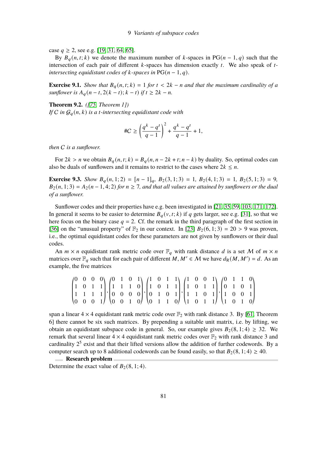case  $q \ge 2$ , see e.g. [\[19,](#page-88-4) [31,](#page-89-2) [64,](#page-91-5) [65\]](#page-91-6).

By  $B_q(n,t;k)$  we denote the maximum number of k-spaces in PG( $n-1,q$ ) such that the intersection of each pair of different *k*-spaces has dimension exactly *t*. We also speak of *tintersecting equidistant codes of k-spaces in*  $PG(n-1, q)$ .

**Exercise 9.1.** *Show that*  $B_q(n, t; k) = 1$  *for*  $t < 2k - n$  *and that the maximum cardinality of a sunflower is*  $A_q(n-t, 2(k-t); k-t)$  *if*  $t \geq 2k - n$ .

**Theorem 9.2.** *([\[75,](#page-92-6) Theorem 1])*

*If*  $C$  *in*  $G_q(n, k)$  *is a t-intersecting equidistant code with* 

$$
\#C \ge \left(\frac{q^k - q^t}{q - 1}\right)^2 + \frac{q^k - q^t}{q - 1} + 1,
$$

*then* C *is a sunflower.*

For  $2k > n$  we obtain  $B_q(n, t; k) = B_q(n, n - 2k + t; n - k)$  by duality. So, optimal codes can also be duals of sunflowers and it remains to restrict to the cases where  $2k \leq n$ .

**Exercise 9.3.** *Show*  $B_q(n, 1; 2) = [n-1]_q$ ,  $B_2(3, 1; 3) = 1$ ,  $B_2(4, 1; 3) = 1$ ,  $B_2(5, 1; 3) = 9$ ,  $B_2(n, 1; 3) = A_2(n-1, 4; 2)$  *for*  $n \ge 7$ *, and that all values are attained by sunflowers or the dual of a sunflower.*

Sunflower codes and their properties have e.g. been investigated in [\[21,](#page-88-5) [35,](#page-89-3) [59,](#page-91-7) [103,](#page-94-6) [171,](#page-98-1) [172\]](#page-98-2). In general it seems to be easier to determine  $B_q(v, t; k)$  if q gets larger, see e.g. [\[31\]](#page-89-2), so that we here focus on the binary case  $q = 2$ . Cf. the remark in the third paragraph of the first section in [\[36\]](#page-89-4) on the "unusual property" of  $\mathbb{F}_2$  in our context. In [\[23\]](#page-88-6)  $B_2(6, 1; 3) = 20 > 9$  was proven, i.e., the optimal equidistant codes for these parameters are not given by sunflowers or their dual codes.

An  $m \times n$  equidistant rank metric code over  $\mathbb{F}_q$  with rank distance d is a set M of  $m \times n$ matrices over  $\mathbb{F}_q$  such that for each pair of different  $M, M' \in \mathcal{M}$  we have  $d_R(M, M') = d$ . As an example, the five matrices

$$
\begin{pmatrix} 0 & 0 & 0 & 0 \\ 1 & 0 & 1 & 1 \\ 1 & 1 & 1 & 1 \\ 0 & 0 & 0 & 1 \end{pmatrix}, \begin{pmatrix} 0 & 1 & 0 & 1 \\ 1 & 1 & 1 & 0 \\ 0 & 0 & 0 & 0 \\ 0 & 0 & 1 & 0 \end{pmatrix}, \begin{pmatrix} 1 & 0 & 1 & 1 \\ 1 & 0 & 1 & 1 \\ 0 & 1 & 0 & 1 \\ 0 & 1 & 1 & 0 \end{pmatrix}, \begin{pmatrix} 1 & 0 & 0 & 1 \\ 1 & 0 & 1 & 1 \\ 1 & 1 & 0 & 1 \\ 1 & 0 & 1 & 1 \end{pmatrix}, \begin{pmatrix} 0 & 1 & 1 & 0 \\ 0 & 1 & 0 & 1 \\ 1 & 0 & 0 & 1 \\ 1 & 0 & 1 & 0 \end{pmatrix}
$$

span a linear  $4 \times 4$  equidistant rank metric code over  $\mathbb{F}_2$  with rank distance 3. By [\[61,](#page-91-8) Theorem 6] there cannot be six such matrices. By prepending a suitable unit matrix, i.e. by lifting, we obtain an equidistant subspace code in general. So, our example gives  $B_2(8, 1; 4) \geq 32$ . We remark that several linear  $4 \times 4$  equidistant rank metric codes over  $\mathbb{F}_2$  with rank distance 3 and cardinality  $2^5$  exist and that their lifted versions allow the addition of further codewords. By a computer search up to 8 additional codewords can be found easily, so that  $B_2(8, 1; 4) \ge 40$ .

**Research problem**

Determine the exact value of  $B_2(8, 1; 4)$ .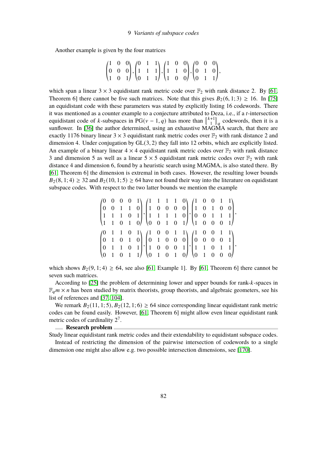Another example is given by the four matrices

$$
\begin{pmatrix} 1 & 0 & 0 \ 0 & 0 & 0 \ 1 & 0 & 1 \end{pmatrix}, \begin{pmatrix} 0 & 1 & 1 \ 1 & 1 & 1 \ 0 & 1 & 1 \end{pmatrix}, \begin{pmatrix} 1 & 0 & 0 \ 1 & 1 & 0 \ 1 & 0 & 0 \end{pmatrix}, \begin{pmatrix} 0 & 0 & 0 \ 0 & 1 & 0 \ 0 & 1 & 1 \end{pmatrix},
$$

which span a linear  $3 \times 3$  equidistant rank metric code over  $\mathbb{F}_2$  with rank distance 2. By [\[61,](#page-91-8) Theorem 6] there cannot be five such matrices. Note that this gives  $B_2(6, 1; 3) \ge 16$ . In [\[75\]](#page-92-6) an equidistant code with these parameters was stated by explicitly listing 16 codewords. There it was mentioned as a counter example to a conjecture attributed to Deza, i.e., if a  $t$ -intersection equidistant code of k-subspaces in  $PG(v-1,q)$  has more than  $\begin{bmatrix} k+1 \\ 1 \end{bmatrix}$  $\binom{+1}{1}_q$  codewords, then it is a sunflower. In [\[36\]](#page-89-4) the author determined, using an exhaustive MAGMA search, that there are exactly 1176 binary linear  $3 \times 3$  equidistant rank metric codes over  $\mathbb{F}_2$  with rank distance 2 and dimension 4. Under conjugation by GL(3, 2) they fall into 12 orbits, which are explicitly listed. An example of a binary linear  $4 \times 4$  equidistant rank metric codes over  $\mathbb{F}_2$  with rank distance 3 and dimension 5 as well as a linear  $5 \times 5$  equidistant rank metric codes over  $\mathbb{F}_2$  with rank distance 4 and dimension 6, found by a heuristic search using MAGMA, is also stated there. By [\[61,](#page-91-8) Theorem 6] the dimension is extremal in both cases. However, the resulting lower bounds  $B_2(8, 1; 4) \geq 32$  and  $B_2(10, 1; 5) \geq 64$  have not found their way into the literature on equidistant subspace codes. With respect to the two latter bounds we mention the example

$$
\begin{pmatrix} 0 & 0 & 0 & 0 & 1 \\ 0 & 0 & 1 & 1 & 0 \\ 1 & 1 & 1 & 0 & 1 \\ 1 & 1 & 0 & 1 & 0 \end{pmatrix}, \begin{pmatrix} 1 & 1 & 1 & 1 & 0 \\ 1 & 0 & 0 & 0 & 0 \\ 1 & 1 & 1 & 1 & 0 \\ 0 & 0 & 1 & 0 & 1 \end{pmatrix}, \begin{pmatrix} 1 & 0 & 0 & 1 & 1 \\ 1 & 0 & 1 & 0 & 0 \\ 0 & 0 & 1 & 1 & 1 \\ 1 & 0 & 0 & 0 & 1 \end{pmatrix}, \begin{pmatrix} 1 & 0 & 0 & 1 & 1 \\ 0 & 0 & 1 & 1 & 1 \\ 1 & 0 & 0 & 0 & 1 \\ 0 & 1 & 0 & 1 & 0 \end{pmatrix}, \begin{pmatrix} 1 & 0 & 0 & 1 & 1 \\ 0 & 1 & 0 & 0 & 0 \\ 1 & 0 & 0 & 0 & 1 \\ 0 & 1 & 0 & 1 & 0 \end{pmatrix}, \begin{pmatrix} 1 & 0 & 0 & 1 & 1 \\ 0 & 0 & 0 & 0 & 1 \\ 1 & 1 & 0 & 1 & 1 \\ 0 & 1 & 0 & 0 & 0 \end{pmatrix},
$$

which shows  $B_2(9, 1; 4) \ge 64$ , see also [\[61,](#page-91-8) Example 1]. By [61, Theorem 6] there cannot be seven such matrices.

According to  $[25]$  the problem of determining lower and upper bounds for rank- $k$ -spaces in  $\mathbb{F}_q m \times n$  has been studied by matrix theorists, group theorists, and algebraic geometers, see his list of references and [\[37,](#page-89-5) [104\]](#page-94-7).

We remark  $B_2(11, 1; 5)$ ,  $B_2(12, 1; 6) \ge 64$  since corresponding linear equidistant rank metric codes can be found easily. However, [\[61,](#page-91-8) Theorem 6] might allow even linear equidistant rank metric codes of cardinality  $2^7$ .

### **Research problem**

Study linear equidistant rank metric codes and their extendability to equidistant subspace codes. Instead of restricting the dimension of the pairwise intersection of codewords to a single

dimension one might also allow e.g. two possible intersection dimensions, see [\[170\]](#page-98-3).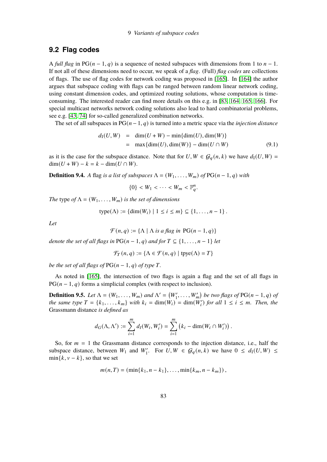## 9 Variants of subspace codes

## <span id="page-84-0"></span>**9.2 Flag codes**

A *full flag* in PG( $n - 1$ , q) is a sequence of nested subspaces with dimensions from 1 to  $n - 1$ . If not all of these dimensions need to occur, we speak of a *flag*. (Full) *flag codes* are collections of flags. The use of flag codes for network coding was proposed in [\[165\]](#page-98-4). In [\[164\]](#page-98-5) the author argues that subspace coding with flags can be ranged between random linear network coding, using constant dimension codes, and optimized routing solutions, whose computation is timeconsuming. The interested reader can find more details on this e.g. in [\[83,](#page-92-7) [164,](#page-98-5) [165,](#page-98-4) [166\]](#page-98-6). For special multicast networks network coding solutions also lead to hard combinatorial problems, see e.g. [\[43,](#page-90-5) [74\]](#page-92-4) for so-called generalized combination networks.

The set of all subspaces in  $PG(n-1, q)$  is turned into a metric space via the *injection distance* 

$$
d_{I}(U, W) = \dim(U + W) - \min{\dim(U), \dim(W)}
$$
  
= max{dim(U), dim(W)} - dim(U \cap W) (9.1)

as it is the case for the subspace distance. Note that for  $U, W \in \mathcal{G}_q(n, k)$  we have  $d_I(U, W) =$  $\dim(U + W) - k = k - \dim(U \cap W).$ 

**Definition 9.4.** *A* flag *is a list of subspaces*  $\Lambda = (W_1, \ldots, W_m)$  *of*  $PG(n-1, q)$  *with* 

$$
\{0\} < W_1 < \cdots < W_m < \mathbb{F}_q^n.
$$

*The* type *of*  $\Lambda = (W_1, \ldots, W_m)$  *is the set of dimensions* 

type(
$$
\Lambda
$$
) := {dim( $W_i$ ) | 1 \le i \le m}  $\subseteq$  {1, ..., n - 1}.

*Let*

$$
\mathcal{F}(n,q) := \{ \Lambda \mid \Lambda \text{ is a flag in PG}(n-1,q) \}
$$

*denote the set of all flags in*  $PG(n-1, q)$  *and for*  $T \subseteq \{1, \ldots, n-1\}$  *let* 

$$
\mathcal{F}_T(n,q) := \{ \Lambda \in \mathcal{F}(n,q) \mid \text{type}(\Lambda) = T \}
$$

*be the set of all flags of*  $PG(n-1, q)$  *of type*  $T$ *.* 

As noted in [\[165\]](#page-98-4), the intersection of two flags is again a flag and the set of all flags in  $PG(n-1, q)$  forms a simplicial complex (with respect to inclusion).

**Definition 9.5.** Let  $\Lambda = (W_1, \ldots, W_m)$  and  $\Lambda' = (W'_1, \ldots, W'_m)$  be two flags of PG( $n-1, q$ ) of *the same type*  $T = \{k_1, \ldots, k_m\}$  *with*  $k_i = \dim(W_i) = \dim(W_i')$  for all  $1 \leq i \leq m$ . Then, the Grassmann distance *is defined as*

$$
d_G(\Lambda, \Lambda') := \sum_{i=1}^m d_I(W_i, W'_i) = \sum_{i=1}^m (k_i - \dim(W_i \cap W'_i)).
$$

So, for  $m = 1$  the Grassmann distance corresponds to the injection distance, i.e., half the subspace distance, between  $W_1$  and  $W'_1$ . For  $U, W \in \mathcal{G}_q(n, k)$  we have  $0 \leq d_1(U, W) \leq$  $min\{k, v - k\}$ , so that we set

$$
m(n,T) = (\min\{k_1, n - k_1\}, \ldots, \min\{k_m, n - k_m\}),
$$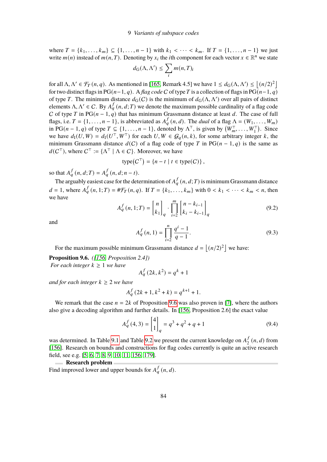where  $T = \{k_1, ..., k_m\} \subseteq \{1, ..., n-1\}$  with  $k_1 < \cdots < k_m$ . If  $T = \{1, ..., n-1\}$  we just write  $m(n)$  instead of  $m(n, T)$ . Denoting by  $x_i$  the *i*th component for each vector  $x \in \mathbb{R}^n$  we state

$$
d_G(\Lambda, \Lambda') \leq \sum_i m(n, T)_i
$$

for all  $\Lambda, \Lambda' \in \mathcal{F}_T(n, q)$ . As mentioned in [\[165,](#page-98-4) Remark 4.5] we have  $1 \leq d_G(\Lambda, \Lambda') \leq \lfloor (n/2)^2 \rfloor$ for two distinct flags in PG( $n-1, q$ ). A *flag code* C of type T is a collection of flags in PG( $n-1, q$ ) of type T. The minimum distance  $d_G(C)$  is the minimum of  $d_G(\Lambda, \Lambda')$  over all pairs of distinct elements  $\Lambda, \Lambda' \in C$ . By  $A_g^f(n, d; T)$  we denote the maximum possible cardinality of a flag code C of type T in PG( $n - 1$ ,  $q$ ) that has minimum Grassmann distance at least d. The case of full flags, i.e.  $T = \{1, \ldots, n-1\}$ , is abbreviated as  $A_q^f(n, d)$ . The *dual* of a flag  $\Lambda = (W_1, \ldots, W_m)$ in PG( $n-1, q$ ) of type  $T \subseteq \{1, \ldots, n-1\}$ , denoted by  $\Lambda^T$ , is given by  $(W_m^T, \ldots, W_1^T)$ . Since we have  $d_1(U, W) = d_1(U^{\top}, W^{\top})$  for each  $U, W \in \mathcal{G}_q(n, k)$ , for some arbitrary integer k, the minimum Grassmann distance  $d(C)$  of a flag code of type T in PG( $n-1, q$ ) is the same as  $d(C^{\top})$ , where  $C^{\top} := {\Lambda^{\top} | \Lambda \in C}$ . Moreover, we have

$$
type(CT) = \{n - t \mid t \in type(C)\},\
$$

so that  $A_q^f(n, d; T) = A_q^f(n, d; n - t)$ .

The arguably easiest case for the determination of  $A_q^f(n, d; T)$  is minimum Grassmann distance  $d = 1$ , where  $A_q^f(n, 1; T) = #\mathcal{F}_T(n, q)$ . If  $T = \{k_1, \ldots, k_m\}$  with  $0 < k_1 < \cdots < k_m < n$ , then we have

$$
A_q^f(n, 1; T) = \begin{bmatrix} n \\ k_1 \end{bmatrix}_q \cdot \prod_{i=2}^m \begin{bmatrix} n - k_{i-1} \\ k_i - k_{i-1} \end{bmatrix}_q
$$
 (9.2)

and

$$
A_q^f(n,1) = \prod_{i=2}^n \frac{q^i - 1}{q - 1}.
$$
\n(9.3)

For the maximum possible minimum Grassmann distance  $d = |(n/2)^2|$  we have:

<span id="page-85-0"></span>**Proposition 9.6.** *([\[156,](#page-97-2) Proposition 2.4]) For each integer*  $k \geq 1$  *we have* 

$$
A_q^f(2k, k^2) = q^k + 1
$$

*and for each integer*  $k \geq 2$  *we have* 

$$
A_q^f(2k+1, k^2+k) = q^{k+1} + 1.
$$

We remark that the case  $n = 2k$  of Proposition [9.6](#page-85-0) was also proven in [\[7\]](#page-87-2), where the authors also give a decoding algorithm and further details. In [\[156,](#page-97-2) Proposition 2.6] the exact value

$$
A_q^f(4,3) = \begin{bmatrix} 4 \\ 1 \end{bmatrix}_q = q^3 + q^2 + q + 1 \tag{9.4}
$$

was determined. In Table [9.1](#page-86-0) and Table [9.2](#page-86-1) we present the current knowledge on  $A_2^f$  $\int_{2}^{f}(n, d)$  from [\[156\]](#page-97-2). Research on bounds and constructions for flag codes currently is quite an active research field, see e.g. [\[5,](#page-87-3) [6,](#page-87-4) [7,](#page-87-2) [8,](#page-87-5) [9,](#page-87-6) [10,](#page-87-7) [11,](#page-87-8) [156,](#page-97-2) [179\]](#page-99-5).

**Research problem** 

Find improved lower and upper bounds for  $A_q^f(n, d)$ .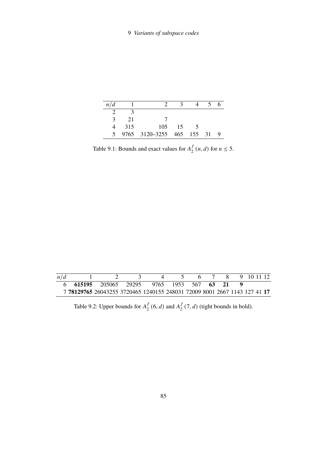| n/d |     |                           |     |  |  |
|-----|-----|---------------------------|-----|--|--|
|     |     |                           |     |  |  |
|     | 21  |                           |     |  |  |
|     | 315 | 105                       | -15 |  |  |
| 5.  |     | 9765 3120-3255 465 155 31 |     |  |  |

<span id="page-86-0"></span>Table 9.1: Bounds and exact values for  $A_2^f$  $\int_{2}^{f}(n, d)$  for  $n \leq 5$ .

| n/d |                                                                           |  |  |  |  | 8 9 10 11 12 |  |
|-----|---------------------------------------------------------------------------|--|--|--|--|--------------|--|
|     | 6 615195 205065 29295 9765 1953 567 63 21                                 |  |  |  |  |              |  |
|     | 7 78129765 26043255 3720465 1240155 248031 72009 8001 2667 1143 127 41 17 |  |  |  |  |              |  |

<span id="page-86-1"></span>Table 9.2: Upper bounds for  $A_2^f$  $\int_2^f (6, d)$  and  $A_2^f$  $\int_{2}^{f}$  (7, *d*) (tight bounds in bold).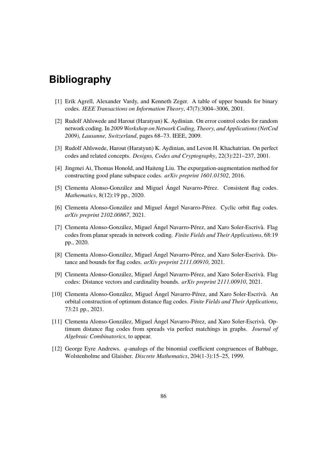- [1] Erik Agrell, Alexander Vardy, and Kenneth Zeger. A table of upper bounds for binary codes. *IEEE Transactions on Information Theory*, 47(7):3004–3006, 2001.
- <span id="page-87-1"></span>[2] Rudolf Ahlswede and Harout (Haratyun) K. Aydinian. On error control codes for random network coding. In *2009 Workshop on Network Coding, Theory, and Applications (NetCod 2009), Lausanne, Switzerland*, pages 68–73. IEEE, 2009.
- [3] Rudolf Ahlswede, Harout (Haratyun) K. Aydinian, and Levon H. Khachatrian. On perfect codes and related concepts. *Designs, Codes and Cryptography*, 22(3):221–237, 2001.
- <span id="page-87-0"></span>[4] Jingmei Ai, Thomas Honold, and Haiteng Liu. The expurgation-augmentation method for constructing good plane subspace codes. *arXiv preprint 1601.01502*, 2016.
- <span id="page-87-3"></span>[5] Clementa Alonso-González and Miguel Ángel Navarro-Pérez. Consistent flag codes. *Mathematics*, 8(12):19 pp., 2020.
- <span id="page-87-4"></span>[6] Clementa Alonso-González and Miguel Ángel Navarro-Pérez. Cyclic orbit flag codes. *arXiv preprint 2102.00867*, 2021.
- <span id="page-87-2"></span>[7] Clementa Alonso-González, Miguel Ángel Navarro-Pérez, and Xaro Soler-Escrivà. Flag codes from planar spreads in network coding. *Finite Fields and Their Applications*, 68:19 pp., 2020.
- <span id="page-87-5"></span>[8] Clementa Alonso-González, Miguel Ángel Navarro-Pérez, and Xaro Soler-Escrivà. Distance and bounds for flag codes. *arXiv preprint 2111.00910*, 2021.
- <span id="page-87-6"></span>[9] Clementa Alonso-González, Miguel Ángel Navarro-Pérez, and Xaro Soler-Escrivà. Flag codes: Distance vectors and cardinality bounds. *arXiv preprint 2111.00910*, 2021.
- <span id="page-87-7"></span>[10] Clementa Alonso-González, Miguel Ángel Navarro-Pérez, and Xaro Soler-Escrivà. An orbital construction of optimum distance flag codes. *Finite Fields and Their Applications*, 73:21 pp., 2021.
- <span id="page-87-8"></span>[11] Clementa Alonso-González, Miguel Ángel Navarro-Pérez, and Xaro Soler-Escrivà. Optimum distance flag codes from spreads via perfect matchings in graphs. *Journal of Algebraic Combinatorics*, to appear.
- [12] George Eyre Andrews.  $q$ -analogs of the binomial coefficient congruences of Babbage, Wolstenholme and Glaisher. *Discrete Mathematics*, 204(1-3):15–25, 1999.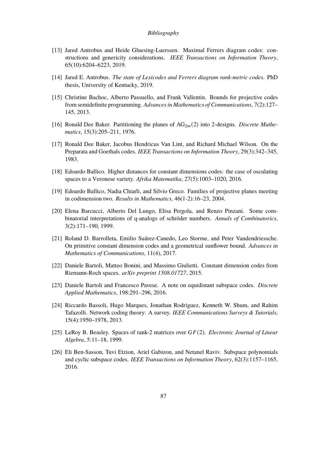- [13] Jared Antrobus and Heide Gluesing-Luerssen. Maximal Ferrers diagram codes: constructions and genericity considerations. *IEEE Transactions on Information Theory*, 65(10):6204–6223, 2019.
- [14] Jared E. Antrobus. *The state of Lexicodes and Ferrers diagram rank-metric codes*. PhD thesis, University of Kentucky, 2019.
- <span id="page-88-2"></span>[15] Christine Bachoc, Alberto Passuello, and Frank Vallentin. Bounds for projective codes from semidefinite programming. *Advances in Mathematics of Communications*, 7(2):127– 145, 2013.
- [16] Ronald Dee Baker. Partitioning the planes of AG<sub>2m</sub>(2) into 2-designs. *Discrete Mathematics*, 15(3):205–211, 1976.
- [17] Ronald Dee Baker, Jacobus Hendricus Van Lint, and Richard Michael Wilson. On the Preparata and Goethals codes. *IEEE Transactions on Information Theory*, 29(3):342–345, 1983.
- <span id="page-88-3"></span>[18] Edoardo Ballico. Higher distances for constant dimensions codes: the case of osculating spaces to a Veronese variety. *Afrika Matematika*, 27(5):1003–1020, 2016.
- <span id="page-88-4"></span>[19] Edoardo Ballico, Nadia Chiarli, and Silvio Greco. Families of projective planes meeting in codimension two. *Results in Mathematics*, 46(1-2):16–23, 2004.
- [20] Elena Barcucci, Alberto Del Lungo, Elisa Pergola, and Renzo Pinzani. Some combinatorial interpretations of q-analogs of schröder numbers. *Annals of Combinatorics*, 3(2):171–190, 1999.
- <span id="page-88-5"></span>[21] Roland D. Barrolleta, Emilio Suárez-Canedo, Leo Storme, and Peter Vandendriessche. On primitive constant dimension codes and a geometrical sunflower bound. *Advances in Mathematics of Communications*, 11(4), 2017.
- <span id="page-88-0"></span>[22] Daniele Bartoli, Matteo Bonini, and Massimo Giulietti. Constant dimension codes from Riemann-Roch spaces. *arXiv preprint 1508.01727*, 2015.
- <span id="page-88-6"></span>[23] Daniele Bartoli and Francesco Pavese. A note on equidistant subspace codes. *Discrete Applied Mathematics*, 198:291–296, 2016.
- [24] Riccardo Bassoli, Hugo Marques, Jonathan Rodriguez, Kenneth W. Shum, and Rahim Tafazolli. Network coding theory: A survey. *IEEE Communications Surveys & Tutorials*, 15(4):1950–1978, 2013.
- <span id="page-88-7"></span>[25] LeRoy B. Beasley. Spaces of rank-2 matrices over  $GF(2)$ . *Electronic Journal of Linear Algebra*, 5:11–18, 1999.
- <span id="page-88-1"></span>[26] Eli Ben-Sasson, Tuvi Etzion, Ariel Gabizon, and Netanel Raviv. Subspace polynomials and cyclic subspace codes. *IEEE Transactions on Information Theory*, 62(3):1157–1165, 2016.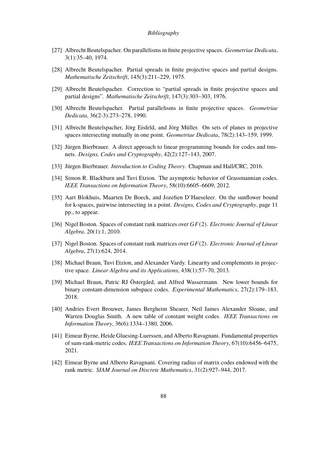- [27] Albrecht Beutelspacher. On parallelisms in finite projective spaces. *Geometriae Dedicata*, 3(1):35–40, 1974.
- [28] Albrecht Beutelspacher. Partial spreads in finite projective spaces and partial designs. *Mathematische Zeitschrift*, 145(3):211–229, 1975.
- [29] Albrecht Beutelspacher. Correction to "partial spreads in finite projective spaces and partial designs". *Mathematische Zeitschrift*, 147(3):303–303, 1976.
- [30] Albrecht Beutelspacher. Partial parallelisms in finite projective spaces. *Geometriae Dedicata*, 36(2-3):273–278, 1990.
- <span id="page-89-2"></span>[31] Albrecht Beutelspacher, Jörg Eisfeld, and Jörg Müller. On sets of planes in projective spaces intersecting mutually in one point. *Geometriae Dedicata*, 78(2):143–159, 1999.
- [32] Jürgen Bierbrauer. A direct approach to linear programming bounds for codes and tmsnets. *Designs, Codes and Cryptography*, 42(2):127–143, 2007.
- [33] Jürgen Bierbrauer. *Introduction to Coding Theory*. Chapman and Hall/CRC, 2016.
- [34] Simon R. Blackburn and Tuvi Etzion. The asymptotic behavior of Grassmannian codes. *IEEE Transactions on Information Theory*, 58(10):6605–6609, 2012.
- <span id="page-89-3"></span>[35] Aart Blokhuis, Maarten De Boeck, and Jozefien D'Haeseleer. On the sunflower bound for k-spaces, pairwise intersecting in a point. *Designs, Codes and Cryptography*, page 11 pp., to appear.
- <span id="page-89-4"></span>[36] Nigel Boston. Spaces of constant rank matrices over  $GF(2)$ . *Electronic Journal of Linear Algebra*, 20(1):1, 2010.
- <span id="page-89-5"></span>[37] Nigel Boston. Spaces of constant rank matrices over  $GF(2)$ . *Electronic Journal of Linear Algebra*, 27(1):624, 2014.
- <span id="page-89-0"></span>[38] Michael Braun, Tuvi Etzion, and Alexander Vardy. Linearity and complements in projective space. *Linear Algebra and its Applications*, 438(1):57–70, 2013.
- <span id="page-89-1"></span>[39] Michael Braun, Patric RJ Östergård, and Alfred Wassermann. New lower bounds for binary constant-dimension subspace codes. *Experimental Mathematics*, 27(2):179–183, 2018.
- [40] Andries Evert Brouwer, James Bergheim Shearer, Neil James Alexander Sloane, and Warren Douglas Smith. A new table of constant weight codes. *IEEE Transactions on Information Theory*, 36(6):1334–1380, 2006.
- [41] Eimear Byrne, Heide Gluesing-Luerssen, and Alberto Ravagnani. Fundamental properties of sum-rank-metric codes. *IEEE Transactions on Information Theory*, 67(10):6456–6475, 2021.
- [42] Eimear Byrne and Alberto Ravagnani. Covering radius of matrix codes endowed with the rank metric. *SIAM Journal on Discrete Mathematics*, 31(2):927–944, 2017.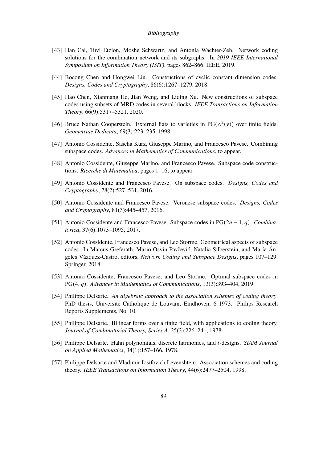- <span id="page-90-5"></span>[43] Han Cai, Tuvi Etzion, Moshe Schwartz, and Antonia Wachter-Zeh. Network coding solutions for the combination network and its subgraphs. In *2019 IEEE International Symposium on Information Theory (ISIT)*, pages 862–866. IEEE, 2019.
- <span id="page-90-1"></span>[44] Bocong Chen and Hongwei Liu. Constructions of cyclic constant dimension codes. *Designs, Codes and Cryptography*, 86(6):1267–1279, 2018.
- [45] Hao Chen, Xianmang He, Jian Weng, and Liqing Xu. New constructions of subspace codes using subsets of MRD codes in several blocks. *IEEE Transactions on Information Theory*, 66(9):5317–5321, 2020.
- [46] Bruce Nathan Cooperstein. External flats to varieties in  $PG(\wedge^2(v))$  over finite fields. *Geometriae Dedicata*, 69(3):223–235, 1998.
- <span id="page-90-3"></span>[47] Antonio Cossidente, Sascha Kurz, Giuseppe Marino, and Francesco Pavese. Combining subspace codes. *Advances in Mathematics of Communications*, to appear.
- [48] Antonio Cossidente, Giuseppe Marino, and Francesco Pavese. Subspace code constructions. *Ricerche di Matematica*, pages 1–16, to appear.
- <span id="page-90-2"></span>[49] Antonio Cossidente and Francesco Pavese. On subspace codes. *Designs, Codes and Cryptography*, 78(2):527–531, 2016.
- [50] Antonio Cossidente and Francesco Pavese. Veronese subspace codes. *Designs, Codes and Cryptography*, 81(3):445–457, 2016.
- <span id="page-90-0"></span>[51] Antonio Cossidente and Francesco Pavese. Subspace codes in PG(2*n* − 1, *q*). *Combinatorica*, 37(6):1073–1095, 2017.
- [52] Antonio Cossidente, Francesco Pavese, and Leo Storme. Geometrical aspects of subspace codes. In Marcus Greferath, Mario Osvin Pavčević, Natalia Silberstein, and María Ángeles Vázquez-Castro, editors, *Network Coding and Subspace Designs*, pages 107–129. Springer, 2018.
- <span id="page-90-4"></span>[53] Antonio Cossidente, Francesco Pavese, and Leo Storme. Optimal subspace codes in PG(4, q). *Advances in Mathematics of Communications*, 13(3):393-404, 2019.
- [54] Philippe Delsarte. *An algebraic approach to the association schemes of coding theory*. PhD thesis, Université Catholique de Louvain, Eindhoven, 6 1973. Philips Research Reports Supplements, No. 10.
- [55] Philippe Delsarte. Bilinear forms over a finite field, with applications to coding theory. *Journal of Combinatorial Theory, Series A*, 25(3):226–241, 1978.
- [56] Philippe Delsarte. Hahn polynomials, discrete harmonics, and *t*-designs. *SIAM Journal on Applied Mathematics*, 34(1):157–166, 1978.
- [57] Philippe Delsarte and Vladimir Iosifovich Levenshtein. Association schemes and coding theory. *IEEE Transactions on Information Theory*, 44(6):2477–2504, 1998.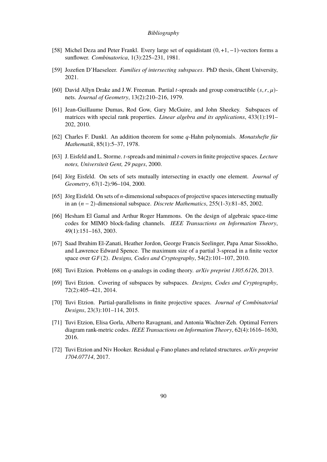- <span id="page-91-4"></span>[58] Michel Deza and Peter Frankl. Every large set of equidistant (0, +1, −1)-vectors forms a sunflower. *Combinatorica*, 1(3):225–231, 1981.
- <span id="page-91-7"></span>[59] Jozefien D'Haeseleer. *Families of intersecting subspaces*. PhD thesis, Ghent University, 2021.
- [60] David Allyn Drake and J.W. Freeman. Partial *t*-spreads and group constructible  $(s, r, \mu)$ nets. *Journal of Geometry*, 13(2):210–216, 1979.
- <span id="page-91-8"></span>[61] Jean-Guillaume Dumas, Rod Gow, Gary McGuire, and John Sheekey. Subspaces of matrices with special rank properties. *Linear algebra and its applications*, 433(1):191– 202, 2010.
- [62] Charles F. Dunkl. An addition theorem for some *a*-Hahn polynomials. *Monatshefte für Mathematik*, 85(1):5–37, 1978.
- [63] J. Eisfeld and L. Storme. *t*-spreads and minimal *t*-covers in finite projective spaces. *Lecture notes, Universiteit Gent, 29 pages*, 2000.
- <span id="page-91-5"></span>[64] Jörg Eisfeld. On sets of sets mutually intersecting in exactly one element. *Journal of Geometry*, 67(1-2):96–104, 2000.
- <span id="page-91-6"></span>[65] Jörg Eisfeld. On sets of *n*-dimensional subspaces of projective spaces intersecting mutually in an (𝑛 − 2)-dimensional subspace. *Discrete Mathematics*, 255(1-3):81–85, 2002.
- [66] Hesham El Gamal and Arthur Roger Hammons. On the design of algebraic space-time codes for MIMO block-fading channels. *IEEE Transactions on Information Theory*, 49(1):151–163, 2003.
- <span id="page-91-1"></span>[67] Saad Ibrahim El-Zanati, Heather Jordon, George Francis Seelinger, Papa Amar Sissokho, and Lawrence Edward Spence. The maximum size of a partial 3-spread in a finite vector space over  $GF(2)$ . *Designs, Codes and Cryptography*, 54(2):101–107, 2010.
- <span id="page-91-2"></span>[68] Tuvi Etzion. Problems on *q*-analogs in coding theory. *arXiv preprint 1305.6126*, 2013.
- <span id="page-91-3"></span>[69] Tuvi Etzion. Covering of subspaces by subspaces. *Designs, Codes and Cryptography*, 72(2):405–421, 2014.
- [70] Tuvi Etzion. Partial-parallelisms in finite projective spaces. *Journal of Combinatorial Designs*, 23(3):101–114, 2015.
- [71] Tuvi Etzion, Elisa Gorla, Alberto Ravagnani, and Antonia Wachter-Zeh. Optimal Ferrers diagram rank-metric codes. *IEEE Transactions on Information Theory*, 62(4):1616–1630, 2016.
- <span id="page-91-0"></span>[72] Tuvi Etzion and Niv Hooker. Residual q-Fano planes and related structures. *arXiv preprint 1704.07714*, 2017.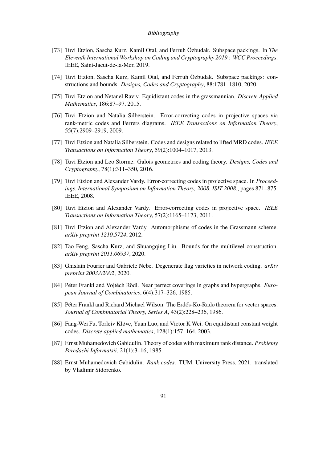- <span id="page-92-3"></span>[73] Tuvi Etzion, Sascha Kurz, Kamil Otal, and Ferruh Özbudak. Subspace packings. In *The Eleventh International Workshop on Coding and Cryptography 2019 : WCC Proceedings*. IEEE, Saint-Jacut-de-la-Mer, 2019.
- <span id="page-92-4"></span>[74] Tuvi Etzion, Sascha Kurz, Kamil Otal, and Ferruh Özbudak. Subspace packings: constructions and bounds. *Designs, Codes and Cryptography*, 88:1781–1810, 2020.
- <span id="page-92-6"></span>[75] Tuvi Etzion and Netanel Raviv. Equidistant codes in the grassmannian. *Discrete Applied Mathematics*, 186:87–97, 2015.
- [76] Tuvi Etzion and Natalia Silberstein. Error-correcting codes in projective spaces via rank-metric codes and Ferrers diagrams. *IEEE Transactions on Information Theory*, 55(7):2909–2919, 2009.
- <span id="page-92-0"></span>[77] Tuvi Etzion and Natalia Silberstein. Codes and designs related to lifted MRD codes. *IEEE Transactions on Information Theory*, 59(2):1004–1017, 2013.
- [78] Tuvi Etzion and Leo Storme. Galois geometries and coding theory. *Designs, Codes and Cryptography*, 78(1):311–350, 2016.
- <span id="page-92-2"></span>[79] Tuvi Etzion and Alexander Vardy. Error-correcting codes in projective space. In *Proceedings. International Symposium on Information Theory, 2008. ISIT 2008.*, pages 871–875. IEEE, 2008.
- <span id="page-92-1"></span>[80] Tuvi Etzion and Alexander Vardy. Error-correcting codes in projective space. *IEEE Transactions on Information Theory*, 57(2):1165–1173, 2011.
- [81] Tuvi Etzion and Alexander Vardy. Automorphisms of codes in the Grassmann scheme. *arXiv preprint 1210.5724*, 2012.
- [82] Tao Feng, Sascha Kurz, and Shuangqing Liu. Bounds for the multilevel construction. *arXiv preprint 2011.06937*, 2020.
- <span id="page-92-7"></span>[83] Ghislain Fourier and Gabriele Nebe. Degenerate flag varieties in network coding. *arXiv preprint 2003.02002*, 2020.
- [84] Péter Frankl and Vojtěch Rödl. Near perfect coverings in graphs and hypergraphs. *European Journal of Combinatorics*, 6(4):317–326, 1985.
- [85] Péter Frankl and Richard Michael Wilson. The Erdős-Ko-Rado theorem for vector spaces. *Journal of Combinatorial Theory, Series A*, 43(2):228–236, 1986.
- <span id="page-92-5"></span>[86] Fang-Wei Fu, Torleiv Kløve, Yuan Luo, and Victor K Wei. On equidistant constant weight codes. *Discrete applied mathematics*, 128(1):157–164, 2003.
- [87] Ernst Muhamedovich Gabidulin. Theory of codes with maximum rank distance. *Problemy Peredachi Informatsii*, 21(1):3–16, 1985.
- [88] Ernst Muhamedovich Gabidulin. *Rank codes*. TUM. University Press, 2021. translated by Vladimir Sidorenko.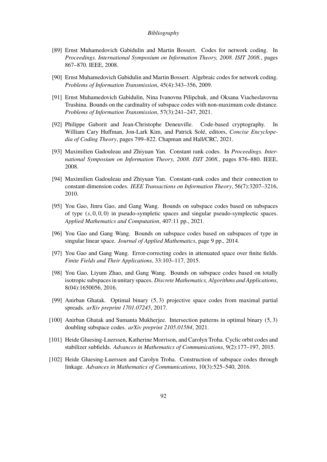- <span id="page-93-1"></span>[89] Ernst Muhamedovich Gabidulin and Martin Bossert. Codes for network coding. In *Proceedings. International Symposium on Information Theory, 2008. ISIT 2008.*, pages 867–870. IEEE, 2008.
- <span id="page-93-0"></span>[90] Ernst Muhamedovich Gabidulin and Martin Bossert. Algebraic codes for network coding. *Problems of Information Transmission*, 45(4):343–356, 2009.
- [91] Ernst Muhamedovich Gabidulin, Nina Ivanovna Pilipchuk, and Oksana Viacheslavovna Trushina. Bounds on the cardinality of subspace codes with non-maximum code distance. *Problems of Information Transmission*, 57(3):241–247, 2021.
- [92] Philippe Gaborit and Jean-Christophe Deneuville. Code-based cryptography. In William Cary Huffman, Jon-Lark Kim, and Patrick Solé, editors, *Concise Encyclopedia of Coding Theory*, pages 799–822. Chapman and Hall/CRC, 2021.
- [93] Maximilien Gadouleau and Zhiyuan Yan. Constant rank codes. In *Proceedings. International Symposium on Information Theory, 2008. ISIT 2008.*, pages 876–880. IEEE, 2008.
- [94] Maximilien Gadouleau and Zhiyuan Yan. Constant-rank codes and their connection to constant-dimension codes. *IEEE Transactions on Information Theory*, 56(7):3207–3216, 2010.
- <span id="page-93-4"></span>[95] You Gao, Jinru Gao, and Gang Wang. Bounds on subspace codes based on subspaces of type  $(s, 0, 0, 0)$  in pseudo-sympletic spaces and singular pseudo-symplectic spaces. *Applied Mathematics and Computation*, 407:11 pp., 2021.
- <span id="page-93-5"></span>[96] You Gao and Gang Wang. Bounds on subspace codes based on subspaces of type in singular linear space. *Journal of Applied Mathematics*, page 9 pp., 2014.
- <span id="page-93-6"></span>[97] You Gao and Gang Wang. Error-correcting codes in attenuated space over finite fields. *Finite Fields and Their Applications*, 33:103–117, 2015.
- <span id="page-93-7"></span>[98] You Gao, Liyum Zhao, and Gang Wang. Bounds on subspace codes based on totally isotropic subspaces in unitary spaces. *Discrete Mathematics, Algorithms and Applications*, 8(04):1650056, 2016.
- <span id="page-93-2"></span>[99] Anirban Ghatak. Optimal binary (5, 3) projective space codes from maximal partial spreads. *arXiv preprint 1701.07245*, 2017.
- <span id="page-93-3"></span>[100] Anirban Ghatak and Sumanta Mukherjee. Intersection patterns in optimal binary (5, 3) doubling subspace codes. *arXiv preprint 2105.01584*, 2021.
- [101] Heide Gluesing-Luerssen, Katherine Morrison, and Carolyn Troha. Cyclic orbit codes and stabilizer subfields. *Advances in Mathematics of Communications*, 9(2):177–197, 2015.
- [102] Heide Gluesing-Luerssen and Carolyn Troha. Construction of subspace codes through linkage. *Advances in Mathematics of Communications*, 10(3):525–540, 2016.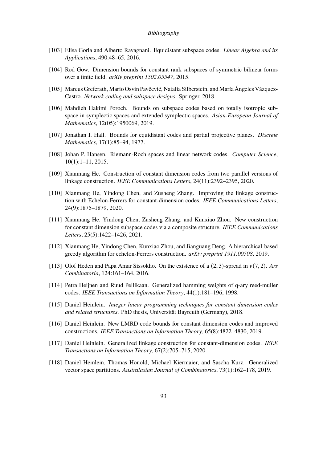- <span id="page-94-6"></span>[103] Elisa Gorla and Alberto Ravagnani. Equidistant subspace codes. *Linear Algebra and its Applications*, 490:48–65, 2016.
- <span id="page-94-7"></span>[104] Rod Gow. Dimension bounds for constant rank subspaces of symmetric bilinear forms over a finite field. *arXiv preprint 1502.05547*, 2015.
- [105] Marcus Greferath, Mario Osvin Pavčević, Natalia Silberstein, and María Ángeles Vázquez-Castro. *Network coding and subspace designs*. Springer, 2018.
- <span id="page-94-4"></span>[106] Mahdieh Hakimi Poroch. Bounds on subspace codes based on totally isotropic subspace in symplectic spaces and extended symplectic spaces. *Asian-European Journal of Mathematics*, 12(05):1950069, 2019.
- <span id="page-94-5"></span>[107] Jonathan I. Hall. Bounds for equidistant codes and partial projective planes. *Discrete Mathematics*, 17(1):85–94, 1977.
- <span id="page-94-0"></span>[108] Johan P. Hansen. Riemann-Roch spaces and linear network codes. *Computer Science*, 10(1):1–11, 2015.
- [109] Xianmang He. Construction of constant dimension codes from two parallel versions of linkage construction. *IEEE Communications Letters*, 24(11):2392–2395, 2020.
- [110] Xianmang He, Yindong Chen, and Zusheng Zhang. Improving the linkage construction with Echelon-Ferrers for constant-dimension codes. *IEEE Communications Letters*, 24(9):1875–1879, 2020.
- [111] Xianmang He, Yindong Chen, Zusheng Zhang, and Kunxiao Zhou. New construction for constant dimension subspace codes via a composite structure. *IEEE Communications Letters*, 25(5):1422–1426, 2021.
- [112] Xianmang He, Yindong Chen, Kunxiao Zhou, and Jianguang Deng. A hierarchical-based greedy algorithm for echelon-Ferrers construction. *arXiv preprint 1911.00508*, 2019.
- <span id="page-94-2"></span>[113] Olof Heden and Papa Amar Sissokho. On the existence of a  $(2, 3)$ -spread in  $v(7, 2)$ . *Ars Combinatoria*, 124:161–164, 2016.
- <span id="page-94-3"></span>[114] Petra Heijnen and Ruud Pellikaan. Generalized hamming weights of q-ary reed-muller codes. *IEEE Transactions on Information Theory*, 44(1):181–196, 1998.
- <span id="page-94-1"></span>[115] Daniel Heinlein. *Integer linear programming techniques for constant dimension codes and related structures*. PhD thesis, Universität Bayreuth (Germany), 2018.
- [116] Daniel Heinlein. New LMRD code bounds for constant dimension codes and improved constructions. *IEEE Transactions on Information Theory*, 65(8):4822–4830, 2019.
- [117] Daniel Heinlein. Generalized linkage construction for constant-dimension codes. *IEEE Transactions on Information Theory*, 67(2):705–715, 2020.
- [118] Daniel Heinlein, Thomas Honold, Michael Kiermaier, and Sascha Kurz. Generalized vector space partitions. *Australasian Journal of Combinatorics*, 73(1):162–178, 2019.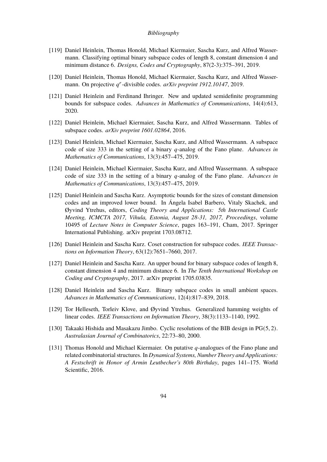- <span id="page-95-4"></span>[119] Daniel Heinlein, Thomas Honold, Michael Kiermaier, Sascha Kurz, and Alfred Wassermann. Classifying optimal binary subspace codes of length 8, constant dimension 4 and minimum distance 6. *Designs, Codes and Cryptography*, 87(2-3):375–391, 2019.
- [120] Daniel Heinlein, Thomas Honold, Michael Kiermaier, Sascha Kurz, and Alfred Wassermann. On projective q<sup>r</sup>-divisible codes. arXiv preprint 1912.10147, 2019.
- <span id="page-95-6"></span>[121] Daniel Heinlein and Ferdinand Ihringer. New and updated semidefinite programming bounds for subspace codes. *Advances in Mathematics of Communications*, 14(4):613, 2020.
- <span id="page-95-1"></span>[122] Daniel Heinlein, Michael Kiermaier, Sascha Kurz, and Alfred Wassermann. Tables of subspace codes. *arXiv preprint 1601.02864*, 2016.
- <span id="page-95-2"></span>[123] Daniel Heinlein, Michael Kiermaier, Sascha Kurz, and Alfred Wassermann. A subspace code of size 333 in the setting of a binary *q*-analog of the Fano plane. *Advances in Mathematics of Communications*, 13(3):457–475, 2019.
- <span id="page-95-3"></span>[124] Daniel Heinlein, Michael Kiermaier, Sascha Kurz, and Alfred Wassermann. A subspace code of size 333 in the setting of a binary *q*-analog of the Fano plane. *Advances in Mathematics of Communications*, 13(3):457–475, 2019.
- [125] Daniel Heinlein and Sascha Kurz. Asymptotic bounds for the sizes of constant dimension codes and an improved lower bound. In Ángela Isabel Barbero, Vitaly Skachek, and Øyvind Ytrehus, editors, *Coding Theory and Applications: 5th International Castle Meeting, ICMCTA 2017, Vihula, Estonia, August 28-31, 2017, Proceedings*, volume 10495 of *Lecture Notes in Computer Science*, pages 163–191, Cham, 2017. Springer International Publishing. arXiv preprint 1703.08712.
- [126] Daniel Heinlein and Sascha Kurz. Coset construction for subspace codes. *IEEE Transactions on Information Theory*, 63(12):7651–7660, 2017.
- [127] Daniel Heinlein and Sascha Kurz. An upper bound for binary subspace codes of length 8, constant dimension 4 and minimum distance 6. In *The Tenth International Workshop on Coding and Cryptography*, 2017. arXiv preprint 1705.03835.
- <span id="page-95-5"></span>[128] Daniel Heinlein and Sascha Kurz. Binary subspace codes in small ambient spaces. *Advances in Mathematics of Communications*, 12(4):817–839, 2018.
- <span id="page-95-7"></span>[129] Tor Helleseth, Torleiv Klove, and Øyvind Ytrehus. Generalized hamming weights of linear codes. *IEEE Transactions on Information Theory*, 38(3):1133–1140, 1992.
- [130] Takaaki Hishida and Masakazu Jimbo. Cyclic resolutions of the BIB design in PG(5, 2). *Australasian Journal of Combinatorics*, 22:73–80, 2000.
- <span id="page-95-0"></span>[131] Thomas Honold and Michael Kiermaier. On putative  $q$ -analogues of the Fano plane and related combinatorial structures. In *Dynamical Systems, Number Theory and Applications: A Festschrift in Honor of Armin Leutbecher's 80th Birthday*, pages 141–175. World Scientific, 2016.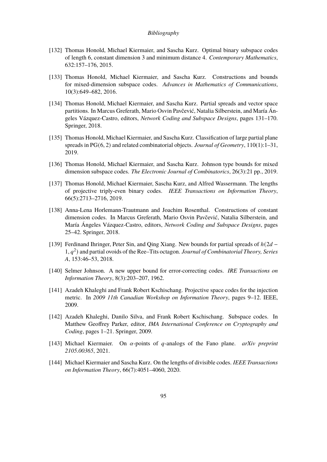- <span id="page-96-0"></span>[132] Thomas Honold, Michael Kiermaier, and Sascha Kurz. Optimal binary subspace codes of length 6, constant dimension 3 and minimum distance 4. *Contemporary Mathematics*, 632:157–176, 2015.
- <span id="page-96-3"></span>[133] Thomas Honold, Michael Kiermaier, and Sascha Kurz. Constructions and bounds for mixed-dimension subspace codes. *Advances in Mathematics of Communications*, 10(3):649–682, 2016.
- [134] Thomas Honold, Michael Kiermaier, and Sascha Kurz. Partial spreads and vector space partitions. In Marcus Greferath, Mario Osvin Pavčević, Natalia Silberstein, and María Ángeles Vázquez-Castro, editors, *Network Coding and Subspace Designs*, pages 131–170. Springer, 2018.
- <span id="page-96-4"></span>[135] Thomas Honold, Michael Kiermaier, and Sascha Kurz. Classification of large partial plane spreads in PG(6, 2) and related combinatorial objects. *Journal of Geometry*, 110(1):1–31, 2019.
- <span id="page-96-5"></span>[136] Thomas Honold, Michael Kiermaier, and Sascha Kurz. Johnson type bounds for mixed dimension subspace codes. *The Electronic Journal of Combinatorics*, 26(3):21 pp., 2019.
- [137] Thomas Honold, Michael Kiermaier, Sascha Kurz, and Alfred Wassermann. The lengths of projective triply-even binary codes. *IEEE Transactions on Information Theory*, 66(5):2713–2716, 2019.
- [138] Anna-Lena Horlemann-Trautmann and Joachim Rosenthal. Constructions of constant dimension codes. In Marcus Greferath, Mario Osvin Pavčević, Natalia Silberstein, and María Ángeles Vázquez-Castro, editors, *Network Coding and Subspace Designs*, pages 25–42. Springer, 2018.
- [139] Ferdinand Ihringer, Peter Sin, and Oing Xiang. New bounds for partial spreads of  $h(2d -$ 1,  $q^2$ ) and partial ovoids of the Ree–Tits octagon. *Journal of Combinatorial Theory, Series A*, 153:46–53, 2018.
- [140] Selmer Johnson. A new upper bound for error-correcting codes. *IRE Transactions on Information Theory*, 8(3):203–207, 1962.
- <span id="page-96-2"></span>[141] Azadeh Khaleghi and Frank Robert Kschischang. Projective space codes for the injection metric. In *2009 11th Canadian Workshop on Information Theory*, pages 9–12. IEEE, 2009.
- <span id="page-96-6"></span>[142] Azadeh Khaleghi, Danilo Silva, and Frank Robert Kschischang. Subspace codes. In Matthew Geoffrey Parker, editor, *IMA International Conference on Cryptography and Coding*, pages 1–21. Springer, 2009.
- <span id="page-96-1"></span>[143] Michael Kiermaier. On  $\alpha$ -points of  $q$ -analogs of the Fano plane. *arXiv preprint 2105.00365*, 2021.
- [144] Michael Kiermaier and Sascha Kurz. On the lengths of divisible codes. *IEEE Transactions on Information Theory*, 66(7):4051–4060, 2020.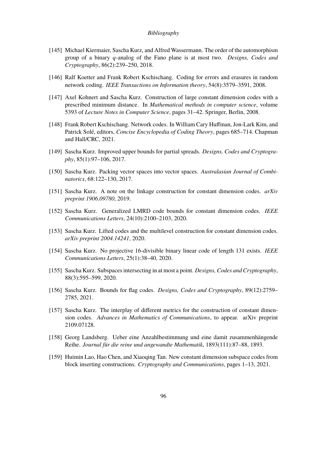- <span id="page-97-0"></span>[145] Michael Kiermaier, Sascha Kurz, and Alfred Wassermann. The order of the automorphism group of a binary 𝑞-analog of the Fano plane is at most two. *Designs, Codes and Cryptography*, 86(2):239–250, 2018.
- [146] Ralf Koetter and Frank Robert Kschischang. Coding for errors and erasures in random network coding. *IEEE Transactions on Information theory*, 54(8):3579–3591, 2008.
- [147] Axel Kohnert and Sascha Kurz. Construction of large constant dimension codes with a prescribed minimum distance. In *Mathematical methods in computer science*, volume 5393 of *Lecture Notes in Computer Science*, pages 31–42. Springer, Berlin, 2008.
- [148] Frank Robert Kschischang. Network codes. In William Cary Huffman, Jon-Lark Kim, and Patrick Solé, editors, *Concise Encyclopedia of Coding Theory*, pages 685–714. Chapman and Hall/CRC, 2021.
- [149] Sascha Kurz. Improved upper bounds for partial spreads. *Designs, Codes and Cryptography*, 85(1):97–106, 2017.
- [150] Sascha Kurz. Packing vector spaces into vector spaces. *Australasian Journal of Combinatorics*, 68:122–130, 2017.
- [151] Sascha Kurz. A note on the linkage construction for constant dimension codes. *arXiv preprint 1906.09780*, 2019.
- [152] Sascha Kurz. Generalized LMRD code bounds for constant dimension codes. *IEEE Communications Letters*, 24(10):2100–2103, 2020.
- [153] Sascha Kurz. Lifted codes and the multilevel construction for constant dimension codes. *arXiv preprint 2004.14241*, 2020.
- [154] Sascha Kurz. No projective 16-divisible binary linear code of length 131 exists. *IEEE Communications Letters*, 25(1):38–40, 2020.
- [155] Sascha Kurz. Subspaces intersecting in at most a point. *Designs, Codes and Cryptography*, 88(3):595–599, 2020.
- <span id="page-97-2"></span>[156] Sascha Kurz. Bounds for flag codes. *Designs, Codes and Cryptography*, 89(12):2759– 2785, 2021.
- <span id="page-97-1"></span>[157] Sascha Kurz. The interplay of different metrics for the construction of constant dimension codes. *Advances in Mathematics of Communications*, to appear. arXiv preprint 2109.07128.
- [158] Georg Landsberg. Ueber eine Anzahlbestimmung und eine damit zusammenhängende Reihe. *Journal für die reine und angewandte Mathematik*, 1893(111):87–88, 1893.
- [159] Huimin Lao, Hao Chen, and Xiaoqing Tan. New constant dimension subspace codes from block inserting constructions. *Cryptography and Communications*, pages 1–13, 2021.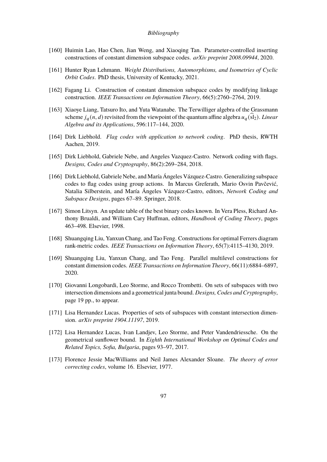- [160] Huimin Lao, Hao Chen, Jian Weng, and Xiaoqing Tan. Parameter-controlled inserting constructions of constant dimension subspace codes. *arXiv preprint 2008.09944*, 2020.
- <span id="page-98-0"></span>[161] Hunter Ryan Lehmann. *Weight Distributions, Automorphisms, and Isometries of Cyclic Orbit Codes*. PhD thesis, University of Kentucky, 2021.
- [162] Fagang Li. Construction of constant dimension subspace codes by modifying linkage construction. *IEEE Transactions on Information Theory*, 66(5):2760–2764, 2019.
- [163] Xiaoye Liang, Tatsuro Ito, and Yuta Watanabe. The Terwilliger algebra of the Grassmann scheme  $j_a(n, d)$  revisited from the viewpoint of the quantum affine algebra  $u_a(\text{sl}_2)$ . *Linear Algebra and its Applications*, 596:117–144, 2020.
- <span id="page-98-5"></span>[164] Dirk Liebhold. *Flag codes with application to network coding*. PhD thesis, RWTH Aachen, 2019.
- <span id="page-98-4"></span>[165] Dirk Liebhold, Gabriele Nebe, and Angeles Vazquez-Castro. Network coding with flags. *Designs, Codes and Cryptography*, 86(2):269–284, 2018.
- <span id="page-98-6"></span>[166] Dirk Liebhold, Gabriele Nebe, and María Ángeles Vázquez-Castro. Generalizing subspace codes to flag codes using group actions. In Marcus Greferath, Mario Osvin Pavčević, Natalia Silberstein, and María Ángeles Vázquez-Castro, editors, *Network Coding and Subspace Designs*, pages 67–89. Springer, 2018.
- [167] Simon Litsyn. An update table of the best binary codes known. In Vera Pless, Richard Anthony Brualdi, and William Cary Huffman, editors, *Handbook of Coding Theory*, pages 463–498. Elsevier, 1998.
- [168] Shuangqing Liu, Yanxun Chang, and Tao Feng. Constructions for optimal Ferrers diagram rank-metric codes. *IEEE Transactions on Information Theory*, 65(7):4115–4130, 2019.
- [169] Shuangqing Liu, Yanxun Chang, and Tao Feng. Parallel multilevel constructions for constant dimension codes. *IEEE Transactions on Information Theory*, 66(11):6884–6897, 2020.
- <span id="page-98-3"></span>[170] Giovanni Longobardi, Leo Storme, and Rocco Trombetti. On sets of subspaces with two intersection dimensions and a geometrical junta bound. *Designs, Codes and Cryptography*, page 19 pp., to appear.
- <span id="page-98-1"></span>[171] Lisa Hernandez Lucas. Properties of sets of subspaces with constant intersection dimension. *arXiv preprint 1904.11197*, 2019.
- <span id="page-98-2"></span>[172] Lisa Hernandez Lucas, Ivan Landjev, Leo Storme, and Peter Vandendriessche. On the geometrical sunflower bound. In *Eighth International Workshop on Optimal Codes and Related Topics, Sofia, Bulgaria*, pages 93–97, 2017.
- [173] Florence Jessie MacWilliams and Neil James Alexander Sloane. *The theory of error correcting codes*, volume 16. Elsevier, 1977.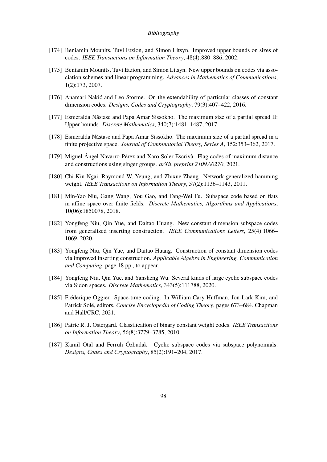- [174] Beniamin Mounits, Tuvi Etzion, and Simon Litsyn. Improved upper bounds on sizes of codes. *IEEE Transactions on Information Theory*, 48(4):880–886, 2002.
- [175] Beniamin Mounits, Tuvi Etzion, and Simon Litsyn. New upper bounds on codes via association schemes and linear programming. *Advances in Mathematics of Communications*, 1(2):173, 2007.
- <span id="page-99-2"></span>[176] Anamari Nakić and Leo Storme. On the extendability of particular classes of constant dimension codes. *Designs, Codes and Cryptography*, 79(3):407–422, 2016.
- [177] Esmeralda Năstase and Papa Amar Sissokho. The maximum size of a partial spread II: Upper bounds. *Discrete Mathematics*, 340(7):1481–1487, 2017.
- [178] Esmeralda Năstase and Papa Amar Sissokho. The maximum size of a partial spread in a finite projective space. *Journal of Combinatorial Theory, Series A*, 152:353–362, 2017.
- <span id="page-99-5"></span>[179] Miguel Ángel Navarro-Pérez and Xaro Soler Escrivà. Flag codes of maximum distance and constructions using singer groups. *arXiv preprint 2109.00270*, 2021.
- <span id="page-99-3"></span>[180] Chi-Kin Ngai, Raymond W. Yeung, and Zhixue Zhang. Network generalized hamming weight. *IEEE Transactions on Information Theory*, 57(2):1136–1143, 2011.
- <span id="page-99-4"></span>[181] Min-Yao Niu, Gang Wang, You Gao, and Fang-Wei Fu. Subspace code based on flats in affine space over finite fields. *Discrete Mathematics, Algorithms and Applications*, 10(06):1850078, 2018.
- [182] Yongfeng Niu, Qin Yue, and Daitao Huang. New constant dimension subspace codes from generalized inserting construction. *IEEE Communications Letters*, 25(4):1066– 1069, 2020.
- [183] Yongfeng Niu, Qin Yue, and Daitao Huang. Construction of constant dimension codes via improved inserting construction. *Applicable Algebra in Engineering, Communication and Computing*, page 18 pp., to appear.
- <span id="page-99-0"></span>[184] Yongfeng Niu, Qin Yue, and Yansheng Wu. Several kinds of large cyclic subspace codes via Sidon spaces. *Discrete Mathematics*, 343(5):111788, 2020.
- [185] Frédérique Oggier. Space-time coding. In William Cary Huffman, Jon-Lark Kim, and Patrick Solé, editors, *Concise Encyclopedia of Coding Theory*, pages 673–684. Chapman and Hall/CRC, 2021.
- [186] Patric R. J. Ostergard. Classification of binary constant weight codes. *IEEE Transactions on Information Theory*, 56(8):3779–3785, 2010.
- <span id="page-99-1"></span>[187] Kamil Otal and Ferruh Özbudak. Cyclic subspace codes via subspace polynomials. *Designs, Codes and Cryptography*, 85(2):191–204, 2017.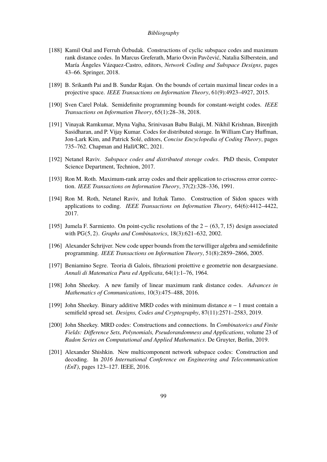- <span id="page-100-1"></span>[188] Kamil Otal and Ferruh Özbudak. Constructions of cyclic subspace codes and maximum rank distance codes. In Marcus Greferath, Mario Osvin Pavčević, Natalia Silberstein, and María Ángeles Vázquez-Castro, editors, *Network Coding and Subspace Designs*, pages 43–66. Springer, 2018.
- <span id="page-100-0"></span>[189] B. Srikanth Pai and B. Sundar Rajan. On the bounds of certain maximal linear codes in a projective space. *IEEE Transactions on Information Theory*, 61(9):4923–4927, 2015.
- [190] Sven Carel Polak. Semidefinite programming bounds for constant-weight codes. *IEEE Transactions on Information Theory*, 65(1):28–38, 2018.
- [191] Vinayak Ramkumar, Myna Vajha, Srinivasan Babu Balaji, M. Nikhil Krishnan, Birenjith Sasidharan, and P. Vijay Kumar. Codes for distributed storage. In William Cary Huffman, Jon-Lark Kim, and Patrick Solé, editors, *Concise Encyclopedia of Coding Theory*, pages 735–762. Chapman and Hall/CRC, 2021.
- [192] Netanel Raviv. *Subspace codes and distributed storage codes*. PhD thesis, Computer Science Department, Technion, 2017.
- [193] Ron M. Roth. Maximum-rank array codes and their application to crisscross error correction. *IEEE Transactions on Information Theory*, 37(2):328–336, 1991.
- <span id="page-100-2"></span>[194] Ron M. Roth, Netanel Raviv, and Itzhak Tamo. Construction of Sidon spaces with applications to coding. *IEEE Transactions on Information Theory*, 64(6):4412–4422, 2017.
- [195] Jumela F. Sarmiento. On point-cyclic resolutions of the 2 − (63, 7, 15) design associated with PG(5, 2). *Graphs and Combinatorics*, 18(3):621–632, 2002.
- [196] Alexander Schrijver. New code upper bounds from the terwilliger algebra and semidefinite programming. *IEEE Transactions on Information Theory*, 51(8):2859–2866, 2005.
- [197] Beniamino Segre. Teoria di Galois, fibrazioni proiettive e geometrie non desarguesiane. *Annali di Matematica Pura ed Applicata*, 64(1):1–76, 1964.
- [198] John Sheekey. A new family of linear maximum rank distance codes. *Advances in Mathematics of Communications*, 10(3):475–488, 2016.
- [199] John Sheekey. Binary additive MRD codes with minimum distance  $n 1$  must contain a semifield spread set. *Designs, Codes and Cryptography*, 87(11):2571–2583, 2019.
- [200] John Sheekey. MRD codes: Constructions and connections. In *Combinatorics and Finite Fields: Difference Sets, Polynomials, Pseudorandomness and Applications*, volume 23 of *Radon Series on Computational and Applied Mathematics*. De Gruyter, Berlin, 2019.
- [201] Alexander Shishkin. New multicomponent network subspace codes: Construction and decoding. In *2016 International Conference on Engineering and Telecommunication (EnT)*, pages 123–127. IEEE, 2016.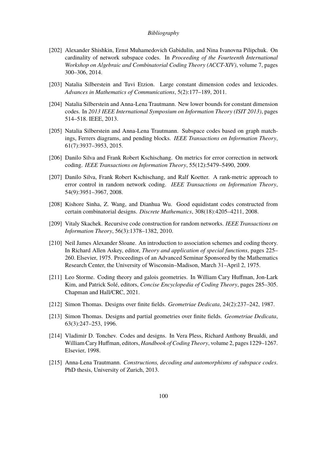- [202] Alexander Shishkin, Ernst Muhamedovich Gabidulin, and Nina Ivanovna Pilipchuk. On cardinality of network subspace codes. In *Proceeding of the Fourteenth International Workshop on Algebraic and Combinatorial Coding Theory (ACCT-XIV)*, volume 7, pages 300–306, 2014.
- [203] Natalia Silberstein and Tuvi Etzion. Large constant dimension codes and lexicodes. *Advances in Mathematics of Communications*, 5(2):177–189, 2011.
- [204] Natalia Silberstein and Anna-Lena Trautmann. New lower bounds for constant dimension codes. In *2013 IEEE International Symposium on Information Theory (ISIT 2013)*, pages 514–518. IEEE, 2013.
- [205] Natalia Silberstein and Anna-Lena Trautmann. Subspace codes based on graph matchings, Ferrers diagrams, and pending blocks. *IEEE Transactions on Information Theory*, 61(7):3937–3953, 2015.
- <span id="page-101-1"></span>[206] Danilo Silva and Frank Robert Kschischang. On metrics for error correction in network coding. *IEEE Transactions on Information Theory*, 55(12):5479–5490, 2009.
- [207] Danilo Silva, Frank Robert Kschischang, and Ralf Koetter. A rank-metric approach to error control in random network coding. *IEEE Transactions on Information Theory*, 54(9):3951–3967, 2008.
- <span id="page-101-2"></span>[208] Kishore Sinha, Z. Wang, and Dianhua Wu. Good equidistant codes constructed from certain combinatorial designs. *Discrete Mathematics*, 308(18):4205–4211, 2008.
- [209] Vitaly Skachek. Recursive code construction for random networks. *IEEE Transactions on Information Theory*, 56(3):1378–1382, 2010.
- [210] Neil James Alexander Sloane. An introduction to association schemes and coding theory. In Richard Allen Askey, editor, *Theory and application of special functions*, pages 225– 260. Elsevier, 1975. Proceedings of an Advanced Seminar Sponsored by the Mathematics Research Center, the University of Wisconsin–Madison, March 31–April 2, 1975.
- [211] Leo Storme. Coding theory and galois geometries. In William Cary Huffman, Jon-Lark Kim, and Patrick Solé, editors, *Concise Encyclopedia of Coding Theory*, pages 285–305. Chapman and Hall/CRC, 2021.
- [212] Simon Thomas. Designs over finite fields. *Geometriae Dedicata*, 24(2):237–242, 1987.
- <span id="page-101-0"></span>[213] Simon Thomas. Designs and partial geometries over finite fields. *Geometriae Dedicata*, 63(3):247–253, 1996.
- [214] Vladimir D. Tonchev. Codes and designs. In Vera Pless, Richard Anthony Brualdi, and William Cary Huffman, editors, *Handbook of Coding Theory*, volume 2, pages 1229–1267. Elsevier, 1998.
- [215] Anna-Lena Trautmann. *Constructions, decoding and automorphisms of subspace codes*. PhD thesis, University of Zurich, 2013.